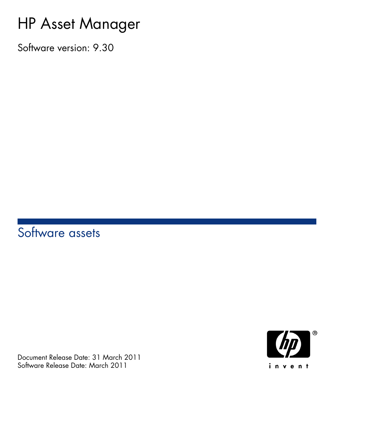# HP Asset Manager

Software version: 9.30

# Software assets

Document Release Date: 31 March 2011 Software Release Date: March 2011

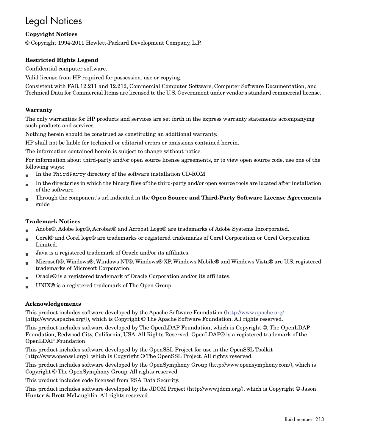# Legal Notices

#### **Copyright Notices**

© Copyright 1994-2011 Hewlett-Packard Development Company, L.P.

#### **Restricted Rights Legend**

Confidential computer software.

Valid license from HP required for possession, use or copying.

Consistent with FAR 12.211 and 12.212, Commercial Computer Software, Computer Software Documentation, and Technical Data for Commercial Items are licensed to the U.S. Government under vendor's standard commercial license.

#### **Warranty**

The only warranties for HP products and services are set forth in the express warranty statements accompanying such products and services.

Nothing herein should be construed as constituting an additional warranty.

HP shall not be liable for technical or editorial errors or omissions contained herein.

The information contained herein is subject to change without notice.

For information about third-party and/or open source license agreements, or to view open source code, use one of the following ways:

- <sup>n</sup> In the ThirdParty directory of the software installation CD-ROM
- n In the directories in which the binary files of the third-party and/or open source tools are located after installation of the software.
- n Through the component's url indicated in the **Open Source and Third-Party Software License Agreements** guide

#### **Trademark Notices**

- n Adobe®, Adobe logo®, Acrobat® and Acrobat Logo® are trademarks of Adobe Systems Incorporated.
- n Corel® and Corel logo® are trademarks or registered trademarks of Corel Corporation or Corel Corporation Limited.
- Java is a registered trademark of Oracle and/or its affiliates.
- n Microsoft®, Windows®, Windows NT®, Windows® XP, Windows Mobile® and Windows Vista® are U.S. registered trademarks of Microsoft Corporation.
- Oracle® is a registered trademark of Oracle Corporation and/or its affiliates.
- UNIX<sup>®</sup> is a registered trademark of The Open Group.

#### **Acknowledgements**

This product includes software developed by the Apache Software Foundation [\(http://www.apache.org/](http://www.apache.org/) [http://www.apache.org/]), which is Copyright © The Apache Software Foundation. All rights reserved.

This product includes software developed by The OpenLDAP Foundation, which is Copyright ©, The OpenLDAP Foundation, Redwood City, California, USA. All Rights Reserved. OpenLDAP® is a registered trademark of the OpenLDAP Foundation.

This product includes software developed by the OpenSSL Project for use in the OpenSSL Toolkit (http://www.openssl.org/), which is Copyright © The OpenSSL Project. All rights reserved.

This product includes software developed by the OpenSymphony Group (http://www.opensymphony.com/), which is Copyright © The OpenSymphony Group. All rights reserved.

This product includes code licensed from RSA Data Security.

This product includes software developed by the JDOM Project (http://www.jdom.org/), which is Copyright © Jason Hunter & Brett McLaughlin. All rights reserved.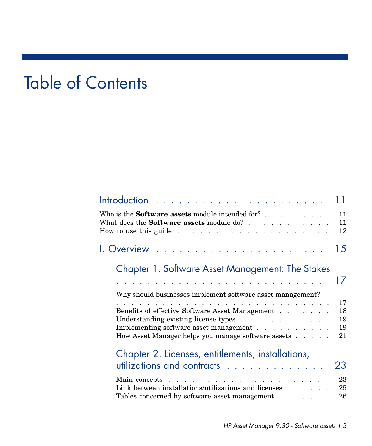# Table of Contents

|                                                                                                                                                                                                                                | 11             |
|--------------------------------------------------------------------------------------------------------------------------------------------------------------------------------------------------------------------------------|----------------|
| Who is the <b>Software assets</b> module intended for?<br>What does the <b>Software assets</b> module do?                                                                                                                      | 11<br>11<br>12 |
|                                                                                                                                                                                                                                | 15             |
| Chapter 1. Software Asset Management: The Stakes                                                                                                                                                                               |                |
| and the company of the company of the company of the company of the company of the company of the company of the company of the company of the company of the company of the company of the company of the company of the comp | 17             |
| Why should businesses implement software asset management?                                                                                                                                                                     |                |
| and a series of the contract of the contract of the contract of the contract of the contract of the contract of                                                                                                                | 17             |
| Benefits of effective Software Asset Management                                                                                                                                                                                | 18<br>19       |
| Understanding existing license types<br>Implementing software asset management                                                                                                                                                 | 19             |
| How Asset Manager helps you manage software assets                                                                                                                                                                             | 21             |
| Chapter 2. Licenses, entitlements, installations,                                                                                                                                                                              |                |
| utilizations and contracts                                                                                                                                                                                                     | 23             |
| Main concepts.<br>والمتعاون والمتعاون والمتعاون والمتعاونة والمتعاونة والمتعاونة                                                                                                                                               | 23             |
| Link between installations/utilizations and licenses $\ldots$<br>Tables concerned by software asset management                                                                                                                 | 25<br>26       |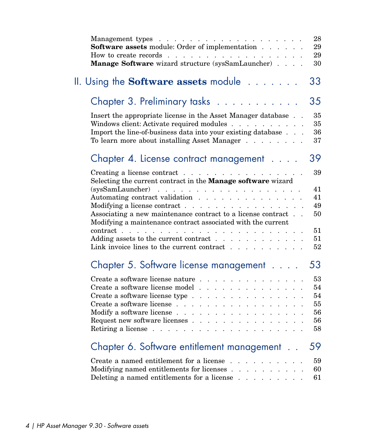| <b>Software assets</b> module: Order of implementation<br>How to create records $\ldots$ $\ldots$ $\ldots$ $\ldots$ $\ldots$ $\ldots$<br>Manage Software wizard structure (sysSamLauncher)                                                                                                                                                                                                                            | 28<br>29<br>29<br>30                   |
|-----------------------------------------------------------------------------------------------------------------------------------------------------------------------------------------------------------------------------------------------------------------------------------------------------------------------------------------------------------------------------------------------------------------------|----------------------------------------|
| II. Using the <b>Software assets</b> module $\ldots \ldots$                                                                                                                                                                                                                                                                                                                                                           | 33                                     |
| Chapter 3. Preliminary tasks                                                                                                                                                                                                                                                                                                                                                                                          | 35                                     |
| Insert the appropriate license in the Asset Manager database<br>Windows client: Activate required modules<br>Import the line-of-business data into your existing database<br>To learn more about installing Asset Manager                                                                                                                                                                                             | 35<br>35<br>36<br>37                   |
| Chapter 4. License contract management                                                                                                                                                                                                                                                                                                                                                                                | 39                                     |
| Creating a license contract<br>Selecting the current contract in the <b>Manage software</b> wizard                                                                                                                                                                                                                                                                                                                    | 39                                     |
| Automating contract validation<br>Modifying a license contract<br>Associating a new maintenance contract to a license contract.<br>Modifying a maintenance contract associated with the current                                                                                                                                                                                                                       | 41<br>41<br>49<br>50                   |
| contract<br>Adding assets to the current contract $\ldots$<br>Link invoice lines to the current contract<br>$1 - 1 - 1$                                                                                                                                                                                                                                                                                               | 51<br>51<br>52                         |
| Chapter 5. Software license management                                                                                                                                                                                                                                                                                                                                                                                | 53                                     |
| Create a software license nature.<br>$\mathbf{r}$ . The state of the state of the state $\mathbf{r}$<br>Create a software license model<br>Create a software license type<br>Create a software license<br>Modify a software license $\ldots$<br>Request new software licenses $\ldots$<br>$\ddot{\phantom{0}}$<br>$\ddot{\phantom{0}}$<br>Retiring a license $\ldots$ $\ldots$ $\ldots$ $\ldots$ $\ldots$<br>$\cdots$ | 53<br>54<br>54<br>55<br>56<br>56<br>58 |
| Chapter 6. Software entitlement management                                                                                                                                                                                                                                                                                                                                                                            | 59                                     |
| Create a named entitlement for a license<br>Modifying named entitlements for licenses<br>Deleting a named entitlements for a license                                                                                                                                                                                                                                                                                  | 59<br>60<br>61                         |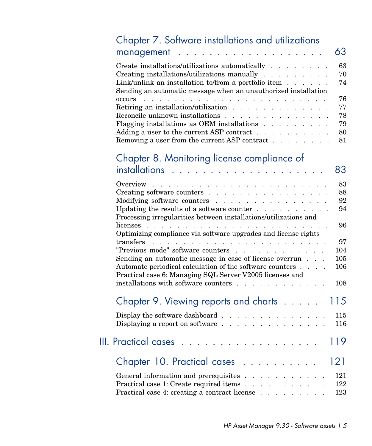| Chapter 7. Software installations and utilizations                                                                                                                                                                                           |            |
|----------------------------------------------------------------------------------------------------------------------------------------------------------------------------------------------------------------------------------------------|------------|
| management.<br>a construction of the construction of the construction of the construction of the construction of the construction of the construction of the construction of the construction of the construction of the construction of the | 63         |
| Create installations/utilizations automatically                                                                                                                                                                                              | 63         |
| Creating installations/utilizations manually                                                                                                                                                                                                 | 70         |
| Link/unlink an installation to/from a portfolio item $\ldots$<br>Sending an automatic message when an unauthorized installation                                                                                                              | 74         |
| occurs .                                                                                                                                                                                                                                     | 76         |
| Retiring an installation/utilization<br>Reconcile unknown installations                                                                                                                                                                      | 77<br>78   |
| Flagging installations as OEM installations                                                                                                                                                                                                  | 79         |
| Adding a user to the current ASP contract $\dots$ $\dots$                                                                                                                                                                                    | 80         |
| Removing a user from the current ASP contract                                                                                                                                                                                                | 81         |
| Chapter 8. Monitoring license compliance of                                                                                                                                                                                                  |            |
|                                                                                                                                                                                                                                              | 83         |
| Overview<br>the second contract of the second contract of the second                                                                                                                                                                         | 83         |
| Creating software counters                                                                                                                                                                                                                   | 88         |
| Modifying software counters<br>Updating the results of a software counter $\ldots$                                                                                                                                                           | 92<br>94   |
| Processing irregularities between installations/utilizations and                                                                                                                                                                             |            |
| licenses                                                                                                                                                                                                                                     | 96         |
| Optimizing compliance via software upgrades and license rights                                                                                                                                                                               |            |
|                                                                                                                                                                                                                                              | 97         |
| "Previous mode" software counters                                                                                                                                                                                                            | 104        |
| Sending an automatic message in case of license overrun<br>Automate periodical calculation of the software counters                                                                                                                          | 105<br>106 |
| Practical case 6: Managing SQL Server V2005 licenses and                                                                                                                                                                                     |            |
| installations with software counters                                                                                                                                                                                                         | 108        |
| Chapter 9. Viewing reports and charts $\dots$ .                                                                                                                                                                                              | 115        |
| Display the software dashboard $\ldots$<br>$\mathcal{A}$ , and $\mathcal{A}$ , and $\mathcal{A}$                                                                                                                                             | 115        |
| Displaying a report on software<br>$\mathcal{A}=\mathcal{A}=\mathcal{A}=\mathcal{A}=\mathcal{A}$                                                                                                                                             | 116        |
| <b>III. Practical cases</b>                                                                                                                                                                                                                  | 119        |
| Chapter 10. Practical cases                                                                                                                                                                                                                  | 121        |
| General information and prerequisites.                                                                                                                                                                                                       | 121        |
| Practical case 1: Create required items                                                                                                                                                                                                      | 122        |
| Practical case 4: creating a contract license                                                                                                                                                                                                | 123        |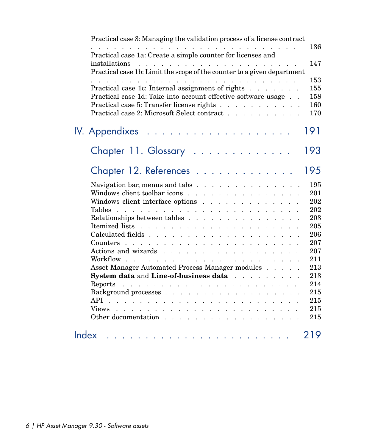| Practical case 3: Managing the validation process of a license contract                                                                                                                                                                                                                      |            |
|----------------------------------------------------------------------------------------------------------------------------------------------------------------------------------------------------------------------------------------------------------------------------------------------|------------|
| a construction of the construction of the construction of the construction of the construction of the construction of the construction of the construction of the construction of the construction of the construction of the<br>Practical case 1a: Create a simple counter for licenses and | 136        |
| Practical case 1b: Limit the scope of the counter to a given department                                                                                                                                                                                                                      | 147        |
| and the contract of the contract of the contract of the contract of the contract of the contract of the contract of the contract of the contract of the contract of the contract of the contract of the contract of the contra                                                               | 153        |
| Practical case 1c: Internal assignment of rights                                                                                                                                                                                                                                             | 155        |
| Practical case 1d: Take into account effective software usage                                                                                                                                                                                                                                | 158        |
| Practical case 5: Transfer license rights                                                                                                                                                                                                                                                    | 160        |
| Practical case 2: Microsoft Select contract                                                                                                                                                                                                                                                  | 170        |
| a construction of the construction of the construction of<br>IV. Appendixes                                                                                                                                                                                                                  | 191        |
| Chapter 11. Glossary                                                                                                                                                                                                                                                                         | 193        |
| Chapter 12. References                                                                                                                                                                                                                                                                       | 195        |
| Navigation bar, menus and tabs $\ldots$ $\ldots$ $\ldots$ $\ldots$ $\ldots$ $\ldots$                                                                                                                                                                                                         | 195        |
| Windows client toolbar icons                                                                                                                                                                                                                                                                 | 201        |
| Windows client interface options                                                                                                                                                                                                                                                             | 202        |
|                                                                                                                                                                                                                                                                                              | 202        |
| Relationships between tables                                                                                                                                                                                                                                                                 | 203        |
|                                                                                                                                                                                                                                                                                              | 205        |
|                                                                                                                                                                                                                                                                                              | 206        |
|                                                                                                                                                                                                                                                                                              | 207        |
|                                                                                                                                                                                                                                                                                              | 207        |
|                                                                                                                                                                                                                                                                                              | 211        |
| Asset Manager Automated Process Manager modules                                                                                                                                                                                                                                              | 213        |
| System data and Line-of-business data                                                                                                                                                                                                                                                        | 213        |
| Reports                                                                                                                                                                                                                                                                                      | 214<br>215 |
|                                                                                                                                                                                                                                                                                              | 215        |
|                                                                                                                                                                                                                                                                                              | 215        |
| Other documentation                                                                                                                                                                                                                                                                          | 215        |
| Index<br>the contract of the contract of the contract of the contract of the contract of                                                                                                                                                                                                     | 219        |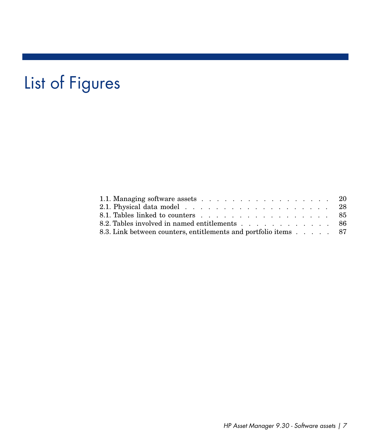# List of Figures

| 1.1. Managing software assets 20                                |  |  |  |
|-----------------------------------------------------------------|--|--|--|
|                                                                 |  |  |  |
| 8.1. Tables linked to counters 85                               |  |  |  |
| 8.2. Tables involved in named entitlements 86                   |  |  |  |
| 8.3. Link between counters, entitlements and portfolio items 87 |  |  |  |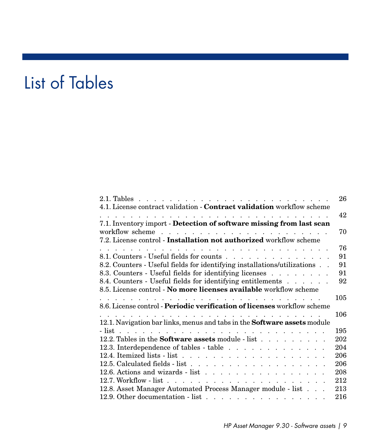# List of Tables

| 4.1. License contract validation - Contract validation workflow scheme                                                                                                                                                                                                                                 | 26       |
|--------------------------------------------------------------------------------------------------------------------------------------------------------------------------------------------------------------------------------------------------------------------------------------------------------|----------|
| the contract of the contract of the contract of the contract of the contract of the contract of the contract of the contract of the contract of the contract of the contract of the contract of the contract of the contract o<br>7.1. Inventory import - Detection of software missing from last scan | 42       |
|                                                                                                                                                                                                                                                                                                        | 70       |
| 7.2. License control - Installation not authorized workflow scheme                                                                                                                                                                                                                                     |          |
| a constitution of the constitution of the constitution of the constitution of the constitution of the constitution of the constitution of the constitution of the constitution of the constitution of the constitution of the                                                                          | 76       |
| 8.1. Counters - Useful fields for counts                                                                                                                                                                                                                                                               | 91       |
| 8.2. Counters - Useful fields for identifying installations/utilizations                                                                                                                                                                                                                               | 91<br>91 |
| 8.3. Counters - Useful fields for identifying licenses                                                                                                                                                                                                                                                 | 92       |
| 8.4. Counters - Useful fields for identifying entitlements                                                                                                                                                                                                                                             |          |
| 8.5. License control - No more licenses available workflow scheme                                                                                                                                                                                                                                      | 105      |
| 8.6. License control - Periodic verification of licenses workflow scheme                                                                                                                                                                                                                               |          |
|                                                                                                                                                                                                                                                                                                        | 106      |
| 12.1. Navigation bar links, menus and tabs in the Software assets module                                                                                                                                                                                                                               |          |
|                                                                                                                                                                                                                                                                                                        | 195      |
| 12.2. Tables in the <b>Software assets</b> module - list                                                                                                                                                                                                                                               | 202      |
| 12.3. Interdependence of tables - table                                                                                                                                                                                                                                                                | 204      |
|                                                                                                                                                                                                                                                                                                        | 206      |
|                                                                                                                                                                                                                                                                                                        | 206      |
| 12.6. Actions and wizards - list                                                                                                                                                                                                                                                                       | 208      |
|                                                                                                                                                                                                                                                                                                        | 212      |
| 12.8. Asset Manager Automated Process Manager module - list                                                                                                                                                                                                                                            | 213      |
| 12.9. Other documentation - list                                                                                                                                                                                                                                                                       | 216      |
|                                                                                                                                                                                                                                                                                                        |          |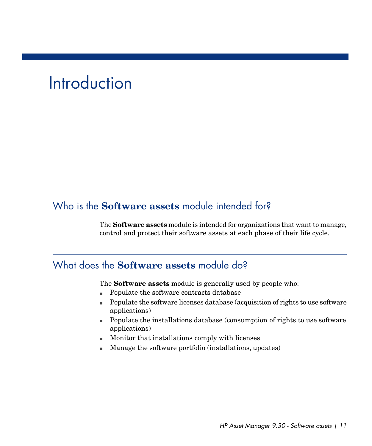# **Introduction**

## <span id="page-10-0"></span>Who is the **Software assets** module intended for?

<span id="page-10-1"></span>The **Software assets** module is intended for organizations that want to manage, control and protect their software assets at each phase of their life cycle.

## What does the **Software assets** module do?

The **Software assets** module is generally used by people who:

- <sup>n</sup> Populate the software contracts database
- <sup>n</sup> Populate the software licenses database (acquisition of rights to use software applications)
- <sup>n</sup> Populate the installations database (consumption of rights to use software applications)
- <sup>n</sup> Monitor that installations comply with licenses
- Manage the software portfolio (installations, updates)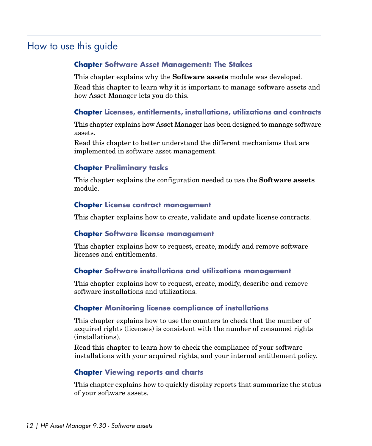# How to use this guide

### <span id="page-11-0"></span>**Chapter [Software Asset Management: The Stakes](#page-16-0)**

This chapter explains why the **Software assets** module was developed.

Read this chapter to learn why it is important to manage software assets and how Asset Manager lets you do this.

### **Chapter [Licenses, entitlements, installations, utilizations and contracts](#page-22-0)**

This chapter explains how Asset Manager has been designed to manage software assets.

Read this chapter to better understand the different mechanisms that are implemented in software asset management.

### **Chapter [Preliminary tasks](#page-34-0)**

This chapter explains the configuration needed to use the **Software assets** module.

#### **Chapter [License contract management](#page-38-0)**

This chapter explains how to create, validate and update license contracts.

#### **Chapter [Software license management](#page-52-0)**

This chapter explains how to request, create, modify and remove software licenses and entitlements.

#### **Chapter [Software installations and utilizations management](#page-62-0)**

This chapter explains how to request, create, modify, describe and remove software installations and utilizations.

### **Chapter [Monitoring license compliance of installations](#page-82-0)**

This chapter explains how to use the counters to check that the number of acquired rights (licenses) is consistent with the number of consumed rights (installations).

Read this chapter to learn how to check the compliance of your software installations with your acquired rights, and your internal entitlement policy.

### **Chapter [Viewing reports and charts](#page-114-0)**

This chapter explains how to quickly display reports that summarize the status of your software assets.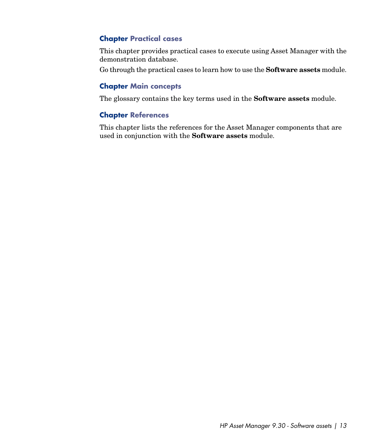### **Chapter [Practical cases](#page-120-0)**

This chapter provides practical cases to execute using Asset Manager with the demonstration database.

Go through the practical cases to learn how to use the **Software assets** module.

### **Chapter [Main concepts](#page-22-1)**

The glossary contains the key terms used in the **Software assets** module.

### **Chapter [References](#page-194-0)**

This chapter lists the references for the Asset Manager components that are used in conjunction with the **Software assets** module.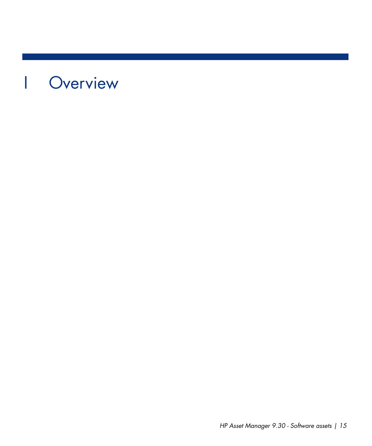# <span id="page-14-0"></span>I Overview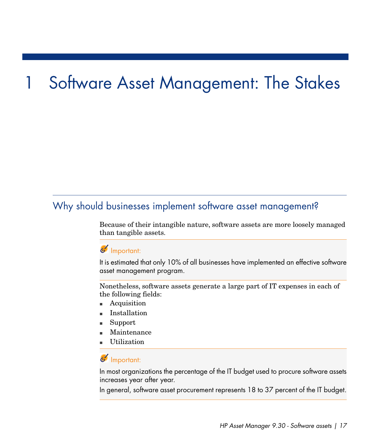# Software Asset Management: The Stakes

# <span id="page-16-0"></span>Why should businesses implement software asset management?

Because of their intangible nature, software assets are more loosely managed than tangible assets.

## Important:

It is estimated that only 10% of all businesses have implemented an effective software asset management program.

Nonetheless, software assets generate a large part of IT expenses in each of the following fields:

- **Acquisition**
- <sup>n</sup> Installation
- Support
- Maintenance
- **Utilization**

## Important:

In most organizations the percentage of the IT budget used to procure software assets increases year after year.

In general, software asset procurement represents 18 to 37 percent of the IT budget.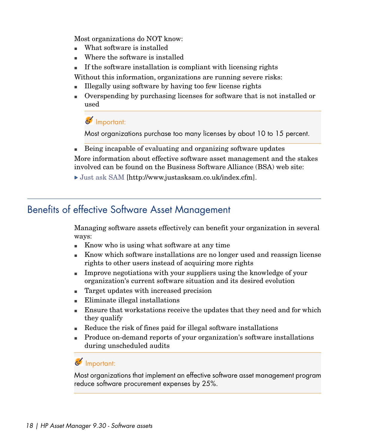Most organizations do NOT know:

- $\blacksquare$  What software is installed
- Where the software is installed
- If the software installation is compliant with licensing rights

Without this information, organizations are running severe risks:

- <sup>n</sup> Illegally using software by having too few license rights
- <sup>n</sup> Overspending by purchasing licenses for software that is not installed or used

## Important:

Most organizations purchase too many licenses by about 10 to 15 percent.

<sup>n</sup> Being incapable of evaluating and organizing software updates More information about effective software asset management and the stakes

<span id="page-17-0"></span>involved can be found on the Business Software Alliance (BSA) web site:

[Just ask SAM](http://www.justasksam.co.uk/index.cfm) [http://www.justasksam.co.uk/index.cfm].

# Benefits of effective Software Asset Management

Managing software assets effectively can benefit your organization in several ways:

- <sup>n</sup> Know who is using what software at any time
- Know which software installations are no longer used and reassign license rights to other users instead of acquiring more rights
- n Improve negotiations with your suppliers using the knowledge of your organization's current software situation and its desired evolution
- Target updates with increased precision
- $\blacksquare$  Eliminate illegal installations
- **Ensure that workstations receive the updates that they need and for which** they qualify
- <sup>n</sup> Reduce the risk of fines paid for illegal software installations
- n Produce on-demand reports of your organization's software installations during unscheduled audits

## Important:

Most organizations that implement an effective software asset management program reduce software procurement expenses by 25%.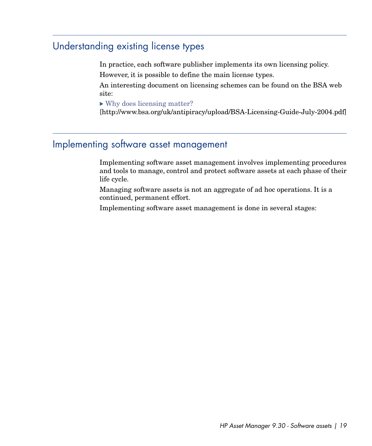## Understanding existing license types

<span id="page-18-0"></span>In practice, each software publisher implements its own licensing policy. However, it is possible to define the main license types.

An interesting document on licensing schemes can be found on the BSA web site:

[Why does licensing matter?](http://www.bsa.org/uk/antipiracy/upload/BSA-Licensing-Guide-July-2004.pdf)

<span id="page-18-1"></span>[http://www.bsa.org/uk/antipiracy/upload/BSA-Licensing-Guide-July-2004.pdf]

## Implementing software asset management

Implementing software asset management involves implementing procedures and tools to manage, control and protect software assets at each phase of their life cycle.

Managing software assets is not an aggregate of ad hoc operations. It is a continued, permanent effort.

Implementing software asset management is done in several stages: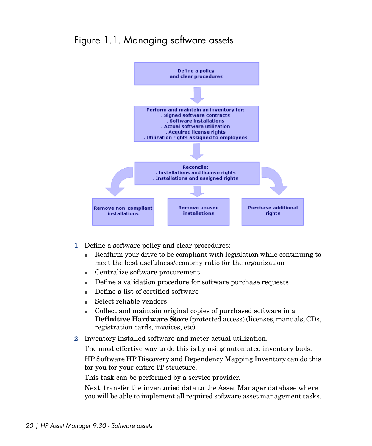## <span id="page-19-0"></span>Figure 1.1. Managing software assets



- 1 Define a software policy and clear procedures:
	- <sup>n</sup> Reaffirm your drive to be compliant with legislation while continuing to meet the best usefulness/economy ratio for the organization
	- Centralize software procurement
	- <sup>n</sup> Define a validation procedure for software purchase requests
	- <sup>n</sup> Define a list of certified software
	- $\blacksquare$  Select reliable vendors
	- <sup>n</sup> Collect and maintain original copies of purchased software in a **Definitive Hardware Store** (protected access) (licenses, manuals, CDs, registration cards, invoices, etc).
- 2 Inventory installed software and meter actual utilization.

The most effective way to do this is by using automated inventory tools. HP Software HP Discovery and Dependency Mapping Inventory can do this for you for your entire IT structure.

This task can be performed by a service provider.

Next, transfer the inventoried data to the Asset Manager database where you will be able to implement all required software asset management tasks.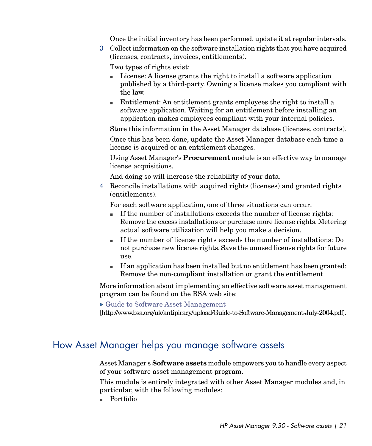Once the initial inventory has been performed, update it at regular intervals.

3 Collect information on the software installation rights that you have acquired (licenses, contracts, invoices, entitlements).

Two types of rights exist:

- in License: A license grants the right to install a software application published by a third-party. Owning a license makes you compliant with the law.
- n Entitlement: An entitlement grants employees the right to install a software application. Waiting for an entitlement before installing an application makes employees compliant with your internal policies.

Store this information in the Asset Manager database (licenses, contracts).

Once this has been done, update the Asset Manager database each time a license is acquired or an entitlement changes.

Using Asset Manager's **Procurement** module is an effective way to manage license acquisitions.

And doing so will increase the reliability of your data.

4 Reconcile installations with acquired rights (licenses) and granted rights (entitlements).

For each software application, one of three situations can occur:

- $\blacksquare$  If the number of installations exceeds the number of license rights: Remove the excess installations or purchase more license rights. Metering actual software utilization will help you make a decision.
- <sup>n</sup> If the number of license rights exceeds the number of installations: Do not purchase new license rights. Save the unused license rights for future use.
- <sup>n</sup> If an application has been installed but no entitlement has been granted: Remove the non-compliant installation or grant the entitlement

<span id="page-20-0"></span>More information about implementing an effective software asset management program can be found on the BSA web site:

[Guide to Software Asset Management](http://www.bsa.org/uk/antipiracy/upload/Guide-to-Software-Management-July-2004.pdf)

[http://www.bsa.org/uk/antipiracy/upload/Guide-to-Software-Management-July-2004.pdf].

## How Asset Manager helps you manage software assets

Asset Manager's **Software assets** module empowers you to handle every aspect of your software asset management program.

This module is entirely integrated with other Asset Manager modules and, in particular, with the following modules:

n Portfolio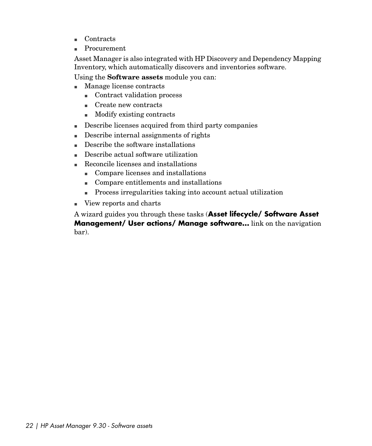- <sup>n</sup> Contracts
- Procurement

Asset Manager is also integrated with HP Discovery and Dependency Mapping Inventory, which automatically discovers and inventories software.

Using the **Software assets** module you can:

- <sup>n</sup> Manage license contracts
	- Contract validation process
	- Create new contracts
	- $\blacksquare$  Modify existing contracts
- <sup>n</sup> Describe licenses acquired from third party companies
- $\blacksquare$  Describe internal assignments of rights
- Describe the software installations
- <sup>n</sup> Describe actual software utilization
- <sup>n</sup> Reconcile licenses and installations
	- <sup>n</sup> Compare licenses and installations
	- Compare entitlements and installations
	- n Process irregularities taking into account actual utilization
- <sup>n</sup> View reports and charts

A wizard guides you through these tasks (**Asset lifecycle/ Software Asset Management/ User actions/ Manage software...** link on the navigation bar).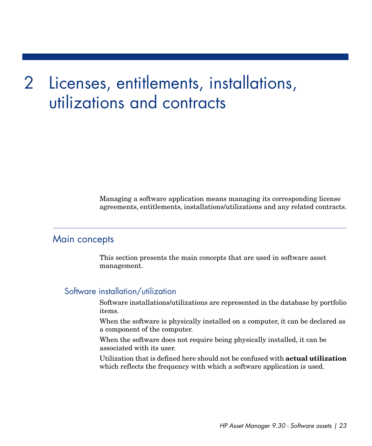# 2 Licenses, entitlements, installations, utilizations and contracts

<span id="page-22-1"></span><span id="page-22-0"></span>Managing a software application means managing its corresponding license agreements, entitlements, installations/utilizations and any related contracts.

## Main concepts

This section presents the main concepts that are used in software asset management.

### Software installation/utilization

Software installations/utilizations are represented in the database by portfolio items.

When the software is physically installed on a computer, it can be declared as a component of the computer.

When the software does not require being physically installed, it can be associated with its user.

Utilization that is defined here should not be confused with **actual utilization** which reflects the frequency with which a software application is used.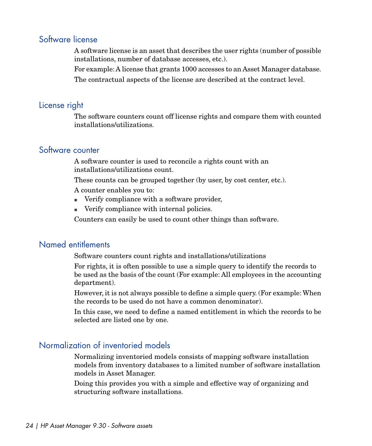### Software license

A software license is an asset that describes the user rights (number of possible installations, number of database accesses, etc.).

For example:A license that grants 1000 accesses to an Asset Manager database.

The contractual aspects of the license are described at the contract level.

## License right

The software counters count off license rights and compare them with counted installations/utilizations.

### Software counter

A software counter is used to reconcile a rights count with an installations/utilizations count.

These counts can be grouped together (by user, by cost center, etc.).

A counter enables you to:

- <sup>n</sup> Verify compliance with a software provider,
- <sup>n</sup> Verify compliance with internal policies.

Counters can easily be used to count other things than software.

## Named entitlements

Software counters count rights and installations/utilizations

For rights, it is often possible to use a simple query to identify the records to be used as the basis of the count (For example: All employees in the accounting department).

However, it is not always possible to define a simple query. (For example: When the records to be used do not have a common denominator).

In this case, we need to define a named entitlement in which the records to be selected are listed one by one.

## Normalization of inventoried models

Normalizing inventoried models consists of mapping software installation models from inventory databases to a limited number of software installation models in Asset Manager.

Doing this provides you with a simple and effective way of organizing and structuring software installations.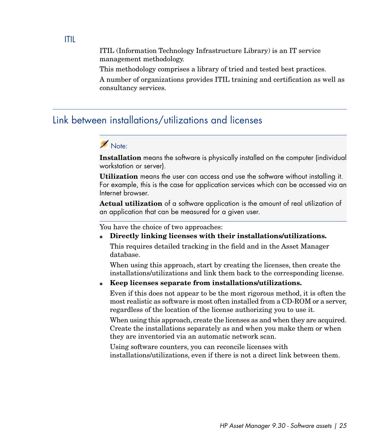ITIL (Information Technology Infrastructure Library) is an IT service management methodology.

This methodology comprises a library of tried and tested best practices.

<span id="page-24-0"></span>A number of organizations provides ITIL training and certification as well as consultancy services.

## Link between installations/utilizations and licenses

# Note:

**Installation** means the software is physically installed on the computer (individual workstation or server).

**Utilization** means the user can access and use the software without installing it. For example, this is the case for application services which can be accessed via an Internet browser.

**Actual utilization** of a software application is the amount of real utilization of an application that can be measured for a given user.

You have the choice of two approaches:

<sup>n</sup> **Directly linking licenses with their installations/utilizations.**

This requires detailed tracking in the field and in the Asset Manager database.

When using this approach, start by creating the licenses, then create the installations/utilizations and link them back to the corresponding license.

#### <sup>n</sup> **Keep licenses separate from installations/utilizations.**

Even if this does not appear to be the most rigorous method, it is often the most realistic as software is most often installed from a CD-ROM or a server, regardless of the location of the license authorizing you to use it.

When using this approach, create the licenses as and when they are acquired. Create the installations separately as and when you make them or when they are inventoried via an automatic network scan.

Using software counters, you can reconcile licenses with installations/utilizations, even if there is not a direct link between them.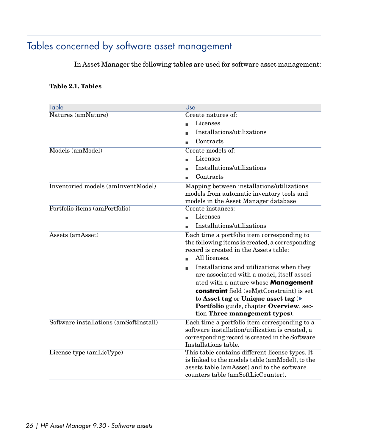# Tables concerned by software asset management

<span id="page-25-1"></span><span id="page-25-0"></span>In Asset Manager the following tables are used for software asset management:

#### **Table 2.1. Tables**

| Table                                     | Use                                                                                                                                                                                                                                                                                                                                                                                                                                                                      |
|-------------------------------------------|--------------------------------------------------------------------------------------------------------------------------------------------------------------------------------------------------------------------------------------------------------------------------------------------------------------------------------------------------------------------------------------------------------------------------------------------------------------------------|
| Natures (amNature)                        | Create natures of:                                                                                                                                                                                                                                                                                                                                                                                                                                                       |
|                                           | Licenses                                                                                                                                                                                                                                                                                                                                                                                                                                                                 |
|                                           | Installations/utilizations                                                                                                                                                                                                                                                                                                                                                                                                                                               |
|                                           | Contracts                                                                                                                                                                                                                                                                                                                                                                                                                                                                |
| Models (amModel)                          | Create models of:                                                                                                                                                                                                                                                                                                                                                                                                                                                        |
|                                           | Licenses                                                                                                                                                                                                                                                                                                                                                                                                                                                                 |
|                                           | Installations/utilizations                                                                                                                                                                                                                                                                                                                                                                                                                                               |
|                                           | Contracts                                                                                                                                                                                                                                                                                                                                                                                                                                                                |
| <b>Inventoried models (amInventModel)</b> | Mapping between installations/utilizations<br>models from automatic inventory tools and<br>models in the Asset Manager database                                                                                                                                                                                                                                                                                                                                          |
| Portfolio items (amPortfolio)             | Create instances:                                                                                                                                                                                                                                                                                                                                                                                                                                                        |
|                                           | Licenses                                                                                                                                                                                                                                                                                                                                                                                                                                                                 |
|                                           | Installations/utilizations                                                                                                                                                                                                                                                                                                                                                                                                                                               |
| Assets (amAsset)                          | Each time a portfolio item corresponding to<br>the following items is created, a corresponding<br>record is created in the Assets table:<br>All licenses.<br>Installations and utilizations when they<br>are associated with a model, itself associ-<br>ated with a nature whose <b>Management</b><br><b>constraint</b> field (seMgtConstraint) is set<br>to Asset tag or Unique asset tag (<br>Portfolio guide, chapter Overview, sec-<br>tion Three management types). |
| Software installations (amSoftInstall)    | Each time a portfolio item corresponding to a<br>software installation/utilization is created, a<br>corresponding record is created in the Software<br>Installations table.                                                                                                                                                                                                                                                                                              |
| License type (amLicType)                  | This table contains different license types. It<br>is linked to the models table (amModel), to the<br>assets table (amAsset) and to the software<br>counters table (amSoftLicCounter).                                                                                                                                                                                                                                                                                   |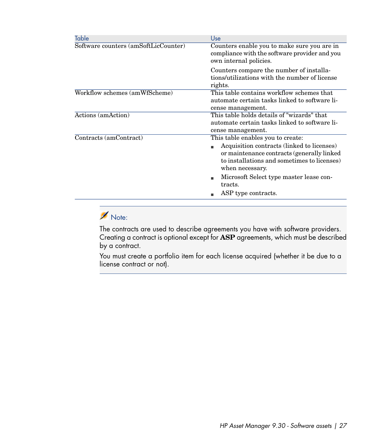| Table                                | Use                                                                                                                                                                                                                                                                           |
|--------------------------------------|-------------------------------------------------------------------------------------------------------------------------------------------------------------------------------------------------------------------------------------------------------------------------------|
| Software counters (amSoftLicCounter) | Counters enable you to make sure you are in<br>compliance with the software provider and you<br>own internal policies.                                                                                                                                                        |
|                                      | Counters compare the number of installa-<br>tions/utilizations with the number of license<br>rights.                                                                                                                                                                          |
| Workflow schemes (amWfScheme)        | This table contains workflow schemes that<br>automate certain tasks linked to software li-<br>cense management.                                                                                                                                                               |
| Actions (amAction)                   | This table holds details of "wizards" that<br>automate certain tasks linked to software li-<br>cense management.                                                                                                                                                              |
| Contracts (amContract)               | This table enables you to create:<br>Acquisition contracts (linked to licenses)<br>or maintenance contracts (generally linked)<br>to installations and sometimes to licenses)<br>when necessary.<br>Microsoft Select type master lease con-<br>tracts.<br>ASP type contracts. |

# Note:

The contracts are used to describe agreements you have with software providers. Creating a contract is optional except for **ASP** agreements, which must be described by a contract.

You must create a portfolio item for each license acquired (whether it be due to a license contract or not).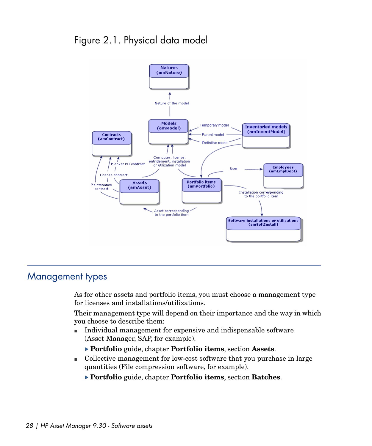# <span id="page-27-1"></span>Figure 2.1. Physical data model



## <span id="page-27-0"></span>Management types

As for other assets and portfolio items, you must choose a management type for licenses and installations/utilizations.

Their management type will depend on their importance and the way in which you choose to describe them:

- n Individual management for expensive and indispensable software (Asset Manager, SAP, for example).
	- **Portfolio** guide, chapter **Portfolio items**, section **Assets**.
- <sup>n</sup> Collective management for low-cost software that you purchase in large quantities (File compression software, for example).
	- **Portfolio** guide, chapter **Portfolio items**, section **Batches**.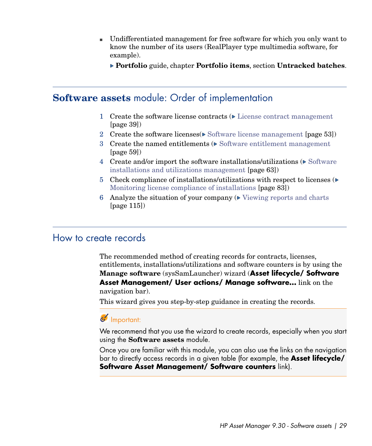- <span id="page-28-0"></span><sup>n</sup> Undifferentiated management for free software for which you only want to know the number of its users (RealPlayer type multimedia software, for example).
	- **Portfolio** guide, chapter **Portfolio items**, section **Untracked batches**.

## **Software assets** module: Order of implementation

- 1 Create the software license contracts  $(\triangleright$  [License contract management](#page-38-0) [page 39])
- 2 Create the software licenses  $\triangleright$  [Software license management](#page-52-0) [page 53])
- 3 Create the named entitlements ( $\triangleright$  [Software entitlement management](#page-58-0) [page 59])
- 4 Create and/or import the software installations/utilizations  $(\triangleright)$  [Software](#page-62-0) [installations and utilizations management](#page-62-0) [page 63])
- 5 Check compliance of installations/utilizations with respect to licenses  $(\triangleright)$ [Monitoring license compliance of installations](#page-82-0) [page 83])
- <span id="page-28-1"></span>6 Analyze the situation of your company  $(\triangleright$  [Viewing reports and charts](#page-114-0) [page 115])

## How to create records

The recommended method of creating records for contracts, licenses, entitlements, installations/utilizations and software counters is by using the **Manage software** (sysSamLauncher) wizard (**Asset lifecycle/ Software Asset Management/ User actions/ Manage software...** link on the navigation bar).

This wizard gives you step-by-step guidance in creating the records.

## Important:

We recommend that you use the wizard to create records, especially when you start using the **Software assets** module.

Once you are familiar with this module, you can also use the links on the navigation bar to directly access records in a given table (for example, the **Asset lifecycle/ Software Asset Management/ Software counters** link).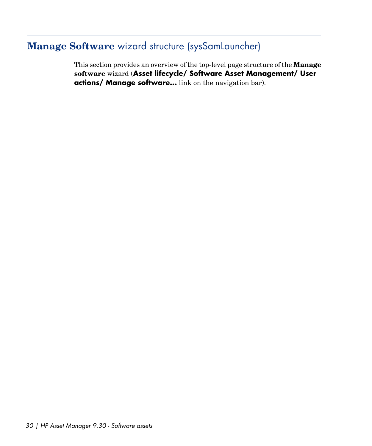# **Manage Software** wizard structure (sysSamLauncher)

<span id="page-29-0"></span>This section provides an overview of the top-level page structure of the **Manage software** wizard (**Asset lifecycle/ Software Asset Management/ User actions/ Manage software...** link on the navigation bar).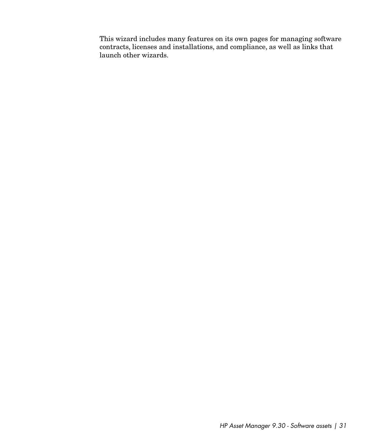This wizard includes many features on its own pages for managing software contracts, licenses and installations, and compliance, as well as links that launch other wizards.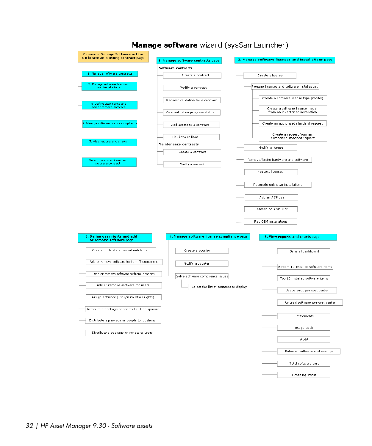

### Manage software wizard (sysSamLauncher)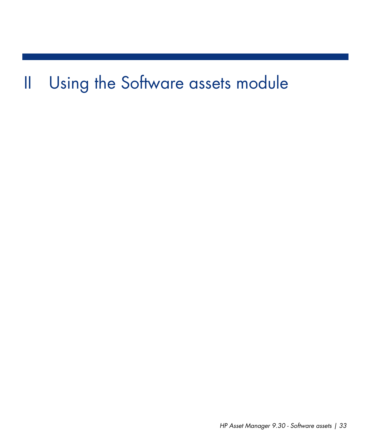# <span id="page-32-0"></span>II Using the Software assets module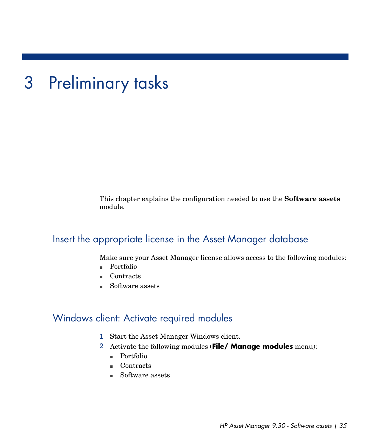# 3 Preliminary tasks

<span id="page-34-1"></span><span id="page-34-0"></span>This chapter explains the configuration needed to use the **Software assets** module.

## Insert the appropriate license in the Asset Manager database

Make sure your Asset Manager license allows access to the following modules:

- <span id="page-34-2"></span>n Portfolio
- Contracts
- Software assets

## Windows client: Activate required modules

- 1 Start the Asset Manager Windows client.
- 2 Activate the following modules (**File/ Manage modules** menu):
	- n Portfolio
	- n Contracts
	- Software assets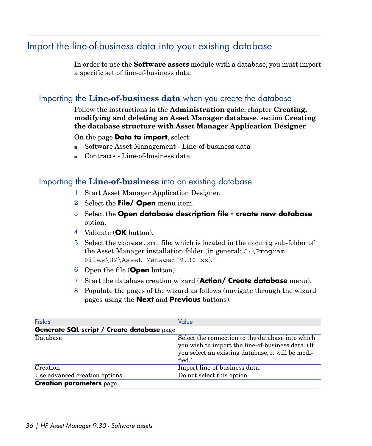# Import the line-of-business data into your existing database

<span id="page-35-0"></span>In order to use the **Software assets** module with a database, you must import a specific set of line-of-business data.

## Importing the **Line-of-business data** when you create the database

#### Follow the instructions in the **Administration** guide, chapter **Creating, modifying and deleting an Asset Manager database**, section **Creating the database structure with Asset Manager Application Designer**.

On the page **Data to import**, select:

- Software Asset Management Line-of-business data
- <sup>n</sup> Contracts Line-of-business data

## Importing the **Line-of-business** into an existing database

- 1 Start Asset Manager Application Designer.
- 2 Select the **File/ Open** menu item.
- 3 Select the **Open database description file create new database** option.
- 4 Validate (**OK** button).
- 5 Select the gbbase.xml file, which is located in the config sub-folder of the Asset Manager installation folder (in general: C:\Program Files\HP\Asset Manager 9.30 xx).
- 6 Open the file (**Open** button).
- 7 Start the database creation wizard (**Action/ Create database** menu).
- 8 Populate the pages of the wizard as follows (navigate through the wizard pages using the **Next** and **Previous** buttons):

| <b>Fields</b>                              | Value                                                                                                                                                                          |
|--------------------------------------------|--------------------------------------------------------------------------------------------------------------------------------------------------------------------------------|
| Generate SQL script / Create database page |                                                                                                                                                                                |
| Database                                   | Select the connection to the database into which<br>you wish to import the line-of-business data. (If<br>you select an existing database, it will be modi-<br>$\text{fied.}$ ) |
| Creation                                   | Import line-of-business data.                                                                                                                                                  |
| Use advanced creation options              | Do not select this option                                                                                                                                                      |
| <b>Creation parameters page</b>            |                                                                                                                                                                                |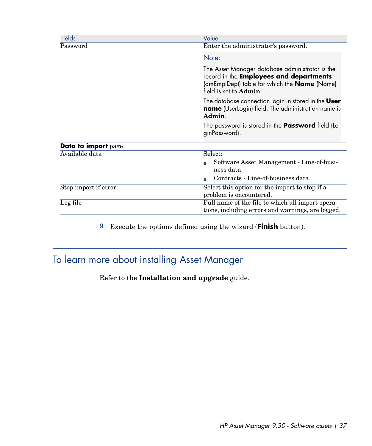| <b>Fields</b>        | Value                                                                                                                                                                                      |
|----------------------|--------------------------------------------------------------------------------------------------------------------------------------------------------------------------------------------|
| Password             | Enter the administrator's password.                                                                                                                                                        |
|                      | Note:                                                                                                                                                                                      |
|                      | The Asset Manager database administrator is the<br>record in the <b>Employees and departments</b><br>(amEmplDept) table for which the <b>Name</b> (Name)<br>field is set to <b>Admin</b> . |
|                      | The database connection login in stored in the User<br><b>name</b> (UserLogin) field. The administration name is<br>Admin.                                                                 |
|                      | The password is stored in the <b>Password</b> field (Lo-<br>ginPassword).                                                                                                                  |
| Data to import page  |                                                                                                                                                                                            |
| Available data       | Select:                                                                                                                                                                                    |
|                      | Software Asset Management - Line-of-busi-<br>ness data                                                                                                                                     |
|                      | Contracts - Line-of-business data                                                                                                                                                          |
| Stop import if error | Select this option for the import to stop if a<br>problem is encountered.                                                                                                                  |
| Log file             | Full name of the file to which all import opera-<br>tions, including errors and warnings, are logged.                                                                                      |

9 Execute the options defined using the wizard (**Finish** button).

# To learn more about installing Asset Manager

Refer to the **Installation and upgrade** guide.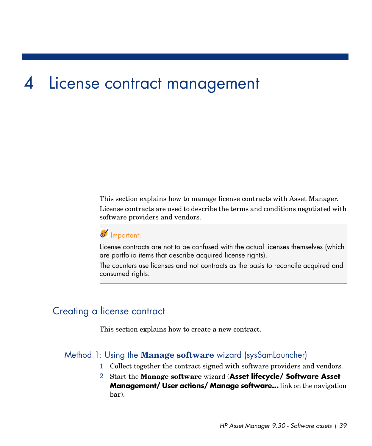# 4 License contract management

This section explains how to manage license contracts with Asset Manager. License contracts are used to describe the terms and conditions negotiated with software providers and vendors.

# Important:

License contracts are not to be confused with the actual licenses themselves (which are portfolio items that describe acquired license rights).

The counters use licenses and not contracts as the basis to reconcile acquired and consumed rights.

## Creating a license contract

This section explains how to create a new contract.

#### Method 1: Using the **Manage software** wizard (sysSamLauncher)

- 1 Collect together the contract signed with software providers and vendors.
- 2 Start the **Manage software** wizard (**Asset lifecycle/ Software Asset Management/ User actions/ Manage software...** link on the navigation bar).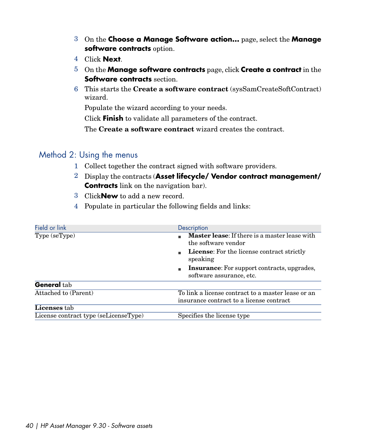- 3 On the **Choose a Manage Software action...** page, select the **Manage software contracts** option.
- 4 Click **Next**.
- 5 On the **Manage software contracts** page, click **Create a contract** in the **Software contracts** section.
- 6 This starts the **Create a software contract** (sysSamCreateSoftContract) wizard.

Populate the wizard according to your needs.

Click **Finish** to validate all parameters of the contract.

The **Create a software contract** wizard creates the contract.

#### Method 2: Using the menus

- 1 Collect together the contract signed with software providers.
- 2 Display the contracts (**Asset lifecycle/ Vendor contract management/ Contracts** link on the navigation bar).
- 3 Click**New** to add a new record.
- 4 Populate in particular the following fields and links:

| Field or link                         | Description                                                                                    |
|---------------------------------------|------------------------------------------------------------------------------------------------|
| Type (seType)                         | <b>Master lease:</b> If there is a master lease with<br>the software vendor                    |
|                                       | <b>License:</b> For the license contract strictly<br>speaking                                  |
|                                       | <b>Insurance:</b> For support contracts, upgrades,<br>software assurance, etc.                 |
| General tab                           |                                                                                                |
| Attached to (Parent)                  | To link a license contract to a master lease or an<br>insurance contract to a license contract |
| <b>Licenses</b> tab                   |                                                                                                |
| License contract type (seLicenseType) | Specifies the license type                                                                     |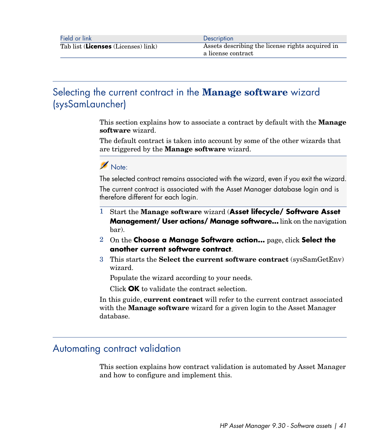# Selecting the current contract in the **Manage software** wizard (sysSamLauncher)

This section explains how to associate a contract by default with the **Manage software** wizard.

The default contract is taken into account by some of the other wizards that are triggered by the **Manage software** wizard.

## Note:

The selected contract remains associated with the wizard, even if you exit the wizard.

The current contract is associated with the Asset Manager database login and is therefore different for each login.

- 1 Start the **Manage software** wizard (**Asset lifecycle/ Software Asset Management/ User actions/ Manage software...** link on the navigation bar).
- 2 On the **Choose a Manage Software action...** page, click **Select the another current software contract**.
- 3 This starts the **Select the current software contract** (sysSamGetEnv) wizard.

Populate the wizard according to your needs.

Click **OK** to validate the contract selection.

In this guide, **current contract** will refer to the current contract associated with the **Manage software** wizard for a given login to the Asset Manager database.

## Automating contract validation

This section explains how contract validation is automated by Asset Manager and how to configure and implement this.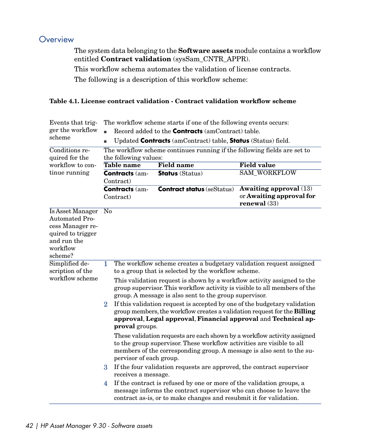## **Overview**

<span id="page-41-0"></span>The system data belonging to the **Software assets** module contains a workflow entitled **Contract validation** (sysSam\_CNTR\_APPR).

This workflow schema automates the validation of license contracts.

The following is a description of this workflow scheme:

#### **Table 4.1. License contract validation - Contract validation workflow scheme**

| Events that trig-                                                                                                        | The workflow scheme starts if one of the following events occurs:                                                                                                                                                                                                                                                                                                                                                                                                                                                                                                                                                                                                                                                                                                                                                                                                                                                                                                                                                                                                                                                                              |                                   |                                                                             |
|--------------------------------------------------------------------------------------------------------------------------|------------------------------------------------------------------------------------------------------------------------------------------------------------------------------------------------------------------------------------------------------------------------------------------------------------------------------------------------------------------------------------------------------------------------------------------------------------------------------------------------------------------------------------------------------------------------------------------------------------------------------------------------------------------------------------------------------------------------------------------------------------------------------------------------------------------------------------------------------------------------------------------------------------------------------------------------------------------------------------------------------------------------------------------------------------------------------------------------------------------------------------------------|-----------------------------------|-----------------------------------------------------------------------------|
| ger the workflow<br>scheme                                                                                               | Record added to the <b>Contracts</b> (amContract) table.                                                                                                                                                                                                                                                                                                                                                                                                                                                                                                                                                                                                                                                                                                                                                                                                                                                                                                                                                                                                                                                                                       |                                   |                                                                             |
|                                                                                                                          | Updated <b>Contracts</b> (amContract) table, <b>Status</b> (Status) field.                                                                                                                                                                                                                                                                                                                                                                                                                                                                                                                                                                                                                                                                                                                                                                                                                                                                                                                                                                                                                                                                     |                                   |                                                                             |
| Conditions re-<br>quired for the                                                                                         | The workflow scheme continues running if the following fields are set to<br>the following values:                                                                                                                                                                                                                                                                                                                                                                                                                                                                                                                                                                                                                                                                                                                                                                                                                                                                                                                                                                                                                                              |                                   |                                                                             |
| workflow to con-                                                                                                         | <b>Table name</b>                                                                                                                                                                                                                                                                                                                                                                                                                                                                                                                                                                                                                                                                                                                                                                                                                                                                                                                                                                                                                                                                                                                              | <b>Field name</b>                 | <b>Field value</b>                                                          |
| tinue running                                                                                                            | <b>Contracts (am-</b><br>Contract)                                                                                                                                                                                                                                                                                                                                                                                                                                                                                                                                                                                                                                                                                                                                                                                                                                                                                                                                                                                                                                                                                                             | <b>Status</b> (Status)            | <b>SAM_WORKFLOW</b>                                                         |
|                                                                                                                          | <b>Contracts (am-</b><br>Contract)                                                                                                                                                                                                                                                                                                                                                                                                                                                                                                                                                                                                                                                                                                                                                                                                                                                                                                                                                                                                                                                                                                             | <b>Contract status (seStatus)</b> | <b>Awaiting approval</b> (13)<br>or Awaiting approval for<br>renewal $(33)$ |
| Is Asset Manager<br><b>Automated Pro-</b><br>cess Manager re-<br>quired to trigger<br>and run the<br>workflow<br>scheme? | No                                                                                                                                                                                                                                                                                                                                                                                                                                                                                                                                                                                                                                                                                                                                                                                                                                                                                                                                                                                                                                                                                                                                             |                                   |                                                                             |
| Simplified de-<br>scription of the<br>workflow scheme                                                                    | The workflow scheme creates a budgetary validation request assigned<br>1<br>to a group that is selected by the workflow scheme.<br>This validation request is shown by a workflow activity assigned to the<br>group supervisor. This workflow activity is visible to all members of the<br>group. A message is also sent to the group supervisor.<br>If this validation request is accepted by one of the budgetary validation<br>$\overline{2}$<br>group members, the workflow creates a validation request for the Billing<br>approval, Legal approval, Financial approval and Technical ap-<br>proval groups.<br>These validation requests are each shown by a workflow activity assigned<br>to the group supervisor. These workflow activities are visible to all<br>members of the corresponding group. A message is also sent to the su-<br>pervisor of each group.<br>$\mathbf{R}$<br>If the four validation requests are approved, the contract supervisor<br>receives a message.<br>If the contract is refused by one or more of the validation groups, a<br>4<br>message informs the contract supervisor who can choose to leave the |                                   |                                                                             |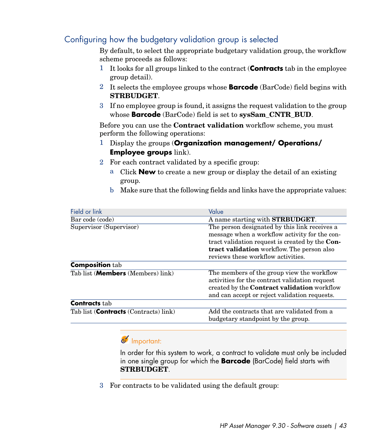## Configuring how the budgetary validation group is selected

By default, to select the appropriate budgetary validation group, the workflow scheme proceeds as follows:

- 1 It looks for all groups linked to the contract (**Contracts** tab in the employee group detail).
- 2 It selects the employee groups whose **Barcode** (BarCode) field begins with **STRBUDGET**.
- 3 If no employee group is found, it assigns the request validation to the group whose **Barcode** (BarCode) field is set to **sysSam\_CNTR\_BUD**.

Before you can use the **Contract validation** workflow scheme, you must perform the following operations:

- 1 Display the groups (**Organization management/ Operations/ Employee groups** link).
- 2 For each contract validated by a specific group:
	- a Click **New** to create a new group or display the detail of an existing group.
	- b Make sure that the following fields and links have the appropriate values:

| Field or link                                 | Value                                                  |
|-----------------------------------------------|--------------------------------------------------------|
| Bar code (code)                               | A name starting with STRBUDGET.                        |
| Supervisor (Supervisor)                       | The person designated by this link receives a          |
|                                               | message when a workflow activity for the con-          |
|                                               | tract validation request is created by the <b>Con-</b> |
|                                               | tract validation workflow. The person also             |
|                                               | reviews these workflow activities.                     |
| <b>Composition tab</b>                        |                                                        |
| Tab list ( <b>Members</b> (Members) link)     | The members of the group view the workflow             |
|                                               | activities for the contract validation request         |
|                                               | created by the <b>Contract validation</b> workflow     |
|                                               | and can accept or reject validation requests.          |
| <b>Contracts</b> tab                          |                                                        |
| Tab list ( <b>Contracts</b> (Contracts) link) | Add the contracts that are validated from a            |
|                                               | budgetary standpoint by the group.                     |

## Important:

In order for this system to work, a contract to validate must only be included in one single group for which the **Barcode** (BarCode) field starts with **STRBUDGET**.

3 For contracts to be validated using the default group: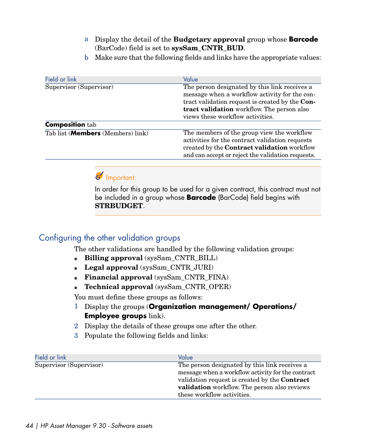- a Display the detail of the **Budgetary approval** group whose **Barcode** (BarCode) field is set to **sysSam\_CNTR\_BUD**.
- b Make sure that the following fields and links have the appropriate values:

| Field or link                             | Value                                                                                                                                                                                                                               |
|-------------------------------------------|-------------------------------------------------------------------------------------------------------------------------------------------------------------------------------------------------------------------------------------|
| Supervisor (Supervisor)                   | The person designated by this link receives a<br>message when a workflow activity for the con-<br>tract validation request is created by the Con-<br>tract validation workflow. The person also<br>views these workflow activities. |
| <b>Composition tab</b>                    |                                                                                                                                                                                                                                     |
| Tab list ( <b>Members</b> (Members) link) | The members of the group view the workflow<br>activities for the contract validation requests<br>created by the Contract validation workflow<br>and can accept or reject the validation requests.                                   |

## Important:

In order for this group to be used for a given contract, this contract must not be included in a group whose **Barcode** (BarCode) field begins with **STRBUDGET**.

## Configuring the other validation groups

The other validations are handled by the following validation groups:

- <sup>n</sup> **Billing approval** (sysSam\_CNTR\_BILL)
- **Legal approval** (sysSam\_CNTR\_JURI)
- **Financial approval** (sysSam\_CNTR\_FINA)
- <sup>n</sup> **Technical approval** (sysSam\_CNTR\_OPER)

You must define these groups as follows:

- 1 Display the groups (**Organization management/ Operations/ Employee groups** link).
- 2 Display the details of these groups one after the other.
- 3 Populate the following fields and links:

| Field or link           | Value                                                                                                                                                                                                                                    |
|-------------------------|------------------------------------------------------------------------------------------------------------------------------------------------------------------------------------------------------------------------------------------|
| Supervisor (Supervisor) | The person designated by this link receives a<br>message when a workflow activity for the contract<br>validation request is created by the <b>Contract</b><br>validation workflow. The person also reviews<br>these workflow activities. |
|                         |                                                                                                                                                                                                                                          |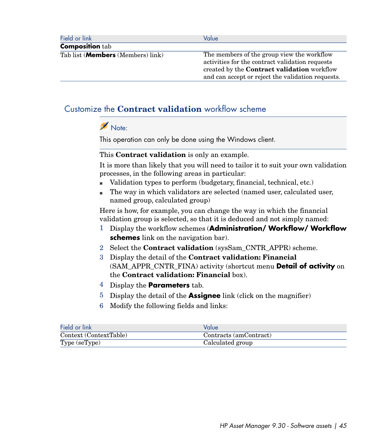|                                           | Value                                                                                                                                                                                                    |
|-------------------------------------------|----------------------------------------------------------------------------------------------------------------------------------------------------------------------------------------------------------|
| <b>Composition</b> tab                    |                                                                                                                                                                                                          |
| Tab list ( <b>Members</b> (Members) link) | The members of the group view the workflow<br>activities for the contract validation requests<br>created by the <b>Contract validation</b> workflow<br>and can accept or reject the validation requests. |

## Customize the **Contract validation** workflow scheme

## Note:

This operation can only be done using the Windows client.

#### This **Contract validation** is only an example.

It is more than likely that you will need to tailor it to suit your own validation processes, in the following areas in particular:

- <sup>n</sup> Validation types to perform (budgetary, financial, technical, etc.)
- n The way in which validators are selected (named user, calculated user, named group, calculated group)

Here is how, for example, you can change the way in which the financial validation group is selected, so that it is deduced and not simply named:

- 1 Display the workflow schemes (**Administration/ Workflow/ Workflow schemes** link on the navigation bar).
- 2 Select the **Contract validation** (sysSam\_CNTR\_APPR) scheme.
- 3 Display the detail of the **Contract validation: Financial** (SAM\_APPR\_CNTR\_FINA) activity (shortcut menu **Detail of activity** on the **Contract validation: Financial** box).
- 4 Display the **Parameters** tab.
- 5 Display the detail of the **Assignee** link (click on the magnifier)
- 6 Modify the following fields and links:

| Field or link          | Value                  |
|------------------------|------------------------|
| Context (ContextTable) | Contracts (amContract) |
| Type (seType)          | Calculated group       |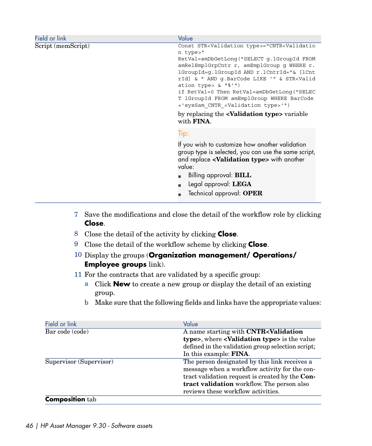| Field or link      | Value                                                                                                      |
|--------------------|------------------------------------------------------------------------------------------------------------|
| Script (memScript) | Const STR <validation type="">="CNTR<validatio< th=""></validatio<></validation>                           |
|                    | n type>"                                                                                                   |
|                    | RetVal=amDbGetLonq("SELECT q.lGroupId FROM                                                                 |
|                    | amRelEmplGrpCntr r, amEmplGroup g WHERE r.                                                                 |
|                    | lGroupId=q.lGroupId AND r.lCntrId="& [lCnt<br>rId] & " AND q.BarCode LIKE '" & STR <valid< th=""></valid<> |
|                    | ation type> $\&$ " $\frac{8!}{1!}$ ")                                                                      |
|                    | if RetVal=0 Then RetVal=amDbGetLonq("SELEC                                                                 |
|                    | T lGroupId FROM amEmplGroup WHERE BarCode                                                                  |
|                    | ='sysSam CNTR <validation type="">'")</validation>                                                         |
|                    | by replacing the <b><validation type=""></validation></b> variable                                         |
|                    | with <b>FINA</b> .                                                                                         |
|                    | Tip:                                                                                                       |
|                    | If you wish to customize how another validation                                                            |
|                    | group type is selected, you can use the same script,                                                       |
|                    | and replace <validation type=""> with another</validation>                                                 |
|                    | value:                                                                                                     |
|                    | Billing approval: <b>BILL</b>                                                                              |
|                    | Legal approval: LEGA                                                                                       |
|                    |                                                                                                            |
|                    | Technical approval: OPER                                                                                   |

- 7 Save the modifications and close the detail of the workflow role by clicking **Close**.
- 8 Close the detail of the activity by clicking **Close**.
- 9 Close the detail of the workflow scheme by clicking **Close**.
- 10 Display the groups (**Organization management/ Operations/ Employee groups** link).
- 11 For the contracts that are validated by a specific group:
	- a Click **New** to create a new group or display the detail of an existing group.
	- b Make sure that the following fields and links have the appropriate values:

| Field or link           | Value                                                       |
|-------------------------|-------------------------------------------------------------|
| Bar code (code)         | A name starting with CNTR <validation< th=""></validation<> |
|                         | type>, where < <b>Validation type&gt;</b> is the value      |
|                         | defined in the validation group selection script;           |
|                         | In this example: <b>FINA</b> .                              |
| Supervisor (Supervisor) | The person designated by this link receives a               |
|                         | message when a workflow activity for the con-               |
|                         | tract validation request is created by the Con-             |
|                         | tract validation workflow. The person also                  |
|                         | reviews these workflow activities.                          |
| <b>Composition</b> tab  |                                                             |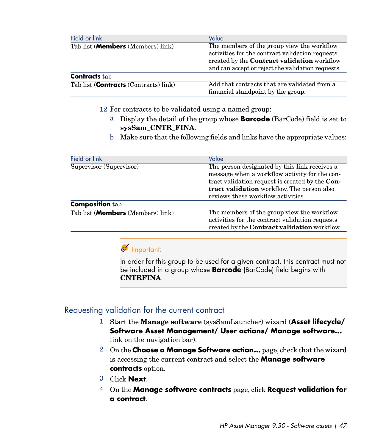| Field or link                                 | Value                                                                                                                                                                                                    |
|-----------------------------------------------|----------------------------------------------------------------------------------------------------------------------------------------------------------------------------------------------------------|
| Tab list ( <b>Members</b> (Members) link)     | The members of the group view the workflow<br>activities for the contract validation requests<br>created by the <b>Contract validation</b> workflow<br>and can accept or reject the validation requests. |
| <b>Contracts</b> tab                          |                                                                                                                                                                                                          |
| Tab list ( <b>Contracts</b> (Contracts) link) | Add that contracts that are validated from a<br>financial standpoint by the group.                                                                                                                       |

- 12 For contracts to be validated using a named group:
	- a Display the detail of the group whose **Barcode** (BarCode) field is set to **sysSam\_CNTR\_FINA**.
	- b Make sure that the following fields and links have the appropriate values:

| Field or link                     | Value                                                                                                                                                                                                                                 |
|-----------------------------------|---------------------------------------------------------------------------------------------------------------------------------------------------------------------------------------------------------------------------------------|
| Supervisor (Supervisor)           | The person designated by this link receives a<br>message when a workflow activity for the con-<br>tract validation request is created by the Con-<br>tract validation workflow. The person also<br>reviews these workflow activities. |
| <b>Composition tab</b>            |                                                                                                                                                                                                                                       |
| Tab list (Members (Members) link) | The members of the group view the workflow<br>activities for the contract validation requests<br>created by the <b>Contract validation</b> workflow.                                                                                  |

## Important:

In order for this group to be used for a given contract, this contract must not be included in a group whose **Barcode** (BarCode) field begins with **CNTRFINA**.

#### Requesting validation for the current contract

- 1 Start the **Manage software** (sysSamLauncher) wizard (**Asset lifecycle/ Software Asset Management/ User actions/ Manage software...** link on the navigation bar).
- 2 On the **Choose a Manage Software action...** page, check that the wizard is accessing the current contract and select the **Manage software contracts** option.
- 3 Click **Next**.
- 4 On the **Manage software contracts** page, click **Request validation for a contract**.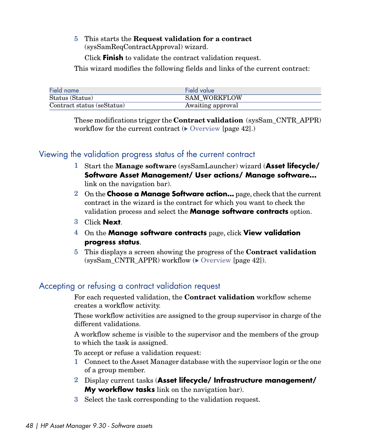5 This starts the **Request validation for a contract** (sysSamReqContractApproval) wizard.

Click **Finish** to validate the contract validation request.

This wizard modifies the following fields and links of the current contract:

| Field name                 | Field value         |
|----------------------------|---------------------|
| Status (Status)            | <b>SAM WORKFLOW</b> |
| Contract status (seStatus) | Awaiting approval   |

These modifications trigger the **Contract validation** (sysSam\_CNTR\_APPR) workflow for the current contract  $(\triangleright \text{ Overview [page 42]})$  $(\triangleright \text{ Overview [page 42]})$  $(\triangleright \text{ Overview [page 42]})$ 

## Viewing the validation progress status of the current contract

- 1 Start the **Manage software** (sysSamLauncher) wizard (**Asset lifecycle/ Software Asset Management/ User actions/ Manage software...** link on the navigation bar).
- 2 On the **Choose a Manage Software action...** page, check that the current contract in the wizard is the contract for which you want to check the validation process and select the **Manage software contracts** option.
- 3 Click **Next**.
- 4 On the **Manage software contracts** page, click **View validation progress status**.
- 5 This displays a screen showing the progress of the **Contract validation** (sysSam\_CNTR\_APPR) workflow  $(\triangleright)$  [Overview](#page-41-0) [page 42]).

#### Accepting or refusing a contract validation request

For each requested validation, the **Contract validation** workflow scheme creates a workflow activity.

These workflow activities are assigned to the group supervisor in charge of the different validations.

A workflow scheme is visible to the supervisor and the members of the group to which the task is assigned.

To accept or refuse a validation request:

- 1 Connect to the Asset Manager database with the supervisor login or the one of a group member.
- 2 Display current tasks (**Asset lifecycle/ Infrastructure management/ My workflow tasks** link on the navigation bar).
- 3 Select the task corresponding to the validation request.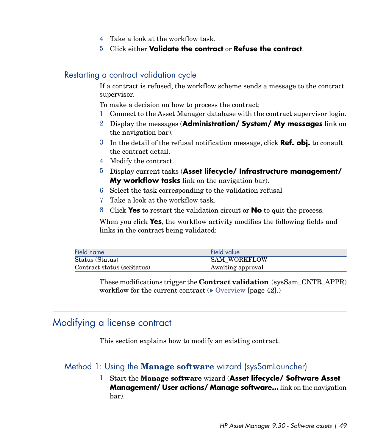- 4 Take a look at the workflow task.
- 5 Click either **Validate the contract** or **Refuse the contract**.

#### Restarting a contract validation cycle

If a contract is refused, the workflow scheme sends a message to the contract supervisor.

To make a decision on how to process the contract:

- 1 Connect to the Asset Manager database with the contract supervisor login.
- 2 Display the messages (**Administration/ System/ My messages** link on the navigation bar).
- 3 In the detail of the refusal notification message, click **Ref. obj.** to consult the contract detail.
- 4 Modify the contract.
- 5 Display current tasks (**Asset lifecycle/ Infrastructure management/ My workflow tasks** link on the navigation bar).
- 6 Select the task corresponding to the validation refusal
- 7 Take a look at the workflow task.
- 8 Click **Yes** to restart the validation circuit or **No** to quit the process.

When you click **Yes**, the workflow activity modifies the following fields and links in the contract being validated:

| Field name                 | Field value         |
|----------------------------|---------------------|
| Status (Status)            | <b>SAM WORKFLOW</b> |
| Contract status (seStatus) | Awaiting approval   |

These modifications trigger the **Contract validation** (sysSam\_CNTR\_APPR) workflow for the current contract  $(\triangleright \nightharpoonup$  [Overview](#page-41-0) [page 42].)

## Modifying a license contract

This section explains how to modify an existing contract.

#### Method 1: Using the **Manage software** wizard (sysSamLauncher)

1 Start the **Manage software** wizard (**Asset lifecycle/ Software Asset Management/ User actions/ Manage software...** link on the navigation bar).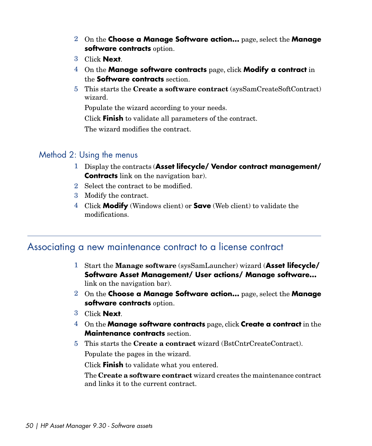- 2 On the **Choose a Manage Software action...** page, select the **Manage software contracts** option.
- 3 Click **Next**.
- 4 On the **Manage software contracts** page, click **Modify a contract** in the **Software contracts** section.
- 5 This starts the **Create a software contract** (sysSamCreateSoftContract) wizard.

Populate the wizard according to your needs.

Click **Finish** to validate all parameters of the contract.

The wizard modifies the contract.

#### Method 2: Using the menus

- 1 Display the contracts (**Asset lifecycle/ Vendor contract management/ Contracts** link on the navigation bar).
- 2 Select the contract to be modified.
- 3 Modify the contract.
- 4 Click **Modify** (Windows client) or **Save** (Web client) to validate the modifications.

## Associating a new maintenance contract to a license contract

- 1 Start the **Manage software** (sysSamLauncher) wizard (**Asset lifecycle/ Software Asset Management/ User actions/ Manage software...** link on the navigation bar).
- 2 On the **Choose a Manage Software action...** page, select the **Manage software contracts** option.
- 3 Click **Next**.
- 4 On the **Manage software contracts** page, click **Create a contract** in the **Maintenance contracts** section.
- 5 This starts the **Create a contract** wizard (BstCntrCreateContract). Populate the pages in the wizard.

Click **Finish** to validate what you entered.

The **Create a software contract** wizard creates the maintenance contract and links it to the current contract.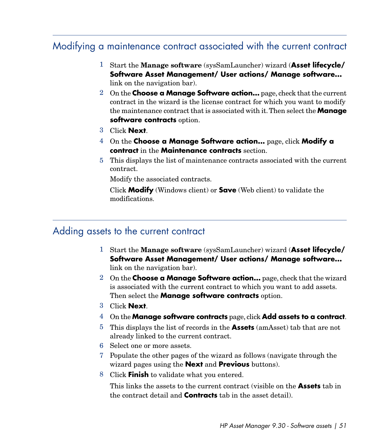## Modifying a maintenance contract associated with the current contract

- 1 Start the **Manage software** (sysSamLauncher) wizard (**Asset lifecycle/ Software Asset Management/ User actions/ Manage software...** link on the navigation bar).
- 2 On the **Choose a Manage Software action...** page, check that the current contract in the wizard is the license contract for which you want to modify the maintenance contract that is associated with it.Then select the **Manage software contracts** option.
- 3 Click **Next**.
- 4 On the **Choose a Manage Software action...** page, click **Modify a contract** in the **Maintenance contracts** section.
- 5 This displays the list of maintenance contracts associated with the current contract.

Modify the associated contracts.

Click **Modify** (Windows client) or **Save** (Web client) to validate the modifications.

## Adding assets to the current contract

- 1 Start the **Manage software** (sysSamLauncher) wizard (**Asset lifecycle/ Software Asset Management/ User actions/ Manage software...** link on the navigation bar).
- 2 On the **Choose a Manage Software action...** page, check that the wizard is associated with the current contract to which you want to add assets. Then select the **Manage software contracts** option.
- 3 Click **Next**.
- 4 On the **Manage software contracts** page, click **Add assets to a contract**.
- 5 This displays the list of records in the **Assets** (amAsset) tab that are not already linked to the current contract.
- 6 Select one or more assets.
- 7 Populate the other pages of the wizard as follows (navigate through the wizard pages using the **Next** and **Previous** buttons).
- 8 Click **Finish** to validate what you entered.

This links the assets to the current contract (visible on the **Assets** tab in the contract detail and **Contracts** tab in the asset detail).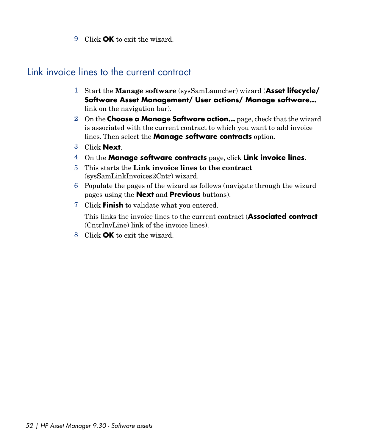9 Click **OK** to exit the wizard.

# Link invoice lines to the current contract

- 1 Start the **Manage software** (sysSamLauncher) wizard (**Asset lifecycle/ Software Asset Management/ User actions/ Manage software...** link on the navigation bar).
- 2 On the **Choose a Manage Software action...** page, check that the wizard is associated with the current contract to which you want to add invoice lines. Then select the **Manage software contracts** option.
- 3 Click **Next**.
- 4 On the **Manage software contracts** page, click **Link invoice lines**.
- 5 This starts the **Link invoice lines to the contract** (sysSamLinkInvoices2Cntr) wizard.
- 6 Populate the pages of the wizard as follows (navigate through the wizard pages using the **Next** and **Previous** buttons).
- 7 Click **Finish** to validate what you entered.

This links the invoice lines to the current contract (**Associated contract** (CntrInvLine) link of the invoice lines).

8 Click **OK** to exit the wizard.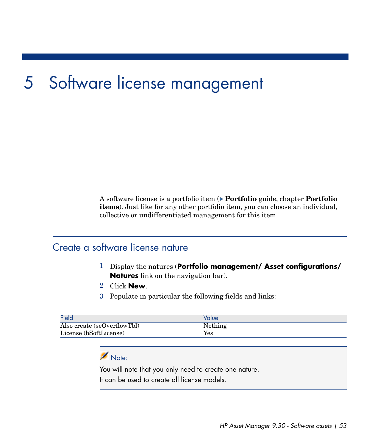# 5 Software license management

A software license is a portfolio item ( **Portfolio** guide, chapter **Portfolio items**). Just like for any other portfolio item, you can choose an individual, collective or undifferentiated management for this item.

## Create a software license nature

- 1 Display the natures (**Portfolio management/ Asset configurations/ Natures** link on the navigation bar).
- 2 Click **New**.
- 3 Populate in particular the following fields and links:

| Field                       | Value   |
|-----------------------------|---------|
| Also create (seOverflowTbl) | Nothing |
| License (bSoftLicense)      | Yes     |

## Note:

You will note that you only need to create one nature. It can be used to create all license models.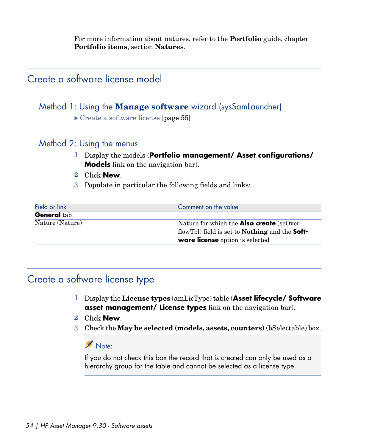For more information about natures, refer to the **Portfolio** guide, chapter **Portfolio items**, section **Natures**.

## Create a software license model

#### Method 1: Using the **Manage software** wizard (sysSamLauncher)

▶ [Create a software license](#page-54-0) [page 55]

#### Method 2: Using the menus

- 1 Display the models (**Portfolio management/ Asset configurations/ Models** link on the navigation bar).
- 2 Click **New**.
- 3 Populate in particular the following fields and links:

| Field or link      | Comment on the value                                         |
|--------------------|--------------------------------------------------------------|
| <b>General</b> tab |                                                              |
| Nature (Nature)    | Nature for which the <b>Also create</b> (seOver-             |
|                    | flowTbl) field is set to <b>Nothing</b> and the <b>Soft-</b> |
|                    | ware license option is selected                              |

## Create a software license type

- 1 Display the **License types** (amLicType) table (**Asset lifecycle/ Software asset management/ License types** link on the navigation bar).
- 2 Click **New**.
- 3 Check the **May be selected (models, assets, counters)** (bSelectable) box.

#### Note:

If you do not check this box the record that is created can only be used as a hierarchy group for the table and cannot be selected as a license type.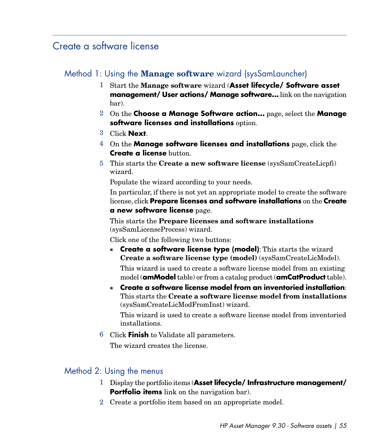## <span id="page-54-0"></span>Create a software license

## Method 1: Using the **Manage software** wizard (sysSamLauncher)

- 1 Start the **Manage software** wizard (**Asset lifecycle/ Software asset management/ User actions/ Manage software...** link on the navigation bar).
- 2 On the **Choose a Manage Software action...** page, select the **Manage software licenses and installations** option.
- 3 Click **Next**.
- 4 On the **Manage software licenses and installations** page, click the **Create a license** button.
- 5 This starts the **Create a new software license** (sysSamCreateLicpfi) wizard.

Populate the wizard according to your needs.

In particular, if there is not yet an appropriate model to create the software license, click **Prepare licenses and software installations** on the **Create a new software license** page.

This starts the **Prepare licenses and software installations** (sysSamLicenseProcess) wizard.

Click one of the following two buttons:

**create a software license type (model)**: This starts the wizard **Create a software license type (model)** (sysSamCreateLicModel).

This wizard is used to create a software license model from an existing model (**amModel** table) or from a catalog product (**amCatProduct** table).

<sup>n</sup> **Create a software license model from an inventoried installation**: This starts the **Create a software license model from installations** (sysSamCreateLicModFromInst) wizard.

This wizard is used to create a software license model from inventoried installations.

6 Click **Finish** to Validate all parameters.

The wizard creates the license.

## Method 2: Using the menus

- 1 Display the portfolio items (**Asset lifecycle/ Infrastructure management/ Portfolio items** link on the navigation bar).
- 2 Create a portfolio item based on an appropriate model.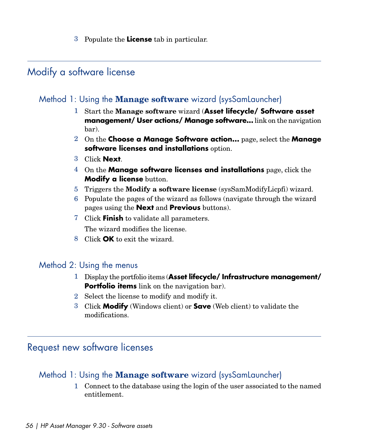3 Populate the **License** tab in particular.

## Modify a software license

## Method 1: Using the **Manage software** wizard (sysSamLauncher)

- 1 Start the **Manage software** wizard (**Asset lifecycle/ Software asset management/ User actions/ Manage software...** link on the navigation bar).
- 2 On the **Choose a Manage Software action...** page, select the **Manage software licenses and installations** option.
- 3 Click **Next**.
- 4 On the **Manage software licenses and installations** page, click the **Modify a license** button.
- 5 Triggers the **Modify a software license** (sysSamModifyLicpfi) wizard.
- 6 Populate the pages of the wizard as follows (navigate through the wizard pages using the **Next** and **Previous** buttons).
- 7 Click **Finish** to validate all parameters. The wizard modifies the license.
- 8 Click **OK** to exit the wizard.

#### Method 2: Using the menus

- 1 Display the portfolio items (**Asset lifecycle/ Infrastructure management/ Portfolio items** link on the navigation bar).
- 2 Select the license to modify and modify it.
- 3 Click **Modify** (Windows client) or **Save** (Web client) to validate the modifications.

## Request new software licenses

## Method 1: Using the **Manage software** wizard (sysSamLauncher)

1 Connect to the database using the login of the user associated to the named entitlement.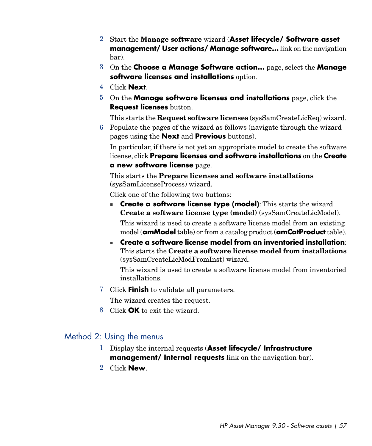- 2 Start the **Manage software** wizard (**Asset lifecycle/ Software asset management/ User actions/ Manage software...** link on the navigation bar).
- 3 On the **Choose a Manage Software action...** page, select the **Manage software licenses and installations** option.
- 4 Click **Next**.
- 5 On the **Manage software licenses and installations** page, click the **Request licenses** button.

This starts the **Request software licenses** (sysSamCreateLicReq) wizard.

6 Populate the pages of the wizard as follows (navigate through the wizard pages using the **Next** and **Previous** buttons).

In particular, if there is not yet an appropriate model to create the software license, click **Prepare licenses and software installations** on the **Create a new software license** page.

This starts the **Prepare licenses and software installations** (sysSamLicenseProcess) wizard.

Click one of the following two buttons:

**Create a software license type (model)**: This starts the wizard **Create a software license type (model)** (sysSamCreateLicModel).

This wizard is used to create a software license model from an existing model (**amModel** table) or from a catalog product (**amCatProduct** table).

<sup>n</sup> **Create a software license model from an inventoried installation**: This starts the **Create a software license model from installations** (sysSamCreateLicModFromInst) wizard.

This wizard is used to create a software license model from inventoried installations.

7 Click **Finish** to validate all parameters.

The wizard creates the request.

8 Click **OK** to exit the wizard.

#### Method 2: Using the menus

- 1 Display the internal requests (**Asset lifecycle/ Infrastructure management/ Internal requests** link on the navigation bar).
- 2 Click **New**.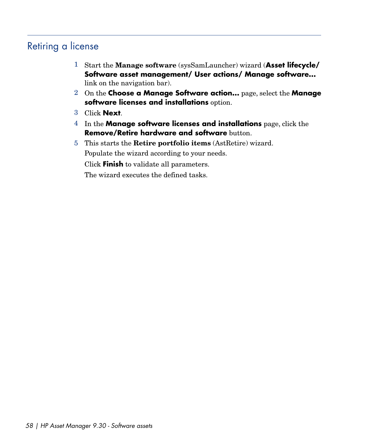# Retiring a license

- 1 Start the **Manage software** (sysSamLauncher) wizard (**Asset lifecycle/ Software asset management/ User actions/ Manage software...** link on the navigation bar).
- 2 On the **Choose a Manage Software action...** page, select the **Manage software licenses and installations** option.
- 3 Click **Next**.
- 4 In the **Manage software licenses and installations** page, click the **Remove/Retire hardware and software** button.
- 5 This starts the **Retire portfolio items** (AstRetire) wizard. Populate the wizard according to your needs. Click **Finish** to validate all parameters.

The wizard executes the defined tasks.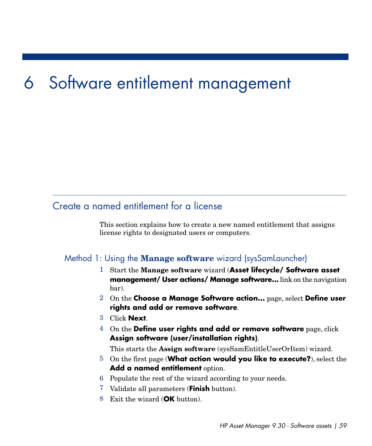# 6 Software entitlement management

# Create a named entitlement for a license

This section explains how to create a new named entitlement that assigns license rights to designated users or computers.

#### Method 1: Using the **Manage software** wizard (sysSamLauncher)

- 1 Start the **Manage software** wizard (**Asset lifecycle/ Software asset management/ User actions/ Manage software...** link on the navigation bar).
- 2 On the **Choose a Manage Software action...** page, select **Define user rights and add or remove software**.
- 3 Click **Next**.
- 4 On the **Define user rights and add or remove software** page, click **Assign software (user/installation rights)**.

This starts the **Assign software** (sysSamEntitleUserOrItem) wizard.

- 5 On the first page (**What action would you like to execute?**), select the **Add a named entitlement** option.
- 6 Populate the rest of the wizard according to your needs.
- 7 Validate all parameters (**Finish** button).
- 8 Exit the wizard (**OK** button).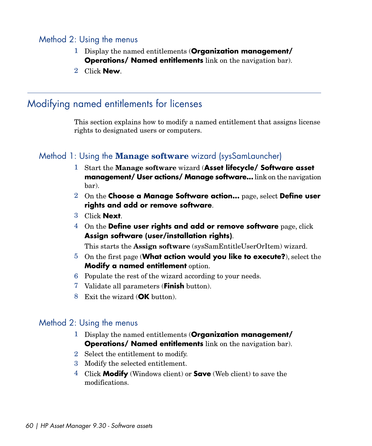#### Method 2: Using the menus

- 1 Display the named entitlements (**Organization management/ Operations/ Named entitlements** link on the navigation bar).
- 2 Click **New**.

## Modifying named entitlements for licenses

This section explains how to modify a named entitlement that assigns license rights to designated users or computers.

## Method 1: Using the **Manage software** wizard (sysSamLauncher)

- 1 Start the **Manage software** wizard (**Asset lifecycle/ Software asset management/ User actions/ Manage software...** link on the navigation bar).
- 2 On the **Choose a Manage Software action...** page, select **Define user rights and add or remove software**.
- 3 Click **Next**.
- 4 On the **Define user rights and add or remove software** page, click **Assign software (user/installation rights)**.

This starts the **Assign software** (sysSamEntitleUserOrItem) wizard.

- 5 On the first page (**What action would you like to execute?**), select the **Modify a named entitlement** option.
- 6 Populate the rest of the wizard according to your needs.
- 7 Validate all parameters (**Finish** button).
- 8 Exit the wizard (**OK** button).

#### Method 2: Using the menus

- 1 Display the named entitlements (**Organization management/ Operations/ Named entitlements** link on the navigation bar).
- 2 Select the entitlement to modify.
- 3 Modify the selected entitlement.
- 4 Click **Modify** (Windows client) or **Save** (Web client) to save the modifications.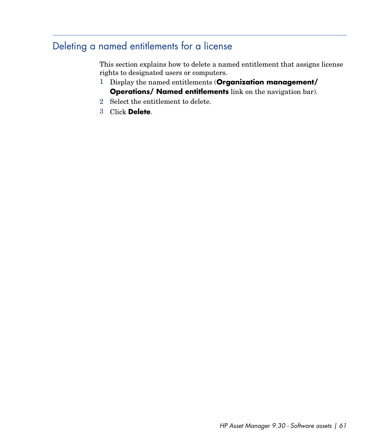# Deleting a named entitlements for a license

This section explains how to delete a named entitlement that assigns license rights to designated users or computers.

- 1 Display the named entitlements (**Organization management/ Operations/ Named entitlements** link on the navigation bar).
- 2 Select the entitlement to delete.
- 3 Click **Delete**.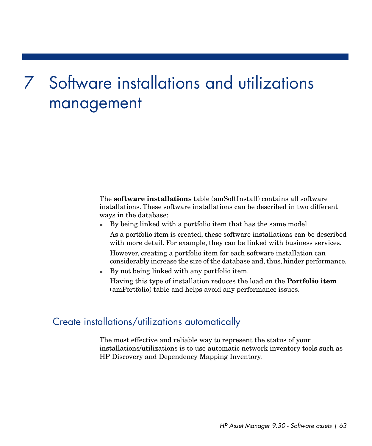# Software installations and utilizations 7management

The **software installations** table (amSoftInstall) contains all software installations. These software installations can be described in two different ways in the database:

- <sup>n</sup> By being linked with a portfolio item that has the same model. As a portfolio item is created, these software installations can be described with more detail. For example, they can be linked with business services. However, creating a portfolio item for each software installation can considerably increase the size of the database and, thus, hinder performance.
- <sup>n</sup> By not being linked with any portfolio item.

Having this type of installation reduces the load on the **Portfolio item** (amPortfolio) table and helps avoid any performance issues.

## Create installations/utilizations automatically

The most effective and reliable way to represent the status of your installations/utilizations is to use automatic network inventory tools such as HP Discovery and Dependency Mapping Inventory.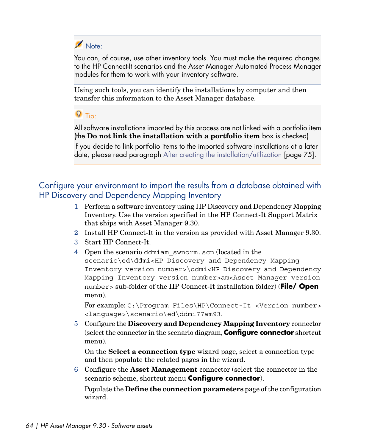

You can, of course, use other inventory tools. You must make the required changes to the HP Connect-It scenarios and the Asset Manager Automated Process Manager modules for them to work with your inventory software.

Using such tools, you can identify the installations by computer and then transfer this information to the Asset Manager database.

## $Q$  Tip:

All software installations imported by this process are not linked with a portfolio item (the **Do not link the installation with a portfolio item** box is checked)

If you decide to link portfolio items to the imported software installations at a later date, please read paragraph [After creating the installation/utilization](#page-74-0) [page 75].

Configure your environment to import the results from a database obtained with HP Discovery and Dependency Mapping Inventory

- 1 Perform a software inventory using HP Discovery and Dependency Mapping Inventory. Use the version specified in the HP Connect-It Support Matrix that ships with Asset Manager 9.30.
- 2 Install HP Connect-It in the version as provided with Asset Manager 9.30.
- 3 Start HP Connect-It.
- 4 Open the scenario ddmiam\_swnorm.scn (located in the scenario\ed\ddmi<HP Discovery and Dependency Mapping Inventory version number>\ddmi<HP Discovery and Dependency Mapping Inventory version number>am<Asset Manager version number> sub-folder of the HP Connect-It installation folder) (**File/ Open** menu).

For example: C:\Program Files\HP\Connect-It <Version number> <language>\scenario\ed\ddmi77am93.

5 Configure the **Discovery and Dependency Mapping Inventory** connector (select the connector in the scenario diagram,**Configure connector** shortcut menu).

On the **Select a connection type** wizard page, select a connection type and then populate the related pages in the wizard.

6 Configure the **Asset Management** connector (select the connector in the scenario scheme, shortcut menu **Configure connector**).

Populate the **Define the connection parameters** page of the configuration wizard.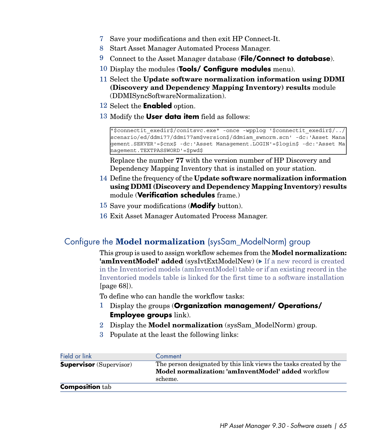- 7 Save your modifications and then exit HP Connect-It.
- 8 Start Asset Manager Automated Process Manager.
- 9 Connect to the Asset Manager database (**File/Connect to database**).
- 10 Display the modules (**Tools/ Configure modules** menu).
- 11 Select the **Update software normalization information using DDMI (Discovery and Dependency Mapping Inventory) results** module (DDMISyncSoftwareNormalization).
- 12 Select the **Enabled** option.
- 13 Modify the **User data item** field as follows:

```
"$connectit_exedir$/conitsvc.exe" -once -wpplog '$connectit_exedir$/../
scenario/ed/ddmi77/ddmi77am$version$/ddmiam_swnorm.scn' -dc:'Asset Mana
gement.SERVER'=$cnx$ -dc:'Asset Management.LOGIN'=$login$ -dc:'Asset Ma
nagement.TEXTPASSWORD'=$pwd$
```
Replace the number **77** with the version number of HP Discovery and Dependency Mapping Inventory that is installed on your station.

- 14 Define the frequency of the **Update software normalization information using DDMI (Discovery and Dependency Mapping Inventory) results** module (**Verification schedules** frame.)
- 15 Save your modifications (**Modify** button).
- 16 Exit Asset Manager Automated Process Manager.

## Configure the **Model normalization** (sysSam\_ModelNorm) group

This group is used to assign workflow schemes from the **Model normalization: 'amInventModel' added** (sysIvtExtModelNew) ( $\triangleright$  [If a new record is created](#page-67-0) [in the Inventoried models \(amInventModel\) table or if an existing record in the](#page-67-0) [Inventoried models table is linked for the first time to a software installation](#page-67-0) [page 68]).

To define who can handle the workflow tasks:

- 1 Display the groups (**Organization management/ Operations/ Employee groups** link).
- 2 Display the **Model normalization** (sysSam\_ModelNorm) group.
- 3 Populate at the least the following links:

| Field or link                  | Comment                                                                                                                  |
|--------------------------------|--------------------------------------------------------------------------------------------------------------------------|
| <b>Supervisor</b> (Supervisor) | The person designated by this link views the tasks created by the<br>Model normalization: 'amInventModel' added workflow |
|                                | scheme.                                                                                                                  |
| <b>Composition</b> tab         |                                                                                                                          |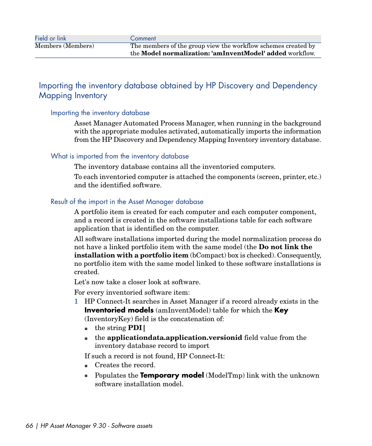## Importing the inventory database obtained by HP Discovery and Dependency Mapping Inventory

#### Importing the inventory database

Asset Manager Automated Process Manager, when running in the background with the appropriate modules activated, automatically imports the information from the HP Discovery and Dependency Mapping Inventory inventory database.

#### What is imported from the inventory database

The inventory database contains all the inventoried computers.

To each inventoried computer is attached the components (screen, printer, etc.) and the identified software.

#### Result of the import in the Asset Manager database

A portfolio item is created for each computer and each computer component, and a record is created in the software installations table for each software application that is identified on the computer.

All software installations imported during the model normalization process do not have a linked portfolio item with the same model (the **Do not link the installation with a portfolio item** (bCompact) box is checked). Consequently, no portfolio item with the same model linked to these software installations is created.

Let's now take a closer look at software.

For every inventoried software item:

- 1 HP Connect-It searches in Asset Manager if a record already exists in the **Inventoried models** (amInventModel) table for which the **Key** (InventoryKey) field is the concatenation of:
	- <sup>n</sup> the string **PDI|**
	- **n** the **application data.application.versionid** field value from the inventory database record to import

If such a record is not found, HP Connect-It:

- Creates the record.
- **n** Populates the **Temporary model** (ModelTmp) link with the unknown software installation model.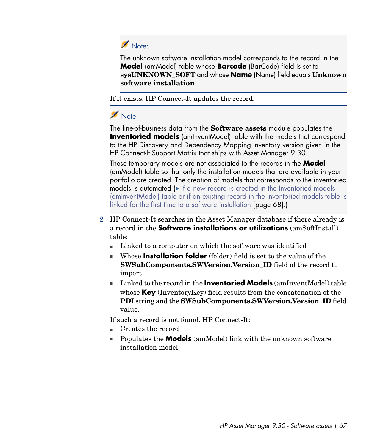# Note:

The unknown software installation model corresponds to the record in the **Model** (amModel) table whose **Barcode** (BarCode) field is set to **sysUNKNOWN\_SOFT** and whose **Name** (Name) field equals **Unknown software installation**.

If it exists, HP Connect-It updates the record.

# Note:

The line-of-business data from the **Software assets** module populates the **Inventoried models** (amInventModel) table with the models that correspond to the HP Discovery and Dependency Mapping Inventory version given in the HP Connect-It Support Matrix that ships with Asset Manager 9.30.

These temporary models are not associated to the records in the **Model** (amModel) table so that only the installation models that are available in your portfolio are created. The creation of models that corresponds to the inventoried models is automated ( $\blacktriangleright$  [If a new record is created in the Inventoried models](#page-67-0) [\(amInventModel\) table or if an existing record in the Inventoried models table is](#page-67-0) [linked for the first time to a software installation](#page-67-0) [page 68].)

- 2 HP Connect-It searches in the Asset Manager database if there already is a record in the **Software installations or utilizations** (amSoftInstall) table:
	- <sup>n</sup> Linked to a computer on which the software was identified
	- **Number 11** Whose **Installation folder** (folder) field is set to the value of the **SWSubComponents.SWVersion.Version\_ID** field of the record to import
	- <sup>n</sup> Linked to the record in the **Inventoried Models** (amInventModel) table whose **Key** (InventoryKey) field results from the concatenation of the **PDI** string and the **SWSubComponents.SWVersion.Version\_ID** field value.

If such a record is not found, HP Connect-It:

- Creates the record
- <sup>n</sup> Populates the **Models** (amModel) link with the unknown software installation model.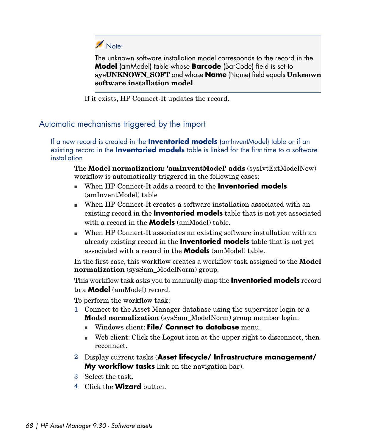

The unknown software installation model corresponds to the record in the **Model** (amModel) table whose **Barcode** (BarCode) field is set to **sysUNKNOWN\_SOFT** and whose **Name** (Name) field equals **Unknown software installation model**.

If it exists, HP Connect-It updates the record.

## Automatic mechanisms triggered by the import

<span id="page-67-0"></span>If a new record is created in the **Inventoried models** (amInventModel) table or if an existing record in the **Inventoried models** table is linked for the first time to a software installation

The **Model normalization: 'amInventModel' adds** (sysIvtExtModelNew) workflow is automatically triggered in the following cases:

- <sup>n</sup> When HP Connect-It adds a record to the **Inventoried models** (amInventModel) table
- <sup>n</sup> When HP Connect-It creates a software installation associated with an existing record in the **Inventoried models** table that is not yet associated with a record in the **Models** (amModel) table.
- <sup>n</sup> When HP Connect-It associates an existing software installation with an already existing record in the **Inventoried models** table that is not yet associated with a record in the **Models** (amModel) table.

In the first case, this workflow creates a workflow task assigned to the **Model normalization** (sysSam\_ModelNorm) group.

This workflow task asks you to manually map the **Inventoried models** record to a **Model** (amModel) record.

To perform the workflow task:

- 1 Connect to the Asset Manager database using the supervisor login or a **Model normalization** (sysSam\_ModelNorm) group member login:
	- **n** Windows client: File/ Connect to database menu.
	- $\blacksquare$  Web client: Click the Logout icon at the upper right to disconnect, then reconnect.
- 2 Display current tasks (**Asset lifecycle/ Infrastructure management/ My workflow tasks** link on the navigation bar).
- 3 Select the task.
- 4 Click the **Wizard** button.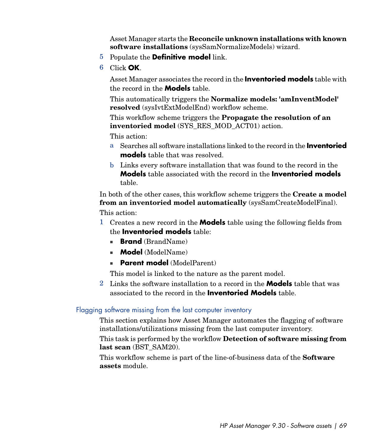Asset Manager starts the **Reconcile unknown installations with known software installations** (sysSamNormalizeModels) wizard.

- 5 Populate the **Definitive model** link.
- 6 Click **OK**.

Asset Manager associates the record in the **Inventoried models** table with the record in the **Models** table.

This automatically triggers the **Normalize models: 'amInventModel' resolved** (sysIvtExtModelEnd) workflow scheme.

This workflow scheme triggers the **Propagate the resolution of an inventoried model** (SYS\_RES\_MOD\_ACT01) action.

This action:

- a Searches all software installations linked to the record in the **Inventoried models** table that was resolved.
- b Links every software installation that was found to the record in the **Models** table associated with the record in the **Inventoried models** table.

In both of the other cases, this workflow scheme triggers the **Create a model from an inventoried model automatically** (sysSamCreateModelFinal).

This action:

- 1 Creates a new record in the **Models** table using the following fields from the **Inventoried models** table:
	- **Brand** (BrandName)
	- **Model** (ModelName)
	- **Parent model** (ModelParent)

This model is linked to the nature as the parent model.

2 Links the software installation to a record in the **Models** table that was associated to the record in the **Inventoried Models** table.

Flagging software missing from the last computer inventory

This section explains how Asset Manager automates the flagging of software installations/utilizations missing from the last computer inventory.

This task is performed by the workflow **Detection of software missing from last scan** (BST\_SAM20).

This workflow scheme is part of the line-of-business data of the **Software assets** module.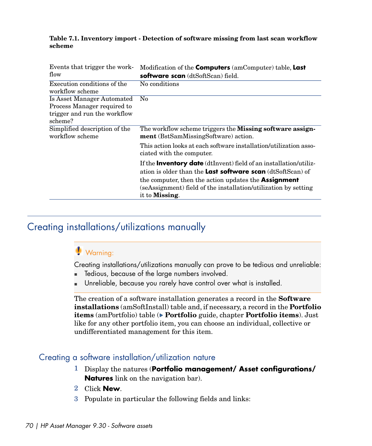#### **Table 7.1. Inventory import - Detection of software missing from last scan workflow scheme**

| Events that trigger the work-<br>flow                                                                | Modification of the Computers (amComputer) table, Last<br>software scan (dtSoftScan) field.                                                                                                                                                                                                                 |
|------------------------------------------------------------------------------------------------------|-------------------------------------------------------------------------------------------------------------------------------------------------------------------------------------------------------------------------------------------------------------------------------------------------------------|
| Execution conditions of the<br>workflow scheme                                                       | No conditions                                                                                                                                                                                                                                                                                               |
| Is Asset Manager Automated<br>Process Manager required to<br>trigger and run the workflow<br>scheme? | N <sub>0</sub>                                                                                                                                                                                                                                                                                              |
| Simplified description of the<br>workflow scheme                                                     | The workflow scheme triggers the Missing software assign-<br>ment (BstSamMissingSoftware) action.                                                                                                                                                                                                           |
|                                                                                                      | This action looks at each software installation/utilization asso-<br>ciated with the computer.                                                                                                                                                                                                              |
|                                                                                                      | If the <b>Inventory date</b> (dtInvent) field of an installation/utiliz-<br>ation is older than the <b>Last software scan</b> $(dtSoftScan)$ of<br>the computer, then the action updates the <b>Assignment</b><br>(seAssignment) field of the installation/utilization by setting<br>it to <b>Missing</b> . |

# Creating installations/utilizations manually

# **Warning:**

Creating installations/utilizations manually can prove to be tedious and unreliable:

- **n** Tedious, because of the large numbers involved.
- Unreliable, because you rarely have control over what is installed.

The creation of a software installation generates a record in the **Software installations** (amSoftInstall) table and, if necessary, a record in the **Portfolio items** (amPortfolio) table ( **Portfolio** guide, chapter **Portfolio items**). Just like for any other portfolio item, you can choose an individual, collective or undifferentiated management for this item.

#### Creating a software installation/utilization nature

- 1 Display the natures (**Portfolio management/ Asset configurations/ Natures** link on the navigation bar).
- 2 Click **New**.
- 3 Populate in particular the following fields and links: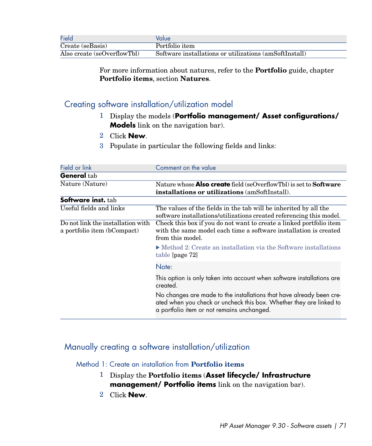| Field                       | Value                                                  |
|-----------------------------|--------------------------------------------------------|
| Create (seBasis)            | Portfolio item                                         |
| Also create (seOverflowTbl) | Software installations or utilizations (amSoftInstall) |

For more information about natures, refer to the **Portfolio** guide, chapter **Portfolio items**, section **Natures**.

#### Creating software installation/utilization model

- 1 Display the models (**Portfolio management/ Asset configurations/ Models** link on the navigation bar).
- 2 Click **New**.
- 3 Populate in particular the following fields and links:

| Field or link                                                    | Comment on the value                                                                                                                                                                      |
|------------------------------------------------------------------|-------------------------------------------------------------------------------------------------------------------------------------------------------------------------------------------|
| <b>General</b> tab                                               |                                                                                                                                                                                           |
| Nature (Nature)                                                  | Nature whose <b>Also create</b> field (seOverflowTbl) is set to <b>Software</b>                                                                                                           |
|                                                                  | installations or utilizations (amSoftInstall).                                                                                                                                            |
| Software inst. tab                                               |                                                                                                                                                                                           |
| Useful fields and links                                          | The values of the fields in the tab will be inherited by all the<br>software installations/utilizations created referencing this model.                                                   |
| Do not link the installation with<br>a portfolio item (bCompact) | Check this box if you do not want to create a linked portfolio item<br>with the same model each time a software installation is created<br>from this model.                               |
|                                                                  | • Method 2: Create an installation via the Software installations<br>table [page 72]                                                                                                      |
|                                                                  | Note:                                                                                                                                                                                     |
|                                                                  | This option is only taken into account when software installations are<br>created.                                                                                                        |
|                                                                  | No changes are made to the installations that have already been cre-<br>ated when you check or uncheck this box. Whether they are linked to<br>a portfolio item or not remains unchanged. |

## Manually creating a software installation/utilization

#### Method 1: Create an installation from **Portfolio items**

- 1 Display the **Portfolio items** (**Asset lifecycle/ Infrastructure management/ Portfolio items** link on the navigation bar).
- 2 Click **New**.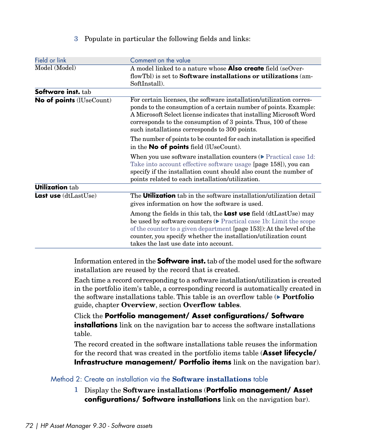#### 3 Populate in particular the following fields and links:

| Field or link                   | Comment on the value                                                                                                                                                                                                                                                                                                                       |
|---------------------------------|--------------------------------------------------------------------------------------------------------------------------------------------------------------------------------------------------------------------------------------------------------------------------------------------------------------------------------------------|
| Model (Model)                   | A model linked to a nature whose <b>Also create</b> field (seOver-                                                                                                                                                                                                                                                                         |
|                                 | flowTbl) is set to <b>Software installations or utilizations</b> (am-<br>SoftInstall).                                                                                                                                                                                                                                                     |
| Software inst. tab              |                                                                                                                                                                                                                                                                                                                                            |
| <b>No of points</b> (IUseCount) | For certain licenses, the software installation/utilization corres-<br>ponds to the consumption of a certain number of points. Example:<br>A Microsoft Select license indicates that installing Microsoft Word<br>corresponds to the consumption of 3 points. Thus, 100 of these<br>such installations corresponds to 300 points.          |
|                                 | The number of points to be counted for each installation is specified<br>in the No of points field (lUseCount).                                                                                                                                                                                                                            |
|                                 | When you use software installation counters ( $\triangleright$ Practical case 1d:<br>Take into account effective software usage [page 158]), you can<br>specify if the installation count should also count the number of<br>points related to each installation/utilization.                                                              |
| <b>Utilization tab</b>          |                                                                                                                                                                                                                                                                                                                                            |
| <b>Last use</b> $(dtLastUse)$   | The <b>Utilization</b> tab in the software installation/utilization detail<br>gives information on how the software is used.                                                                                                                                                                                                               |
|                                 | Among the fields in this tab, the Last use field (dtLastUse) may<br>be used by software counters $(\triangleright$ Practical case 1b: Limit the scope<br>of the counter to a given department [page 153]): At the level of the<br>counter, you specify whether the installation/utilization count<br>takes the last use date into account. |

Information entered in the **Software inst.** tab of the model used for the software installation are reused by the record that is created.

Each time a record corresponding to a software installation/utilization is created in the portfolio item's table, a corresponding record is automatically created in the software installations table. This table is an overflow table ( **Portfolio** guide, chapter **Overview**, section **Overflow tables**.

Click the **Portfolio management/ Asset configurations/ Software installations** link on the navigation bar to access the software installations table.

<span id="page-71-0"></span>The record created in the software installations table reuses the information for the record that was created in the portfolio items table (**Asset lifecycle/ Infrastructure management/ Portfolio items** link on the navigation bar).

#### Method 2: Create an installation via the **Software installations** table

1 Display the **Software installations** (**Portfolio management/ Asset configurations/ Software installations** link on the navigation bar).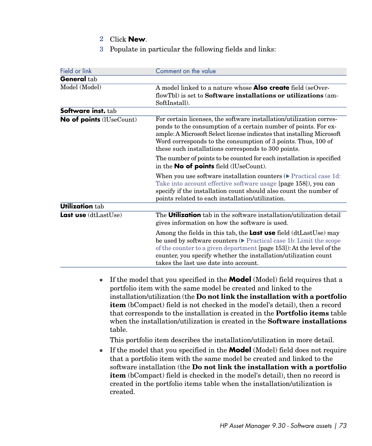- 2 Click **New**.
- 3 Populate in particular the following fields and links:

| Field or link                  | Comment on the value                                                                                                                                                                                                                                                                                                                                                                                                                                                                                                                                                                                                                                                                                                                                                                                                                                                                                                                                                                             |
|--------------------------------|--------------------------------------------------------------------------------------------------------------------------------------------------------------------------------------------------------------------------------------------------------------------------------------------------------------------------------------------------------------------------------------------------------------------------------------------------------------------------------------------------------------------------------------------------------------------------------------------------------------------------------------------------------------------------------------------------------------------------------------------------------------------------------------------------------------------------------------------------------------------------------------------------------------------------------------------------------------------------------------------------|
| <b>General</b> tab             |                                                                                                                                                                                                                                                                                                                                                                                                                                                                                                                                                                                                                                                                                                                                                                                                                                                                                                                                                                                                  |
| Model (Model)                  | A model linked to a nature whose Also create field (seOver-<br>flowTbl) is set to <b>Software installations or utilizations</b> (am-<br>SoftInstall).                                                                                                                                                                                                                                                                                                                                                                                                                                                                                                                                                                                                                                                                                                                                                                                                                                            |
| <b>Software inst.</b> tab      |                                                                                                                                                                                                                                                                                                                                                                                                                                                                                                                                                                                                                                                                                                                                                                                                                                                                                                                                                                                                  |
| No of points (lUseCount)       | For certain licenses, the software installation/utilization corres-<br>ponds to the consumption of a certain number of points. For ex-<br>ample: A Microsoft Select license indicates that installing Microsoft<br>Word corresponds to the consumption of 3 points. Thus, 100 of<br>these such installations corresponds to 300 points.                                                                                                                                                                                                                                                                                                                                                                                                                                                                                                                                                                                                                                                          |
|                                | The number of points to be counted for each installation is specified<br>in the <b>No of points</b> field (lUseCount).                                                                                                                                                                                                                                                                                                                                                                                                                                                                                                                                                                                                                                                                                                                                                                                                                                                                           |
|                                | When you use software installation counters $(\triangleright$ Practical case 1d:<br>Take into account effective software usage [page 158]), you can<br>specify if the installation count should also count the number of<br>points related to each installation/utilization.                                                                                                                                                                                                                                                                                                                                                                                                                                                                                                                                                                                                                                                                                                                     |
| <b>Utilization tab</b>         |                                                                                                                                                                                                                                                                                                                                                                                                                                                                                                                                                                                                                                                                                                                                                                                                                                                                                                                                                                                                  |
| Last use (dtLastUse)           | The <b>Utilization</b> tab in the software installation/utilization detail<br>gives information on how the software is used.                                                                                                                                                                                                                                                                                                                                                                                                                                                                                                                                                                                                                                                                                                                                                                                                                                                                     |
|                                | Among the fields in this tab, the Last use field (dtLastUse) may<br>be used by software counters ( $\triangleright$ Practical case 1b: Limit the scope<br>of the counter to a given department [page 153]): At the level of the<br>counter, you specify whether the installation/utilization count<br>takes the last use date into account.                                                                                                                                                                                                                                                                                                                                                                                                                                                                                                                                                                                                                                                      |
| Ű.<br>table.<br>g,<br>created. | If the model that you specified in the <b>Model</b> (Model) field requires that a<br>portfolio item with the same model be created and linked to the<br>installation/utilization (the Do not link the installation with a portfolio<br><b>item</b> (bCompact) field is not checked in the model's detail), then a record<br>that corresponds to the installation is created in the <b>Portfolio items</b> table<br>when the installation/utilization is created in the <b>Software installations</b><br>This portfolio item describes the installation/utilization in more detail.<br>If the model that you specified in the <b>Model</b> (Model) field does not require<br>that a portfolio item with the same model be created and linked to the<br>software installation (the Do not link the installation with a portfolio<br><b>item</b> (bCompact) field is checked in the model's detail), then no record is<br>created in the portfolio items table when the installation/utilization is |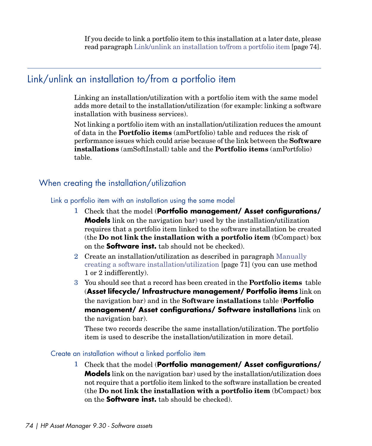<span id="page-73-0"></span>If you decide to link a portfolio item to this installation at a later date, please read paragraph [Link/unlink an installation to/from a portfolio item](#page-73-0) [page 74].

# Link/unlink an installation to/from a portfolio item

Linking an installation/utilization with a portfolio item with the same model adds more detail to the installation/utilization (for example: linking a software installation with business services).

Not linking a portfolio item with an installation/utilization reduces the amount of data in the **Portfolio items** (amPortfolio) table and reduces the risk of performance issues which could arise because of the link between the **Software installations** (amSoftInstall) table and the **Portfolio items** (amPortfolio) table.

### When creating the installation/utilization

#### Link a portfolio item with an installation using the same model

- 1 Check that the model (**Portfolio management/ Asset configurations/ Models** link on the navigation bar) used by the installation/utilization requires that a portfolio item linked to the software installation be created (the **Do not link the installation with a portfolio item** (bCompact) box on the **Software inst.** tab should not be checked).
- 2 Create an installation/utilization as described in paragraph [Manually](#page-70-0) [creating a software installation/utilization](#page-70-0) [page 71] (you can use method 1 or 2 indifferently).
- 3 You should see that a record has been created in the **Portfolio items** table (**Asset lifecycle/ Infrastructure management/ Portfolio items** link on the navigation bar) and in the **Software installations** table (**Portfolio management/ Asset configurations/ Software installations** link on the navigation bar).

These two records describe the same installation/utilization. The portfolio item is used to describe the installation/utilization in more detail.

#### Create an installation without a linked portfolio item

1 Check that the model (**Portfolio management/ Asset configurations/ Models** link on the navigation bar) used by the installation/utilization does not require that a portfolio item linked to the software installation be created (the **Do not link the installation with a portfolio item** (bCompact) box on the **Software inst.** tab should be checked).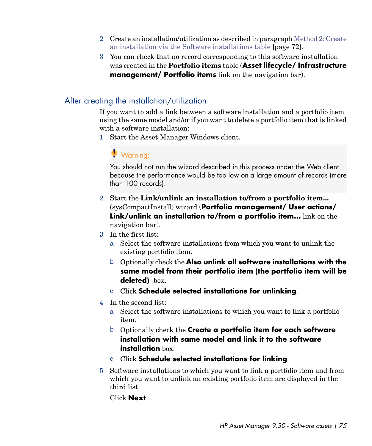- 2 Create an installation/utilization as described in paragraph [Method 2: Create](#page-71-0) [an installation via the Software installations table](#page-71-0) [page 72].
- 3 You can check that no record corresponding to this software installation was created in the **Portfolio items** table (**Asset lifecycle/ Infrastructure management/ Portfolio items** link on the navigation bar).

### After creating the installation/utilization

If you want to add a link between a software installation and a portfolio item using the same model and/or if you want to delete a portfolio item that is linked with a software installation:

1 Start the Asset Manager Windows client.

# **Warning:**

You should not run the wizard described in this process under the Web client because the performance would be too low on a large amount of records (more than 100 records).

- 2 Start the **Link/unlink an installation to/from a portfolio item...** (sysCompactInstall) wizard (**Portfolio management/ User actions/ Link/unlink an installation to/from a portfolio item...** link on the navigation bar).
- 3 In the first list:
	- a Select the software installations from which you want to unlink the existing portfolio item.
	- b Optionally check the **Also unlink all software installations with the same model from their portfolio item (the portfolio item will be deleted)** box.
	- c Click **Schedule selected installations for unlinking**.
- 4 In the second list:
	- a Select the software installations to which you want to link a portfolio item.
	- b Optionally check the **Create a portfolio item for each software installation with same model and link it to the software installation** box.
	- c Click **Schedule selected installations for linking**.
- 5 Software installations to which you want to link a portfolio item and from which you want to unlink an existing portfolio item are displayed in the third list.

Click **Next**.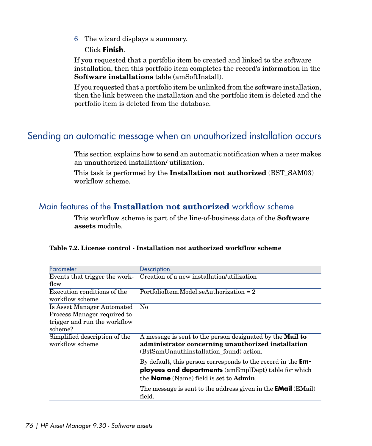6 The wizard displays a summary.

#### Click **Finish**.

If you requested that a portfolio item be created and linked to the software installation, then this portfolio item completes the record's information in the **Software installations** table (amSoftInstall).

If you requested that a portfolio item be unlinked from the software installation, then the link between the installation and the portfolio item is deleted and the portfolio item is deleted from the database.

# Sending an automatic message when an unauthorized installation occurs

This section explains how to send an automatic notification when a user makes an unauthorized installation/ utilization.

This task is performed by the **Installation not authorized** (BST\_SAM03) workflow scheme.

### Main features of the **Installation not authorized** workflow scheme

This workflow scheme is part of the line-of-business data of the **Software assets** module.

| Parameter                                        | Description                                                                                                                                                                          |
|--------------------------------------------------|--------------------------------------------------------------------------------------------------------------------------------------------------------------------------------------|
|                                                  | Events that trigger the work- Creation of a new installation/utilization                                                                                                             |
| flow                                             |                                                                                                                                                                                      |
| Execution conditions of the                      | $Portolioltem.Model.seAuthorization = 2$                                                                                                                                             |
| workflow scheme                                  |                                                                                                                                                                                      |
| <b>Is Asset Manager Automated</b>                | N <sub>0</sub>                                                                                                                                                                       |
| Process Manager required to                      |                                                                                                                                                                                      |
| trigger and run the workflow                     |                                                                                                                                                                                      |
| scheme?                                          |                                                                                                                                                                                      |
| Simplified description of the<br>workflow scheme | A message is sent to the person designated by the Mail to<br>administrator concerning unauthorized installation<br>(BstSamUnauthinstallation found) action.                          |
|                                                  | By default, this person corresponds to the record in the <b>Em-</b><br>ployees and departments (amEmplDept) table for which<br>the <b>Name</b> (Name) field is set to <b>Admin</b> . |
|                                                  | The message is sent to the address given in the <b>EMail</b> (EMail)<br>field.                                                                                                       |

|  | Table 7.2. License control - Installation not authorized workflow scheme |  |  |
|--|--------------------------------------------------------------------------|--|--|
|--|--------------------------------------------------------------------------|--|--|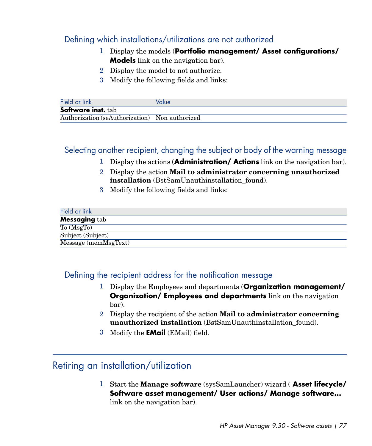### Defining which installations/utilizations are not authorized

- 1 Display the models (**Portfolio management/ Asset configurations/ Models** link on the navigation bar).
- 2 Display the model to not authorize.
- 3 Modify the following fields and links:

| Field or link                                  | Value |
|------------------------------------------------|-------|
| <b>Software inst.</b> tab                      |       |
| Authorization (seAuthorization) Non authorized |       |

### Selecting another recipient, changing the subject or body of the warning message

- 1 Display the actions (**Administration/ Actions** link on the navigation bar).
- 2 Display the action **Mail to administrator concerning unauthorized installation** (BstSamUnauthinstallation found).
- 3 Modify the following fields and links:

| Field or link                        |
|--------------------------------------|
| <b>Messaging tab</b>                 |
| $\overline{\text{To}(\text{MsgTo})}$ |
| Subject (Subject)                    |
| Message (memMsgText)                 |

### Defining the recipient address for the notification message

- 1 Display the Employees and departments (**Organization management/ Organization/ Employees and departments** link on the navigation bar).
- 2 Display the recipient of the action **Mail to administrator concerning unauthorized installation** (BstSamUnauthinstallation\_found).
- 3 Modify the **EMail** (EMail) field.

### Retiring an installation/utilization

1 Start the **Manage software** (sysSamLauncher) wizard ( **Asset lifecycle/ Software asset management/ User actions/ Manage software...** link on the navigation bar).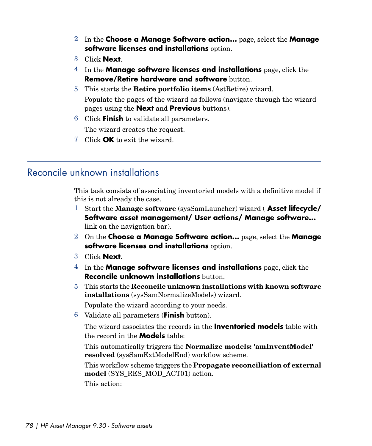- 2 In the **Choose a Manage Software action...** page, select the **Manage software licenses and installations** option.
- 3 Click **Next**.
- 4 In the **Manage software licenses and installations** page, click the **Remove/Retire hardware and software** button.
- 5 This starts the **Retire portfolio items** (AstRetire) wizard. Populate the pages of the wizard as follows (navigate through the wizard pages using the **Next** and **Previous** buttons).
- 6 Click **Finish** to validate all parameters. The wizard creates the request.
- 7 Click **OK** to exit the wizard.

# Reconcile unknown installations

This task consists of associating inventoried models with a definitive model if this is not already the case.

- 1 Start the **Manage software** (sysSamLauncher) wizard ( **Asset lifecycle/ Software asset management/ User actions/ Manage software...** link on the navigation bar).
- 2 On the **Choose a Manage Software action...** page, select the **Manage software licenses and installations** option.
- 3 Click **Next**.
- 4 In the **Manage software licenses and installations** page, click the **Reconcile unknown installations** button.
- 5 This starts the **Reconcile unknown installations with known software installations** (sysSamNormalizeModels) wizard.

Populate the wizard according to your needs.

6 Validate all parameters (**Finish** button).

The wizard associates the records in the **Inventoried models** table with the record in the **Models** table:

This automatically triggers the **Normalize models: 'amInventModel' resolved** (sysSamExtModelEnd) workflow scheme.

This workflow scheme triggers the **Propagate reconciliation of external model** (SYS\_RES\_MOD\_ACT01) action.

This action: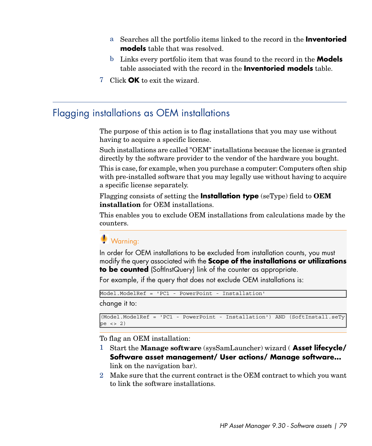- a Searches all the portfolio items linked to the record in the **Inventoried models** table that was resolved.
- b Links every portfolio item that was found to the record in the **Models** table associated with the record in the **Inventoried models** table.
- 7 Click **OK** to exit the wizard.

### Flagging installations as OEM installations

The purpose of this action is to flag installations that you may use without having to acquire a specific license.

Such installations are called "OEM" installations because the license is granted directly by the software provider to the vendor of the hardware you bought.

This is case, for example, when you purchase a computer: Computers often ship with pre-installed software that you may legally use without having to acquire a specific license separately.

Flagging consists of setting the **Installation type** (seType) field to **OEM installation** for OEM installations.

This enables you to exclude OEM installations from calculations made by the counters.

### Warning:

In order for OEM installations to be excluded from installation counts, you must modify the query associated with the **Scope of the installations or utilizations to be counted** (SoftInstQuery) link of the counter as appropriate.

For example, if the query that does not exclude OEM installations is:

Model.ModelRef = 'PC1 - PowerPoint - Installation'

change it to:

```
(Model.ModelRef = 'PC1 - PowerPoint - Installation') AND (SoftInstall.seTy
pe \langle > 2)
```
To flag an OEM installation:

- 1 Start the **Manage software** (sysSamLauncher) wizard ( **Asset lifecycle/ Software asset management/ User actions/ Manage software...** link on the navigation bar).
- 2 Make sure that the current contract is the OEM contract to which you want to link the software installations.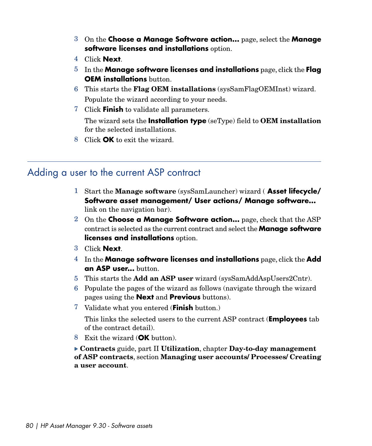- 3 On the **Choose a Manage Software action...** page, select the **Manage software licenses and installations** option.
- 4 Click **Next**.
- 5 In the **Manage software licenses and installations** page, click the **Flag OEM installations** button.
- 6 This starts the **Flag OEM installations** (sysSamFlagOEMInst) wizard. Populate the wizard according to your needs.
- 7 Click **Finish** to validate all parameters.

The wizard sets the **Installation type** (seType) field to **OEM installation** for the selected installations.

8 Click **OK** to exit the wizard.

### Adding a user to the current ASP contract

- 1 Start the **Manage software** (sysSamLauncher) wizard ( **Asset lifecycle/ Software asset management/ User actions/ Manage software...** link on the navigation bar).
- 2 On the **Choose a Manage Software action...** page, check that the ASP contract is selected as the current contract and select the **Manage software licenses and installations** option.
- 3 Click **Next**.
- 4 In the **Manage software licenses and installations** page, click the **Add an ASP user...** button.
- 5 This starts the **Add an ASP user** wizard (sysSamAddAspUsers2Cntr).
- 6 Populate the pages of the wizard as follows (navigate through the wizard pages using the **Next** and **Previous** buttons).
- 7 Validate what you entered (**Finish** button.)

This links the selected users to the current ASP contract (**Employees** tab of the contract detail).

8 Exit the wizard (**OK** button).

**Contracts** guide, part II **Utilization**, chapter **Day-to-day management of ASP contracts**, section **Managing user accounts/ Processes/ Creating a user account**.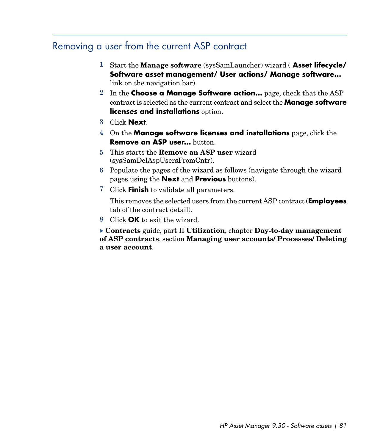# Removing a user from the current ASP contract

- 1 Start the **Manage software** (sysSamLauncher) wizard ( **Asset lifecycle/ Software asset management/ User actions/ Manage software...** link on the navigation bar).
- 2 In the **Choose a Manage Software action...** page, check that the ASP contract is selected as the current contract and select the **Manage software licenses and installations** option.
- 3 Click **Next**.
- 4 On the **Manage software licenses and installations** page, click the **Remove an ASP user...** button.
- 5 This starts the **Remove an ASP user** wizard (sysSamDelAspUsersFromCntr).
- 6 Populate the pages of the wizard as follows (navigate through the wizard pages using the **Next** and **Previous** buttons).
- 7 Click **Finish** to validate all parameters.

This removes the selected users from the current ASP contract (**Employees** tab of the contract detail).

8 Click **OK** to exit the wizard.

**Contracts** guide, part II **Utilization**, chapter **Day-to-day management of ASP contracts**, section **Managing user accounts/ Processes/ Deleting a user account**.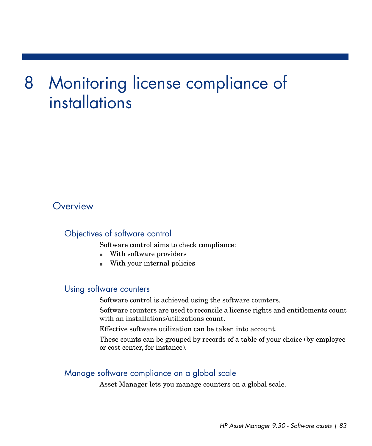# Monitoring license compliance of 8installations

### **Overview**

### Objectives of software control

Software control aims to check compliance:

- With software providers
- With your internal policies

#### Using software counters

Software control is achieved using the software counters.

Software counters are used to reconcile a license rights and entitlements count with an installations/utilizations count.

Effective software utilization can be taken into account.

These counts can be grouped by records of a table of your choice (by employee or cost center, for instance).

#### Manage software compliance on a global scale

Asset Manager lets you manage counters on a global scale.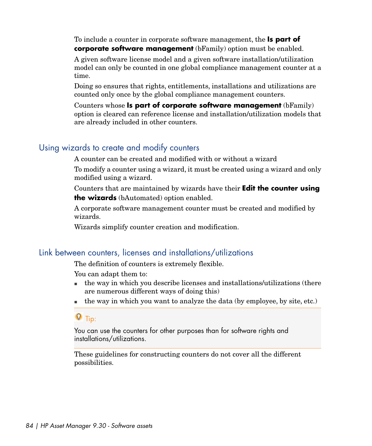To include a counter in corporate software management, the **Is part of corporate software management** (bFamily) option must be enabled.

A given software license model and a given software installation/utilization model can only be counted in one global compliance management counter at a time.

Doing so ensures that rights, entitlements, installations and utilizations are counted only once by the global compliance management counters.

Counters whose **Is part of corporate software management** (bFamily) option is cleared can reference license and installation/utilization models that are already included in other counters.

### Using wizards to create and modify counters

A counter can be created and modified with or without a wizard

To modify a counter using a wizard, it must be created using a wizard and only modified using a wizard.

Counters that are maintained by wizards have their **Edit the counter using the wizards** (bAutomated) option enabled.

A corporate software management counter must be created and modified by wizards.

Wizards simplify counter creation and modification.

### Link between counters, licenses and installations/utilizations

The definition of counters is extremely flexible.

You can adapt them to:

- $\blacksquare$  the way in which you describe licenses and installations/utilizations (there are numerous different ways of doing this)
- $\blacksquare$  the way in which you want to analyze the data (by employee, by site, etc.)

### $Q$  Tip:

You can use the counters for other purposes than for software rights and installations/utilizations.

These guidelines for constructing counters do not cover all the different possibilities.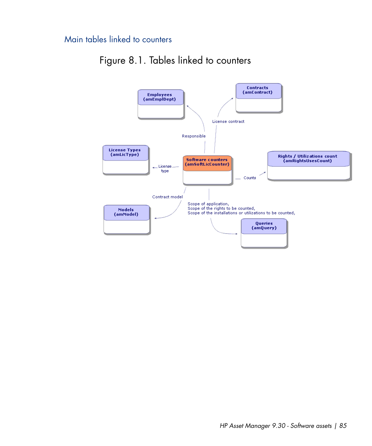### Main tables linked to counters



# Figure 8.1. Tables linked to counters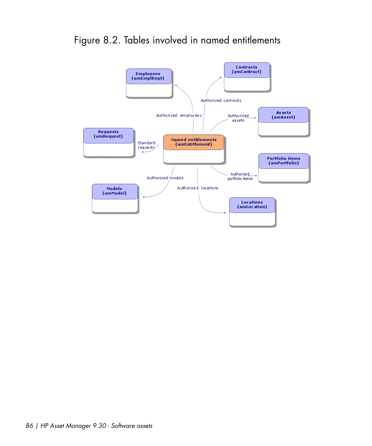

# Figure 8.2. Tables involved in named entitlements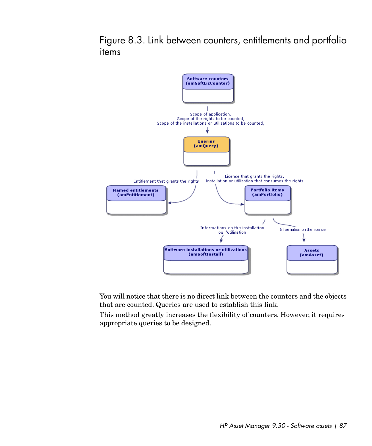Figure 8.3. Link between counters, entitlements and portfolio items



You will notice that there is no direct link between the counters and the objects that are counted. Queries are used to establish this link.

This method greatly increases the flexibility of counters. However, it requires appropriate queries to be designed.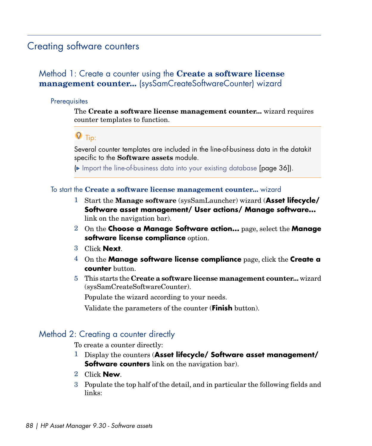### <span id="page-87-1"></span>Creating software counters

### <span id="page-87-0"></span>Method 1: Create a counter using the **Create a software license management counter...** (sysSamCreateSoftwareCounter) wizard

#### **Prerequisites**

The **Create a software license management counter...** wizard requires counter templates to function.

### $Q$  Tip:

Several counter templates are included in the line-of-business data in the datakit specific to the **Software assets** module.

( [Import the line-of-business data into your existing database](#page-35-0) [page 36]).

#### To start the **Create a software license management counter...** wizard

- 1 Start the **Manage software** (sysSamLauncher) wizard (**Asset lifecycle/ Software asset management/ User actions/ Manage software...** link on the navigation bar).
- 2 On the **Choose a Manage Software action...** page, select the **Manage software license compliance** option.
- 3 Click **Next**.
- 4 On the **Manage software license compliance** page, click the **Create a counter** button.
- <span id="page-87-2"></span>5 This starts the **Create a software license management counter...** wizard (sysSamCreateSoftwareCounter).

Populate the wizard according to your needs.

Validate the parameters of the counter (**Finish** button).

#### Method 2: Creating a counter directly

To create a counter directly:

- 1 Display the counters (**Asset lifecycle/ Software asset management/ Software counters** link on the navigation bar).
- 2 Click **New**.
- 3 Populate the top half of the detail, and in particular the following fields and links: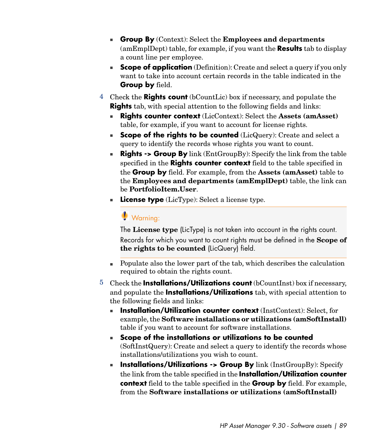- <sup>n</sup> **Group By** (Context): Select the **Employees and departments** (amEmplDept) table, for example, if you want the **Results** tab to display a count line per employee.
- **Scope of application** (Definition): Create and select a query if you only want to take into account certain records in the table indicated in the **Group by** field.
- 4 Check the **Rights count** (bCountLic) box if necessary, and populate the **Rights** tab, with special attention to the following fields and links:
	- <sup>n</sup> **Rights counter context** (LicContext): Select the **Assets (amAsset)** table, for example, if you want to account for license rights.
	- **scope of the rights to be counted** (LicQuery): Create and select a query to identify the records whose rights you want to count.
	- **Rights -> Group By** link (EntGroupBy): Specify the link from the table specified in the **Rights counter context** field to the table specified in the **Group by** field. For example, from the **Assets (amAsset)** table to the **Employees and departments (amEmplDept)** table, the link can be **PortfolioItem.User**.
	- **License type** (LicType): Select a license type.

# Warning:

The **License type** (LicType) is not taken into account in the rights count. Records for which you want to count rights must be defined in the **Scope of the rights to be counted** (LicQuery) field.

- $\blacksquare$  Populate also the lower part of the tab, which describes the calculation required to obtain the rights count.
- 5 Check the **Installations/Utilizations count** (bCountInst) box if necessary, and populate the **Installations/Utilizations** tab, with special attention to the following fields and links:
	- **n Installation/Utilization counter context** (InstContext): Select, for example, the **Software installations or utilizations (amSoftInstall)** table if you want to account for software installations.
	- <sup>n</sup> **Scope of the installations or utilizations to be counted** (SoftInstQuery): Create and select a query to identify the records whose installations/utilizations you wish to count.
	- **n Installations/Utilizations -> Group By** link (InstGroupBy): Specify the link from the table specified in the **Installation/Utilization counter context** field to the table specified in the **Group by** field. For example, from the **Software installations or utilizations (amSoftInstall)**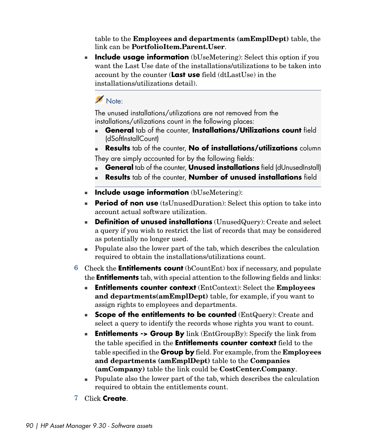table to the **Employees and departments (amEmplDept)** table, the link can be **PortfolioItem.Parent.User**.

**n Include usage information** (bUseMetering): Select this option if you want the Last Use date of the installations/utilizations to be taken into account by the counter (**Last use** field (dtLastUse) in the installations/utilizations detail).

### Note:

The unused installations/utilizations are not removed from the installations/utilizations count in the following places:

- <sup>n</sup> **General** tab of the counter, **Installations/Utilizations count** field (dSoftInstallCount)
- **Results** tab of the counter, **No of installations/utilizations** column

They are simply accounted for by the following fields:

- **General** tab of the counter, **Unused installations** field (dUnusedInstall)
- <sup>n</sup> **Results** tab of the counter, **Number of unused installations** field
- **n Include usage information** (bUseMetering):
- **Period of non use** (tsUnusedDuration): Select this option to take into account actual software utilization.
- **Pefinition of unused installations** (UnusedQuery): Create and select a query if you wish to restrict the list of records that may be considered as potentially no longer used.
- $\blacksquare$  Populate also the lower part of the tab, which describes the calculation required to obtain the installations/utilizations count.
- 6 Check the **Entitlements count** (bCountEnt) box if necessary, and populate the **Entitlements** tab, with special attention to the following fields and links:
	- <sup>n</sup> **Entitlements counter context** (EntContext): Select the **Employees and departments(amEmplDept)** table, for example, if you want to assign rights to employees and departments.
	- **Example of the entitlements to be counted** (EntQuery): Create and select a query to identify the records whose rights you want to count.
	- **Firm I Entitlements -> Group By** link (EntGroupBy): Specify the link from the table specified in the **Entitlements counter context** field to the table specified in the **Group by** field. For example, from the **Employees and departments (amEmplDept)** table to the **Companies (amCompany)** table the link could be **CostCenter.Company**.
	- $\blacksquare$  Populate also the lower part of the tab, which describes the calculation required to obtain the entitlements count.
- 7 Click **Create**.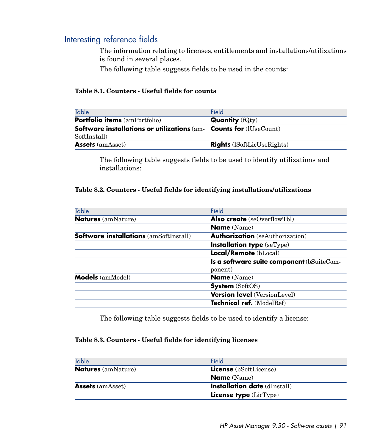### Interesting reference fields

The information relating to licenses, entitlements and installations/utilizations is found in several places.

The following table suggests fields to be used in the counts:

#### **Table 8.1. Counters - Useful fields for counts**

| Table                                                                                | Field                             |
|--------------------------------------------------------------------------------------|-----------------------------------|
| <b>Portfolio items</b> (amPortfolio)                                                 | <b>Quantity</b> $(fQtv)$          |
| <b>Software installations or utilizations</b> $(am-$ <b>Counts for</b> $(IUseCount)$ |                                   |
| SoftInstall)                                                                         |                                   |
| <b>Assets</b> (amAsset)                                                              | <b>Rights</b> (ISoftLicUseRights) |

The following table suggests fields to be used to identify utilizations and installations:

#### **Table 8.2. Counters - Useful fields for identifying installations/utilizations**

| Table                                  | Field                                     |
|----------------------------------------|-------------------------------------------|
| <b>Natures</b> (amNature)              | Also create (seOverflowTbl)               |
|                                        | <b>Name</b> (Name)                        |
| Software installations (amSoftInstall) | <b>Authorization</b> (seAuthorization)    |
|                                        | Installation type (seType)                |
|                                        | Local/Remote (bLocal)                     |
|                                        | Is a software suite component (bSuiteCom- |
|                                        | ponent)                                   |
| <b>Models</b> (amModel)                | <b>Name</b> (Name)                        |
|                                        | <b>System</b> (SoftOS)                    |
|                                        | <b>Version level</b> (VersionLevel)       |
|                                        | Technical ref. (ModelRef)                 |
|                                        |                                           |

The following table suggests fields to be used to identify a license:

#### **Table 8.3. Counters - Useful fields for identifying licenses**

| Table                     | Field                               |
|---------------------------|-------------------------------------|
| <b>Natures</b> (amNature) | <b>License</b> (bSoftLicense)       |
|                           | <b>Name</b> (Name)                  |
| <b>Assets</b> (amAsset)   | <b>Installation date</b> (dInstall) |
|                           | <b>License type</b> $(LicType)$     |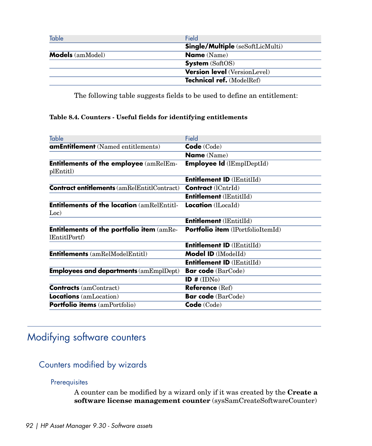| Table                   | Field                                   |
|-------------------------|-----------------------------------------|
|                         | <b>Single/Multiple</b> (seSoftLicMulti) |
| <b>Models</b> (amModel) | <b>Name</b> (Name)                      |
|                         | <b>System</b> (SoftOS)                  |
|                         | <b>Version level</b> (VersionLevel)     |
|                         | Technical ref. (ModelRef)               |

The following table suggests fields to be used to define an entitlement:

#### **Table 8.4. Counters - Useful fields for identifying entitlements**

| Table                                                             | Field                              |
|-------------------------------------------------------------------|------------------------------------|
| <b>amEntitlement</b> (Named entitlements)                         | Code (Code)                        |
|                                                                   | <b>Name</b> (Name)                 |
| <b>Entitlements of the employee</b> (amRelEm-<br>plEntitl)        | <b>Employee Id</b> $(lEmplDepthd)$ |
|                                                                   | <b>Entitlement ID (IEntitIId)</b>  |
| <b>Contract entitlements</b> (amRelEntitlContract)                | <b>Contract</b> (lCntrId)          |
|                                                                   | <b>Entitlement (IEntitIId)</b>     |
| <b>Entitlements of the location (amRelEntitl-</b><br>Loc)         | <b>Location</b> (lLocaId)          |
|                                                                   | <b>Entitlement</b> (lEntitlId)     |
| <b>Entitlements of the portfolio item (amRe-</b><br>lEntitlPortf) | Portfolio item (lPortfolioItemId)  |
|                                                                   | <b>Entitlement ID (IEntitIId)</b>  |
| <b>Entitlements</b> (amRelModelEntitl)                            | <b>Model ID</b> (IModelId)         |
|                                                                   | <b>Entitlement ID (IEntitIId)</b>  |
| <b>Employees and departments (amEmplDept)</b>                     | <b>Bar code</b> (BarCode)          |
|                                                                   | ID $# (IDNo)$                      |
| <b>Contracts</b> (amContract)                                     | <b>Reference</b> (Ref)             |
| Locations (amLocation)                                            | Bar code (BarCode)                 |
| Portfolio items (amPortfolio)                                     | Code (Code)                        |

# Modifying software counters

### Counters modified by wizards

#### **Prerequisites**

A counter can be modified by a wizard only if it was created by the **Create a software license management counter** (sysSamCreateSoftwareCounter)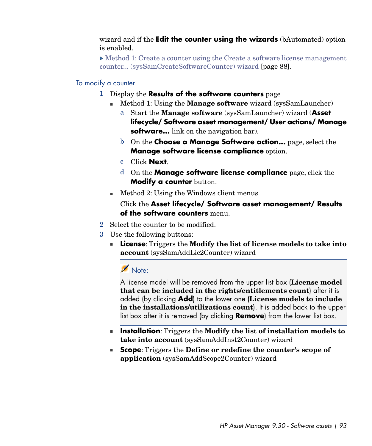wizard and if the **Edit the counter using the wizards** (bAutomated) option is enabled.

 $\triangleright$  [Method 1: Create a counter using the Create a software license management](#page-87-0) [counter... \(sysSamCreateSoftwareCounter\) wizard](#page-87-0) [page 88].

#### To modify a counter

- 1 Display the **Results of the software counters** page
	- <sup>n</sup> Method 1: Using the **Manage software** wizard (sysSamLauncher)
		- a Start the **Manage software** (sysSamLauncher) wizard (**Asset lifecycle/ Software asset management/ User actions/ Manage software...** link on the navigation bar).
		- b On the **Choose a Manage Software action...** page, select the **Manage software license compliance** option.
		- c Click **Next**.
		- d On the **Manage software license compliance** page, click the **Modify a counter** button.
	- $\blacksquare$  Method 2: Using the Windows client menus

Click the **Asset lifecycle/ Software asset management/ Results of the software counters** menu.

- 2 Select the counter to be modified.
- 3 Use the following buttons:
	- <sup>n</sup> **License**: Triggers the **Modify the list of license models to take into account** (sysSamAddLic2Counter) wizard

# Note:

A license model will be removed from the upper list box (**License model that can be included in the rights/entitlements count**) after it is added (by clicking **Add**) to the lower one (**License models to include in the installations/utilizations count**). It is added back to the upper list box after it is removed (by clicking **Remove**) from the lower list box.

- **n Installation**: Triggers the **Modify the list of installation models to take into account** (sysSamAddInst2Counter) wizard
- **Example 1 Scope**: Triggers the **Define** or redefine the counter's scope of **application** (sysSamAddScope2Counter) wizard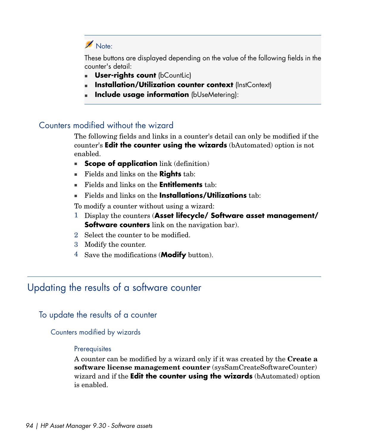### Note:

These buttons are displayed depending on the value of the following fields in the counter's detail:

- **User-rights count (bCountLic)**
- **Installation/Utilization counter context (InstContext)**
- **Include usage information** (bUseMetering):

### Counters modified without the wizard

The following fields and links in a counter's detail can only be modified if the counter's **Edit the counter using the wizards** (bAutomated) option is not enabled.

- **Example 3 Scope of application** link (definition)
- <sup>n</sup> Fields and links on the **Rights** tab:
- <sup>n</sup> Fields and links on the **Entitlements** tab:
- **Fields and links on the Installations/Utilizations** tab:

To modify a counter without using a wizard:

- 1 Display the counters (**Asset lifecycle/ Software asset management/ Software counters** link on the navigation bar).
- 2 Select the counter to be modified.
- 3 Modify the counter.
- 4 Save the modifications (**Modify** button).

### Updating the results of a software counter

#### To update the results of a counter

#### Counters modified by wizards

#### **Prerequisites**

A counter can be modified by a wizard only if it was created by the **Create a software license management counter** (sysSamCreateSoftwareCounter) wizard and if the **Edit the counter using the wizards** (bAutomated) option is enabled.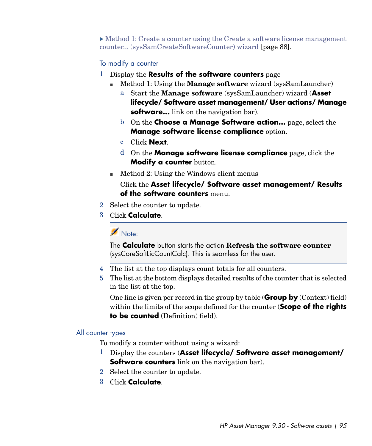$\triangleright$  [Method 1: Create a counter using the Create a software license management](#page-87-0) [counter... \(sysSamCreateSoftwareCounter\) wizard](#page-87-0) [page 88].

#### To modify a counter

- 1 Display the **Results of the software counters** page
	- <sup>n</sup> Method 1: Using the **Manage software** wizard (sysSamLauncher)
		- a Start the **Manage software** (sysSamLauncher) wizard (**Asset lifecycle/ Software asset management/ User actions/ Manage software...** link on the navigation bar).
		- b On the **Choose a Manage Software action...** page, select the **Manage software license compliance** option.
		- c Click **Next**.
		- d On the **Manage software license compliance** page, click the **Modify a counter** button.
	- $\blacksquare$  Method 2: Using the Windows client menus

Click the **Asset lifecycle/ Software asset management/ Results of the software counters** menu.

- 2 Select the counter to update.
- 3 Click **Calculate**.

# Note:

The **Calculate** button starts the action **Refresh the software counter** (sysCoreSoftLicCountCalc). This is seamless for the user.

- 4 The list at the top displays count totals for all counters.
- 5 The list at the bottom displays detailed results of the counter that is selected in the list at the top.

One line is given per record in the group by table (**Group by** (Context) field) within the limits of the scope defined for the counter (**Scope of the rights to be counted** (Definition) field).

#### All counter types

To modify a counter without using a wizard:

- 1 Display the counters (**Asset lifecycle/ Software asset management/ Software counters** link on the navigation bar).
- 2 Select the counter to update.
- 3 Click **Calculate**.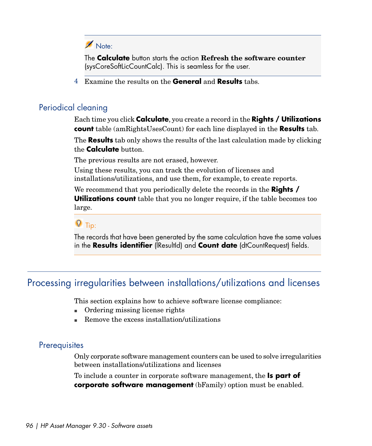## Note:

The **Calculate** button starts the action **Refresh the software counter** (sysCoreSoftLicCountCalc). This is seamless for the user.

4 Examine the results on the **General** and **Results** tabs.

#### Periodical cleaning

Each time you click **Calculate**, you create a record in the **Rights / Utilizations count** table (amRightsUsesCount) for each line displayed in the **Results** tab.

The **Results** tab only shows the results of the last calculation made by clicking the **Calculate** button.

The previous results are not erased, however.

Using these results, you can track the evolution of licenses and installations/utilizations, and use them, for example, to create reports.

We recommend that you periodically delete the records in the **Rights / Utilizations count** table that you no longer require, if the table becomes too large.

 $\overline{Q}$  Tip:

The records that have been generated by the same calculation have the same values in the **Results identifier** (lResultId) and **Count date** (dtCountRequest) fields.

### Processing irregularities between installations/utilizations and licenses

This section explains how to achieve software license compliance:

- $\blacksquare$  Ordering missing license rights
- Remove the excess installation/utilizations

### **Prerequisites**

Only corporate software management counters can be used to solve irregularities between installations/utilizations and licenses

To include a counter in corporate software management, the **Is part of corporate software management** (bFamily) option must be enabled.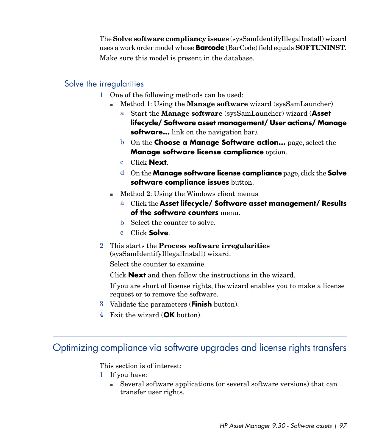The **Solve software compliancy issues** (sysSamIdentifyIllegalInstall) wizard uses a work order model whose **Barcode** (BarCode) field equals **SOFTUNINST**. Make sure this model is present in the database.

### Solve the irregularities

- 1 One of the following methods can be used:
	- <sup>n</sup> Method 1: Using the **Manage software** wizard (sysSamLauncher)
		- a Start the **Manage software** (sysSamLauncher) wizard (**Asset lifecycle/ Software asset management/ User actions/ Manage software...** link on the navigation bar).
		- b On the **Choose a Manage Software action...** page, select the **Manage software license compliance** option.
		- c Click **Next**.
		- d On the **Manage software license compliance** page, click the **Solve software compliance issues** button.
	- $\blacksquare$  Method 2: Using the Windows client menus
		- a Click the **Asset lifecycle/ Software asset management/ Results of the software counters** menu.
		- b Select the counter to solve.
		- c Click **Solve**.
- 2 This starts the **Process software irregularities** (sysSamIdentifyIllegalInstall) wizard.

Select the counter to examine.

Click **Next** and then follow the instructions in the wizard.

If you are short of license rights, the wizard enables you to make a license request or to remove the software.

- 3 Validate the parameters (**Finish** button).
- 4 Exit the wizard (**OK** button).

# Optimizing compliance via software upgrades and license rights transfers

This section is of interest:

- 1 If you have:
	- <sup>n</sup> Several software applications (or several software versions) that can transfer user rights.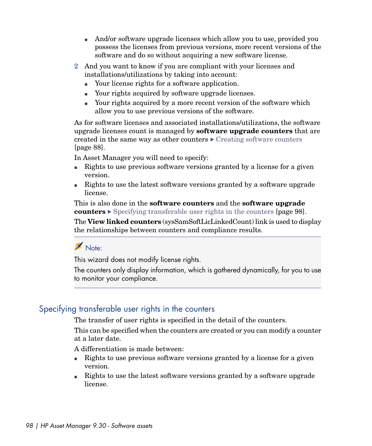- n And/or software upgrade licenses which allow you to use, provided you possess the licenses from previous versions, more recent versions of the software and do so without acquiring a new software license.
- 2 And you want to know if you are compliant with your licenses and installations/utilizations by taking into account:
	- Your license rights for a software application.
	- <sup>n</sup> Your rights acquired by software upgrade licenses.
	- <sup>n</sup> Your rights acquired by a more recent version of the software which allow you to use previous versions of the software.

As for software licenses and associated installations/utilizations, the software upgrade licenses count is managed by **software upgrade counters** that are created in the same way as other counters  $\triangleright$  [Creating software counters](#page-87-1) [page 88].

In Asset Manager you will need to specify:

- <sup>n</sup> Rights to use previous software versions granted by a license for a given version.
- n Rights to use the latest software versions granted by a software upgrade license.

This is also done in the **software counters** and the **software upgrade counters**  $\triangleright$  [Specifying transferable user rights in the counters](#page-97-0) [page 98].

The **View linked counters** (sysSamSoftLicLinkedCount) link is used to display the relationships between counters and compliance results.

## Note:

<span id="page-97-0"></span>This wizard does not modify license rights.

The counters only display information, which is gathered dynamically, for you to use to monitor your compliance.

### Specifying transferable user rights in the counters

The transfer of user rights is specified in the detail of the counters.

This can be specified when the counters are created or you can modify a counter at a later date.

A differentiation is made between:

- <sup>n</sup> Rights to use previous software versions granted by a license for a given version.
- n Rights to use the latest software versions granted by a software upgrade license.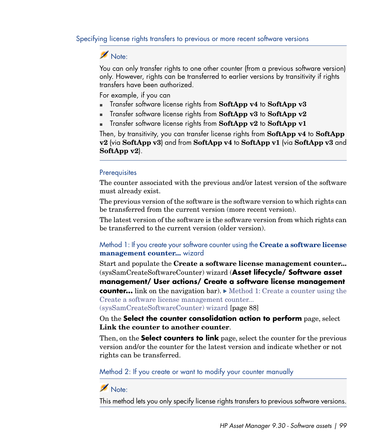Specifying license rights transfers to previous or more recent software versions

### Note:

You can only transfer rights to one other counter (from a previous software version) only. However, rights can be transferred to earlier versions by transitivity if rights transfers have been authorized.

For example, if you can

- **n** Transfer software license rights from **SoftApp v4** to **SoftApp v3**
- <sup>n</sup> Transfer software license rights from **SoftApp v3** to **SoftApp v2**
- **n** Transfer software license rights from **SoftApp v2** to **SoftApp v1**

Then, by transitivity, you can transfer license rights from **SoftApp v4** to **SoftApp v2** (via **SoftApp v3**) and from **SoftApp v4** to **SoftApp v1** (via **SoftApp v3** and **SoftApp v2**).

#### **Prerequisites**

The counter associated with the previous and/or latest version of the software must already exist.

The previous version of the software is the software version to which rights can be transferred from the current version (more recent version).

The latest version of the software is the software version from which rights can be transferred to the current version (older version).

#### Method 1: If you create your software counter using the **Create a software license management counter...** wizard

Start and populate the **Create a software license management counter...** (sysSamCreateSoftwareCounter) wizard (**Asset lifecycle/ Software asset management/ User actions/ Create a software license management counter...** link on the navigation bar). [Method 1: Create a counter using the](#page-87-0) [Create a software license management counter...](#page-87-0) [\(sysSamCreateSoftwareCounter\) wizard](#page-87-0) [page 88]

On the **Select the counter consolidation action to perform** page, select **Link the counter to another counter**.

Then, on the **Select counters to link** page, select the counter for the previous version and/or the counter for the latest version and indicate whether or not rights can be transferred.

Method 2: If you create or want to modify your counter manually

### Note:

This method lets you only specify license rights transfers to previous software versions.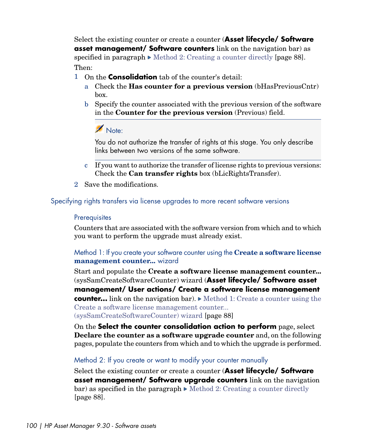Select the existing counter or create a counter (**Asset lifecycle/ Software asset management/ Software counters** link on the navigation bar) as specified in paragraph  $\triangleright$  [Method 2: Creating a counter directly](#page-87-2) [page 88]. Then:

- 1 On the **Consolidation** tab of the counter's detail:
	- a Check the **Has counter for a previous version** (bHasPreviousCntr) box.
	- b Specify the counter associated with the previous version of the software in the **Counter for the previous version** (Previous) field.

### Note:

You do not authorize the transfer of rights at this stage. You only describe links between two versions of the same software.

- c If you want to authorize the transfer of license rights to previous versions: Check the **Can transfer rights** box (bLicRightsTransfer).
- <span id="page-99-0"></span>2 Save the modifications.

#### Specifying rights transfers via license upgrades to more recent software versions

#### **Prerequisites**

Counters that are associated with the software version from which and to which you want to perform the upgrade must already exist.

#### Method 1: If you create your software counter using the **Create a software license management counter...** wizard

Start and populate the **Create a software license management counter...** (sysSamCreateSoftwareCounter) wizard (**Asset lifecycle/ Software asset management/ User actions/ Create a software license management counter...** link on the navigation bar). [Method 1: Create a counter using the](#page-87-0) [Create a software license management counter...](#page-87-0) [\(sysSamCreateSoftwareCounter\) wizard](#page-87-0) [page 88]

On the **Select the counter consolidation action to perform** page, select **Declare the counter as a software upgrade counter** and, on the following pages, populate the counters from which and to which the upgrade is performed.

#### Method 2: If you create or want to modify your counter manually

Select the existing counter or create a counter (**Asset lifecycle/ Software asset management/ Software upgrade counters** link on the navigation  $bar)$  as specified in the paragraph  $\blacktriangleright$  [Method 2: Creating a counter directly](#page-87-2) [page 88].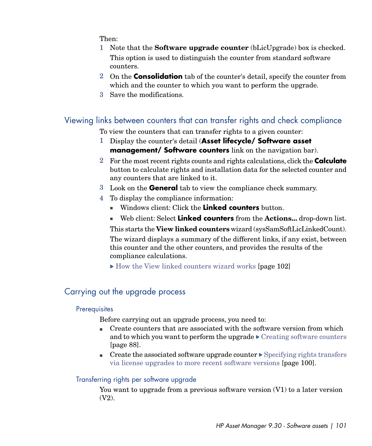Then:

- 1 Note that the **Software upgrade counter** (bLicUpgrade) box is checked. This option is used to distinguish the counter from standard software counters.
- 2 On the **Consolidation** tab of the counter's detail, specify the counter from which and the counter to which you want to perform the upgrade.
- 3 Save the modifications.

### Viewing links between counters that can transfer rights and check compliance

To view the counters that can transfer rights to a given counter:

- 1 Display the counter's detail (**Asset lifecycle/ Software asset management/ Software counters** link on the navigation bar).
- 2 For the most recent rights counts and rights calculations, click the **Calculate** button to calculate rights and installation data for the selected counter and any counters that are linked to it.
- 3 Look on the **General** tab to view the compliance check summary.
- 4 To display the compliance information:
	- **n** Windows client: Click the **Linked counters** button.
	- <sup>n</sup> Web client: Select **Linked counters** from the **Actions...** drop-down list.

This starts the **View linked counters** wizard (sysSamSoftLicLinkedCount).

The wizard displays a summary of the different links, if any exist, between this counter and the other counters, and provides the results of the compliance calculations.

 $\triangleright$  [How the View linked counters wizard works](#page-101-0) [page 102]

### Carrying out the upgrade process

#### **Prerequisites**

Before carrying out an upgrade process, you need to:

- <span id="page-100-0"></span><sup>n</sup> Create counters that are associated with the software version from which and to which you want to perform the upgrade  $\triangleright$  [Creating software counters](#page-87-1) [page 88].
- **n** Create the associated software upgrade counter  $\triangleright$  [Specifying rights transfers](#page-99-0) [via license upgrades to more recent software versions](#page-99-0) [page 100].

#### Transferring rights per software upgrade

You want to upgrade from a previous software version (V1) to a later version (V2).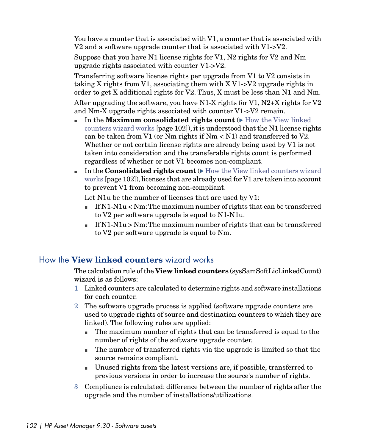You have a counter that is associated with V1, a counter that is associated with V2 and a software upgrade counter that is associated with V1->V2.

Suppose that you have N1 license rights for V1, N2 rights for V2 and Nm upgrade rights associated with counter V1->V2.

Transferring software license rights per upgrade from V1 to V2 consists in taking X rights from V1, associating them with X V1->V2 upgrade rights in order to get X additional rights for V2. Thus, X must be less than N1 and Nm.

After upgrading the software, you have N1-X rights for V1, N2+X rights for V2 and Nm-X upgrade rights associated with counter V1->V2 remain.

- $\blacksquare$  In the **Maximum consolidated rights count** ( $\blacktriangleright$  [How the View linked](#page-101-0) [counters wizard works](#page-101-0) [page 102]), it is understood that the N1 license rights can be taken from V1 (or Nm rights if  $Nm < N1$ ) and transferred to V2. Whether or not certain license rights are already being used by V1 is not taken into consideration and the transferable rights count is performed regardless of whether or not V1 becomes non-compliant.
- n In the **Consolidated rights count** ( $\triangleright$  [How the View linked counters wizard](#page-101-0) [works](#page-101-0) [page 102]), licenses that are already used for V1 are taken into account to prevent V1 from becoming non-compliant.

Let N1u be the number of licenses that are used by V1:

- $\blacksquare$  If N1-N1u < Nm: The maximum number of rights that can be transferred to V2 per software upgrade is equal to N1-N1u.
- <span id="page-101-0"></span> $\blacksquare$  If N1-N1u > Nm: The maximum number of rights that can be transferred to V2 per software upgrade is equal to Nm.

### How the **View linked counters** wizard works

The calculation rule of the **View linked counters** (sysSamSoftLicLinkedCount) wizard is as follows:

- 1 Linked counters are calculated to determine rights and software installations for each counter.
- 2 The software upgrade process is applied (software upgrade counters are used to upgrade rights of source and destination counters to which they are linked). The following rules are applied:
	- n The maximum number of rights that can be transferred is equal to the number of rights of the software upgrade counter.
	- <sup>n</sup> The number of transferred rights via the upgrade is limited so that the source remains compliant.
	- <sup>n</sup> Unused rights from the latest versions are, if possible, transferred to previous versions in order to increase the source's number of rights.
- 3 Compliance is calculated: difference between the number of rights after the upgrade and the number of installations/utilizations.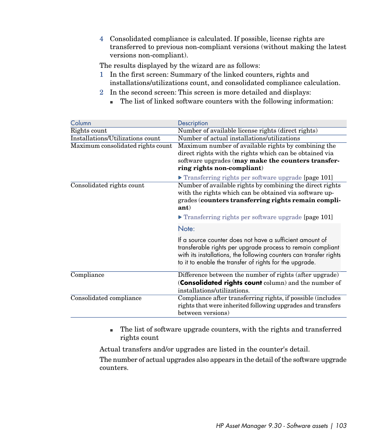4 Consolidated compliance is calculated. If possible, license rights are transferred to previous non-compliant versions (without making the latest versions non-compliant).

The results displayed by the wizard are as follows:

- 1 In the first screen: Summary of the linked counters, rights and installations/utilizations count, and consolidated compliance calculation.
- 2 In the second screen: This screen is more detailed and displays:
	- n The list of linked software counters with the following information:

| Column                            | Description                                                                                                                                                                                                                                              |
|-----------------------------------|----------------------------------------------------------------------------------------------------------------------------------------------------------------------------------------------------------------------------------------------------------|
| Rights count                      | Number of available license rights (direct rights)                                                                                                                                                                                                       |
| Installations/Utilizations count  | Number of actual installations/utilizations                                                                                                                                                                                                              |
| Maximum consolidated rights count | Maximum number of available rights by combining the                                                                                                                                                                                                      |
|                                   | direct rights with the rights which can be obtained via                                                                                                                                                                                                  |
|                                   | software upgrades (may make the counters transfer-                                                                                                                                                                                                       |
|                                   | ring rights non-compliant)                                                                                                                                                                                                                               |
|                                   | Transferring rights per software upgrade [page 101]                                                                                                                                                                                                      |
| Consolidated rights count         | Number of available rights by combining the direct rights<br>with the rights which can be obtained via software up-<br>grades (counters transferring rights remain compli-<br>ant)                                                                       |
|                                   | $\triangleright$ Transferring rights per software upgrade [page 101]                                                                                                                                                                                     |
|                                   | Note:                                                                                                                                                                                                                                                    |
|                                   | If a source counter does not have a sufficient amount of<br>transferable rights per upgrade process to remain compliant<br>with its installations, the following counters can transfer rights<br>to it to enable the transfer of rights for the upgrade. |
| Compliance                        | Difference between the number of rights (after upgrade)                                                                                                                                                                                                  |
|                                   | (Consolidated rights count column) and the number of                                                                                                                                                                                                     |
|                                   | installations/utilizations.                                                                                                                                                                                                                              |
| Consolidated compliance           | Compliance after transferring rights, if possible (includes<br>rights that were inherited following upgrades and transfers<br>between versions)                                                                                                          |

n The list of software upgrade counters, with the rights and transferred rights count

Actual transfers and/or upgrades are listed in the counter's detail.

The number of actual upgrades also appears in the detail of the software upgrade counters.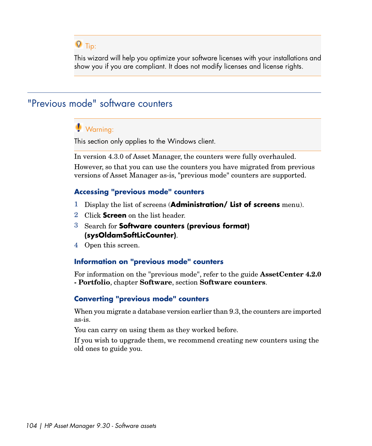# $Q$  Tip:

This wizard will help you optimize your software licenses with your installations and show you if you are compliant. It does not modify licenses and license rights.

# "Previous mode" software counters

### Warning:

This section only applies to the Windows client.

In version 4.3.0 of Asset Manager, the counters were fully overhauled. However, so that you can use the counters you have migrated from previous versions of Asset Manager as-is, "previous mode" counters are supported.

#### **Accessing "previous mode" counters**

- 1 Display the list of screens (**Administration/ List of screens** menu).
- 2 Click **Screen** on the list header.
- 3 Search for **Software counters (previous format) (sysOldamSoftLicCounter)**.
- 4 Open this screen.

#### **Information on "previous mode" counters**

For information on the "previous mode", refer to the guide **AssetCenter 4.2.0 - Portfolio**, chapter **Software**, section **Software counters**.

#### **Converting "previous mode" counters**

When you migrate a database version earlier than 9.3, the counters are imported as-is.

You can carry on using them as they worked before.

If you wish to upgrade them, we recommend creating new counters using the old ones to guide you.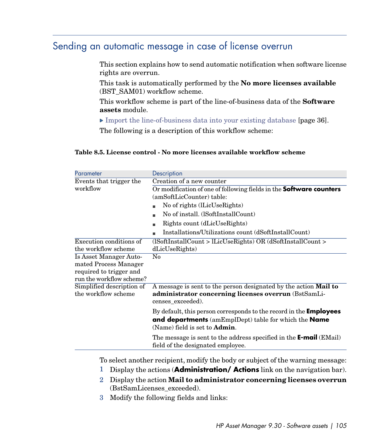# Sending an automatic message in case of license overrun

<span id="page-104-0"></span>This section explains how to send automatic notification when software license rights are overrun.

This task is automatically performed by the **No more licenses available** (BST\_SAM01) workflow scheme.

This workflow scheme is part of the line-of-business data of the **Software assets** module.

[Import the line-of-business data into your existing database](#page-35-0) [page 36].

The following is a description of this workflow scheme:

#### **Table 8.5. License control - No more licenses available workflow scheme**

| Parameter                                        | Description                                                                                                                                          |
|--------------------------------------------------|------------------------------------------------------------------------------------------------------------------------------------------------------|
| Events that trigger the                          | Creation of a new counter                                                                                                                            |
| workflow                                         | Or modification of one of following fields in the Software counters                                                                                  |
|                                                  | (amSoftLicCounter) table:                                                                                                                            |
|                                                  | No of rights (lLicUseRights)                                                                                                                         |
|                                                  | No of install. (ISoftInstallCount)                                                                                                                   |
|                                                  | Rights count (dLicUseRights)                                                                                                                         |
|                                                  | Installations/Utilizations count (dSoftInstallCount)                                                                                                 |
| Execution conditions of                          | (ISoftInstallCount > lLicUseRights) OR (dSoftInstallCount >                                                                                          |
| the workflow scheme                              | dLicUseRights)                                                                                                                                       |
| Is Asset Manager Auto-                           | $\rm No$                                                                                                                                             |
| mated Process Manager                            |                                                                                                                                                      |
| required to trigger and                          |                                                                                                                                                      |
| run the workflow scheme?                         |                                                                                                                                                      |
| Simplified description of<br>the workflow scheme | A message is sent to the person designated by the action <b>Mail to</b><br>administrator concerning licenses overrun (BstSamLi-<br>censes exceeded). |
|                                                  | By default, this person corresponds to the record in the <b>Employees</b>                                                                            |
|                                                  | <b>and departments</b> (amEmplDept) table for which the <b>Name</b><br>(Name) field is set to <b>Admin</b> .                                         |
|                                                  | The message is sent to the address specified in the <b>E-mail</b> (EMail)<br>field of the designated employee.                                       |

To select another recipient, modify the body or subject of the warning message:

- 1 Display the actions (**Administration/ Actions** link on the navigation bar).
- 2 Display the action **Mail to administrator concerning licenses overrun** (BstSamLicenses\_exceeded).
- 3 Modify the following fields and links: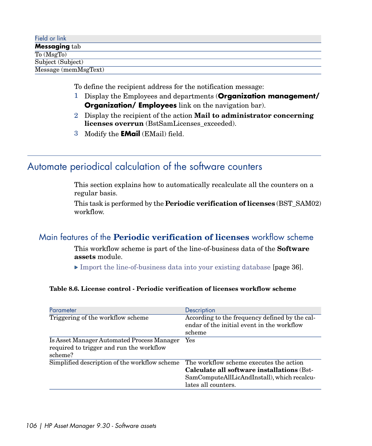| Field or link                         |  |
|---------------------------------------|--|
| <b>Messaging tab</b>                  |  |
| $\overline{\text{To}(\text{MsgT}_0)}$ |  |
| Subject (Subject)                     |  |
| Message (memMsgText)                  |  |

To define the recipient address for the notification message:

- 1 Display the Employees and departments (**Organization management/ Organization/ Employees** link on the navigation bar).
- 2 Display the recipient of the action **Mail to administrator concerning licenses overrun** (BstSamLicenses\_exceeded).
- 3 Modify the **EMail** (EMail) field.

# Automate periodical calculation of the software counters

This section explains how to automatically recalculate all the counters on a regular basis.

This task is performed by the **Periodic verification of licenses** (BST\_SAM02) workflow.

### Main features of the **Periodic verification of licenses** workflow scheme

This workflow scheme is part of the line-of-business data of the **Software assets** module.

[Import the line-of-business data into your existing database](#page-35-0) [page 36].

#### **Table 8.6. License control - Periodic verification of licenses workflow scheme**

| Parameter                                                                                         | Description                                                                                                                                                 |
|---------------------------------------------------------------------------------------------------|-------------------------------------------------------------------------------------------------------------------------------------------------------------|
| Triggering of the workflow scheme                                                                 | According to the frequency defined by the cal-<br>endar of the initial event in the workflow<br>scheme                                                      |
| Is Asset Manager Automated Process Manager<br>required to trigger and run the workflow<br>scheme? | Yes                                                                                                                                                         |
| Simplified description of the workflow scheme                                                     | The workflow scheme executes the action<br>Calculate all software installations (Bst-<br>SamComputeAllLicAndInstall), which recalcu-<br>lates all counters. |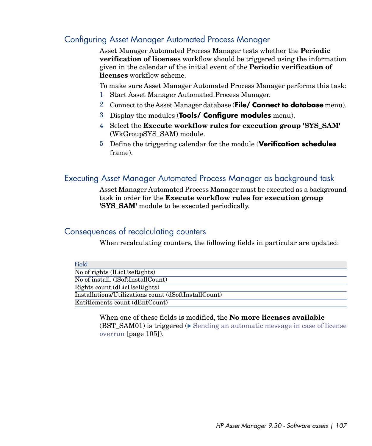### Configuring Asset Manager Automated Process Manager

Asset Manager Automated Process Manager tests whether the **Periodic verification of licenses** workflow should be triggered using the information given in the calendar of the initial event of the **Periodic verification of licenses** workflow scheme.

To make sure Asset Manager Automated Process Manager performs this task:

- 1 Start Asset Manager Automated Process Manager.
- 2 Connect to the Asset Manager database (**File/ Connect to database** menu).
- 3 Display the modules (**Tools/ Configure modules** menu).
- 4 Select the **Execute workflow rules for execution group 'SYS\_SAM'** (WkGroupSYS\_SAM) module.
- 5 Define the triggering calendar for the module (**Verification schedules** frame).

### Executing Asset Manager Automated Process Manager as background task

Asset Manager Automated Process Manager must be executed as a background task in order for the **Execute workflow rules for execution group 'SYS\_SAM'** module to be executed periodically.

#### Consequences of recalculating counters

When recalculating counters, the following fields in particular are updated:

| Field                                                |
|------------------------------------------------------|
| No of rights (lLicUseRights)                         |
| No of install. (ISoftInstallCount)                   |
| Rights count (dLicUseRights)                         |
| Installations/Utilizations count (dSoftInstallCount) |
| Entitlements count (dEntCount)                       |

When one of these fields is modified, the **No more licenses available** (BST SAM01) is triggered ( $\triangleright$  [Sending an automatic message in case of license](#page-104-0) [overrun](#page-104-0) [page 105]).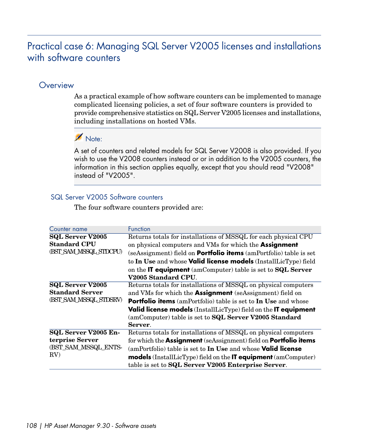# Practical case 6: Managing SQL Server V2005 licenses and installations with software counters

### **Overview**

As a practical example of how software counters can be implemented to manage complicated licensing policies, a set of four software counters is provided to provide comprehensive statistics on SQL Server V2005 licenses and installations, including installations on hosted VMs.

# Note:

A set of counters and related models for SQL Server V2008 is also provided. If you wish to use the V2008 counters instead or or in addition to the V2005 counters, the information in this section applies equally, except that you should read "V2008" instead of "V2005".

#### SQL Server V2005 Software counters

The four software counters provided are:

| Counter name                                     | Function                                                                       |
|--------------------------------------------------|--------------------------------------------------------------------------------|
| <b>SQL Server V2005</b>                          | Returns totals for installations of MSSQL for each physical CPU                |
| <b>Standard CPU</b>                              | on physical computers and VMs for which the <b>Assignment</b>                  |
| (BST_SAM_MSSQL_STDCPU)                           | (seAssignment) field on <b>Portfolio items</b> (amPortfolio) table is set      |
|                                                  | to In Use and whose <b>Valid license models</b> (InstallLicType) field         |
|                                                  | on the IT equipment (amComputer) table is set to SQL Server                    |
|                                                  | V2005 Standard CPU.                                                            |
| <b>SQL Server V2005</b>                          | Returns totals for installations of MSSQL on physical computers                |
| <b>Standard Server</b><br>(BST SAM MSSQL STDSRV) | and VMs for which the <b>Assignment</b> (seAssignment) field on                |
|                                                  | <b>Portfolio items</b> (amPortfolio) table is set to In Use and whose          |
|                                                  | Valid license models (InstallLicType) field on the IT equipment                |
|                                                  | (amComputer) table is set to <b>SQL Server V2005 Standard</b>                  |
|                                                  | Server.                                                                        |
| SQL Server V2005 En-                             | Returns totals for installations of MSSQL on physical computers                |
| terprise Server<br>(BST_SAM_MSSQL_ENTS-<br>RV    | for which the <b>Assignment</b> (seAssignment) field on <b>Portfolio items</b> |
|                                                  | $\alpha$ (amPortfolio) table is set to In Use and whose <b>Valid license</b>   |
|                                                  | <b>models</b> (InstallLicType) field on the <b>IT equipment</b> (amComputer)   |
|                                                  | table is set to SQL Server V2005 Enterprise Server.                            |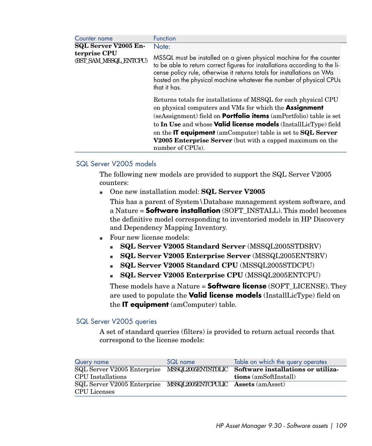| Counter name                           | <b>Function</b>                                                                                                                                                                                                                                                                                                                                                                                                                                        |
|----------------------------------------|--------------------------------------------------------------------------------------------------------------------------------------------------------------------------------------------------------------------------------------------------------------------------------------------------------------------------------------------------------------------------------------------------------------------------------------------------------|
| <b>SQL Server V2005 En-</b>            | Note:                                                                                                                                                                                                                                                                                                                                                                                                                                                  |
| terprise CPU<br>(BST SAM MSSQL ENTCPU) | MSSQL must be installed on a given physical machine for the counter<br>to be able to return correct figures for installations according to the li-<br>cense policy rule, otherwise it returns totals for installations on VMs<br>hosted on the physical machine whatever the number of physical CPUs<br>that it has.                                                                                                                                   |
|                                        | Returns totals for installations of MSSQL for each physical CPU<br>on physical computers and VMs for which the Assignment<br>(seAssignment) field on <b>Portfolio items</b> (amPortfolio) table is set<br>to In Use and whose Valid license models (InstallLicType) field<br>on the $\mathsf{IT}$ equipment (amComputer) table is set to $\mathbf{SQL}$ Server<br><b>V2005 Enterprise Server</b> (but with a capped maximum on the<br>number of CPUs). |

#### SQL Server V2005 models

The following new models are provided to support the SQL Server V2005 counters:

<sup>n</sup> One new installation model: **SQL Server V2005**

This has a parent of System\Database management system software, and a Nature = **Software installation** (SOFT\_INSTALL). This model becomes the definitive model corresponding to inventoried models in HP Discovery and Dependency Mapping Inventory.

- Four new license models:
	- <sup>n</sup> **SQL Server V2005 Standard Server** (MSSQL2005STDSRV)
	- <sup>n</sup> **SQL Server V2005 Enterprise Server** (MSSQL2005ENTSRV)
	- <sup>n</sup> **SQL Server V2005 Standard CPU** (MSSQL2005STDCPU)
	- **SQL Server V2005 Enterprise CPU** (MSSQL2005ENTCPU)

These models have a Nature = **Software license** (SOFT\_LICENSE). They are used to populate the **Valid license models** (InstallLicType) field on the **IT equipment** (amComputer) table.

#### SQL Server V2005 queries

A set of standard queries (filters) is provided to return actual records that correspond to the license models:

| Query name                                                      | SQL name | Table on which the query operates                                                 |
|-----------------------------------------------------------------|----------|-----------------------------------------------------------------------------------|
|                                                                 |          | SQL Server V2005 Enterprise MSSQL2005ENISIDLIC Software installations or utiliza- |
| CPU Installations                                               |          | <b>tions</b> (amSoftInstall)                                                      |
| SQL Server V2005 Enterprise MSSQL2005ENTCPULIC Assets (amAsset) |          |                                                                                   |
| <b>CPU</b> Licenses                                             |          |                                                                                   |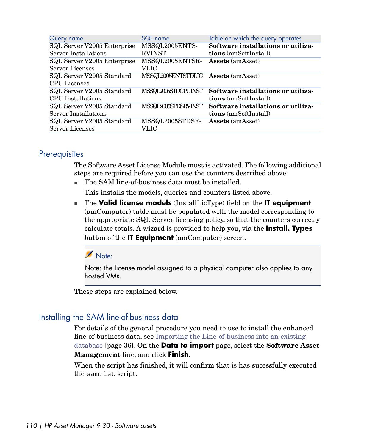| Query name                  | SQL name                            | Table on which the query operates  |
|-----------------------------|-------------------------------------|------------------------------------|
| SQL Server V2005 Enterprise | MSSQL2005ENTS-                      | Software installations or utiliza- |
| Server Installations        | <b>RVINST</b>                       | <b>tions</b> (amSoftInstall)       |
| SQL Server V2005 Enterprise | MSSQL2005ENTSR-                     | <b>Assets</b> (amAsset)            |
| Server Licenses             | VLIC                                |                                    |
| SQL Server V2005 Standard   | MSSQL2005ENTSTDLIC Assets (amAsset) |                                    |
| <b>CPU</b> Licenses         |                                     |                                    |
| SQL Server V2005 Standard   | MSSQL2005STDCPUINST                 | Software installations or utiliza- |
| CPU Installations           |                                     | <b>tions</b> (amSoftInstall)       |
| SQL Server V2005 Standard   | MSSQL2005STDSRVINST                 | Software installations or utiliza- |
| Server Installations        |                                     | <b>tions</b> (amSoftInstall)       |
| SQL Server V2005 Standard   | MSSQL2005STDSR-                     | <b>Assets</b> (amAsset)            |
| <b>Server Licenses</b>      | VLIC                                |                                    |

## **Prerequisites**

The Software Asset License Module must is activated. The following additional steps are required before you can use the counters described above:

- n The SAM line-of-business data must be installed. This installs the models, queries and counters listed above.
- <sup>n</sup> The **Valid license models** (InstallLicType) field on the **IT equipment** (amComputer) table must be populated with the model corresponding to the appropriate SQL Server licensing policy, so that the counters correctly calculate totals. A wizard is provided to help you, via the **Install. Types** button of the **IT Equipment** (amComputer) screen.

# Note:

Note: the license model assigned to a physical computer also applies to any hosted VMs.

These steps are explained below.

# Installing the SAM line-of-business data

For details of the general procedure you need to use to install the enhanced line-of-business data, see [Importing the Line-of-business into an existing](#page-35-0) [database](#page-35-0) [page 36]. On the **Data to import** page, select the **Software Asset Management** line, and click **Finish**.

When the script has finished, it will confirm that is has sucessfully executed the sam.lst script.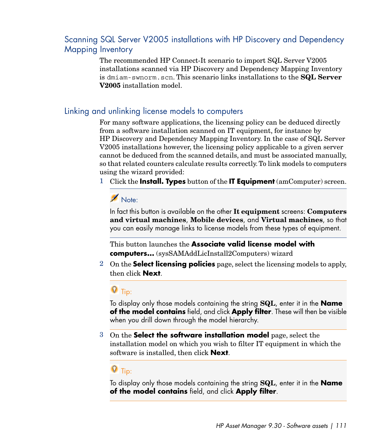# Scanning SQL Server V2005 installations with HP Discovery and Dependency Mapping Inventory

The recommended HP Connect-It scenario to import SQL Server V2005 installations scanned via HP Discovery and Dependency Mapping Inventory is dmiam-swnorm.scn. This scenario links installations to the **SQL Server V2005** installation model.

## Linking and unlinking license models to computers

For many software applications, the licensing policy can be deduced directly from a software installation scanned on IT equipment, for instance by HP Discovery and Dependency Mapping Inventory. In the case of SQL Server V2005 installations however, the licensing policy applicable to a given server cannot be deduced from the scanned details, and must be associated manually, so that related counters calculate results correctly. To link models to computers using the wizard provided:

1 Click the **Install. Types** button of the **IT Equipment** (amComputer) screen.

# Note:

In fact this button is available on the other **It equipment** screens: **Computers and virtual machines**, **Mobile devices**, and **Virtual machines**, so that you can easily manage links to license models from these types of equipment.

This button launches the **Associate valid license model with computers...** (sysSAMAddLicInstall2Computers) wizard

2 On the **Select licensing policies** page, select the licensing models to apply, then click **Next**.

# **Q** Tip:

To display only those models containing the string **SQL**, enter it in the **Name of the model contains** field, and click **Apply filter**. These will then be visible when you drill down through the model hierarchy.

3 On the **Select the software installation model** page, select the installation model on which you wish to filter IT equipment in which the software is installed, then click **Next**.

# $Q$  Tip:

To display only those models containing the string **SQL**, enter it in the **Name of the model contains** field, and click **Apply filter**.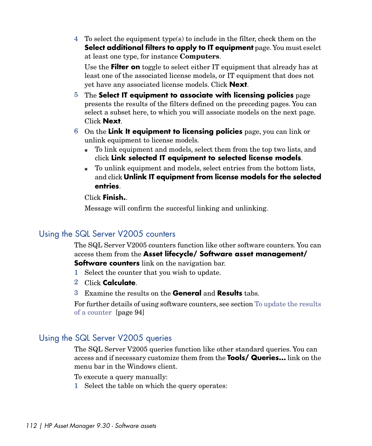4 To select the equipment type(s) to include in the filter, check them on the **Select additional filters to apply to IT equipment** page. You must eselct at least one type, for instance **Computers**.

Use the **Filter on** toggle to select either IT equipment that already has at least one of the associated license models, or IT equipment that does not yet have any associated license models. Click **Next**.

- 5 The **Select IT equipment to associate with licensing policies** page presents the results of the filters defined on the preceding pages. You can select a subset here, to which you will associate models on the next page. Click **Next**.
- 6 On the **Link It equipment to licensing policies** page, you can link or unlink equipment to license models.
	- <sup>n</sup> To link equipment and models, select them from the top two lists, and click **Link selected IT equipment to selected license models**.
	- <sup>n</sup> To unlink equipment and models, select entries from the bottom lists, and click **Unlink IT equipment from license models for the selected entries**.

#### Click **Finish.**.

Message will confirm the succesful linking and unlinking.

# Using the SQL Server V2005 counters

The SQL Server V2005 counters function like other software counters. You can access them from the **Asset lifecycle/ Software asset management/ Software counters** link on the navigation bar.

- 1 Select the counter that you wish to update.
- 2 Click **Calculate**.
- 3 Examine the results on the **General** and **Results** tabs.

For further details of using software counters, see section [To update the results](#page-93-0) [of a counter](#page-93-0) [page 94]

# Using the SQL Server V2005 queries

The SQL Server V2005 queries function like other standard queries. You can access and if necessary customize them from the **Tools/ Queries...** link on the menu bar in the Windows client.

To execute a query manually:

1 Select the table on which the query operates: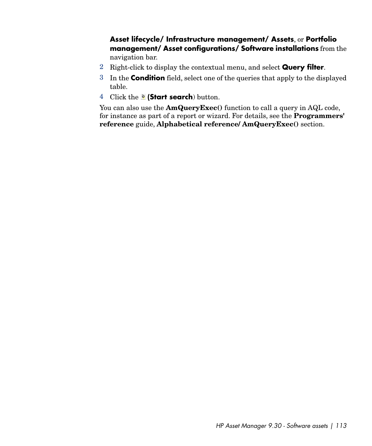**Asset lifecycle/ Infrastructure management/ Assets**, or **Portfolio management/ Asset configurations/ Software installations** from the navigation bar.

- 2 Right-click to display the contextual menu, and select **Query filter**.
- 3 In the **Condition** field, select one of the queries that apply to the displayed table.
- 4 Click the *e* (Start search) button.

You can also use the **AmQueryExec**() function to call a query in AQL code, for instance as part of a report or wizard. For details, see the **Programmers' reference** guide, **Alphabetical reference/ AmQueryExec()** section.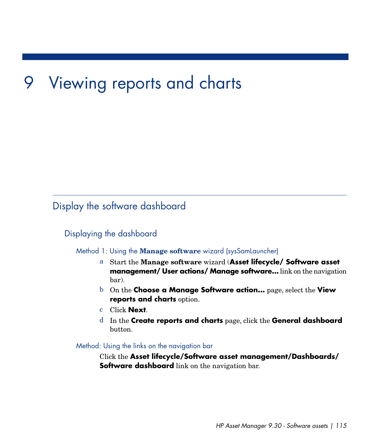# 9 Viewing reports and charts

# Display the software dashboard

# Displaying the dashboard

#### Method 1: Using the **Manage software** wizard (sysSamLauncher)

- a Start the **Manage software** wizard (**Asset lifecycle/ Software asset management/ User actions/ Manage software...** link on the navigation bar).
- b On the **Choose a Manage Software action...** page, select the **View reports and charts** option.
- c Click **Next**.
- d In the **Create reports and charts** page, click the **General dashboard** button.

Method: Using the links on the navigation bar

Click the **Asset lifecycle/Software asset management/Dashboards/ Software dashboard** link on the navigation bar.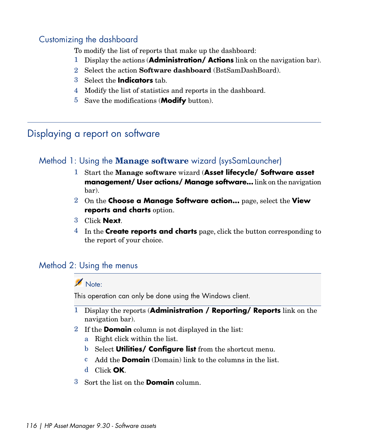# Customizing the dashboard

To modify the list of reports that make up the dashboard:

- 1 Display the actions (**Administration/ Actions** link on the navigation bar).
- 2 Select the action **Software dashboard** (BstSamDashBoard).
- 3 Select the **Indicators** tab.
- 4 Modify the list of statistics and reports in the dashboard.
- 5 Save the modifications (**Modify** button).

# Displaying a report on software

# Method 1: Using the **Manage software** wizard (sysSamLauncher)

- 1 Start the **Manage software** wizard (**Asset lifecycle/ Software asset management/ User actions/ Manage software...** link on the navigation bar).
- 2 On the **Choose a Manage Software action...** page, select the **View reports and charts** option.
- 3 Click **Next**.
- 4 In the **Create reports and charts** page, click the button corresponding to the report of your choice.

# Method 2: Using the menus

# Note:

This operation can only be done using the Windows client.

- 1 Display the reports (**Administration / Reporting/ Reports** link on the navigation bar).
- 2 If the **Domain** column is not displayed in the list:
	- a Right click within the list.
	- b Select **Utilities/ Configure list** from the shortcut menu.
	- c Add the **Domain** (Domain) link to the columns in the list.
	- d Click **OK**.
- 3 Sort the list on the **Domain** column.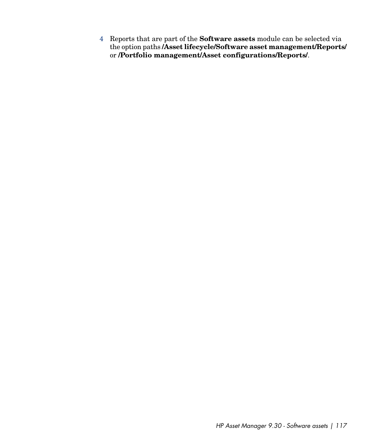4 Reports that are part of the **Software assets** module can be selected via the option paths **/Asset lifecycle/Software asset management/Reports/** or **/Portfolio management/Asset configurations/Reports/**.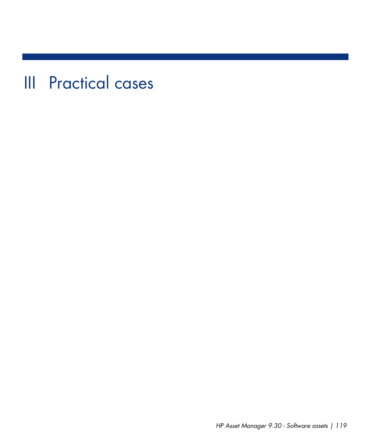III Practical cases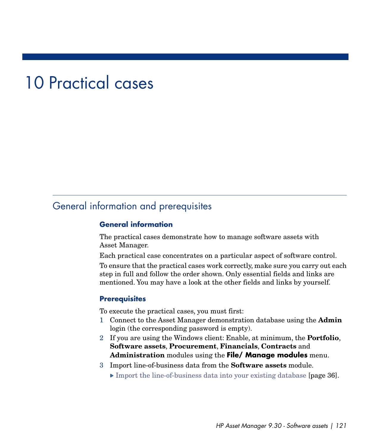# 10 Practical cases

# General information and prerequisites

#### **General information**

The practical cases demonstrate how to manage software assets with Asset Manager.

Each practical case concentrates on a particular aspect of software control.

To ensure that the practical cases work correctly, make sure you carry out each step in full and follow the order shown. Only essential fields and links are mentioned. You may have a look at the other fields and links by yourself.

#### **Prerequisites**

To execute the practical cases, you must first:

- 1 Connect to the Asset Manager demonstration database using the **Admin** login (the corresponding password is empty).
- 2 If you are using the Windows client: Enable, at minimum, the **Portfolio**, **Software assets**, **Procurement**, **Financials**, **Contracts** and **Administration** modules using the **File/ Manage modules** menu.
- 3 Import line-of-business data from the **Software assets** module.
	- [Import the line-of-business data into your existing database](#page-35-1) [page 36].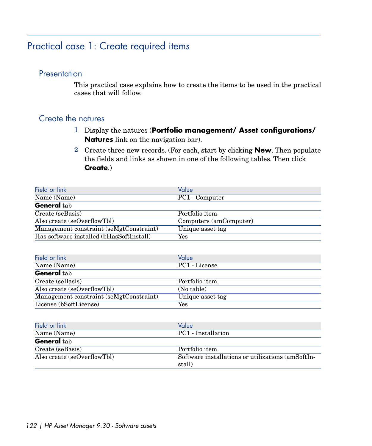# Practical case 1: Create required items

## **Presentation**

This practical case explains how to create the items to be used in the practical cases that will follow.

## Create the natures

- 1 Display the natures (**Portfolio management/ Asset configurations/ Natures** link on the navigation bar).
- 2 Create three new records. (For each, start by clicking **New**. Then populate the fields and links as shown in one of the following tables. Then click **Create**.)

| Field or link                            | Value                  |
|------------------------------------------|------------------------|
| Name (Name)                              | PC1 - Computer         |
| <b>General</b> tab                       |                        |
| Create (seBasis)                         | Portfolio item         |
| Also create (seOverflowTbl)              | Computers (amComputer) |
| Management constraint (seMgtConstraint)  | Unique asset tag       |
| Has software installed (bHasSoftInstall) | Yes                    |

| Field or link                           | Value            |
|-----------------------------------------|------------------|
| Name (Name)                             | PC1 - License    |
| <b>General</b> tab                      |                  |
| Create (seBasis)                        | Portfolio item   |
| Also create (seOverflowTbl)             | (No table)       |
| Management constraint (seMgtConstraint) | Unique asset tag |
| License (bSoftLicense)                  | Yes              |

| Field or link               | Value                                             |
|-----------------------------|---------------------------------------------------|
| Name (Name)                 | PC1 - Installation                                |
| <b>General</b> tab          |                                                   |
| Create (seBasis)            | Portfolio item                                    |
| Also create (seOverflowTbl) | Software installations or utilizations (amSoftIn- |
|                             | stall)                                            |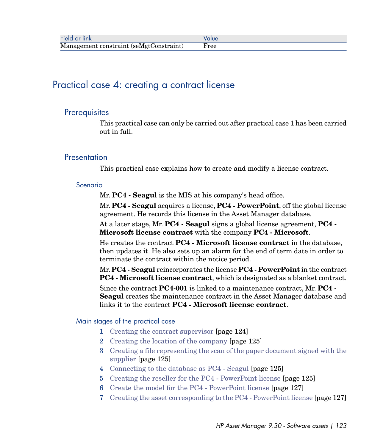# Practical case 4: creating a contract license

## **Prerequisites**

This practical case can only be carried out after practical case 1 has been carried out in full.

## **Presentation**

This practical case explains how to create and modify a license contract.

#### Scenario

Mr. **PC4 - Seagul** is the MIS at his company's head office.

Mr. **PC4 - Seagul** acquires a license, **PC4 - PowerPoint**, off the global license agreement. He records this license in the Asset Manager database.

At a later stage, Mr. **PC4 - Seagul** signs a global license agreement, **PC4 - Microsoft license contract** with the company **PC4 - Microsoft**.

He creates the contract **PC4 - Microsoft license contract** in the database, then updates it. He also sets up an alarm for the end of term date in order to terminate the contract within the notice period.

Mr. **PC4 - Seagul** reincorporates the license **PC4 - PowerPoint** in the contract **PC4 - Microsoft license contract**, which is designated as a blanket contract.

Since the contract **PC4-001** is linked to a maintenance contract, Mr. **PC4 - Seagul** creates the maintenance contract in the Asset Manager database and links it to the contract **PC4 - Microsoft license contract**.

#### Main stages of the practical case

- 1 [Creating the contract supervisor](#page-123-0) [page 124]
- 2 [Creating the location of the company](#page-124-0) [page 125]
- 3 [Creating a file representing the scan of the paper document signed with the](#page-124-1) [supplier](#page-124-1) [page 125]
- 4 [Connecting to the database as PC4 Seagul](#page-124-2) [page 125]
- 5 [Creating the reseller for the PC4 PowerPoint license](#page-124-3) [page 125]
- 6 [Create the model for the PC4 PowerPoint license](#page-126-0) [page 127]
- 7 [Creating the asset corresponding to the PC4 PowerPoint license](#page-126-1) [page 127]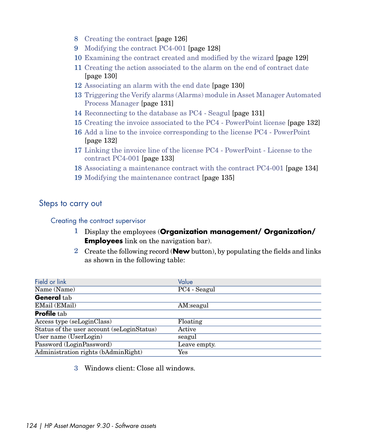- 8 [Creating the contract](#page-125-0) [page 126]
- 9 [Modifying the contract PC4-001](#page-127-0) [page 128]
- 10 [Examining the contract created and modified by the wizard](#page-128-0) [page 129]
- 11 [Creating the action associated to the alarm on the end of contract date](#page-129-0) [page 130]
- 12 [Associating an alarm with the end date](#page-129-1) [page 130]
- 13 [Triggering the Verify alarms \(Alarms\) module in Asset Manager Automated](#page-130-0) [Process Manager](#page-130-0) [page 131]
- 14 [Reconnecting to the database as PC4 Seagul](#page-130-1) [page 131]
- 15 [Creating the invoice associated to the PC4 PowerPoint license](#page-131-0) [page 132]
- 16 [Add a line to the invoice corresponding to the license PC4 PowerPoint](#page-131-1) [page 132]
- 17 [Linking the invoice line of the license PC4 PowerPoint License to the](#page-132-0) [contract PC4-001](#page-132-0) [page 133]
- 18 [Associating a maintenance contract with the contract PC4-001](#page-133-0) [page 134]
- <span id="page-123-0"></span>19 [Modifying the maintenance contract](#page-134-0) [page 135]

## Steps to carry out

#### Creating the contract supervisor

- 1 Display the employees (**Organization management/ Organization/ Employees** link on the navigation bar).
- 2 Create the following record (**New** button), by populating the fields and links as shown in the following table:

| Field or link                              | Value        |
|--------------------------------------------|--------------|
| Name (Name)                                | PC4 - Seagul |
| General tab                                |              |
| EMail (EMail)                              | AM:seagul    |
| <b>Profile tab</b>                         |              |
| Access type (seLoginClass)                 | Floating     |
| Status of the user account (seLoginStatus) | Active       |
| User name (UserLogin)                      | seagul       |
| Password (LoginPassword)                   | Leave empty. |
| Administration rights (bAdminRight)        | Yes          |

3 Windows client: Close all windows.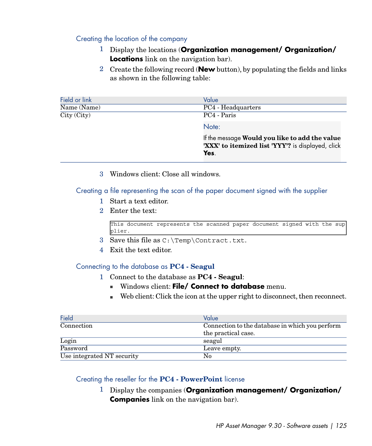### <span id="page-124-0"></span>Creating the location of the company

- 1 Display the locations (**Organization management/ Organization/ Locations** link on the navigation bar).
- 2 Create the following record (**New** button), by populating the fields and links as shown in the following table:

| Field or link                               | Value                                                                                                       |
|---------------------------------------------|-------------------------------------------------------------------------------------------------------------|
| Name (Name)                                 | PC4 - Headquarters                                                                                          |
| $\overline{\mathrm{City}\,(\mathrm{City})}$ | PC4 - Paris                                                                                                 |
|                                             | Note:                                                                                                       |
|                                             | If the message Would you like to add the value<br>'XXX' to itemized list 'YYY'? is displayed, click<br>Yes. |

<span id="page-124-1"></span>3 Windows client: Close all windows.

## Creating a file representing the scan of the paper document signed with the supplier

- 1 Start a text editor.
- 2 Enter the text:

This document represents the scanned paper document signed with the sup plier.

- <span id="page-124-2"></span>3 Save this file as C:\Temp\Contract.txt.
- 4 Exit the text editor.

#### Connecting to the database as **PC4 - Seagul**

- 1 Connect to the database as **PC4 Seagul**:
	- **Nindows client: File/ Connect to database** menu.
	- <sup>n</sup> Web client: Click the icon at the upper right to disconnect, then reconnect.

<span id="page-124-3"></span>

| Field                      | Value                                           |
|----------------------------|-------------------------------------------------|
| Connection                 | Connection to the database in which you perform |
|                            | the practical case.                             |
| Login                      | seagul                                          |
| Password                   | Leave empty.                                    |
| Use integrated NT security | No                                              |

#### Creating the reseller for the **PC4 - PowerPoint** license

1 Display the companies (**Organization management/ Organization/ Companies** link on the navigation bar).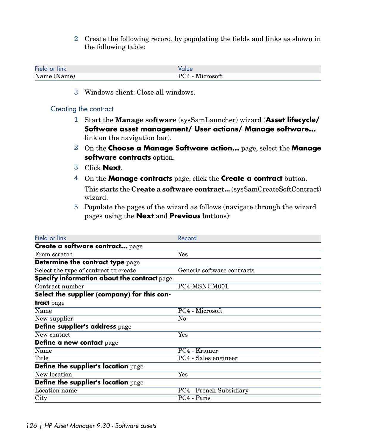2 Create the following record, by populating the fields and links as shown in the following table:

| Field<br>ınk   | alue                    |
|----------------|-------------------------|
| Name<br>(Name) | 'crosoft<br>` )ر<br>. . |

<span id="page-125-0"></span>3 Windows client: Close all windows.

#### Creating the contract

- 1 Start the **Manage software** (sysSamLauncher) wizard (**Asset lifecycle/ Software asset management/ User actions/ Manage software...** link on the navigation bar).
- 2 On the **Choose a Manage Software action...** page, select the **Manage software contracts** option.
- 3 Click **Next**.
- 4 On the **Manage contracts** page, click the **Create a contract** button. This starts the **Create a software contract...** (sysSamCreateSoftContract) wizard.
- 5 Populate the pages of the wizard as follows (navigate through the wizard pages using the **Next** and **Previous** buttons):

| Record                            |
|-----------------------------------|
|                                   |
| Yes                               |
|                                   |
| Generic software contracts        |
|                                   |
| PC4-MSNUM001                      |
|                                   |
|                                   |
| PC4 - Microsoft                   |
| No                                |
|                                   |
| Yes                               |
|                                   |
| PC4 - Kramer                      |
| $\overline{PC4}$ - Sales engineer |
|                                   |
| Yes                               |
|                                   |
| PC4 - French Subsidiary           |
| PC4 - Paris                       |
|                                   |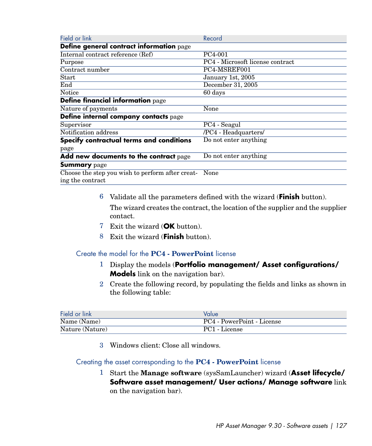| Field or link                                    | Record                           |
|--------------------------------------------------|----------------------------------|
| Define general contract information page         |                                  |
| Internal contract reference (Ref)                | PC4-001                          |
| Purpose                                          | PC4 - Microsoft license contract |
| Contract number                                  | PC4-MSREF001                     |
| <b>Start</b>                                     | January 1st, 2005                |
| End                                              | December 31, 2005                |
| Notice                                           | 60 days                          |
| Define financial information page                |                                  |
| Nature of payments                               | None                             |
| Define internal company contacts page            |                                  |
| Supervisor                                       | PC4 - Seagul                     |
| Notification address                             | /PC4 - Headquarters/             |
| Specify contractual terms and conditions         | Do not enter anything            |
| page                                             |                                  |
| Add new documents to the contract page           | Do not enter anything            |
| <b>Summary</b> page                              |                                  |
| Choose the step you wish to perform after creat- | None                             |
| ing the contract                                 |                                  |

6 Validate all the parameters defined with the wizard (**Finish** button).

The wizard creates the contract, the location of the supplier and the supplier contact.

- <span id="page-126-0"></span>7 Exit the wizard (**OK** button).
- 8 Exit the wizard (**Finish** button).

Create the model for the **PC4 - PowerPoint** license

- 1 Display the models (**Portfolio management/ Asset configurations/ Models** link on the navigation bar).
- 2 Create the following record, by populating the fields and links as shown in the following table:

| Field or link   | Value                      |
|-----------------|----------------------------|
| Name (Name)     | PC4 - PowerPoint - License |
| Nature (Nature) | PC1 - License              |

<span id="page-126-1"></span>3 Windows client: Close all windows.

#### Creating the asset corresponding to the **PC4 - PowerPoint** license

1 Start the **Manage software** (sysSamLauncher) wizard (**Asset lifecycle/ Software asset management/ User actions/ Manage software** link on the navigation bar).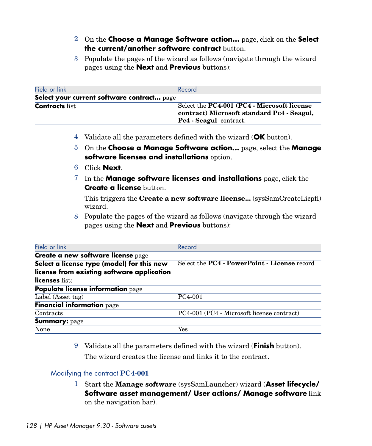- 2 On the **Choose a Manage Software action...** page, click on the **Select the current/another software contract** button.
- 3 Populate the pages of the wizard as follows (navigate through the wizard pages using the **Next** and **Previous** buttons):

| Field or link                              | Record                                                                                                                     |
|--------------------------------------------|----------------------------------------------------------------------------------------------------------------------------|
| Select your current software contract page |                                                                                                                            |
| <b>Contracts</b> list                      | Select the PC4-001 (PC4 - Microsoft license<br>contract) Microsoft standard Pc4 - Seagul,<br><b>Pc4</b> - Seagul contract. |

- 4 Validate all the parameters defined with the wizard (**OK** button).
- 5 On the **Choose a Manage Software action...** page, select the **Manage software licenses and installations** option.
- 6 Click **Next**.
- 7 In the **Manage software licenses and installations** page, click the **Create a license** button.

This triggers the **Create a new software license...** (sysSamCreateLicpfi) wizard.

8 Populate the pages of the wizard as follows (navigate through the wizard pages using the **Next** and **Previous** buttons):

| Field or link                              | Record                                                     |
|--------------------------------------------|------------------------------------------------------------|
| Create a new software license page         |                                                            |
| Select a license type (model) for this new | Select the <b>PC4</b> - <b>PowerPoint</b> - License record |
| license from existing software application |                                                            |
| licenses list:                             |                                                            |
| Populate license information page          |                                                            |
| Label (Asset tag)                          | PC4-001                                                    |
| <b>Financial information page</b>          |                                                            |
| Contracts                                  | PC4-001 (PC4 - Microsoft license contract)                 |
| <b>Summary: page</b>                       |                                                            |
| None                                       | Yes                                                        |

<span id="page-127-0"></span>9 Validate all the parameters defined with the wizard (**Finish** button). The wizard creates the license and links it to the contract.

### Modifying the contract **PC4-001**

1 Start the **Manage software** (sysSamLauncher) wizard (**Asset lifecycle/ Software asset management/ User actions/ Manage software** link on the navigation bar).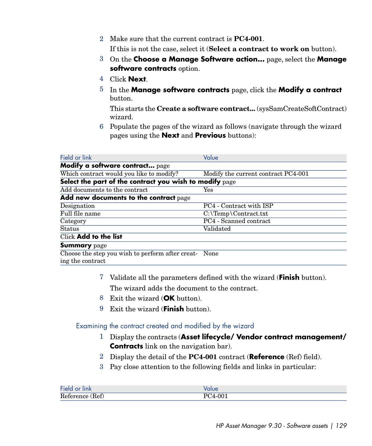2 Make sure that the current contract is **PC4-001**.

If this is not the case, select it (**Select a contract to work on** button).

- 3 On the **Choose a Manage Software action...** page, select the **Manage software contracts** option.
- 4 Click **Next**.
- 5 In the **Manage software contracts** page, click the **Modify a contract** button.

This starts the **Create a software contract...** (sysSamCreateSoftContract) wizard.

6 Populate the pages of the wizard as follows (navigate through the wizard pages using the **Next** and **Previous** buttons):

| Field or link                                                             | Value                               |
|---------------------------------------------------------------------------|-------------------------------------|
| Modify a software contract page                                           |                                     |
| Which contract would you like to modify?                                  | Modify the current contract PC4-001 |
| Select the part of the contract you wish to modify page                   |                                     |
| Add documents to the contract                                             | Yes                                 |
| Add new documents to the contract page                                    |                                     |
| Designation                                                               | PC4 - Contract with ISP             |
| Full file name                                                            | $C:\Temp\Contract.txt$              |
| Category                                                                  | PC4 - Scanned contract              |
| <b>Status</b>                                                             | Validated                           |
| Click Add to the list                                                     |                                     |
| <b>Summary</b> page                                                       |                                     |
| Choose the step you wish to perform after creat- None<br>ing the contract |                                     |

<span id="page-128-0"></span>7 Validate all the parameters defined with the wizard (**Finish** button).

The wizard adds the document to the contract.

- 8 Exit the wizard (**OK** button).
- 9 Exit the wizard (**Finish** button).

Examining the contract created and modified by the wizard

- 1 Display the contracts (**Asset lifecycle/ Vendor contract management/ Contracts** link on the navigation bar).
- 2 Display the detail of the **PC4-001** contract (**Reference** (Ref) field).
- 3 Pay close attention to the following fields and links in particular:

| ماe Fi    |           |
|-----------|-----------|
| Reference | $-00^{-}$ |
| Ref)      | $\lambda$ |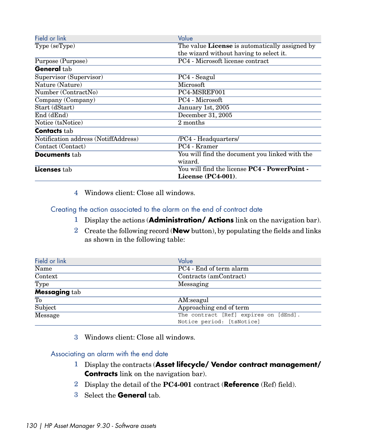| Field or link                        | Value                                          |
|--------------------------------------|------------------------------------------------|
| Type (seType)                        | The value License is automatically assigned by |
|                                      | the wizard without having to select it.        |
| Purpose (Purpose)                    | PC4 - Microsoft license contract               |
| <b>General</b> tab                   |                                                |
| Supervisor (Supervisor)              | PC4 - Seagul                                   |
| Nature (Nature)                      | Microsoft                                      |
| Number (ContractNo)                  | PC4-MSREF001                                   |
| Company (Company)                    | PC4 - Microsoft                                |
| Start (dStart)                       | January 1st, 2005                              |
| End (dEnd)                           | December 31, 2005                              |
| Notice (tsNotice)                    | 2 months                                       |
| <b>Contacts</b> tab                  |                                                |
| Notification address (NotiffAddress) | /PC4 - Headquarters/                           |
| Contact (Contact)                    | PC4 - Kramer                                   |
| <b>Documents</b> tab                 | You will find the document you linked with the |
|                                      | wizard.                                        |
| Licenses tab                         | You will find the license PC4 - PowerPoint -   |
|                                      | License $(PC4-001)$ .                          |

<span id="page-129-0"></span>4 Windows client: Close all windows.

Creating the action associated to the alarm on the end of contract date

- 1 Display the actions (**Administration/ Actions** link on the navigation bar).
- 2 Create the following record (**New** button), by populating the fields and links as shown in the following table:

| Field or link        | Value                                 |
|----------------------|---------------------------------------|
| Name                 | PC4 - End of term alarm               |
| Context              | Contracts (amContract)                |
| <b>Type</b>          | Messaging                             |
| <b>Messaging tab</b> |                                       |
| To                   | AM:seagul                             |
| Subject              | Approaching end of term               |
| Message              | The contract [Ref] expires on [dEnd]. |
|                      | Notice period: [tsNotice]             |

<span id="page-129-1"></span>3 Windows client: Close all windows.

#### Associating an alarm with the end date

- 1 Display the contracts (**Asset lifecycle/ Vendor contract management/ Contracts** link on the navigation bar).
- 2 Display the detail of the **PC4-001** contract (**Reference** (Ref) field).
- 3 Select the **General** tab.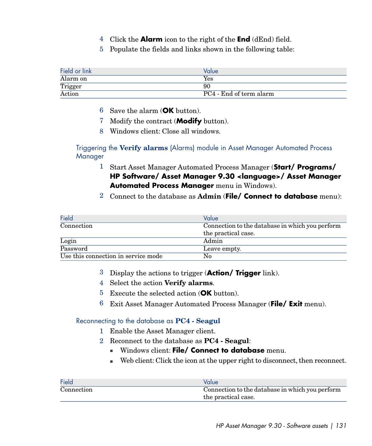- 4 Click the **Alarm** icon to the right of the **End** (dEnd) field.
- 5 Populate the fields and links shown in the following table:

| Field or link | Value                   |
|---------------|-------------------------|
| Alarm on      | $\operatorname{Yes}$    |
| Trigger       | 90                      |
| Action        | PC4 - End of term alarm |

- 6 Save the alarm (**OK** button).
- 7 Modify the contract (**Modify** button).
- <span id="page-130-0"></span>8 Windows client: Close all windows.

#### Triggering the **Verify alarms** (Alarms) module in Asset Manager Automated Process **Manager**

- 1 Start Asset Manager Automated Process Manager (**Start/ Programs/ HP Software/ Asset Manager 9.30 <language>/ Asset Manager Automated Process Manager** menu in Windows).
- 2 Connect to the database as **Admin** (**File/ Connect to database** menu):

| Field                               | Value                                           |
|-------------------------------------|-------------------------------------------------|
| Connection                          | Connection to the database in which you perform |
|                                     | the practical case.                             |
| Login                               | Admin                                           |
| Password                            | Leave empty.                                    |
| Use this connection in service mode | No                                              |

- 3 Display the actions to trigger (**Action/ Trigger** link).
- <span id="page-130-1"></span>4 Select the action **Verify alarms**.
- 5 Execute the selected action (**OK** button).
- 6 Exit Asset Manager Automated Process Manager (**File/ Exit** menu).

#### Reconnecting to the database as **PC4 - Seagul**

- 1 Enable the Asset Manager client.
- 2 Reconnect to the database as **PC4 Seagul**:
	- **Nimdows client: File/ Connect to database** menu.
	- $\blacksquare$  Web client: Click the icon at the upper right to disconnect, then reconnect.

| Field      | Value                                           |
|------------|-------------------------------------------------|
| Connection | Connection to the database in which you perform |
|            | the practical case.                             |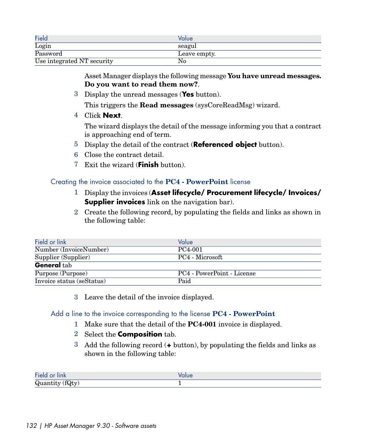| Field                      | Value        |
|----------------------------|--------------|
| Login                      | seagul       |
| Password                   | Leave empty. |
| Use integrated NT security | No           |

Asset Manager displays the following message **You have unread messages. Do you want to read them now?**.

3 Display the unread messages (**Yes** button).

This triggers the **Read messages** (sysCoreReadMsg) wizard.

4 Click **Next**.

The wizard displays the detail of the message informing you that a contract is approaching end of term.

- 5 Display the detail of the contract (**Referenced object** button).
- <span id="page-131-0"></span>6 Close the contract detail.
- 7 Exit the wizard (**Finish** button).

#### Creating the invoice associated to the **PC4 - PowerPoint** license

- 1 Display the invoices (**Asset lifecycle/ Procurement lifecycle/ Invoices/ Supplier invoices** link on the navigation bar).
- 2 Create the following record, by populating the fields and links as shown in the following table:

| Field or link             | Value                      |
|---------------------------|----------------------------|
| Number (InvoiceNumber)    | PC4-001                    |
| Supplier (Supplier)       | PC4 - Microsoft            |
| <b>General tab</b>        |                            |
| Purpose (Purpose)         | PC4 - PowerPoint - License |
| Invoice status (seStatus) | Paid                       |

<span id="page-131-1"></span>3 Leave the detail of the invoice displayed.

#### Add a line to the invoice corresponding to the license **PC4 - PowerPoint**

- 1 Make sure that the detail of the **PC4-001** invoice is displayed.
- 2 Select the **Composition** tab.
- 3 Add the following record (**+** button), by populating the fields and links as shown in the following table:

| $\mathbf{r}$<br>$-10.$<br><b>HIIK</b>            |  |
|--------------------------------------------------|--|
| $\sim$ $\sim$<br>v<br>an 01 0<br><b>U</b><br>. . |  |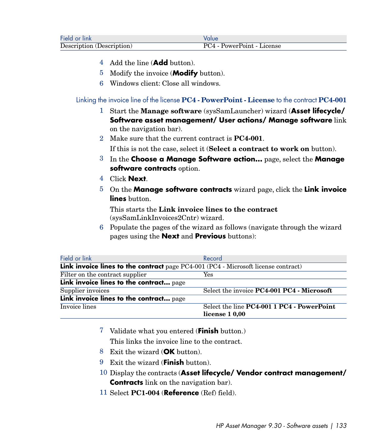| Field or link             | Value                      |
|---------------------------|----------------------------|
| Description (Description) | PC4 - PowerPoint - License |

- 4 Add the line (**Add** button).
- 5 Modify the invoice (**Modify** button).
- <span id="page-132-0"></span>6 Windows client: Close all windows.

Linking the invoice line of the license **PC4 - PowerPoint - License** to the contract **PC4-001**

- 1 Start the **Manage software** (sysSamLauncher) wizard (**Asset lifecycle/ Software asset management/ User actions/ Manage software** link on the navigation bar).
- 2 Make sure that the current contract is **PC4-001**.

If this is not the case, select it (**Select a contract to work on** button).

- 3 In the **Choose a Manage Software action...** page, select the **Manage software contracts** option.
- 4 Click **Next**.
- 5 On the **Manage software contracts** wizard page, click the **Link invoice lines** button.

This starts the **Link invoice lines to the contract** (sysSamLinkInvoices2Cntr) wizard.

6 Populate the pages of the wizard as follows (navigate through the wizard pages using the **Next** and **Previous** buttons):

| Field or link                                                                      | Record                                     |
|------------------------------------------------------------------------------------|--------------------------------------------|
| Link invoice lines to the contract page PC4-001 (PC4 - Microsoft license contract) |                                            |
| Filter on the contract supplier                                                    | Yes                                        |
| Link invoice lines to the contract page                                            |                                            |
| Supplier invoices                                                                  | Select the invoice PC4-001 PC4 - Microsoft |
| Link invoice lines to the contract page                                            |                                            |
| Invoice lines                                                                      | Select the line PC4-001 1 PC4 - PowerPoint |
|                                                                                    | license 1 0,00                             |

- 7 Validate what you entered (**Finish** button.)
	- This links the invoice line to the contract.
- 8 Exit the wizard (**OK** button).
- 9 Exit the wizard (**Finish** button).
- 10 Display the contracts (**Asset lifecycle/ Vendor contract management/ Contracts** link on the navigation bar).
- 11 Select **PC1-004** (**Reference** (Ref) field).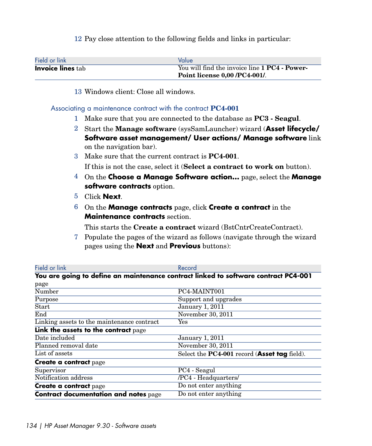12 Pay close attention to the following fields and links in particular:

| Field or link            | Value                                                       |
|--------------------------|-------------------------------------------------------------|
| <b>Invoice lines tab</b> | You will find the invoice line 1 <b>PC4</b> - <b>Power-</b> |
|                          | Point license 0,00 /PC4-001/.                               |

<span id="page-133-0"></span>13 Windows client: Close all windows.

#### Associating a maintenance contract with the contract **PC4-001**

- 1 Make sure that you are connected to the database as **PC3 Seagul**.
- 2 Start the **Manage software** (sysSamLauncher) wizard (**Asset lifecycle/ Software asset management/ User actions/ Manage software** link on the navigation bar).
- 3 Make sure that the current contract is **PC4-001**. If this is not the case, select it (**Select a contract to work on** button).
- 4 On the **Choose a Manage Software action...** page, select the **Manage software contracts** option.
- 5 Click **Next**.
- 6 On the **Manage contracts** page, click **Create a contract** in the **Maintenance contracts** section.

This starts the **Create a contract** wizard (BstCntrCreateContract).

7 Populate the pages of the wizard as follows (navigate through the wizard pages using the **Next** and **Previous** buttons):

| Field or link                                | Record                                                                              |
|----------------------------------------------|-------------------------------------------------------------------------------------|
|                                              | You are going to define an maintenance contract linked to software contract PC4-001 |
| page                                         |                                                                                     |
| Number                                       | PC4-MAINT001                                                                        |
| Purpose                                      | Support and upgrades                                                                |
| Start                                        | <b>January 1, 2011</b>                                                              |
| End                                          | November 30, 2011                                                                   |
| Linking assets to the maintenance contract   | Yes                                                                                 |
| Link the assets to the contract page         |                                                                                     |
| Date included                                | <b>January 1, 2011</b>                                                              |
| Planned removal date                         | November 30, 2011                                                                   |
| List of assets                               | Select the PC4-001 record (Asset tag field).                                        |
| <b>Create a contract page</b>                |                                                                                     |
| Supervisor                                   | PC4 - Seagul                                                                        |
| Notification address                         | /PC4 - Headquarters/                                                                |
| <b>Create a contract page</b>                | Do not enter anything                                                               |
| <b>Contract documentation and notes page</b> | Do not enter anything                                                               |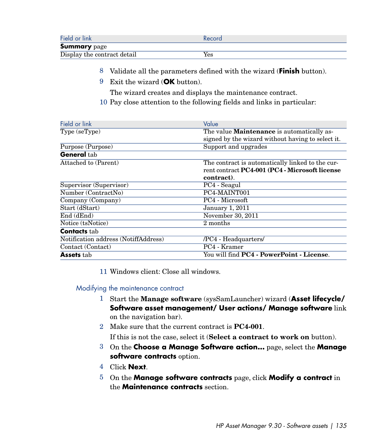| Field or link               | Record |
|-----------------------------|--------|
| <b>Summary</b> page         |        |
| Display the contract detail | Yes    |

- 8 Validate all the parameters defined with the wizard (**Finish** button).
- 9 Exit the wizard (**OK** button).

The wizard creates and displays the maintenance contract.

10 Pay close attention to the following fields and links in particular:

| Field or link                        | Value                                             |
|--------------------------------------|---------------------------------------------------|
| Type (seType)                        | The value Maintenance is automatically as-        |
|                                      | signed by the wizard without having to select it. |
| Purpose (Purpose)                    | Support and upgrades                              |
| General tab                          |                                                   |
| Attached to (Parent)                 | The contract is automatically linked to the cur-  |
|                                      | rent contract PC4-001 (PC4 - Microsoft license    |
|                                      | contract.                                         |
| Supervisor (Supervisor)              | PC4 - Seagul                                      |
| Number (ContractNo)                  | PC4-MAINT001                                      |
| Company (Company)                    | PC4 - Microsoft                                   |
| Start (dStart)                       | <b>January 1, 2011</b>                            |
| End (dEnd)                           | November 30, 2011                                 |
| Notice (tsNotice)                    | 2 months                                          |
| <b>Contacts</b> tab                  |                                                   |
| Notification address (NotiffAddress) | /PC4 - Headquarters/                              |
| Contact (Contact)                    | PC4 - Kramer                                      |
| <b>Assets</b> tab                    | You will find <b>PC4 - PowerPoint - License</b> . |

<span id="page-134-0"></span>11 Windows client: Close all windows.

#### Modifying the maintenance contract

- 1 Start the **Manage software** (sysSamLauncher) wizard (**Asset lifecycle/ Software asset management/ User actions/ Manage software** link on the navigation bar).
- 2 Make sure that the current contract is **PC4-001**.
	- If this is not the case, select it (**Select a contract to work on** button).
- 3 On the **Choose a Manage Software action...** page, select the **Manage software contracts** option.
- 4 Click **Next**.
- 5 On the **Manage software contracts** page, click **Modify a contract** in the **Maintenance contracts** section.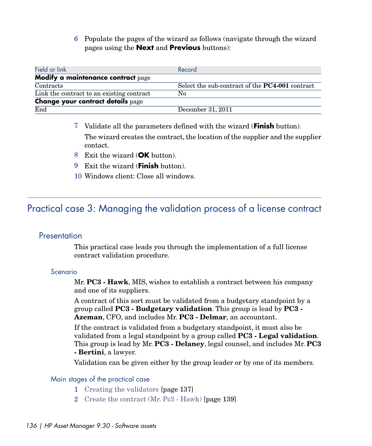6 Populate the pages of the wizard as follows (navigate through the wizard pages using the **Next** and **Previous** buttons):

| Field or link                             | Record                                                 |
|-------------------------------------------|--------------------------------------------------------|
| Modify a maintenance contract page        |                                                        |
| Contracts                                 | Select the sub-contract of the <b>PC4-001</b> contract |
| Link the contract to an existing contract | No                                                     |
| <b>Change your contract details page</b>  |                                                        |
| End                                       | December 31, 2011                                      |

- 7 Validate all the parameters defined with the wizard (**Finish** button). The wizard creates the contract, the location of the supplier and the supplier contact.
- 8 Exit the wizard (**OK** button).
- 9 Exit the wizard (**Finish** button).
- 10 Windows client: Close all windows.

# Practical case 3: Managing the validation process of a license contract

## **Presentation**

This practical case leads you through the implementation of a full license contract validation procedure.

#### Scenario

Mr. **PC3 - Hawk**, MIS, wishes to establish a contract between his company and one of its suppliers.

A contract of this sort must be validated from a budgetary standpoint by a group called **PC3 - Budgetary validation**. This group is lead by **PC3 - Azeman**, CFO, and includes Mr. **PC3 - Delmar**, an accountant.

If the contract is validated from a budgetary standpoint, it must also be validated from a legal standpoint by a group called **PC3 - Legal validation**. This group is lead by Mr. **PC3 - Delaney**, legal counsel, and includes Mr. **PC3 - Bertini**, a lawyer.

Validation can be given either by the group leader or by one of its members.

## Main stages of the practical case

- 1 [Creating the validators](#page-136-0) [page 137]
- 2 [Create the contract \(Mr. Pc3 Hawk\)](#page-138-0) [page 139]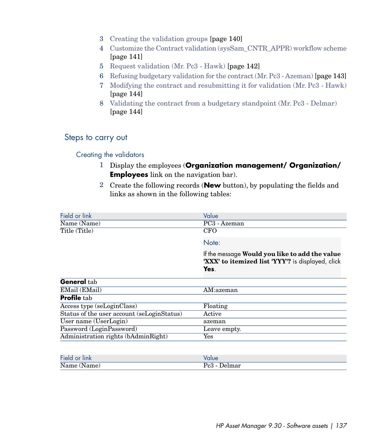- 3 [Creating the validation groups](#page-139-0) [page 140]
- 4 [Customize the Contract validation \(sysSam\\_CNTR\\_APPR\) workflow scheme](#page-140-0) [page 141]
- 5 [Request validation \(Mr. Pc3 Hawk\)](#page-141-0) [page 142]
- 6 [Refusing budgetary validation for the contract \(Mr. Pc3 Azeman\)](#page-142-0) [page 143]
- 7 [Modifying the contract and resubmitting it for validation \(Mr. Pc3 Hawk\)](#page-143-0) [page 144]
- 8 [Validating the contract from a budgetary standpoint \(Mr. Pc3 Delmar\)](#page-143-1) [page 144]

## Steps to carry out

#### <span id="page-136-0"></span>Creating the validators

Administration rights (bAdminRight) Yes

- 1 Display the employees (**Organization management/ Organization/ Employees** link on the navigation bar).
- 2 Create the following records (**New** button), by populating the fields and links as shown in the following tables:

| Field or link                              | Value                                                                                                       |
|--------------------------------------------|-------------------------------------------------------------------------------------------------------------|
| Name (Name)                                | PC3 - Azeman                                                                                                |
| Title (Title)                              | <b>CFO</b>                                                                                                  |
|                                            | Note:                                                                                                       |
|                                            | If the message Would you like to add the value<br>'XXX' to itemized list 'YYY'? is displayed, click<br>Yes. |
| General tab                                |                                                                                                             |
| EMail (EMail)                              | AM:azeman                                                                                                   |
| <b>Profile</b> tab                         |                                                                                                             |
| Access type (seLoginClass)                 | Floating                                                                                                    |
| Status of the user account (seLoginStatus) | Active                                                                                                      |
| User name (UserLogin)                      | azeman                                                                                                      |
| Password (LoginPassword)                   | Leave empty.                                                                                                |

| Field or link |       |
|---------------|-------|
| Name (        | ה ח   |
| (Name)        | :lmar |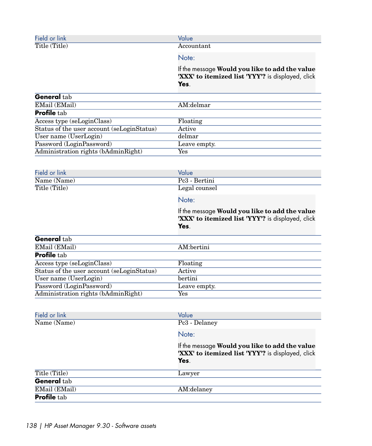| Field or<br><b>link</b> | alue       |
|-------------------------|------------|
| Title $($<br>$'$ Title) | Accountant |

#### Note:

If the message **Would you like to add the value 'XXX' to itemized list 'YYY'?** is displayed, click **Yes**.

| <b>General</b> tab                         |              |
|--------------------------------------------|--------------|
| EMail (EMail)                              | AM:delmar    |
| <b>Profile</b> tab                         |              |
| Access type (seLoginClass)                 | Floating     |
| Status of the user account (seLoginStatus) | Active       |
| $\overline{\text{User name}}$ (UserLogin)  | delmar       |
| Password (LoginPassword)                   | Leave empty. |
| Administration rights (bAdminRight)        | Yes          |
|                                            |              |

| Field or link | Value         |  |
|---------------|---------------|--|
| Name (Name)   | Pc3 - Bertini |  |
| Title (Title) | Legal counsel |  |
|               | Note:         |  |

If the message **Would you like to add the value 'XXX' to itemized list 'YYY'?** is displayed, click **Yes**.

| <b>General</b> tab                         |              |
|--------------------------------------------|--------------|
| EMail (EMail)                              | AM:bertini   |
| <b>Profile</b> tab                         |              |
| Access type (seLoginClass)                 | Floating     |
| Status of the user account (seLoginStatus) | Active       |
| User name (UserLogin)                      | bertini      |
| Password (LoginPassword)                   | Leave empty. |
|                                            | Yes          |
| Administration rights (bAdminRight)        |              |

| Field or link      | Value                                                                                                       |
|--------------------|-------------------------------------------------------------------------------------------------------------|
| Name (Name)        | Pc3 - Delaney                                                                                               |
|                    | Note:                                                                                                       |
|                    | If the message Would you like to add the value<br>'XXX' to itemized list 'YYY'? is displayed, click<br>Yes. |
| Title (Title)      | Lawyer                                                                                                      |
| <b>General</b> tab |                                                                                                             |
| EMail (EMail)      | AM:delaney                                                                                                  |
| <b>Profile</b> tab |                                                                                                             |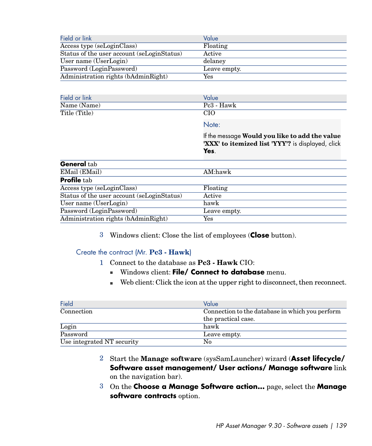| Field or link                              | Value        |
|--------------------------------------------|--------------|
| Access type (seLoginClass)                 | Floating     |
| Status of the user account (seLoginStatus) | Active       |
| User name (UserLogin)                      | delaney      |
| Password (LoginPassword)                   | Leave empty. |
| Administration rights (bAdminRight)        | Yes          |

| Field or link | Value      |
|---------------|------------|
| Name (Name)   | Pc3 - Hawk |
| Title (Title) | CІC        |

#### Note:

If the message **Would you like to add the value 'XXX' to itemized list 'YYY'?** is displayed, click **Yes**.

| <b>General</b> tab                         |                      |
|--------------------------------------------|----------------------|
| EMail (EMail)                              | AM:hawk              |
| <b>Profile</b> tab                         |                      |
| Access type (seLoginClass)                 | Floating             |
| Status of the user account (seLoginStatus) | Active               |
| $\overline{\text{User name}}$ (UserLogin)  | hawk                 |
| Password (LoginPassword)                   | Leave empty.         |
| Administration rights (bAdminRight)        | $\operatorname{Yes}$ |

<span id="page-138-0"></span>3 Windows client: Close the list of employees (**Close** button).

#### Create the contract (Mr. **Pc3 - Hawk**)

- 1 Connect to the database as **Pc3 Hawk** CIO:
	- **Nimbows client: File/ Connect to database** menu.
	- $\blacksquare$  Web client: Click the icon at the upper right to disconnect, then reconnect.

| Field                      | Value                                           |
|----------------------------|-------------------------------------------------|
| Connection                 | Connection to the database in which you perform |
|                            | the practical case.                             |
| Login                      | hawk                                            |
| Password                   | Leave empty.                                    |
| Use integrated NT security | No                                              |

- 2 Start the **Manage software** (sysSamLauncher) wizard (**Asset lifecycle/ Software asset management/ User actions/ Manage software** link on the navigation bar).
- 3 On the **Choose a Manage Software action...** page, select the **Manage software contracts** option.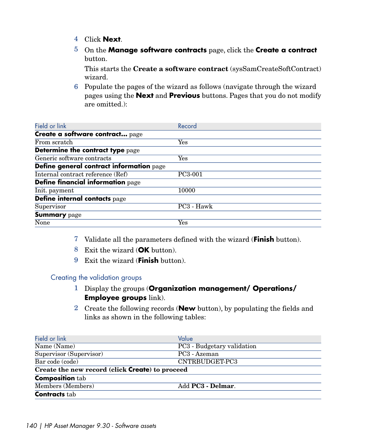- 4 Click **Next**.
- 5 On the **Manage software contracts** page, click the **Create a contract** button.

This starts the **Create a software contract** (sysSamCreateSoftContract) wizard.

6 Populate the pages of the wizard as follows (navigate through the wizard pages using the **Next** and **Previous** buttons. Pages that you do not modify are omitted.):

| Field or link                            | Record               |
|------------------------------------------|----------------------|
| Create a software contract page          |                      |
| From scratch                             | Yes                  |
| Determine the contract type page         |                      |
| Generic software contracts               | $\operatorname{Yes}$ |
| Define general contract information page |                      |
| Internal contract reference (Ref)        | PC3-001              |
| Define financial information page        |                      |
| Init. payment                            | 10000                |
| Define internal contacts page            |                      |
| Supervisor                               | PC3 - Hawk           |
| <b>Summary</b> page                      |                      |
| None                                     | Yes                  |

- <span id="page-139-0"></span>7 Validate all the parameters defined with the wizard (**Finish** button).
- 8 Exit the wizard (**OK** button).
- 9 Exit the wizard (**Finish** button).

#### Creating the validation groups

- 1 Display the groups (**Organization management/ Operations/ Employee groups** link).
- 2 Create the following records (**New** button), by populating the fields and links as shown in the following tables:

| Field or link                                   | Value                            |  |
|-------------------------------------------------|----------------------------------|--|
| Name (Name)                                     | PC3 - Budgetary validation       |  |
| Supervisor (Supervisor)                         | PC <sub>3</sub> - Azeman         |  |
| Bar code (code)                                 | CNTRBUDGET-PC3                   |  |
| Create the new record (click Create) to proceed |                                  |  |
| <b>Composition tab</b>                          |                                  |  |
| Members (Members)                               | Add <b>PC3</b> - <b>Delmar</b> . |  |
| <b>Contracts</b> tab                            |                                  |  |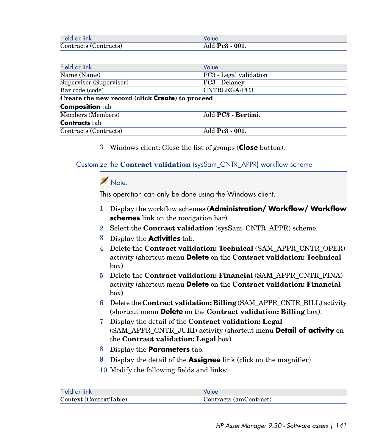| Field or link         | Value                  |
|-----------------------|------------------------|
| Contracts (Contracts) | Add <b>Pc3 - 001</b> . |

| Field or link                                   | Value                             |  |
|-------------------------------------------------|-----------------------------------|--|
| Name (Name)                                     | PC3 - Legal validation            |  |
| Supervisor (Supervisor)                         | PC3 - Delaney                     |  |
| Bar code (code)                                 | CNTRLEGA-PC3                      |  |
| Create the new record (click Create) to proceed |                                   |  |
| <b>Composition tab</b>                          |                                   |  |
| Members (Members)                               | Add <b>PC3</b> - <b>Bertini</b> . |  |
| <b>Contracts</b> tab                            |                                   |  |
| Contracts (Contracts)                           | Add <b>Pc3 - 001</b> .            |  |

<span id="page-140-0"></span>3 Windows client: Close the list of groups (**Close** button).

### Customize the **Contract validation** (sysSam\_CNTR\_APPR) workflow scheme

# Note:

This operation can only be done using the Windows client.

- 1 Display the workflow schemes (**Administration/ Workflow/ Workflow schemes** link on the navigation bar).
- 2 Select the **Contract validation** (sysSam\_CNTR\_APPR) scheme.
- 3 Display the **Activities** tab.
- 4 Delete the **Contract validation: Technical** (SAM\_APPR\_CNTR\_OPER) activity (shortcut menu **Delete** on the **Contract validation: Technical** box).
- 5 Delete the **Contract validation: Financial** (SAM\_APPR\_CNTR\_FINA) activity (shortcut menu **Delete** on the **Contract validation: Financial** box).
- 6 Delete the **Contract validation: Billing** (SAM\_APPR\_CNTR\_BILL) activity (shortcut menu **Delete** on the **Contract validation: Billing** box).
- 7 Display the detail of the **Contract validation: Legal** (SAM\_APPR\_CNTR\_JURI) activity (shortcut menu **Detail of activity** on the **Contract validation: Legal** box).
- 8 Display the **Parameters** tab.
- 9 Display the detail of the **Assignee** link (click on the magnifier)
- 10 Modify the following fields and links:

| Field or link          | Value                  |
|------------------------|------------------------|
| Context (ContextTable) | Contracts (amContract) |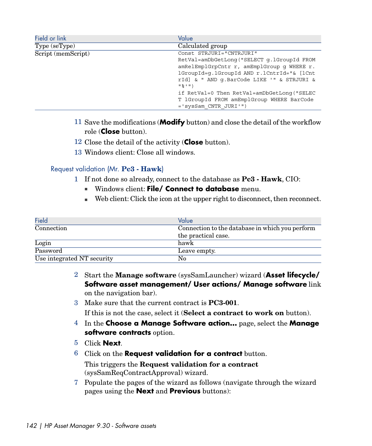| Field or link      | Value                                      |
|--------------------|--------------------------------------------|
| Type (seType)      | Calculated group                           |
| Script (memScript) | Const STRJURI="CNTRJURI"                   |
|                    | RetVal=amDbGetLong("SELECT g.1GroupId FROM |
|                    | amRelEmplGrpCntr r, amEmplGroup q WHERE r. |
|                    | lGroupId=q.lGroupId AND r.lCntrId="& [lCnt |
|                    | rId] & " AND q.BarCode LIKE '" & STRJURI & |
|                    | $11 - 2111$                                |
|                    | if RetVal=0 Then RetVal=amDbGetLong("SELEC |
|                    | T lGroupId FROM amEmplGroup WHERE BarCode  |
|                    | $=$ 'sysSam CNTR JURI'")                   |

- 11 Save the modifications (**Modify** button) and close the detail of the workflow role (**Close** button).
- <span id="page-141-0"></span>12 Close the detail of the activity (**Close** button).
- 13 Windows client: Close all windows.

#### Request validation (Mr. **Pc3 - Hawk**)

- 1 If not done so already, connect to the database as **Pc3 Hawk**, CIO:
	- **Nindows client: File/ Connect to database** menu.
	- <sup>n</sup> Web client: Click the icon at the upper right to disconnect, then reconnect.

| Field                      | Value                                           |
|----------------------------|-------------------------------------------------|
| Connection                 | Connection to the database in which you perform |
|                            | the practical case.                             |
| Login                      | hawk                                            |
| Password                   | Leave empty.                                    |
| Use integrated NT security | No                                              |

- 2 Start the **Manage software** (sysSamLauncher) wizard (**Asset lifecycle/ Software asset management/ User actions/ Manage software** link on the navigation bar).
- 3 Make sure that the current contract is **PC3-001**.

If this is not the case, select it (**Select a contract to work on** button).

- 4 In the **Choose a Manage Software action...** page, select the **Manage software contracts** option.
- 5 Click **Next**.
- 6 Click on the **Request validation for a contract** button. This triggers the **Request validation for a contract** (sysSamReqContractApproval) wizard.
- 7 Populate the pages of the wizard as follows (navigate through the wizard pages using the **Next** and **Previous** buttons):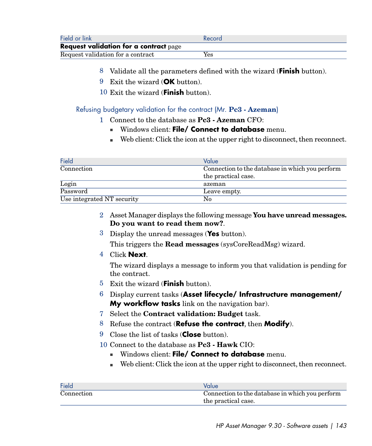| Field or link                                 | Record |
|-----------------------------------------------|--------|
| <b>Request validation for a contract page</b> |        |
| Request validation for a contract             | Yes    |

- 8 Validate all the parameters defined with the wizard (**Finish** button).
- 9 Exit the wizard (**OK** button).
- <span id="page-142-0"></span>10 Exit the wizard (**Finish** button).

#### Refusing budgetary validation for the contract (Mr. **Pc3 - Azeman**)

- 1 Connect to the database as **Pc3 Azeman** CFO:
	- <sup>n</sup> Windows client: **File/ Connect to database** menu.
	- $\blacksquare$  Web client: Click the icon at the upper right to disconnect, then reconnect.

| Field                      | Value                                           |
|----------------------------|-------------------------------------------------|
| Connection                 | Connection to the database in which you perform |
|                            | the practical case.                             |
| Login                      | azeman                                          |
| Password                   | Leave empty.                                    |
| Use integrated NT security | No                                              |

- 2 Asset Manager displays the following message **You have unread messages. Do you want to read them now?**.
- 3 Display the unread messages (**Yes** button).

This triggers the **Read messages** (sysCoreReadMsg) wizard.

4 Click **Next**.

The wizard displays a message to inform you that validation is pending for the contract.

- 5 Exit the wizard (**Finish** button).
- 6 Display current tasks (**Asset lifecycle/ Infrastructure management/ My workflow tasks** link on the navigation bar).
- 7 Select the **Contract validation: Budget** task.
- 8 Refuse the contract (**Refuse the contract**, then **Modify**).
- 9 Close the list of tasks (**Close** button).
- 10 Connect to the database as **Pc3 Hawk** CIO:
	- **Nimbows client: File/ Connect to database** menu.
	- <sup>n</sup> Web client: Click the icon at the upper right to disconnect, then reconnect.

| Field      | Value                                           |
|------------|-------------------------------------------------|
| Connection | Connection to the database in which you perform |
|            | the practical case.                             |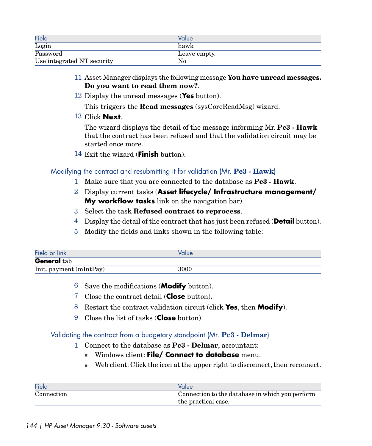| Field                      | Value        |
|----------------------------|--------------|
| Login                      | hawk         |
| Password                   | Leave empty. |
| Use integrated NT security | No           |

- 11 Asset Manager displays the following message **You have unread messages. Do you want to read them now?**.
- 12 Display the unread messages (**Yes** button).

This triggers the **Read messages** (sysCoreReadMsg) wizard.

13 Click **Next**.

The wizard displays the detail of the message informing Mr. **Pc3 - Hawk** that the contract has been refused and that the validation circuit may be started once more.

<span id="page-143-0"></span>14 Exit the wizard (**Finish** button).

## Modifying the contract and resubmitting it for validation (Mr. **Pc3 - Hawk**)

- 1 Make sure that you are connected to the database as **Pc3 Hawk**.
- 2 Display current tasks (**Asset lifecycle/ Infrastructure management/ My workflow tasks** link on the navigation bar).
- 3 Select the task **Refused contract to reprocess**.
- 4 Display the detail of the contract that has just been refused (**Detail** button).
- 5 Modify the fields and links shown in the following table:

| Field or link           | Value |
|-------------------------|-------|
| <b>General</b> tab      |       |
| Init. payment (mIntPay) | 3000  |

- 6 Save the modifications (**Modify** button).
- <span id="page-143-1"></span>7 Close the contract detail (**Close** button).
- 8 Restart the contract validation circuit (click **Yes**, then **Modify**).
- 9 Close the list of tasks (**Close** button).

#### Validating the contract from a budgetary standpoint (Mr. **Pc3 - Delmar**)

- 1 Connect to the database as **Pc3 Delmar**, accountant:
	- **Nindows client: File/ Connect to database** menu.
	- $\blacksquare$  Web client: Click the icon at the upper right to disconnect, then reconnect.

| Field      | Value                                           |
|------------|-------------------------------------------------|
| Connection | Connection to the database in which you perform |
|            | the practical case.                             |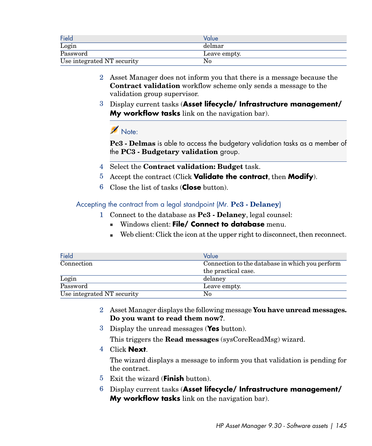| Field                      | Value        |
|----------------------------|--------------|
| Login                      | delmar       |
| Password                   | Leave empty. |
| Use integrated NT security | No           |

- 2 Asset Manager does not inform you that there is a message because the **Contract validation** workflow scheme only sends a message to the validation group supervisor.
- 3 Display current tasks (**Asset lifecycle/ Infrastructure management/ My workflow tasks** link on the navigation bar).

# $N$ Note:

**Pc3 - Delmas** is able to access the budgetary validation tasks as a member of the **PC3 - Budgetary validation** group.

- 4 Select the **Contract validation: Budget** task.
- 5 Accept the contract (Click **Validate the contract**, then **Modify**).
- 6 Close the list of tasks (**Close** button).

Accepting the contract from a legal standpoint (Mr. **Pc3 - Delaney**)

- 1 Connect to the database as **Pc3 Delaney**, legal counsel:
	- **Nindows client: File/ Connect to database** menu.
	- $\blacksquare$  Web client: Click the icon at the upper right to disconnect, then reconnect.

| <b>Field</b>               | Value                                           |
|----------------------------|-------------------------------------------------|
| Connection                 | Connection to the database in which you perform |
|                            | the practical case.                             |
| Login                      | delaney                                         |
| Password                   | Leave empty.                                    |
| Use integrated NT security | No                                              |

- 2 Asset Manager displays the following message **You have unread messages. Do you want to read them now?**.
- 3 Display the unread messages (**Yes** button).

This triggers the **Read messages** (sysCoreReadMsg) wizard.

4 Click **Next**.

The wizard displays a message to inform you that validation is pending for the contract.

- 5 Exit the wizard (**Finish** button).
- 6 Display current tasks (**Asset lifecycle/ Infrastructure management/ My workflow tasks** link on the navigation bar).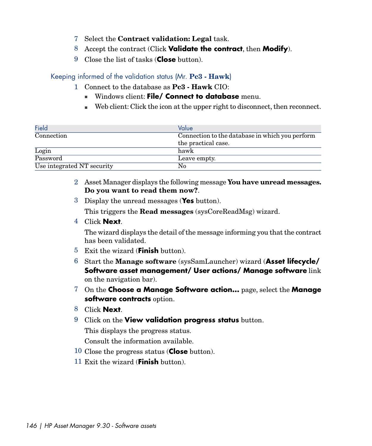- 7 Select the **Contract validation: Legal** task.
- 8 Accept the contract (Click **Validate the contract**, then **Modify**).
- 9 Close the list of tasks (**Close** button).

### Keeping informed of the validation status (Mr. **Pc3 - Hawk**)

- 1 Connect to the database as **Pc3 Hawk** CIO:
	- **n** Windows client: **File/ Connect to database** menu.
	- $\blacksquare$  Web client: Click the icon at the upper right to disconnect, then reconnect.

| Field                      | Value                                           |
|----------------------------|-------------------------------------------------|
| Connection                 | Connection to the database in which you perform |
|                            | the practical case.                             |
| Login                      | hawk                                            |
| Password                   | Leave empty.                                    |
| Use integrated NT security | No                                              |

- 2 Asset Manager displays the following message **You have unread messages. Do you want to read them now?**.
- 3 Display the unread messages (**Yes** button).

This triggers the **Read messages** (sysCoreReadMsg) wizard.

4 Click **Next**.

The wizard displays the detail of the message informing you that the contract has been validated.

- 5 Exit the wizard (**Finish** button).
- 6 Start the **Manage software** (sysSamLauncher) wizard (**Asset lifecycle/ Software asset management/ User actions/ Manage software** link on the navigation bar).
- 7 On the **Choose a Manage Software action...** page, select the **Manage software contracts** option.
- 8 Click **Next**.
- 9 Click on the **View validation progress status** button.

This displays the progress status.

Consult the information available.

- 10 Close the progress status (**Close** button).
- 11 Exit the wizard (**Finish** button).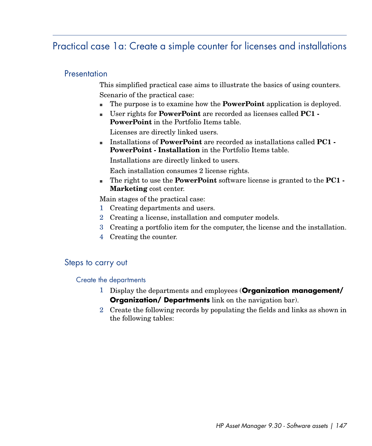# Practical case 1a: Create a simple counter for licenses and installations

### **Presentation**

This simplified practical case aims to illustrate the basics of using counters. Scenario of the practical case:

- <sup>n</sup> The purpose is to examine how the **PowerPoint** application is deployed.
- <sup>n</sup> User rights for **PowerPoint** are recorded as licenses called **PC1 - PowerPoint** in the Portfolio Items table.

Licenses are directly linked users.

<sup>n</sup> Installations of **PowerPoint** are recorded as installations called **PC1 - PowerPoint - Installation** in the Portfolio Items table.

Installations are directly linked to users.

Each installation consumes 2 license rights.

<sup>n</sup> The right to use the **PowerPoint** software license is granted to the **PC1 - Marketing** cost center.

Main stages of the practical case:

- 1 Creating departments and users.
- 2 Creating a license, installation and computer models.
- 3 Creating a portfolio item for the computer, the license and the installation.
- 4 Creating the counter.

## Steps to carry out

Create the departments

- 1 Display the departments and employees (**Organization management/ Organization/ Departments** link on the navigation bar).
- 2 Create the following records by populating the fields and links as shown in the following tables: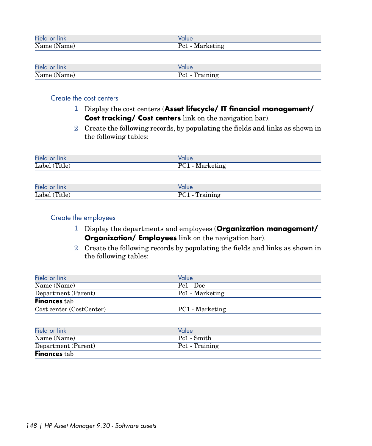| Field or<br>.<br>'ınk | alue                    |
|-----------------------|-------------------------|
| Name (<br>(Name)      | M<br>Pe 1<br>$\sim$ 0.4 |

| Field or link    | 'alue                                           |
|------------------|-------------------------------------------------|
| Name (<br>(Name) | $\mathbf{r}$<br>raining<br>$\sim$ $\sim$ $\sim$ |

## Create the cost centers

- 1 Display the cost centers (**Asset lifecycle/ IT financial management/ Cost tracking/ Cost centers** link on the navigation bar).
- 2 Create the following records, by populating the fields and links as shown in the following tables:

| Field or link | Value                  |
|---------------|------------------------|
| Label (Title) | - Marketing<br>$PC1 -$ |
|               |                        |

| Field<br><b>Tink</b><br>-OI  | alue |
|------------------------------|------|
| (m:1)<br>Label (<br>, Title) | –    |

# Create the employees

- 1 Display the departments and employees (**Organization management/ Organization/ Employees** link on the navigation bar).
- 2 Create the following records by populating the fields and links as shown in the following tables:

| Field or link            | Value           |
|--------------------------|-----------------|
| Name (Name)              | Pc1 - Doe       |
| Department (Parent)      | Pc1 - Marketing |
| <b>Finances tab</b>      |                 |
| Cost center (CostCenter) | PC1 - Marketing |

| Field or link       | Value          |
|---------------------|----------------|
| Name (Name)         | Pc1 - Smith    |
| Department (Parent) | Pc1 - Training |
| <b>Finances</b> tab |                |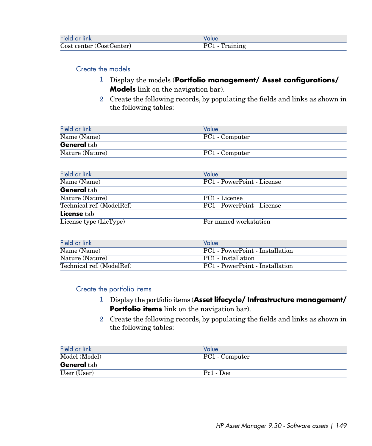| Field or link            |                |
|--------------------------|----------------|
| Cost center (CostCenter) | PC1 - Training |

### Create the models

- 1 Display the models (**Portfolio management/ Asset configurations/ Models** link on the navigation bar).
- 2 Create the following records, by populating the fields and links as shown in the following tables:

| Field or link                   | Value          |
|---------------------------------|----------------|
| $\overline{\text{Name (Name)}}$ | PC1 - Computer |
| <b>General tab</b>              |                |
| Nature (Nature)                 | PC1 - Computer |

| Value                      |
|----------------------------|
| PC1 - PowerPoint - License |
|                            |
|                            |
| PC1 - License              |
| PC1 - PowerPoint - License |
|                            |
| Per named workstation      |
|                            |

| Field or link             | Value                           |
|---------------------------|---------------------------------|
| Name (Name)               | PC1 - PowerPoint - Installation |
| Nature (Nature)           | PC1 - Installation              |
| Technical ref. (ModelRef) | PC1 - PowerPoint - Installation |

### Create the portfolio items

- 1 Display the portfolio items (**Asset lifecycle/ Infrastructure management/ Portfolio items** link on the navigation bar).
- 2 Create the following records, by populating the fields and links as shown in the following tables:

| Field or link      | Value                 |
|--------------------|-----------------------|
| Model (Model)      | PC1 - Computer        |
| <b>General</b> tab |                       |
| User (User)        | Pc <sub>1</sub> - Doe |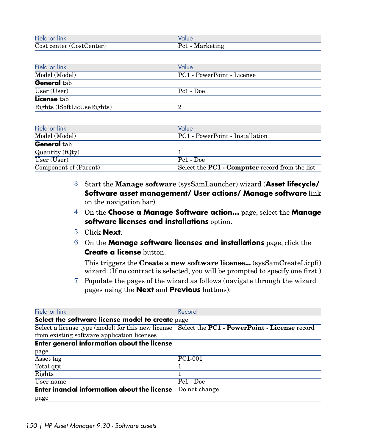| Field or link            |                 |
|--------------------------|-----------------|
| Cost center (CostCenter) | Pc1 - Marketing |

| Field or link              | Value                      |
|----------------------------|----------------------------|
| Model (Model)              | PC1 - PowerPoint - License |
| General tab                |                            |
| User (User)                | Pc1 - Doe                  |
| License tab                |                            |
| Rights (ISoftLicUseRights) |                            |

| Field or link         | Value                                                        |
|-----------------------|--------------------------------------------------------------|
| Model (Model)         | PC1 - PowerPoint - Installation                              |
| <b>General</b> tab    |                                                              |
| Quantity (fQty)       |                                                              |
| User (User)           | Pc1 - Doe                                                    |
| Component of (Parent) | Select the <b>PC1</b> - <b>Computer</b> record from the list |

- 3 Start the **Manage software** (sysSamLauncher) wizard (**Asset lifecycle/ Software asset management/ User actions/ Manage software** link on the navigation bar).
- 4 On the **Choose a Manage Software action...** page, select the **Manage software licenses and installations** option.
- 5 Click **Next**.
- 6 On the **Manage software licenses and installations** page, click the **Create a license** button.

This triggers the **Create a new software license...** (sysSamCreateLicpfi) wizard. (If no contract is selected, you will be prompted to specify one first.)

7 Populate the pages of the wizard as follows (navigate through the wizard pages using the **Next** and **Previous** buttons):

| Field or link                                                                                                 | Record        |
|---------------------------------------------------------------------------------------------------------------|---------------|
| Select the software license model to create page                                                              |               |
| Select a license type (model) for this new license Select the <b>PC1</b> - <b>PowerPoint</b> - License record |               |
| from existing software application licenses                                                                   |               |
| <b>Enter general information about the license</b>                                                            |               |
| page                                                                                                          |               |
| Asset tag                                                                                                     | PC1-001       |
| Total qty.                                                                                                    |               |
| Rights                                                                                                        |               |
| User name                                                                                                     | Pc1 - Doe     |
| <b>Enter inancial information about the license</b>                                                           | Do not change |
| page                                                                                                          |               |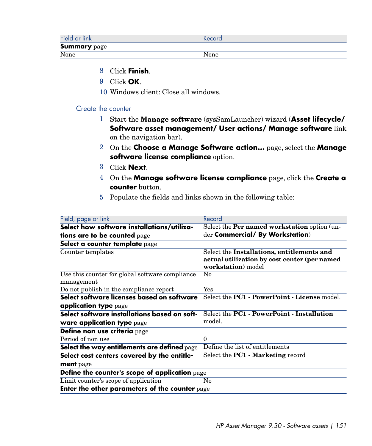| Field or link       | Record |
|---------------------|--------|
| <b>Summary</b> page |        |
| None                | None   |

- 8 Click **Finish**.
- 9 Click **OK**.
- 10 Windows client: Close all windows.

### Create the counter

- 1 Start the **Manage software** (sysSamLauncher) wizard (**Asset lifecycle/ Software asset management/ User actions/ Manage software** link on the navigation bar).
- 2 On the **Choose a Manage Software action...** page, select the **Manage software license compliance** option.
- 3 Click **Next**.
- 4 On the **Manage software license compliance** page, click the **Create a counter** button.
- 5 Populate the fields and links shown in the following table:

| Field, page or link                                   | Record                                                          |
|-------------------------------------------------------|-----------------------------------------------------------------|
| Select how software installations/utiliza-            | Select the Per named workstation option (un-                    |
| tions are to be counted page                          | der Commercial/ By Workstation)                                 |
| Select a counter template page                        |                                                                 |
| Counter templates                                     | Select the Installations, entitlements and                      |
|                                                       | actual utilization by cost center (per named                    |
|                                                       | workstation) model                                              |
| Use this counter for global software compliance       | $\rm No$                                                        |
| management                                            |                                                                 |
| Do not publish in the compliance report               | $\overline{\mathrm{Yes}}$                                       |
| Select software licenses based on software            | Select the <b>PC1</b> - <b>PowerPoint</b> - License model.      |
| <b>application type</b> page                          |                                                                 |
| Select software installations based on soft-          | Select the <b>PC1</b> - <b>PowerPoint</b> - <b>Installation</b> |
| ware application type page                            | model.                                                          |
| Define non use criteria page                          |                                                                 |
| Period of non use                                     | $\Omega$                                                        |
| Select the way entitlements are defined page          | Define the list of entitlements                                 |
| Select cost centers covered by the entitle-           | Select the <b>PC1</b> - <b>Marketing</b> record                 |
| ment page                                             |                                                                 |
| <b>Define the counter's scope of application</b> page |                                                                 |
| Limit counter's scope of application                  | No                                                              |
| Enter the other parameters of the counter page        |                                                                 |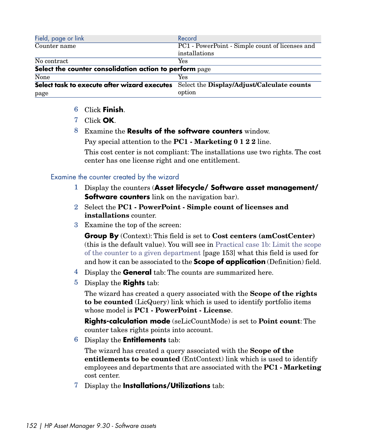| Field, page or link                                     | Record                                          |
|---------------------------------------------------------|-------------------------------------------------|
| Counter name                                            | PC1 - PowerPoint - Simple count of licenses and |
|                                                         | installations                                   |
| No contract                                             | Yes                                             |
| Select the counter consolidation action to perform page |                                                 |
| None                                                    | Yes                                             |
| Select task to execute after wizard executes            | Select the Display/Adjust/Calculate counts      |
| page                                                    | option                                          |

- 6 Click **Finish**.
- 7 Click **OK**.
- 8 Examine the **Results of the software counters** window.

Pay special attention to the **PC1 - Marketing 0 1 2 2** line.

This cost center is not compliant: The installations use two rights. The cost center has one license right and one entitlement.

### Examine the counter created by the wizard

- 1 Display the counters (**Asset lifecycle/ Software asset management/ Software counters** link on the navigation bar).
- 2 Select the **PC1 PowerPoint Simple count of licenses and installations** counter.
- 3 Examine the top of the screen:

**Group By** (Context): This field is set to **Cost centers (amCostCenter)** (this is the default value). You will see in [Practical case 1b: Limit the scope](#page-152-0) [of the counter to a given department](#page-152-0) [page 153] what this field is used for and how it can be associated to the **Scope of application** (Definition) field.

- 4 Display the **General** tab: The counts are summarized here.
- 5 Display the **Rights** tab:

The wizard has created a query associated with the **Scope of the rights to be counted** (LicQuery) link which is used to identify portfolio items whose model is **PC1 - PowerPoint - License**.

**Rights-calculation mode** (seLicCountMode) is set to **Point count**: The counter takes rights points into account.

6 Display the **Entitlements** tab:

The wizard has created a query associated with the **Scope of the entitlements to be counted** (EntContext) link which is used to identify employees and departments that are associated with the **PC1 - Marketing** cost center.

7 Display the **Installations/Utilizations** tab: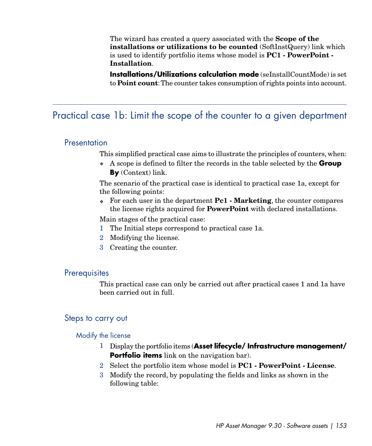The wizard has created a query associated with the **Scope of the installations or utilizations to be counted** (SoftInstQuery) link which is used to identify portfolio items whose model is **PC1 - PowerPoint - Installation**.

<span id="page-152-0"></span>**Installations/Utilizations calculation mode** (seInstallCountMode) is set to **Point count**:The counter takes consumption of rights points into account.

# Practical case 1b: Limit the scope of the counter to a given department

### **Presentation**

This simplified practical case aims to illustrate the principles of counters, when:

<sup>u</sup> A scope is defined to filter the records in the table selected by the **Group By** (Context) link.

The scenario of the practical case is identical to practical case 1a, except for the following points:

<sup>u</sup> For each user in the department **Pc1 - Marketing**, the counter compares the license rights acquired for **PowerPoint** with declared installations.

Main stages of the practical case:

- 1 The Initial steps correspond to practical case 1a.
- 2 Modifying the license.
- 3 Creating the counter.

### **Prerequisites**

This practical case can only be carried out after practical cases 1 and 1a have been carried out in full.

### Steps to carry out

### Modify the license

- 1 Display the portfolio items (**Asset lifecycle/ Infrastructure management/ Portfolio items** link on the navigation bar).
- 2 Select the portfolio item whose model is **PC1 PowerPoint License**.
- 3 Modify the record, by populating the fields and links as shown in the following table: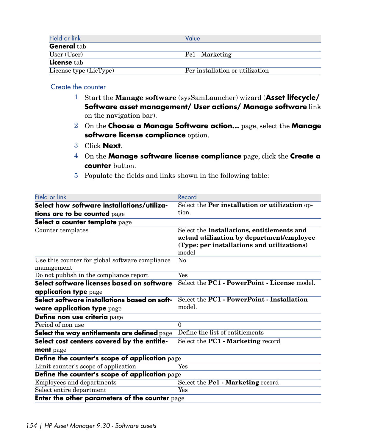| Field or link          | Value                           |
|------------------------|---------------------------------|
| <b>General</b> tab     |                                 |
| User (User)            | Pc1 - Marketing                 |
| <b>License</b> tab     |                                 |
| License type (LicType) | Per installation or utilization |

Create the counter

- 1 Start the **Manage software** (sysSamLauncher) wizard (**Asset lifecycle/ Software asset management/ User actions/ Manage software** link on the navigation bar).
- 2 On the **Choose a Manage Software action...** page, select the **Manage software license compliance** option.
- 3 Click **Next**.
- 4 On the **Manage software license compliance** page, click the **Create a counter** button.
- 5 Populate the fields and links shown in the following table:

| Field or link                                         | Record                                                     |
|-------------------------------------------------------|------------------------------------------------------------|
| Select how software installations/utiliza-            | Select the Per installation or utilization op-             |
| tions are to be counted page                          | tion.                                                      |
| Select a counter template page                        |                                                            |
| Counter templates                                     | Select the Installations, entitlements and                 |
|                                                       | actual utilization by department/employee                  |
|                                                       | (Type: per installations and utilizations)<br>model        |
| Use this counter for global software compliance       | No                                                         |
| management                                            |                                                            |
| Do not publish in the compliance report               | <b>Yes</b>                                                 |
| Select software licenses based on software            | Select the <b>PC1</b> - <b>PowerPoint</b> - License model. |
| application type page                                 |                                                            |
| Select software installations based on soft-          | Select the <b>PC1</b> - <b>PowerPoint</b> - Installation   |
| ware application type page                            | model.                                                     |
| Define non use criteria page                          |                                                            |
| Period of non use                                     | $\Omega$                                                   |
| Select the way entitlements are defined page          | Define the list of entitlements                            |
| Select cost centers covered by the entitle-           | Select the <b>PC1</b> - Marketing record                   |
| ment page                                             |                                                            |
| Define the counter's scope of application page        |                                                            |
| Limit counter's scope of application                  | Yes                                                        |
| Define the counter's scope of application page        |                                                            |
| Employees and departments                             | Select the Pc1 - Marketing record                          |
| Select entire department                              | Yes                                                        |
| <b>Enter the other parameters of the counter page</b> |                                                            |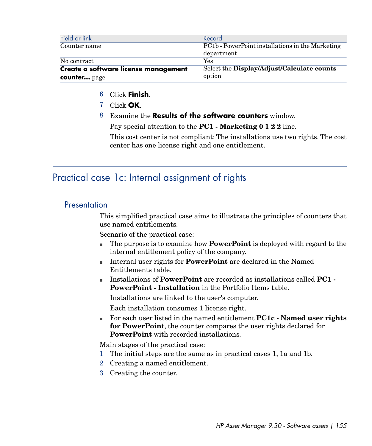| Field or link                        | Record                                           |
|--------------------------------------|--------------------------------------------------|
| Counter name                         | PC1b - PowerPoint installations in the Marketing |
|                                      | department                                       |
| No contract                          | Yes                                              |
| Create a software license management | Select the Display/Adjust/Calculate counts       |
| counter page                         | option                                           |

- 6 Click **Finish**.
- 7 Click **OK**.
- 8 Examine the **Results of the software counters** window.

Pay special attention to the **PC1 - Marketing 0 1 2 2** line.

This cost center is not compliant: The installations use two rights. The cost center has one license right and one entitlement.

# Practical case 1c: Internal assignment of rights

# **Presentation**

This simplified practical case aims to illustrate the principles of counters that use named entitlements.

Scenario of the practical case:

- n The purpose is to examine how **PowerPoint** is deployed with regard to the internal entitlement policy of the company.
- <sup>n</sup> Internal user rights for **PowerPoint** are declared in the Named Entitlements table.
- <sup>n</sup> Installations of **PowerPoint** are recorded as installations called **PC1 - PowerPoint - Installation** in the Portfolio Items table.

Installations are linked to the user's computer.

Each installation consumes 1 license right.

<sup>n</sup> For each user listed in the named entitlement **PC1c - Named user rights for PowerPoint**, the counter compares the user rights declared for **PowerPoint** with recorded installations.

Main stages of the practical case:

- 1 The initial steps are the same as in practical cases 1, 1a and 1b.
- 2 Creating a named entitlement.
- 3 Creating the counter.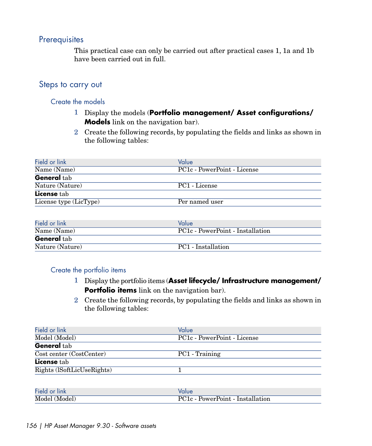# **Prerequisites**

This practical case can only be carried out after practical cases 1, 1a and 1b have been carried out in full.

# Steps to carry out

### Create the models

- 1 Display the models (**Portfolio management/ Asset configurations/ Models** link on the navigation bar).
- 2 Create the following records, by populating the fields and links as shown in the following tables:

| Field or link          | Value                       |
|------------------------|-----------------------------|
| Name (Name)            | PC1c - PowerPoint - License |
| <b>General</b> tab     |                             |
| Nature (Nature)        | PC1 - License               |
| <b>License</b> tab     |                             |
| License type (LicType) | Per named user              |
|                        |                             |

| Field or link      | Value                                         |
|--------------------|-----------------------------------------------|
| Name (Name)        | PC <sub>1</sub> c - PowerPoint - Installation |
| <b>General</b> tab |                                               |
| Nature (Nature)    | PC1 - Installation                            |

### Create the portfolio items

- 1 Display the portfolio items (**Asset lifecycle/ Infrastructure management/ Portfolio items** link on the navigation bar).
- 2 Create the following records, by populating the fields and links as shown in the following tables:

| Value                                   |
|-----------------------------------------|
| PC <sub>1c</sub> - PowerPoint - License |
|                                         |
| PC1 - Training                          |
|                                         |
|                                         |
|                                         |

| Field or<br><b>link</b> |                           |
|-------------------------|---------------------------|
| (Model)                 | PowerPoint - Installation |
| Model                   | $PC1c -$                  |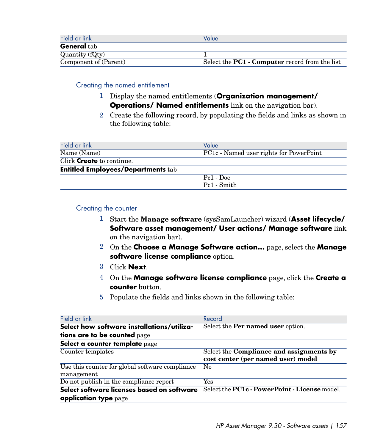| Field or link         | Value                                                        |
|-----------------------|--------------------------------------------------------------|
| <b>General</b> tab    |                                                              |
| Quantity (fQty)       |                                                              |
| Component of (Parent) | Select the <b>PC1</b> - <b>Computer</b> record from the list |

### Creating the named entitlement

- 1 Display the named entitlements (**Organization management/ Operations/ Named entitlements** link on the navigation bar).
- 2 Create the following record, by populating the fields and links as shown in the following table:

| Field or link                             | Value                                                |
|-------------------------------------------|------------------------------------------------------|
| Name (Name)                               | PC <sub>1</sub> c - Named user rights for PowerPoint |
| Click <b>Create</b> to continue.          |                                                      |
| <b>Entitled Employees/Departments tab</b> |                                                      |
|                                           | $Pe1 - Doe$                                          |
|                                           | Pc1 - Smith                                          |

### Creating the counter

- 1 Start the **Manage software** (sysSamLauncher) wizard (**Asset lifecycle/ Software asset management/ User actions/ Manage software** link on the navigation bar).
- 2 On the **Choose a Manage Software action...** page, select the **Manage software license compliance** option.
- 3 Click **Next**.
- 4 On the **Manage software license compliance** page, click the **Create a counter** button.
- 5 Populate the fields and links shown in the following table:

| Field or link                                                       | Record                                                                                |
|---------------------------------------------------------------------|---------------------------------------------------------------------------------------|
| Select how software installations/utiliza-                          | Select the <b>Per named user</b> option.                                              |
| tions are to be counted page                                        |                                                                                       |
| Select a counter template page                                      |                                                                                       |
| Counter templates                                                   | Select the <b>Compliance and assignments by</b><br>cost center (per named user) model |
| Use this counter for global software compliance<br>management       | $\rm No$                                                                              |
| Do not publish in the compliance report                             | Yes                                                                                   |
| Select software licenses based on software<br>application type page | Select the <b>PC1c</b> - <b>PowerPoint</b> - License model.                           |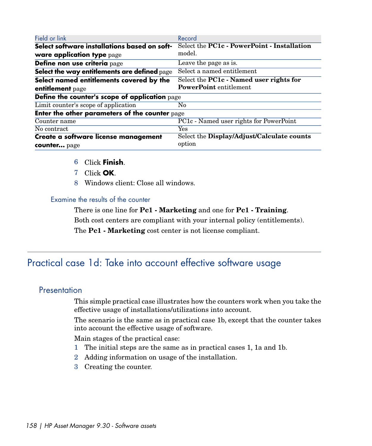| Field or link                                  | Record                                                |  |
|------------------------------------------------|-------------------------------------------------------|--|
| Select software installations based on soft-   | Select the PC1c - PowerPoint - Installation           |  |
| ware application type page                     | model.                                                |  |
| Define non use criteria page                   | Leave the page as is.                                 |  |
| Select the way entitlements are defined page   | Select a named entitlement                            |  |
| Select named entitlements covered by the       | Select the <b>PC1c</b> - <b>Named user rights for</b> |  |
| entitlement page                               | <b>PowerPoint</b> entitlement                         |  |
| Define the counter's scope of application page |                                                       |  |
| Limit counter's scope of application<br>N0     |                                                       |  |
| Enter the other parameters of the counter page |                                                       |  |
| Counter name                                   | PC1c - Named user rights for PowerPoint               |  |
| No contract                                    | Yes                                                   |  |
| Create a software license management           | Select the Display/Adjust/Calculate counts            |  |
| counter page                                   | option                                                |  |

- 6 Click **Finish**.
- 7 Click **OK**.
- 8 Windows client: Close all windows.

### Examine the results of the counter

There is one line for **Pc1 - Marketing** and one for **Pc1 - Training**.

Both cost centers are compliant with your internal policy (entitlements).

The **Pc1 - Marketing** cost center is not license compliant.

# Practical case 1d: Take into account effective software usage

# **Presentation**

This simple practical case illustrates how the counters work when you take the effective usage of installations/utilizations into account.

The scenario is the same as in practical case 1b, except that the counter takes into account the effective usage of software.

Main stages of the practical case:

- 1 The initial steps are the same as in practical cases 1, 1a and 1b.
- 2 Adding information on usage of the installation.
- 3 Creating the counter.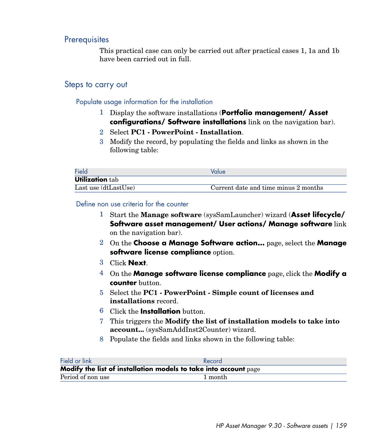# **Prerequisites**

This practical case can only be carried out after practical cases 1, 1a and 1b have been carried out in full.

# Steps to carry out

Populate usage information for the installation

- 1 Display the software installations (**Portfolio management/ Asset configurations/ Software installations** link on the navigation bar).
- 2 Select **PC1 PowerPoint Installation**.
- 3 Modify the record, by populating the fields and links as shown in the following table:

| Field                  | Value                                |
|------------------------|--------------------------------------|
| <b>Utilization tab</b> |                                      |
| Last use (dtLastUse)   | Current date and time minus 2 months |

Define non use criteria for the counter

- 1 Start the **Manage software** (sysSamLauncher) wizard (**Asset lifecycle/ Software asset management/ User actions/ Manage software** link on the navigation bar).
- 2 On the **Choose a Manage Software action...** page, select the **Manage software license compliance** option.
- 3 Click **Next**.
- 4 On the **Manage software license compliance** page, click the **Modify a counter** button.
- 5 Select the **PC1 PowerPoint Simple count of licenses and installations** record.
- 6 Click the **Installation** button.
- 7 This triggers the **Modify the list of installation models to take into account...** (sysSamAddInst2Counter) wizard.
- 8 Populate the fields and links shown in the following table:

| Field or link                                                    | Record  |  |
|------------------------------------------------------------------|---------|--|
| Modify the list of installation models to take into account page |         |  |
| Period of non use                                                | 1 month |  |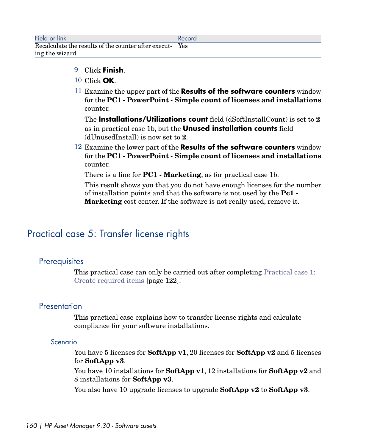- 9 Click **Finish**.
- 10 Click **OK**.
- 11 Examine the upper part of the **Results of the software counters** window for the **PC1 - PowerPoint - Simple count of licenses and installations** counter.

The **Installations/Utilizations count** field (dSoftInstallCount) is set to **2** as in practical case 1b, but the **Unused installation counts** field (dUnusedInstall) is now set to **2**.

12 Examine the lower part of the **Results of the software counters** window for the **PC1 - PowerPoint - Simple count of licenses and installations** counter.

There is a line for **PC1 - Marketing**, as for practical case 1b.

This result shows you that you do not have enough licenses for the number of installation points and that the software is not used by the **Pc1 - Marketing** cost center. If the software is not really used, remove it.

# Practical case 5: Transfer license rights

# **Prerequisites**

This practical case can only be carried out after completing [Practical case 1:](#page-121-0) [Create required items](#page-121-0) [page 122].

# **Presentation**

This practical case explains how to transfer license rights and calculate compliance for your software installations.

## Scenario

You have 5 licenses for **SoftApp v1**, 20 licenses for **SoftApp v2** and 5 licenses for **SoftApp v3**.

You have 10 installations for **SoftApp v1**, 12 installations for **SoftApp v2** and 8 installations for **SoftApp v3**.

You also have 10 upgrade licenses to upgrade **SoftApp v2** to **SoftApp v3**.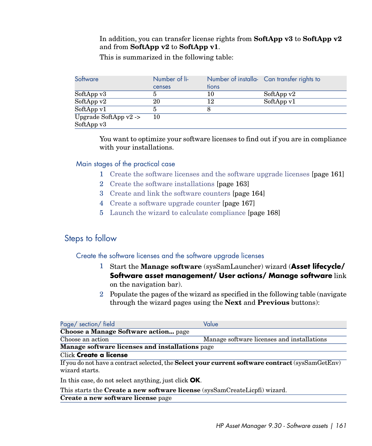### In addition, you can transfer license rights from **SoftApp v3** to **SoftApp v2** and from **SoftApp v2** to **SoftApp v1**.

This is summarized in the following table:

| Software                         | Number of li-<br>censes | tions | Number of installa- Can transfer rights to |
|----------------------------------|-------------------------|-------|--------------------------------------------|
| Sof tApp v3                      |                         | 10    | SoftApp v2                                 |
| SoftAppv2                        | 20                      | 12    | SoftApp v1                                 |
| SoftAppv1                        |                         |       |                                            |
| Upgrade SoftApp $v2 \rightarrow$ | 10                      |       |                                            |
| SoftApp v3                       |                         |       |                                            |

You want to optimize your software licenses to find out if you are in compliance with your installations.

Main stages of the practical case

- 1 [Create the software licenses and the software upgrade licenses](#page-160-0) [page 161]
- 2 [Create the software installations](#page-162-0) [page 163]
- 3 [Create and link the software counters](#page-163-0) [page 164]
- 4 [Create a software upgrade counter](#page-166-0) [page 167]
- <span id="page-160-0"></span>5 [Launch the wizard to calculate compliance](#page-167-0) [page 168]

# Steps to follow

### Create the software licenses and the software upgrade licenses

- 1 Start the **Manage software** (sysSamLauncher) wizard (**Asset lifecycle/ Software asset management/ User actions/ Manage software** link on the navigation bar).
- 2 Populate the pages of the wizard as specified in the following table (navigate through the wizard pages using the **Next** and **Previous** buttons):

| Page/ section/ field                                   | Value                                                                                                   |
|--------------------------------------------------------|---------------------------------------------------------------------------------------------------------|
| Choose a Manage Software action page                   |                                                                                                         |
| Choose an action                                       | Manage software licenses and installations                                                              |
| <b>Manage software licenses and installations page</b> |                                                                                                         |
| Click <b>Create a license</b>                          |                                                                                                         |
| wizard starts.                                         | If you do not have a contract selected, the <b>Select your current software contract</b> (sysSamGetEnv) |
|                                                        |                                                                                                         |

In this case, do not select anything, just click **OK**.

This starts the **Create a new software license** (sysSamCreateLicpfi) wizard.

**Create a new software license** page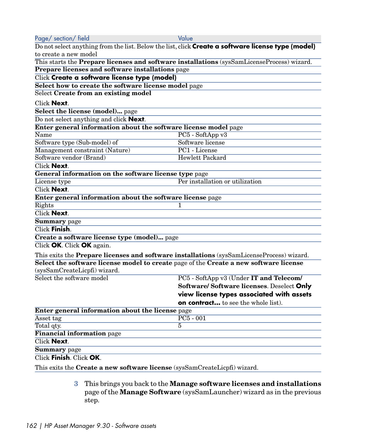| Page/ section/ field                                                                      | Value                                                                                              |
|-------------------------------------------------------------------------------------------|----------------------------------------------------------------------------------------------------|
|                                                                                           | Do not select anything from the list. Below the list, click Create a software license type (model) |
| to create a new model                                                                     |                                                                                                    |
|                                                                                           | This starts the Prepare licenses and software installations (sysSamLicenseProcess) wizard.         |
| Prepare licenses and software installations page                                          |                                                                                                    |
| Click Create a software license type (model)                                              |                                                                                                    |
| Select how to create the software license model page                                      |                                                                                                    |
| Select Create from an existing model                                                      |                                                                                                    |
| Click <b>Next</b> .                                                                       |                                                                                                    |
| Select the license (model) page                                                           |                                                                                                    |
| Do not select anything and click Next.                                                    |                                                                                                    |
| Enter general information about the software license model page                           |                                                                                                    |
| Name                                                                                      | PC5 - SoftApp v3                                                                                   |
| Software type (Sub-model) of                                                              | Software license                                                                                   |
| Management constraint (Nature)                                                            | PC1 - License                                                                                      |
| Software vendor (Brand)                                                                   | <b>Hewlett Packard</b>                                                                             |
| Click <b>Next</b> .                                                                       |                                                                                                    |
| General information on the software license type page                                     |                                                                                                    |
| License type                                                                              | Per installation or utilization                                                                    |
| Click Next.                                                                               |                                                                                                    |
| Enter general information about the software license page                                 |                                                                                                    |
| Rights                                                                                    | 1                                                                                                  |
| <b>Click Next.</b>                                                                        |                                                                                                    |
| Summary page                                                                              |                                                                                                    |
| Click <b>Finish</b> .                                                                     |                                                                                                    |
| Create a software license type (model) page                                               |                                                                                                    |
| Click OK. Click OK again.                                                                 |                                                                                                    |
| This exits the Prepare licenses and software installations (sysSamLicenseProcess) wizard. |                                                                                                    |
| Select the software license model to create page of the Create a new software license     |                                                                                                    |
| (sysSamCreateLicpfi) wizard.                                                              |                                                                                                    |
| Select the software model                                                                 | PC5 - SoftApp v3 (Under IT and Telecom/                                                            |
|                                                                                           | Software/ Software licenses. Deselect Only                                                         |
|                                                                                           | view license types associated with assets                                                          |
|                                                                                           | <b>on contract</b> to see the whole list).                                                         |
| Enter general information about the license page                                          |                                                                                                    |
| Asset tag                                                                                 | $PC5 - 001$                                                                                        |
| Total qty.                                                                                | 5                                                                                                  |
| Financial information page                                                                |                                                                                                    |
| Click <b>Next</b> .                                                                       |                                                                                                    |
| Summary page                                                                              |                                                                                                    |
| Click Finish. Click OK.                                                                   |                                                                                                    |
| This exits the Create a new software license (sysSamCreateLicpfi) wizard.                 |                                                                                                    |
|                                                                                           |                                                                                                    |

3 This brings you back to the **Manage software licenses and installations** page of the **Manage Software** (sysSamLauncher) wizard as in the previous step.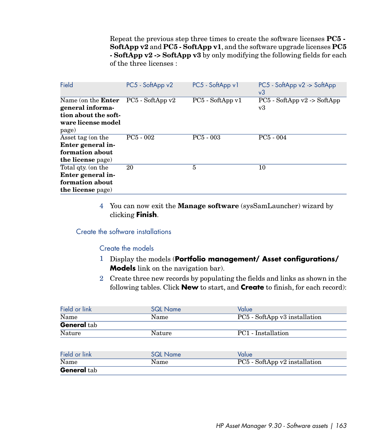Repeat the previous step three times to create the software licenses **PC5 - SoftApp v2** and **PC5 - SoftApp v1**, and the software upgrade licenses **PC5 - SoftApp v2 -> SoftApp v3** by only modifying the following fields for each of the three licenses :

| Field                                                                                                | PC5 - SoftApp v2  | PC5 - SoftApp v1 | PC5 - SoftApp v2 -> SoftApp<br>v3   |
|------------------------------------------------------------------------------------------------------|-------------------|------------------|-------------------------------------|
| Name (on the <b>Enter</b><br>general informa-<br>tion about the soft-<br>ware license model<br>page) | $PC5 - SoftAppv2$ | PC5 - SoftApp v1 | $PC5 - SoftApp$ v2 -> SoftApp<br>v3 |
| Asset tag (on the<br>Enter general in-<br>formation about<br>the license page)                       | $PC5 - 002$       | $PC5 - 003$      | $PC5 - 004$                         |
| Total qty. (on the<br>Enter general in-<br>formation about<br>the license page)                      | 20                | 5                | 10                                  |

<span id="page-162-0"></span>4 You can now exit the **Manage software** (sysSamLauncher) wizard by clicking **Finish**.

### Create the software installations

### Create the models

- 1 Display the models (**Portfolio management/ Asset configurations/ Models** link on the navigation bar).
- 2 Create three new records by populating the fields and links as shown in the following tables. Click **New** to start, and **Create** to finish, for each record):

| Field or link<br><b>SQL Name</b> |                 | Value                           |
|----------------------------------|-----------------|---------------------------------|
| Name                             | Name            | PC5 - SoftApp v3 installation   |
| <b>General</b> tab               |                 |                                 |
| Nature                           | Nature          | PC1 - Installation              |
| Field or link                    | <b>SQL Name</b> | Value                           |
| Name                             | Name            | $PC5$ - SoftApp v2 installation |
| <b>General</b> tab               |                 |                                 |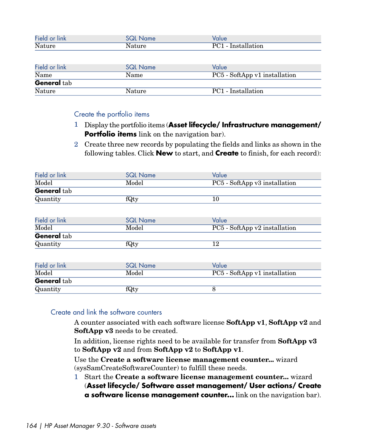| Field or link<br><b>SQL Name</b> |                 | Value                         |  |  |
|----------------------------------|-----------------|-------------------------------|--|--|
| Nature                           | Nature          | PC1 - Installation            |  |  |
|                                  |                 |                               |  |  |
| Field or link                    | <b>SQL Name</b> | Value                         |  |  |
| Name                             | Name            | PC5 - SoftApp v1 installation |  |  |
| <b>General</b> tab               |                 |                               |  |  |
| <b>Nature</b>                    | Nature          | PC1 - Installation            |  |  |

#### Create the portfolio items

- 1 Display the portfolio items (**Asset lifecycle/ Infrastructure management/ Portfolio items** link on the navigation bar).
- 2 Create three new records by populating the fields and links as shown in the following tables. Click **New** to start, and **Create** to finish, for each record):

| Field or link      | Value<br><b>SQL Name</b>               |                               |
|--------------------|----------------------------------------|-------------------------------|
| Model              | Model                                  | PC5 - SoftApp v3 installation |
| General tab        |                                        |                               |
| Quantity           | fQty                                   | 10                            |
|                    |                                        |                               |
| Field or link      | <b>SQL Name</b>                        | Value                         |
| Model              | PC5 - SoftApp v2 installation<br>Model |                               |
| <b>General tab</b> |                                        |                               |
| Quantity           | fQty                                   | 12                            |
|                    |                                        |                               |
| Field or link      | <b>SQL Name</b>                        | Value                         |
| Model<br>Model     |                                        | PC5 - SoftApp v1 installation |
| <b>General tab</b> |                                        |                               |
| Quantity           | fQty                                   | 8                             |

### <span id="page-163-0"></span>Create and link the software counters

A counter associated with each software license **SoftApp v1**, **SoftApp v2** and **SoftApp v3** needs to be created.

In addition, license rights need to be available for transfer from **SoftApp v3** to **SoftApp v2** and from **SoftApp v2** to **SoftApp v1**.

Use the **Create a software license management counter...** wizard (sysSamCreateSoftwareCounter) to fulfill these needs.

1 Start the **Create a software license management counter...** wizard (**Asset lifecycle/ Software asset management/ User actions/ Create a software license management counter...** link on the navigation bar).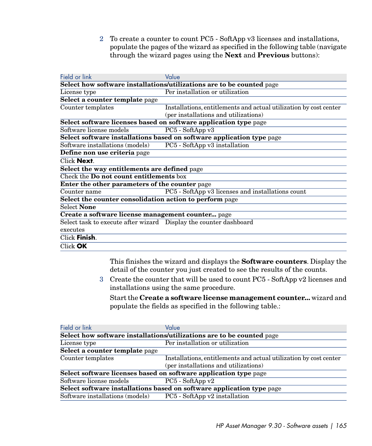2 To create a counter to count PC5 - SoftApp v3 licenses and installations, populate the pages of the wizard as specified in the following table (navigate through the wizard pages using the **Next** and **Previous** buttons):

| Field or link                                                     | Value                                                                 |
|-------------------------------------------------------------------|-----------------------------------------------------------------------|
|                                                                   | Select how software installations/utilizations are to be counted page |
| License type                                                      | Per installation or utilization                                       |
| Select a counter template page                                    |                                                                       |
| Counter templates                                                 | Installations, entitlements and actual utilization by cost center     |
|                                                                   | (per installations and utilizations)                                  |
|                                                                   | Select software licenses based on software application type page      |
| Software license models                                           | PC5 - SoftApp v3                                                      |
|                                                                   | Select software installations based on software application type page |
| Software installations (models)                                   | PC5 - SoftApp v3 installation                                         |
| Define non use criteria page                                      |                                                                       |
| Click Next.                                                       |                                                                       |
| Select the way entitlements are defined page                      |                                                                       |
| $\overline{\text{Check the Do not count entilements box}}$        |                                                                       |
| <b>Enter the other parameters of the counter page</b>             |                                                                       |
| Counter name                                                      | PC5 - SoftApp v3 licenses and installations count                     |
| Select the counter consolidation action to perform page           |                                                                       |
| <b>Select None</b>                                                |                                                                       |
| Create a software license management counter page                 |                                                                       |
| Select task to execute after wizard Display the counter dashboard |                                                                       |
| executes                                                          |                                                                       |
| Click Finish.                                                     |                                                                       |
| Click OK                                                          |                                                                       |

This finishes the wizard and displays the **Software counters**. Display the detail of the counter you just created to see the results of the counts.

3 Create the counter that will be used to count PC5 - SoftApp v2 licenses and installations using the same procedure.

Start the **Create a software license management counter...** wizard and populate the fields as specified in the following table.:

| Field or link                                                         | Value                                                                 |  |
|-----------------------------------------------------------------------|-----------------------------------------------------------------------|--|
|                                                                       | Select how software installations/utilizations are to be counted page |  |
| License type                                                          | Per installation or utilization                                       |  |
| Select a counter template page                                        |                                                                       |  |
| Counter templates                                                     | Installations, entitlements and actual utilization by cost center     |  |
|                                                                       | (per installations and utilizations)                                  |  |
|                                                                       | Select software licenses based on software application type page      |  |
| Software license models                                               | $PC5 - SoftAppv2$                                                     |  |
| Select software installations based on software application type page |                                                                       |  |
| Software installations (models)                                       | PC5 - SoftApp v2 installation                                         |  |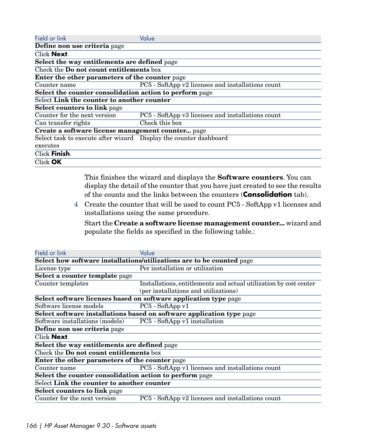| Field or link                                                     | Value                                             |
|-------------------------------------------------------------------|---------------------------------------------------|
| Define non use criteria page                                      |                                                   |
| Click Next.                                                       |                                                   |
| Select the way entitlements are defined page                      |                                                   |
| Check the <b>Do not count entitlements</b> box                    |                                                   |
| <b>Enter the other parameters of the counter page</b>             |                                                   |
| Counter name                                                      | PC5 - SoftApp v2 licenses and installations count |
| Select the counter consolidation action to perform page           |                                                   |
| Select Link the counter to another counter                        |                                                   |
| <b>Select counters to link page</b>                               |                                                   |
| Counter for the next version                                      | PC5 - SoftApp v3 licenses and installations count |
| Can transfer rights                                               | Check this box                                    |
| Create a software license management counter page                 |                                                   |
| Select task to execute after wizard Display the counter dashboard |                                                   |
| executes                                                          |                                                   |
| Click Finish.                                                     |                                                   |
| Click <b>OK</b>                                                   |                                                   |

This finishes the wizard and displays the **Software counters**. You can display the detail of the counter that you have just created to see the results of the counts and the links between the counters (**Consolidation** tab).

4 Create the counter that will be used to count PC5 - SoftApp v1 licenses and installations using the same procedure.

Start the **Create a software license management counter...** wizard and populate the fields as specified in the following table.:

| Field or link                                                         | Value                                                                 |  |  |  |
|-----------------------------------------------------------------------|-----------------------------------------------------------------------|--|--|--|
|                                                                       | Select how software installations/utilizations are to be counted page |  |  |  |
| License type                                                          | Per installation or utilization                                       |  |  |  |
| Select a counter template page                                        |                                                                       |  |  |  |
| Counter templates                                                     | Installations, entitlements and actual utilization by cost center     |  |  |  |
|                                                                       | (per installations and utilizations)                                  |  |  |  |
|                                                                       | Select software licenses based on software application type page      |  |  |  |
| Software license models                                               | PC5 - SoftApp v1                                                      |  |  |  |
| Select software installations based on software application type page |                                                                       |  |  |  |
| Software installations (models)                                       | PC5 - SoftApp v1 installation                                         |  |  |  |
| Define non use criteria page                                          |                                                                       |  |  |  |
| Click <b>Next</b> .                                                   |                                                                       |  |  |  |
| Select the way entitlements are defined page                          |                                                                       |  |  |  |
| Check the <b>Do not count entitlements</b> box                        |                                                                       |  |  |  |
| <b>Enter the other parameters of the counter page</b>                 |                                                                       |  |  |  |
| Counter name                                                          | PC5 - SoftApp v1 licenses and installations count                     |  |  |  |
| Select the counter consolidation action to perform page               |                                                                       |  |  |  |
| Select Link the counter to another counter                            |                                                                       |  |  |  |
| <b>Select counters to link page</b>                                   |                                                                       |  |  |  |
| Counter for the next version                                          | PC5 - SoftApp v2 licenses and installations count                     |  |  |  |
|                                                                       |                                                                       |  |  |  |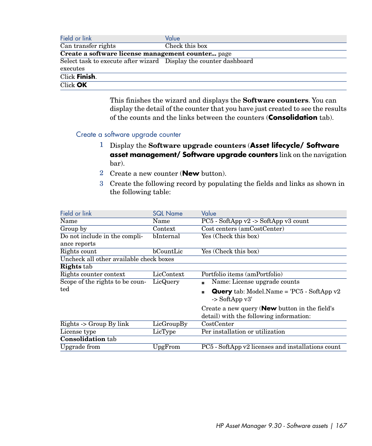| Field or link                                                     | Value          |
|-------------------------------------------------------------------|----------------|
| Can transfer rights                                               | Check this box |
| Create a software license management counter page                 |                |
| Select task to execute after wizard Display the counter dashboard |                |
| executes                                                          |                |
| Click Finish.                                                     |                |
| Click OK                                                          |                |

This finishes the wizard and displays the **Software counters**. You can display the detail of the counter that you have just created to see the results of the counts and the links between the counters (**Consolidation** tab).

### <span id="page-166-0"></span>Create a software upgrade counter

- 1 Display the **Software upgrade counters** (**Asset lifecycle/ Software asset management/ Software upgrade counters** link on the navigation bar).
- 2 Create a new counter (**New** button).
- 3 Create the following record by populating the fields and links as shown in the following table:

| Field or link                           | <b>SQL Name</b> | Value                                                                                            |
|-----------------------------------------|-----------------|--------------------------------------------------------------------------------------------------|
| Name                                    | Name            | $PC5$ - SoftApp v2 -> SoftApp v3 count                                                           |
| Group by                                | Context         | Cost centers (amCostCenter)                                                                      |
| Do not include in the compli-           | bInternal       | Yes (Check this box)                                                                             |
| ance reports                            |                 |                                                                                                  |
| Rights count                            | bCountLie       | Yes (Check this box)                                                                             |
| Uncheck all other available check boxes |                 |                                                                                                  |
| <b>Rights</b> tab                       |                 |                                                                                                  |
| Rights counter context                  | LicContext      | Portfolio items (amPortfolio)                                                                    |
| Scope of the rights to be coun-         | LicQuery        | Name: License upgrade counts                                                                     |
| ted                                     |                 | <b>Query</b> tab: Model. Name = $PC5 - SoftAppv2$<br>$\sim$ SoftApp v3'                          |
|                                         |                 | Create a new query ( <b>New</b> button in the field's<br>detail) with the following information: |
| Rights -> Group By link                 | LicGroupBy      | CostCenter                                                                                       |
| License type                            | LicType         | Per installation or utilization                                                                  |
| <b>Consolidation</b> tab                |                 |                                                                                                  |
| Upgrade from                            | UpgFrom         | PC5 - SoftApp v2 licenses and installations count                                                |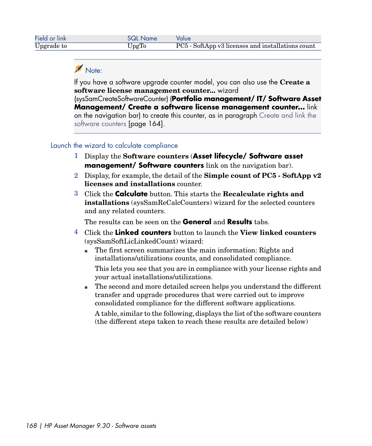# Note:

If you have a software upgrade counter model, you can also use the **Create a software license management counter...** wizard

(sysSamCreateSoftwareCounter) (**Portfolio management/ IT/ Software Asset Management/ Create a software license management counter...** link on the navigation bar) to create this counter, as in paragraph [Create and link the](#page-163-0) [software counters](#page-163-0) [page 164].

## <span id="page-167-0"></span>Launch the wizard to calculate compliance

- 1 Display the **Software counters** (**Asset lifecycle/ Software asset management/ Software counters** link on the navigation bar).
- 2 Display, for example, the detail of the **Simple count of PC5 SoftApp v2 licenses and installations** counter.
- 3 Click the **Calculate** button. This starts the **Recalculate rights and installations** (sysSamReCalcCounters) wizard for the selected counters and any related counters.

The results can be seen on the **General** and **Results** tabs.

- 4 Click the **Linked counters** button to launch the **View linked counters** (sysSamSoftLicLinkedCount) wizard:
	- n The first screen summarizes the main information: Rights and installations/utilizations counts, and consolidated compliance.

This lets you see that you are in compliance with your license rights and your actual installations/utilizations.

<sup>n</sup> The second and more detailed screen helps you understand the different transfer and upgrade procedures that were carried out to improve consolidated compliance for the different software applications.

A table, similar to the following, displays the list of the software counters (the different steps taken to reach these results are detailed below)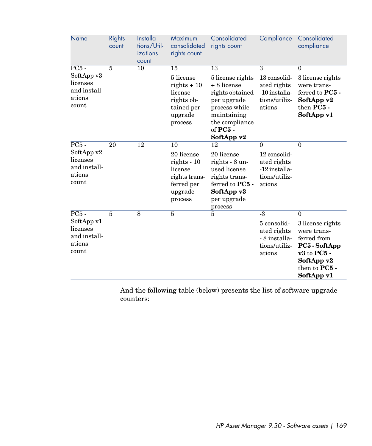| Name                                                      | <b>Rights</b><br>count | Installa-<br>tions/Util-<br>izations<br>count | Maximum<br>consolidated<br>rights count                                                     | Consolidated<br>rights count                                                                                               | Compliance                                                              | Consolidated<br>compliance                                                                                                      |
|-----------------------------------------------------------|------------------------|-----------------------------------------------|---------------------------------------------------------------------------------------------|----------------------------------------------------------------------------------------------------------------------------|-------------------------------------------------------------------------|---------------------------------------------------------------------------------------------------------------------------------|
| $\overline{PC5}$ -<br>SoftApp v3                          | 5                      | 10                                            | 15<br>5 license                                                                             | 13<br>5 license rights                                                                                                     | $\overline{3}$<br>13 consolid-                                          | $\mathbf{0}$<br>3 license rights                                                                                                |
| licenses<br>and install-<br>ations<br>count               |                        |                                               | rights $+10$<br>license<br>rights ob-<br>tained per<br>upgrade<br>process                   | + 8 license<br>rights obtained<br>per upgrade<br>process while<br>maintaining<br>the compliance<br>of PC5 -<br>SoftApp v2  | ated rights<br>-10 installa-<br>tions/utiliz-<br>ations                 | were trans-<br>ferred to PC5 -<br>SoftApp v2<br>then PC5 -<br>SoftApp v1                                                        |
| $PC5 -$                                                   | $\overline{20}$        | $\overline{12}$                               | $\overline{10}$                                                                             | $\overline{12}$                                                                                                            | $\Omega$                                                                | $\overline{0}$                                                                                                                  |
| SoftApp v2<br>licenses<br>and install-<br>ations<br>count |                        |                                               | 20 license<br>$rights - 10$<br>license<br>rights trans-<br>ferred per<br>upgrade<br>process | 20 license<br>rights - 8 un-<br>used license<br>rights trans-<br>ferred to $PC5$ -<br>SoftApp v3<br>per upgrade<br>process | 12 consolid-<br>ated rights<br>-12 installa-<br>tions/utiliz-<br>ations |                                                                                                                                 |
| $\overline{PC5}$ -                                        | $\overline{5}$         | $\overline{8}$                                | $\overline{5}$                                                                              | $\overline{5}$                                                                                                             | $-3$                                                                    | $\overline{0}$                                                                                                                  |
| SoftApp v1<br>licenses<br>and install-<br>ations<br>count |                        |                                               |                                                                                             |                                                                                                                            | 5 consolid-<br>ated rights<br>- 8 installa-<br>tions/utiliz-<br>ations  | 3 license rights<br>were trans-<br>ferred from<br>PC5 - SoftApp<br>$v3$ to $PC5$ -<br>SoftApp v2<br>then to PC5 -<br>SoftApp v1 |

And the following table (below) presents the list of software upgrade counters: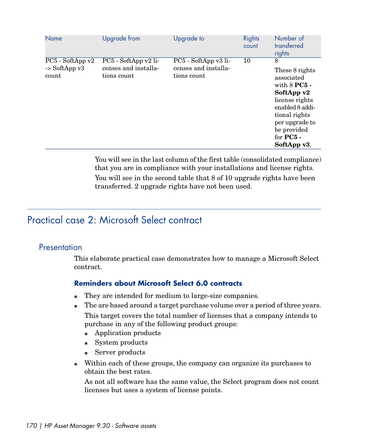| Name                                                   | Upgrade from                                                | Upgrade to                                                  | Rights<br>count | Number of<br>transferred<br>rights                                                                                                                                                        |
|--------------------------------------------------------|-------------------------------------------------------------|-------------------------------------------------------------|-----------------|-------------------------------------------------------------------------------------------------------------------------------------------------------------------------------------------|
| $PC5 - SoftAppv2$<br>$\rightarrow$ SoftApp v3<br>count | PC5 - SoftApp v2 li-<br>censes and installa-<br>tions count | PC5 - SoftApp v3 li-<br>censes and installa-<br>tions count | 10              | 8<br>These 8 rights<br>associated<br>with $8$ PC $5$ -<br>SoftApp v2<br>license rights<br>enabled 8 addi-<br>tional rights<br>per upgrade to<br>be provided<br>for $PC5$ -<br>SoftApp v3. |

You will see in the last column of the first table (consolidated compliance) that you are in compliance with your installations and license rights. You will see in the second table that 8 of 10 upgrade rights have been transferred. 2 upgrade rights have not been used.

# Practical case 2: Microsoft Select contract

### **Presentation**

This elaborate practical case demonstrates how to manage a Microsoft Select contract.

## **Reminders about Microsoft Select 6.0 contracts**

- n They are intended for medium to large-size companies.
- n The are based around a target purchase volume over a period of three years. This target covers the total number of licenses that a company intends to purchase in any of the following product groups:
	- **n** Application products
	- System products
	- Server products
- <sup>n</sup> Within each of these groups, the company can organize its purchases to obtain the best rates.

As not all software has the same value, the Select program does not count licenses but uses a system of license points.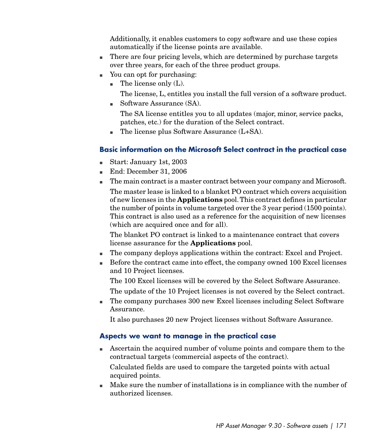Additionally, it enables customers to copy software and use these copies automatically if the license points are available.

- $\blacksquare$  There are four pricing levels, which are determined by purchase targets over three years, for each of the three product groups.
- <sup>n</sup> You can opt for purchasing:
	- $\blacksquare$  The license only (L).

The license, L, entitles you install the full version of a software product.

 $\blacksquare$  Software Assurance (SA).

The SA license entitles you to all updates (major, minor, service packs, patches, etc.) for the duration of the Select contract.

 $\blacksquare$  The license plus Software Assurance (L+SA).

## **Basic information on the Microsoft Select contract in the practical case**

- Start: January 1st, 2003
- <sup>n</sup> End: December 31, 2006
- n The main contract is a master contract between your company and Microsoft.

The master lease is linked to a blanket PO contract which covers acquisition of new licenses in the **Applications** pool.This contract defines in particular the number of points in volume targeted over the 3 year period (1500 points). This contract is also used as a reference for the acquisition of new licenses (which are acquired once and for all).

The blanket PO contract is linked to a maintenance contract that covers license assurance for the **Applications** pool.

- n The company deploys applications within the contract: Excel and Project.
- <sup>n</sup> Before the contract came into effect, the company owned 100 Excel licenses and 10 Project licenses.

The 100 Excel licenses will be covered by the Select Software Assurance.

The update of the 10 Project licenses is not covered by the Select contract.

n The company purchases 300 new Excel licenses including Select Software Assurance.

It also purchases 20 new Project licenses without Software Assurance.

## **Aspects we want to manage in the practical case**

<sup>n</sup> Ascertain the acquired number of volume points and compare them to the contractual targets (commercial aspects of the contract).

Calculated fields are used to compare the targeted points with actual acquired points.

<sup>n</sup> Make sure the number of installations is in compliance with the number of authorized licenses.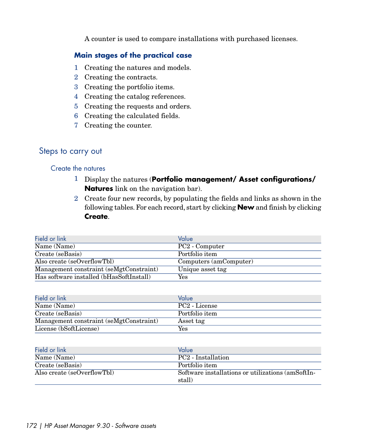A counter is used to compare installations with purchased licenses.

### **Main stages of the practical case**

- 1 Creating the natures and models.
- 2 Creating the contracts.
- 3 Creating the portfolio items.
- 4 Creating the catalog references.
- 5 Creating the requests and orders.
- 6 Creating the calculated fields.
- 7 Creating the counter.

# Steps to carry out

### Create the natures

- 1 Display the natures (**Portfolio management/ Asset configurations/ Natures** link on the navigation bar).
- 2 Create four new records, by populating the fields and links as shown in the following tables. For each record, start by clicking **New** and finish by clicking **Create**.

| Field or link                            | Value                      |
|------------------------------------------|----------------------------|
| Name (Name)                              | PC <sub>2</sub> - Computer |
| Create (seBasis)                         | Portfolio item             |
| Also create (seOverflowTbl)              | Computers (amComputer)     |
| Management constraint (seMgtConstraint)  | Unique asset tag           |
| Has software installed (bHasSoftInstall) | Yes                        |

| Field or link                           | Value                     |
|-----------------------------------------|---------------------------|
| Name (Name)                             | PC <sub>2</sub> - License |
| Create (seBasis)                        | Portfolio item            |
| Management constraint (seMgtConstraint) | Asset tag                 |
| License (bSoftLicense)                  | Yes                       |

| Field or link               | Value                                             |
|-----------------------------|---------------------------------------------------|
| Name (Name)                 | PC <sub>2</sub> - Installation                    |
| Create (seBasis)            | Portfolio item                                    |
| Also create (seOverflowTbl) | Software installations or utilizations (amSoftIn- |
|                             | stall)                                            |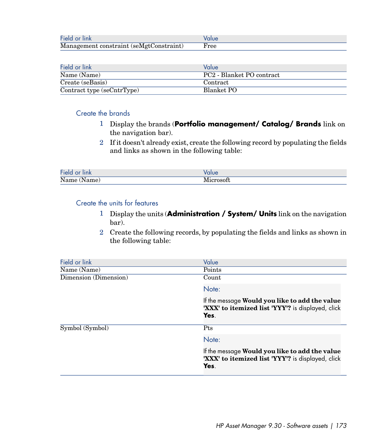| Field or link                           |      |
|-----------------------------------------|------|
| Management constraint (seMgtConstraint) | Free |

| Field or link              | Value                     |
|----------------------------|---------------------------|
| Name (Name)                | PC2 - Blanket PO contract |
| Create (seBasis)           | Contract                  |
| Contract type (seCntrType) | Blanket PO                |

### Create the brands

- 1 Display the brands (**Portfolio management/ Catalog/ Brands** link on the navigation bar).
- 2 If it doesn't already exist, create the following record by populating the fields and links as shown in the following table:

| Field or<br>∵ lınk. | alue |
|---------------------|------|
| Name (<br>(Name)    |      |

#### Create the units for features

- 1 Display the units (**Administration / System/ Units** link on the navigation bar).
- 2 Create the following records, by populating the fields and links as shown in the following table:

| Field or link         | Value                                                                                                       |
|-----------------------|-------------------------------------------------------------------------------------------------------------|
| Name (Name)           | Points                                                                                                      |
| Dimension (Dimension) | Count                                                                                                       |
|                       | Note:                                                                                                       |
|                       | If the message Would you like to add the value<br>'XXX' to itemized list 'YYY'? is displayed, click<br>Yes. |
| Symbol (Symbol)       | Pts                                                                                                         |
|                       | Note:                                                                                                       |
|                       | If the message Would you like to add the value<br>'XXX' to itemized list 'YYY'? is displayed, click<br>Yes. |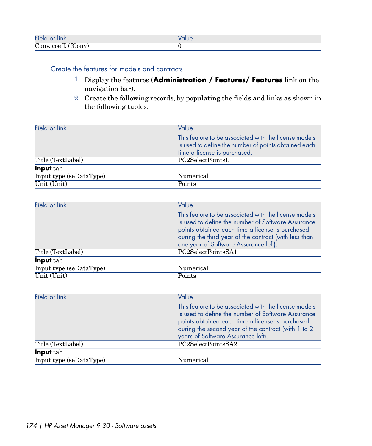| Field or<br>∵ lınk      | ılue |
|-------------------------|------|
| (fConv)<br>Conv. coeff. |      |

## Create the features for models and contracts

- 1 Display the features (**Administration / Features/ Features** link on the navigation bar).
- 2 Create the following records, by populating the fields and links as shown in the following tables:

| Field or link                   | Value                                                                                                                                                                                                                                                        |
|---------------------------------|--------------------------------------------------------------------------------------------------------------------------------------------------------------------------------------------------------------------------------------------------------------|
|                                 | This feature to be associated with the license models                                                                                                                                                                                                        |
|                                 | is used to define the number of points obtained each                                                                                                                                                                                                         |
|                                 | time a license is purchased.                                                                                                                                                                                                                                 |
| Title (TextLabel)               | PC2SelectPointsL                                                                                                                                                                                                                                             |
| Input tab                       |                                                                                                                                                                                                                                                              |
| Input type (seDataType)         | Numerical                                                                                                                                                                                                                                                    |
| Unit (Unit)                     | Points                                                                                                                                                                                                                                                       |
|                                 |                                                                                                                                                                                                                                                              |
| Field or link                   | Value                                                                                                                                                                                                                                                        |
|                                 | This feature to be associated with the license models<br>is used to define the number of Software Assurance<br>points obtained each time a license is purchased<br>during the third year of the contract (with less than                                     |
| Title (TextLabel)               | one year of Software Assurance left).<br>PC2SelectPointsSA1                                                                                                                                                                                                  |
| Input tab                       |                                                                                                                                                                                                                                                              |
| Input type (seDataType)         | Numerical                                                                                                                                                                                                                                                    |
| $\overline{\text{Unit (Unit)}}$ | Points                                                                                                                                                                                                                                                       |
|                                 |                                                                                                                                                                                                                                                              |
| Field or link                   | Value                                                                                                                                                                                                                                                        |
|                                 | This feature to be associated with the license models<br>is used to define the number of Software Assurance<br>points obtained each time a license is purchased<br>during the second year of the contract (with 1 to 2<br>years of Software Assurance left). |
| Title (TextLabel)               | PC2SelectPointsSA2                                                                                                                                                                                                                                           |
| Input tab                       |                                                                                                                                                                                                                                                              |
| Input type (seDataType)         | Numerical                                                                                                                                                                                                                                                    |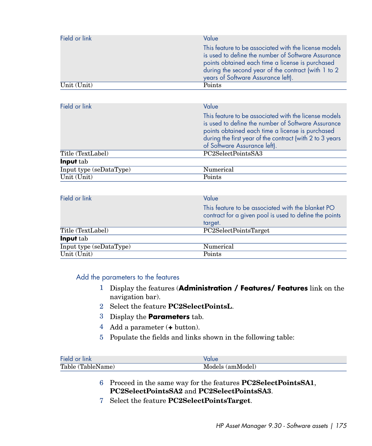| Field or link | Value<br>This feature to be associated with the license models<br>is used to define the number of Software Assurance<br>points obtained each time a license is purchased<br>during the second year of the contract (with 1 to 2<br>years of Software Assurance left). |
|---------------|-----------------------------------------------------------------------------------------------------------------------------------------------------------------------------------------------------------------------------------------------------------------------|
| Unit (Unit)   | Points                                                                                                                                                                                                                                                                |

| Field or link           | Value<br>This feature to be associated with the license models                                                                                                                                     |
|-------------------------|----------------------------------------------------------------------------------------------------------------------------------------------------------------------------------------------------|
|                         | is used to define the number of Software Assurance<br>points obtained each time a license is purchased<br>during the first year of the contract (with 2 to 3 years<br>of Software Assurance left). |
| Title (TextLabel)       | PC2SelectPointsSA3                                                                                                                                                                                 |
| <b>Input</b> tab        |                                                                                                                                                                                                    |
| Input type (seDataType) | Numerical                                                                                                                                                                                          |
| Unit (Unit)             | Points                                                                                                                                                                                             |

| Field or link           | Value                                                                                                       |
|-------------------------|-------------------------------------------------------------------------------------------------------------|
|                         |                                                                                                             |
|                         | This feature to be associated with the blanket PO<br>contract for a given pool is used to define the points |
|                         | target.                                                                                                     |
| Title (TextLabel)       | PC2SelectPointsTarget                                                                                       |
| <b>Input</b> tab        |                                                                                                             |
| Input type (seDataType) | Numerical                                                                                                   |
| Unit (Unit)             | Points                                                                                                      |
|                         |                                                                                                             |

# Add the parameters to the features

- 1 Display the features (**Administration / Features/ Features** link on the navigation bar).
- 2 Select the feature **PC2SelectPointsL**.
- 3 Display the **Parameters** tab.
- 4 Add a parameter (**+** button).
- 5 Populate the fields and links shown in the following table:

| Field or link     |                  |
|-------------------|------------------|
| Table (TableName) | Models (amModel) |

- 6 Proceed in the same way for the features **PC2SelectPointsSA1**, **PC2SelectPointsSA2** and **PC2SelectPointsSA3**.
- 7 Select the feature **PC2SelectPointsTarget**.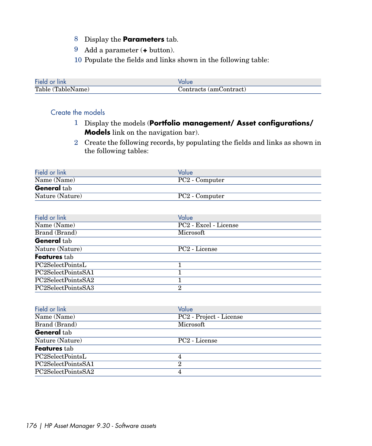- 8 Display the **Parameters** tab.
- 9 Add a parameter (**+** button).
- 10 Populate the fields and links shown in the following table:

| Field or link     |                        |
|-------------------|------------------------|
| Table (TableName) | Contracts (amContract) |

### Create the models

- 1 Display the models (**Portfolio management/ Asset configurations/ Models** link on the navigation bar).
- 2 Create the following records, by populating the fields and links as shown in the following tables:

| Field or link      | Value                      |
|--------------------|----------------------------|
| Name (Name)        | PC2 - Computer             |
| <b>General</b> tab |                            |
| Nature (Nature)    | PC <sub>2</sub> - Computer |

| Field or link      | Value                     |
|--------------------|---------------------------|
| Name (Name)        | PC2 - Excel - License     |
| Brand (Brand)      | Microsoft                 |
| <b>General</b> tab |                           |
| Nature (Nature)    | PC <sub>2</sub> - License |
| Features tab       |                           |
| PC2SelectPointsL   |                           |
| PC2SelectPointsSA1 |                           |
| PC2SelectPointsSA2 |                           |
| PC2SelectPointsSA3 | $\mathbf{2}$              |

| Field or link      | Value                     |
|--------------------|---------------------------|
| Name (Name)        | PC2 - Project - License   |
| Brand (Brand)      | Microsoft                 |
| <b>General</b> tab |                           |
| Nature (Nature)    | PC <sub>2</sub> - License |
| Features tab       |                           |
| PC2SelectPointsL   | 4                         |
| PC2SelectPointsSA1 | 2                         |
| PC2SelectPointsSA2 |                           |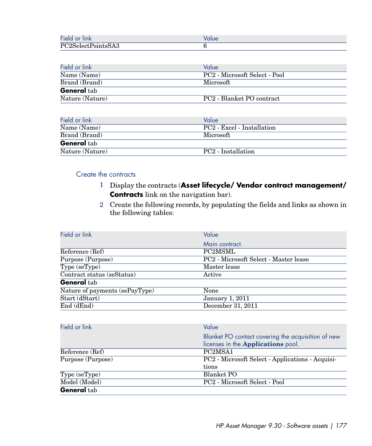| Fiela<br>. .<br>ink                                    |  |
|--------------------------------------------------------|--|
| $P^{\alpha\alpha}$<br>$\bigcap$ $\bigcap$<br>5A3<br>-- |  |

| Field or link      | Value                                 |
|--------------------|---------------------------------------|
| Name (Name)        | PC2 - Microsoft Select - Pool         |
| Brand (Brand)      | Microsoft                             |
| <b>General</b> tab |                                       |
| Nature (Nature)    | PC <sub>2</sub> - Blanket PO contract |

| Field or link      | Value                          |
|--------------------|--------------------------------|
| Name (Name)        | PC2 - Excel - Installation     |
| Brand (Brand)      | Microsoft                      |
| <b>General</b> tab |                                |
| Nature (Nature)    | PC <sub>2</sub> - Installation |

### Create the contracts

- 1 Display the contracts (**Asset lifecycle/ Vendor contract management/ Contracts** link on the navigation bar).
- 2 Create the following records, by populating the fields and links as shown in the following tables:

| Value                                 |
|---------------------------------------|
| Main contract.                        |
| PC2MSML                               |
| PC2 - Microsoft Select - Master lease |
| Master lease                          |
| Active                                |
|                                       |
| None                                  |
| <b>January 1, 2011</b>                |
| December 31, 2011                     |
|                                       |

| Field or link      | Value                                              |
|--------------------|----------------------------------------------------|
|                    | Blanket PO contact covering the acquisition of new |
|                    | licenses in the <b>Applications</b> pool.          |
| Reference (Ref)    | PC <sub>2</sub> MS <sub>A1</sub>                   |
| Purpose (Purpose)  | PC2 - Microsoft Select - Applications - Acquisi-   |
|                    | tions                                              |
| Type (seType)      | Blanket PO                                         |
| Model (Model)      | PC2 - Microsoft Select - Pool                      |
| <b>General</b> tab |                                                    |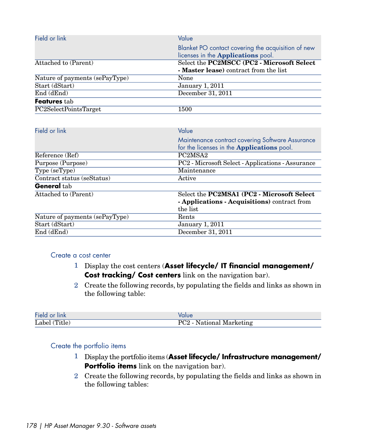| Field or link                  | Value                                                                                                 |
|--------------------------------|-------------------------------------------------------------------------------------------------------|
|                                | Blanket PO contact covering the acquisition of new<br>licenses in the <b>Applications</b> pool.       |
| Attached to (Parent)           | Select the PC2MSCC (PC2 - Microsoft Select                                                            |
|                                | - Master lease) contract from the list                                                                |
| Nature of payments (sePayType) | None                                                                                                  |
| Start (dStart)                 | <b>January 1, 2011</b>                                                                                |
| End (dEnd)                     | December 31, 2011                                                                                     |
| Features tab                   |                                                                                                       |
| PC2SelectPointsTarget          | 1500                                                                                                  |
|                                |                                                                                                       |
| Field or link                  | Value                                                                                                 |
|                                | Maintenance contract covering Software Assurance<br>for the licenses in the <b>Applications</b> pool. |

|                                | for the licenses in the <b>Applications</b> pool. |
|--------------------------------|---------------------------------------------------|
| Reference (Ref)                | PC <sub>2</sub> MS <sub>A2</sub>                  |
| Purpose (Purpose)              | PC2 - Microsoft Select - Applications - Assurance |
| Type (seType)                  | Maintenance                                       |
| Contract status (seStatus)     | Active                                            |
| <b>General</b> tab             |                                                   |
| Attached to (Parent)           | Select the PC2MSA1 (PC2 - Microsoft Select        |
|                                | - Applications - Acquisitions) contract from      |
|                                | the list                                          |
| Nature of payments (sePayType) | Rents                                             |
| Start (dStart)                 | <b>January 1, 2011</b>                            |
| End (dEnd)                     | December 31, 2011                                 |

#### Create a cost center

- 1 Display the cost centers (**Asset lifecycle/ IT financial management/ Cost tracking/ Cost centers** link on the navigation bar).
- 2 Create the following records, by populating the fields and links as shown in the following table:

| Field or link | <b>Value</b>             |
|---------------|--------------------------|
| Label (Title) | PC2 - National Marketing |

### Create the portfolio items

- 1 Display the portfolio items (**Asset lifecycle/ Infrastructure management/ Portfolio items** link on the navigation bar).
- 2 Create the following records, by populating the fields and links as shown in the following tables: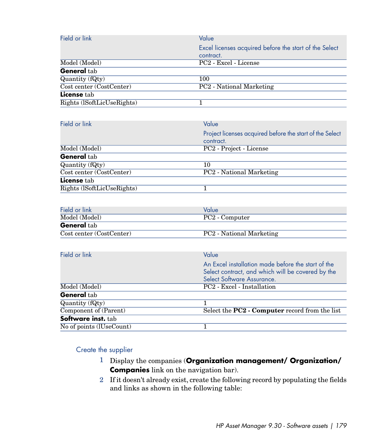| Field or link              | Value                                                  |
|----------------------------|--------------------------------------------------------|
|                            | Excel licenses acquired before the start of the Select |
|                            | contract.                                              |
| Model (Model)              | PC2 - Excel - License                                  |
| General tab                |                                                        |
| Quantity (fQty)            | 100                                                    |
| Cost center (CostCenter)   | PC2 - National Marketing                               |
| License tab                |                                                        |
| Rights (ISoftLicUseRights) |                                                        |

| Field or link              | Value                                                    |
|----------------------------|----------------------------------------------------------|
|                            | Project licenses acquired before the start of the Select |
|                            | contract.                                                |
| Model (Model)              | PC2 - Project - License                                  |
| General tab                |                                                          |
| Quantity (fQty)            | 10                                                       |
| Cost center (CostCenter)   | <b>PC2</b> - National Marketing                          |
| <b>License</b> tab         |                                                          |
| Rights (ISoftLicUseRights) |                                                          |

| Field or link            | Value                    |
|--------------------------|--------------------------|
| Model (Model)            | PC2 - Computer           |
| <b>General</b> tab       |                          |
| Cost center (CostCenter) | PC2 - National Marketing |

| Field or link            | Value                                              |
|--------------------------|----------------------------------------------------|
|                          | An Excel installation made before the start of the |
|                          | Select contract, and which will be covered by the  |
|                          | Select Software Assurance.                         |
| Model (Model)            | PC2 - Excel - Installation                         |
| <b>General</b> tab       |                                                    |
| Quantity (fQty)          |                                                    |
| Component of (Parent)    | Select the PC2 - Computer record from the list     |
| Software inst. tab       |                                                    |
| No of points (IUseCount) |                                                    |

Create the supplier

- 1 Display the companies (**Organization management/ Organization/ Companies** link on the navigation bar).
- 2 If it doesn't already exist, create the following record by populating the fields and links as shown in the following table: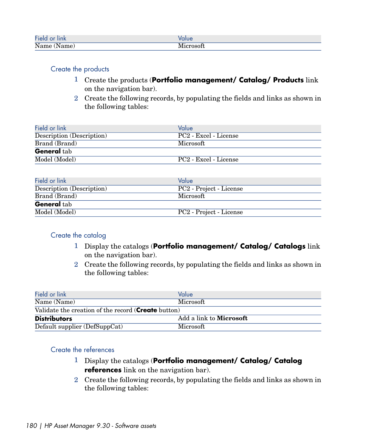| Field or link | Value     |
|---------------|-----------|
| Name (Name)   | Microsoft |

### Create the products

- 1 Create the products (**Portfolio management/ Catalog/ Products** link on the navigation bar).
- 2 Create the following records, by populating the fields and links as shown in the following tables:

| Field or link             | Value                             |
|---------------------------|-----------------------------------|
| Description (Description) | PC <sub>2</sub> - Excel - License |
| Brand (Brand)             | Microsoft                         |
| <b>General</b> tab        |                                   |
| Model (Model)             | PC2 - Excel - License             |

| Field or link             | Value                   |
|---------------------------|-------------------------|
| Description (Description) | PC2 - Project - License |
| Brand (Brand)             | Microsoft               |
| <b>General</b> tab        |                         |
| Model (Model)             | PC2 - Project - License |

#### Create the catalog

- 1 Display the catalogs (**Portfolio management/ Catalog/ Catalogs** link on the navigation bar).
- 2 Create the following records, by populating the fields and links as shown in the following tables:

| Field or link                                               | Value                          |  |
|-------------------------------------------------------------|--------------------------------|--|
| Name (Name)                                                 | Microsoft                      |  |
| Validate the creation of the record ( <b>Create</b> button) |                                |  |
| <b>Distributors</b>                                         | Add a link to <b>Microsoft</b> |  |
| Default supplier (DefSuppCat)                               | Microsoft                      |  |

### Create the references

- 1 Display the catalogs (**Portfolio management/ Catalog/ Catalog references** link on the navigation bar).
- 2 Create the following records, by populating the fields and links as shown in the following tables: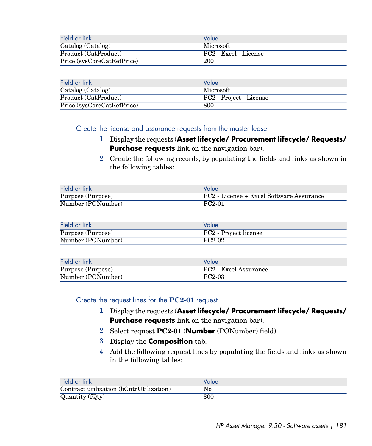| Field or link              | Value                 |
|----------------------------|-----------------------|
| Catalog (Catalog)          | Microsoft             |
| Product (CatProduct)       | PC2 - Excel - License |
| Price (sysCoreCatRefPrice) | 200                   |

| Field or link              | Value                   |
|----------------------------|-------------------------|
| Catalog (Catalog)          | Microsoft               |
| Product (CatProduct)       | PC2 - Project - License |
| Price (sysCoreCatRefPrice) | 800                     |

Create the license and assurance requests from the master lease

- 1 Display the requests (**Asset lifecycle/ Procurement lifecycle/ Requests/ Purchase requests** link on the navigation bar).
- 2 Create the following records, by populating the fields and links as shown in the following tables:

| Field or link     | Value                                    |
|-------------------|------------------------------------------|
| Purpose (Purpose) | PC2 - License + Excel Software Assurance |
| Number (PONumber) | $PC2-01$                                 |

| Field or link     | Value                 |
|-------------------|-----------------------|
| Purpose (Purpose) | PC2 - Project license |
| Number (PONumber) | PC <sub>2</sub> -02   |

| Field or link     | Value                             |
|-------------------|-----------------------------------|
| Purpose (Purpose) | PC <sub>2</sub> - Excel Assurance |
| Number (PONumber) | PC <sub>2</sub> -03               |

Create the request lines for the **PC2-01** request

- 1 Display the requests (**Asset lifecycle/ Procurement lifecycle/ Requests/ Purchase requests** link on the navigation bar).
- 2 Select request **PC2-01** (**Number** (PONumber) field).
- 3 Display the **Composition** tab.
- 4 Add the following request lines by populating the fields and links as shown in the following tables:

| Field or link                           | Value |
|-----------------------------------------|-------|
| Contract utilization (bCntrUtilization) | No    |
| $\overline{$ Quantity (fQty)            | 300   |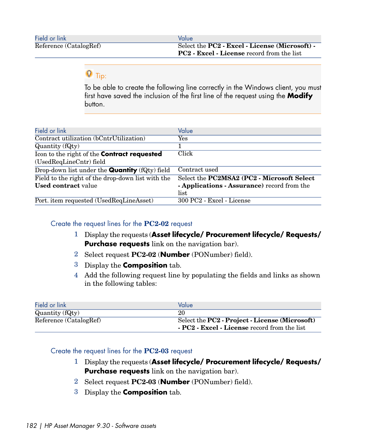| Field or link          | Value                                                           |
|------------------------|-----------------------------------------------------------------|
| Reference (CatalogRef) | Select the PC2 - Excel - License (Microsoft) -                  |
|                        | <b>PC2</b> - <b>Excel</b> - <b>License</b> record from the list |

## **Q** Tip:

To be able to create the following line correctly in the Windows client, you must first have saved the inclusion of the first line of the request using the **Modify** button.

| Field or link                                         | Value                                       |
|-------------------------------------------------------|---------------------------------------------|
| Contract utilization (bCntrUtilization)               | Yes                                         |
| Quantity (fQty)                                       |                                             |
| Icon to the right of the Contract requested           | Click                                       |
| (UsedReqLineCntr) field                               |                                             |
| Drop-down list under the <b>Quantity</b> (fQty) field | Contract used                               |
| Field to the right of the drop-down list with the     | Select the PC2MSA2 (PC2 - Microsoft Select  |
| <b>Used contract value</b>                            | - Applications - Assurance) record from the |
|                                                       | list                                        |
| Port. item requested (UsedReqLineAsset)               | 300 PC2 - Excel - License                   |

#### Create the request lines for the **PC2-02** request

- 1 Display the requests (**Asset lifecycle/ Procurement lifecycle/ Requests/ Purchase requests** link on the navigation bar).
- 2 Select request **PC2-02** (**Number** (PONumber) field).
- 3 Display the **Composition** tab.
- 4 Add the following request line by populating the fields and links as shown in the following tables:

| Field or link          | Value                                                           |
|------------------------|-----------------------------------------------------------------|
| Quantity (fQty)        | 20                                                              |
| Reference (CatalogRef) | Select the PC2 - Project - License (Microsoft)                  |
|                        | <b>PC2</b> - <b>Excel</b> - <b>License</b> record from the list |

#### Create the request lines for the **PC2-03** request

- 1 Display the requests (**Asset lifecycle/ Procurement lifecycle/ Requests/ Purchase requests** link on the navigation bar).
- 2 Select request **PC2-03** (**Number** (PONumber) field).
- 3 Display the **Composition** tab.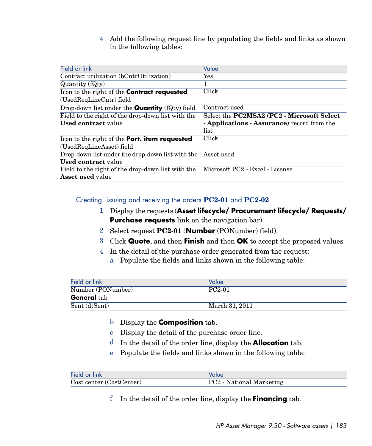4 Add the following request line by populating the fields and links as shown in the following tables:

| Field or link                                                                     | Value                                                      |
|-----------------------------------------------------------------------------------|------------------------------------------------------------|
| Contract utilization (bCntrUtilization)                                           | Yes                                                        |
| Quantity (fQty)                                                                   |                                                            |
| Icon to the right of the <b>Contract requested</b>                                | Click                                                      |
| (UsedReqLineCntr) field                                                           |                                                            |
| Drop-down list under the <b>Quantity</b> $(fQty)$ field                           | Contract used                                              |
| Field to the right of the drop-down list with the                                 | Select the PC2MSA2 (PC2 - Microsoft Select                 |
| <b>Used contract value</b>                                                        | - <b>Applications</b> - <b>Assurance</b> ) record from the |
|                                                                                   | list                                                       |
| Icon to the right of the Port. item requested                                     | Click                                                      |
| (UsedReqLineAsset) field                                                          |                                                            |
| Drop-down list under the drop-down list with the Asset used                       |                                                            |
| <b>Used contract value</b>                                                        |                                                            |
| Field to the right of the drop-down list with the Microsoft PC2 - Excel - License |                                                            |
| <b>Asset used value</b>                                                           |                                                            |

Creating, issuing and receiving the orders **PC2-01** and **PC2-02**

- 1 Display the requests (**Asset lifecycle/ Procurement lifecycle/ Requests/ Purchase requests** link on the navigation bar).
- 2 Select request **PC2-01** (**Number** (PONumber) field).
- 3 Click **Quote**, and then **Finish** and then **OK** to accept the proposed values.
- 4 In the detail of the purchase order generated from the request:
	- a Populate the fields and links shown in the following table:

| Field or link      | Value          |
|--------------------|----------------|
| Number (PONumber)  | $PC2-01$       |
| <b>General</b> tab |                |
| Sent (dtSent)      | March 31, 2011 |

- b Display the **Composition** tab.
- c Display the detail of the purchase order line.
- d In the detail of the order line, display the **Allocation** tab.
- e Populate the fields and links shown in the following table:

| Field or link            | Value                    |
|--------------------------|--------------------------|
| Cost center (CostCenter) | PC2 - National Marketing |

f In the detail of the order line, display the **Financing** tab.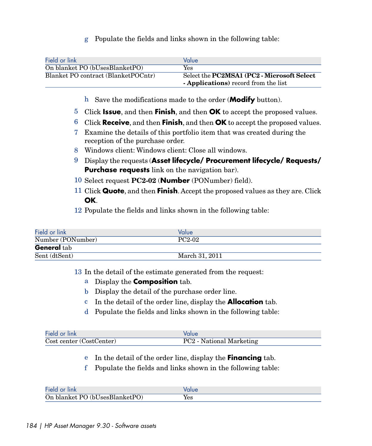g Populate the fields and links shown in the following table:

| Field or link                        | Value                                                     |
|--------------------------------------|-----------------------------------------------------------|
| On blanket PO (bUsesBlanketPO)       | Yes                                                       |
| Blanket PO contract (Blanket POCntr) | Select the <b>PC2MSA1</b> ( <b>PC2</b> - Microsoft Select |
|                                      | <b>- Applications</b> ) record from the list              |

- h Save the modifications made to the order (**Modify** button).
- 5 Click **Issue**, and then **Finish**, and then **OK** to accept the proposed values.
- 6 Click **Receive**, and then **Finish**, and then **OK** to accept the proposed values.
- 7 Examine the details of this portfolio item that was created during the reception of the purchase order.
- 8 Windows client: Windows client: Close all windows.
- 9 Display the requests (**Asset lifecycle/ Procurement lifecycle/ Requests/ Purchase requests** link on the navigation bar).
- 10 Select request **PC2-02** (**Number** (PONumber) field).
- 11 Click **Quote**, and then **Finish**. Accept the proposed values as they are. Click **OK**.
- 12 Populate the fields and links shown in the following table:

| Field or link      | Value               |
|--------------------|---------------------|
| Number (PONumber)  | PC <sub>2</sub> -02 |
| <b>General</b> tab |                     |
| Sent (dtSent)      | March 31, 2011      |

13 In the detail of the estimate generated from the request:

- a Display the **Composition** tab.
- b Display the detail of the purchase order line.
- c In the detail of the order line, display the **Allocation** tab.
- d Populate the fields and links shown in the following table:

| Field or link            | Value                    |
|--------------------------|--------------------------|
| Cost center (CostCenter) | PC2 - National Marketing |

- e In the detail of the order line, display the **Financing** tab.
- f Populate the fields and links shown in the following table:

| Field or link                  | olue/ |
|--------------------------------|-------|
| On blanket PO (bUsesBlanketPO) | Yes   |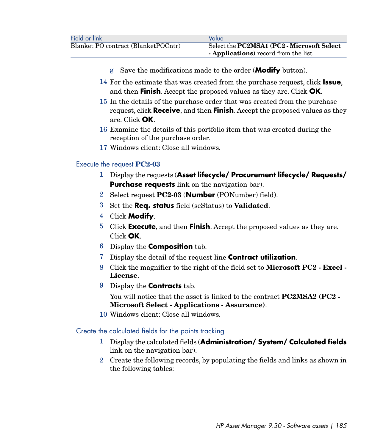- g Save the modifications made to the order (**Modify** button).
- 14 For the estimate that was created from the purchase request, click **Issue**, and then **Finish**. Accept the proposed values as they are. Click **OK**.
- 15 In the details of the purchase order that was created from the purchase request, click **Receive**, and then **Finish**. Accept the proposed values as they are. Click **OK**.
- 16 Examine the details of this portfolio item that was created during the reception of the purchase order.
- 17 Windows client: Close all windows.

#### Execute the request **PC2-03**

- 1 Display the requests (**Asset lifecycle/ Procurement lifecycle/ Requests/ Purchase requests** link on the navigation bar).
- 2 Select request **PC2-03** (**Number** (PONumber) field).
- 3 Set the **Req. status** field (seStatus) to **Validated**.
- 4 Click **Modify**.
- 5 Click **Execute**, and then **Finish**. Accept the proposed values as they are. Click **OK**.
- 6 Display the **Composition** tab.
- 7 Display the detail of the request line **Contract utilization**.
- 8 Click the magnifier to the right of the field set to **Microsoft PC2 Excel - License**.
- 9 Display the **Contracts** tab.

You will notice that the asset is linked to the contract **PC2MSA2 (PC2 - Microsoft Select - Applications - Assurance)**.

10 Windows client: Close all windows.

Create the calculated fields for the points tracking

- 1 Display the calculated fields (**Administration/ System/ Calculated fields** link on the navigation bar).
- 2 Create the following records, by populating the fields and links as shown in the following tables: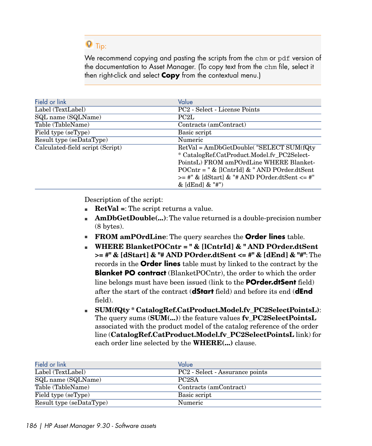# **Q** Tip:

We recommend copying and pasting the scripts from the chm or pdf version of the documentation to Asset Manager. (To copy text from the chm file, select it then right-click and select **Copy** from the contextual menu.)

| Field or link                    | Value                                             |
|----------------------------------|---------------------------------------------------|
|                                  |                                                   |
| Label (TextLabel)                | PC2 - Select - License Points                     |
| SQL name (SQLName)               | PC <sub>2</sub> L                                 |
| Table (TableName)                | Contracts (amContract)                            |
| Field type (seType)              | Basic script                                      |
| Result type (seDataType)         | Numeric                                           |
| Calculated-field script (Script) | RetVal = AmDbGetDouble("SELECT SUM(fQty           |
|                                  | * CatalogRef.CatProduct.Model.fv_PC2Select-       |
|                                  | PointsL) FROM amPOrdLine WHERE Blanket-           |
|                                  | $POCntr = " & [lCntrId] & "AND POrder.dtSent$     |
|                                  | $>=$ #" & [dStart] & "# AND POrder.dtSent $<=$ #" |
|                                  | $&$ [dEnd] $&$ "#")                               |

Description of the script:

- **RetVal** =: The script returns a value.
- **AmDbGetDouble(...)**: The value returned is a double-precision number (8 bytes).
- **FROM amPOrdLine:** The query searches the **Order lines** table.
- <sup>n</sup> **WHERE BlanketPOCntr = " & [lCntrId] & " AND POrder.dtSent >= #" & [dStart] & "# AND POrder.dtSent <= #" & [dEnd] & "#"**: The records in the **Order lines** table must by linked to the contract by the **Blanket PO contract** (Blanket POCntr), the order to which the order line belongs must have been issued (link to the **POrder.dtSent** field) after the start of the contract (**dStart** field) and before its end (**dEnd** field).
- <sup>n</sup> **SUM(fQty \* CatalogRef.CatProduct.Model.fv\_PC2SelectPointsL)**: The query sums (**SUM(...)**) the feature values **fv\_PC2SelectPointsL** associated with the product model of the catalog reference of the order line (**CatalogRef.CatProduct.Model.fv\_PC2SelectPointsL** link) for each order line selected by the **WHERE(...)** clause.

| Field or link            | Value                                       |
|--------------------------|---------------------------------------------|
| Label (TextLabel)        | PC <sub>2</sub> - Select - Assurance points |
| SQL name (SQLName)       | PC <sub>2</sub> SA                          |
| Table (TableName)        | Contracts (amContract)                      |
| Field type (seType)      | Basic script                                |
| Result type (seDataType) | Numeric                                     |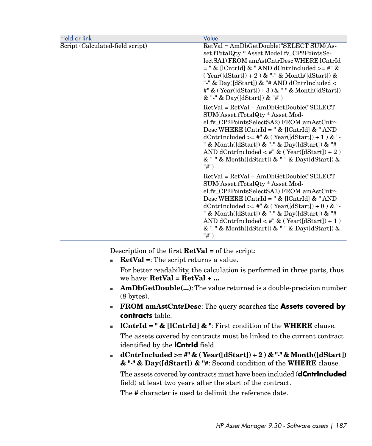| Field or link                    | Value                                                                                                                                                                                                                                                                                                                                                                                            |
|----------------------------------|--------------------------------------------------------------------------------------------------------------------------------------------------------------------------------------------------------------------------------------------------------------------------------------------------------------------------------------------------------------------------------------------------|
| Script (Calculated-field script) | RetVal = AmDbGetDouble("SELECT SUM(As-<br>set.fTotalQty * Asset.Model.fv_CP2PointsSe-<br>lectSA1) FROM amAstCntrDesc WHERE lCntrId<br>$=$ " & [lCntrId] & " AND dCntrIncluded >= #" &<br>$(Year([dStart]) + 2)$ & "-" & Month([dStart]) &<br>"-" & Day([dStart]) & "# AND dCntrIncluded <<br>#" & (Year([dStart]) + 3 ) & "-" & Month([dStart])<br>& "-" & Day([dStart]) & "#")                  |
|                                  | RetVal = RetVal + AmDbGetDouble("SELECT<br>SUM(Asset.fTotalQty * Asset.Mod-<br>el.fv_CP2PointsSelectSA2) FROM amAstCntr-<br>Desc WHERE $lCntrId = " \& [lCntrId] \& "AND"$<br>dCntrIncluded >= #" & ( Year([dStart]) + 1 ) & "-<br>" & Month([dStart]) & "-" & Day([dStart]) & "#<br>AND dCntrIncluded < #" $\&$ (Year([dStart]) + 2)<br>& "-" & Month([dStart]) & "-" & Day([dStart]) &<br>"#") |
|                                  | RetVal = RetVal + AmDbGetDouble("SELECT<br>SUM(Asset.fTotalQty * Asset.Mod-<br>el.fv_CP2PointsSelectSA3) FROM amAstCntr-<br>Desc WHERE $lcntrId = " & [lcntrId] & "AND]$<br>dCntrIncluded >= #" & ( Year([dStart]) + 0 ) & "-<br>" & Month([dStart]) & "-" & Day([dStart]) & "#<br>AND dCntrIncluded $\lt$ #" & (Year([dStart]) + 1)<br>& "-" & Month([dStart]) & "-" & Day([dStart]) &<br>"#")  |

Description of the first **RetVal =** of the script:

**RetVal** =: The script returns a value.

For better readability, the calculation is performed in three parts, thus we have: **RetVal = RetVal + ...**

- **AmDbGetDouble(...)**: The value returned is a double-precision number (8 bytes).
- <sup>n</sup> **FROM amAstCntrDesc**: The query searches the **Assets covered by contracts** table.
- <sup>n</sup> **lCntrId = " & [lCntrId] & "**: First condition of the **WHERE** clause. The assets covered by contracts must be linked to the current contract identified by the **lCntrId** field.
- **dCntrIncluded >= #" & ( Year([dStart]) + 2 ) & "-" & Month([dStart]) & "-" & Day([dStart]) & "#**: Second condition of the **WHERE** clause.

The assets covered by contracts must have been included (**dCntrIncluded** field) at least two years after the start of the contract.

The **#** character is used to delimit the reference date.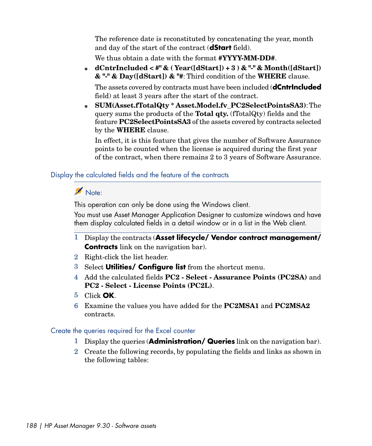The reference date is reconstituted by concatenating the year, month and day of the start of the contract (**dStart** field).

We thus obtain a date with the format **#YYYY-MM-DD#**.

<sup>n</sup> **dCntrIncluded < #" & ( Year([dStart]) + 3 ) & "-" & Month([dStart]) & "-" & Day([dStart]) & "#**: Third condition of the **WHERE** clause.

The assets covered by contracts must have been included (**dCntrIncluded** field) at least 3 years after the start of the contract.

<sup>n</sup> **SUM(Asset.fTotalQty \* Asset.Model.fv\_PC2SelectPointsSA3)**:The query sums the products of the **Total qty.** (fTotalQty) fields and the feature **PC2SelectPointsSA3** of the assets covered by contracts selected by the **WHERE** clause.

In effect, it is this feature that gives the number of Software Assurance points to be counted when the license is acquired during the first year of the contract, when there remains 2 to 3 years of Software Assurance.

### Display the calculated fields and the feature of the contracts

### Note:

This operation can only be done using the Windows client.

You must use Asset Manager Application Designer to customize windows and have them display calculated fields in a detail window or in a list in the Web client.

- 1 Display the contracts (**Asset lifecycle/ Vendor contract management/ Contracts** link on the navigation bar).
- 2 Right-click the list header.
- 3 Select **Utilities/ Configure list** from the shortcut menu.
- 4 Add the calculated fields **PC2 Select Assurance Points (PC2SA)** and **PC2 - Select - License Points (PC2L)**.
- 5 Click **OK**.
- 6 Examine the values you have added for the **PC2MSA1** and **PC2MSA2** contracts.

### Create the queries required for the Excel counter

- 1 Display the queries (**Administration/ Queries** link on the navigation bar).
- 2 Create the following records, by populating the fields and links as shown in the following tables: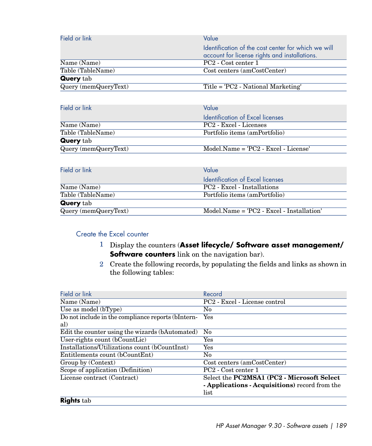| Field or link        | Value                                                                                                |
|----------------------|------------------------------------------------------------------------------------------------------|
|                      | Identification of the cost center for which we will<br>account for license rights and installations. |
| Name (Name)          | PC <sub>2</sub> - Cost center 1                                                                      |
| Table (TableName)    | Cost centers (amCostCenter)                                                                          |
| <b>Query</b> tab     |                                                                                                      |
| Query (memQueryText) | Title = 'PC2 - National Marketing'                                                                   |

| Field or link        | Value                                  |
|----------------------|----------------------------------------|
|                      | Identification of Excel licenses       |
| Name (Name)          | PC <sub>2</sub> - Excel - Licenses     |
| Table (TableName)    | Portfolio items (amPortfolio)          |
| <b>Query</b> tab     |                                        |
| Query (memQueryText) | $Model.Name = 'PC2 - Excel - License'$ |
|                      |                                        |

| Field or link        | Value                                         |
|----------------------|-----------------------------------------------|
|                      | Identification of Excel licenses              |
| Name (Name)          | PC <sub>2</sub> - Excel - Installations       |
| Table (TableName)    | Portfolio items (amPortfolio)                 |
| <b>Query</b> tab     |                                               |
| Query (memQueryText) | $Model(Name = 'PC2 - Excel - Instantiation')$ |

### Create the Excel counter

- 1 Display the counters (**Asset lifecycle/ Software asset management/ Software counters** link on the navigation bar).
- 2 Create the following records, by populating the fields and links as shown in the following tables:

| Field or link                                      | Record                                                 |
|----------------------------------------------------|--------------------------------------------------------|
| Name (Name)                                        | PC2 - Excel - License control                          |
| Use as model (bType)                               | $\rm No$                                               |
| Do not include in the compliance reports (bIntern- | Yes                                                    |
| al)                                                |                                                        |
| Edit the counter using the wizards (bAutomated)    | No                                                     |
| User-rights count (bCountLic)                      | Yes                                                    |
| Installations/Utilizations count (bCountInst)      | Yes                                                    |
| Entitlements count (bCountEnt)                     | $\rm No$                                               |
| Group by (Context)                                 | Cost centers (amCostCenter)                            |
| Scope of application (Definition)                  | PC <sub>2</sub> - Cost center 1                        |
| License contract (Contract)                        | Select the PC2MSA1 (PC2 - Microsoft Select             |
|                                                    | <b>- Applications - Acquisitions</b> ) record from the |
|                                                    | list                                                   |
| <b>Rights</b> tab                                  |                                                        |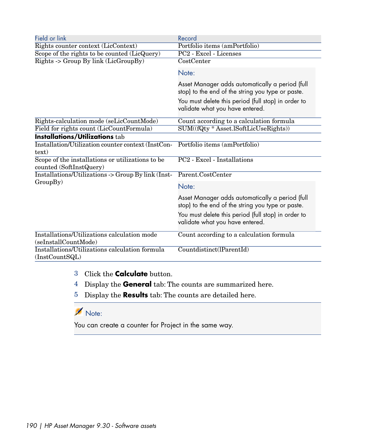| Field or link                                                               | Record                                                                                               |
|-----------------------------------------------------------------------------|------------------------------------------------------------------------------------------------------|
| Rights counter context (LicContext)                                         | Portfolio items (amPortfolio)                                                                        |
| Scope of the rights to be counted (LicQuery)                                | PC2 - Excel - Licenses                                                                               |
| Rights -> Group By link (LicGroupBy)                                        | CostCenter                                                                                           |
|                                                                             | Note:                                                                                                |
|                                                                             | Asset Manager adds automatically a period (full<br>stop) to the end of the string you type or paste. |
|                                                                             | You must delete this period (full stop) in order to<br>validate what you have entered.               |
| Rights-calculation mode (seLicCountMode)                                    | Count according to a calculation formula                                                             |
| Field for rights count (LicCountFormula)                                    | SUM((fQty * Asset.lSoftLicUseRights))                                                                |
| <b>Installations/Utilizations tab</b>                                       |                                                                                                      |
| Installation/Utilization counter context (InstCon-<br>text)                 | Portfolio items (amPortfolio)                                                                        |
| Scope of the installations or utilizations to be<br>counted (SoftInstQuery) | PC2 - Excel - Installations                                                                          |
| Installations/Utilizations -> Group By link (Inst-                          | Parent.CostCenter                                                                                    |
| GroupBy)                                                                    | Note:                                                                                                |
|                                                                             | Asset Manager adds automatically a period (full<br>stop) to the end of the string you type or paste. |
|                                                                             | You must delete this period (full stop) in order to<br>validate what you have entered.               |
| Installations/Utilizations calculation mode<br>(seInstallCountMode)         | Count according to a calculation formula                                                             |
| Installations/Utilizations calculation formula<br>(InstCountSQL)            | Countdistinct(lParentId)                                                                             |

- 3 Click the **Calculate** button.
- 4 Display the **General** tab: The counts are summarized here.
- 5 Display the **Results** tab: The counts are detailed here.

### Note:

You can create a counter for Project in the same way.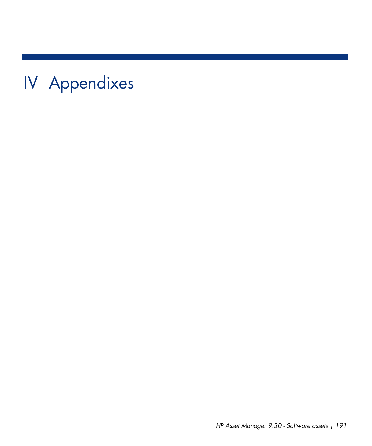IV Appendixes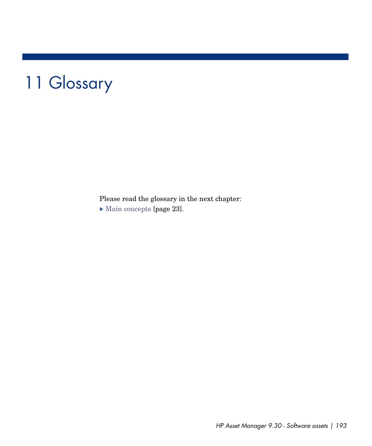# 11 Glossary

Please read the glossary in the next chapter:  $\triangleright$  [Main concepts](#page-22-0) [page 23].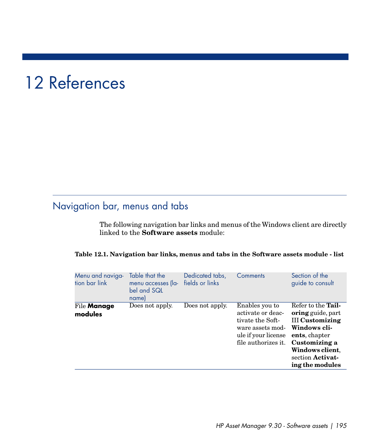# 12 References

# Navigation bar, menus and tabs

The following navigation bar links and menus of the Windows client are directly linked to the **Software assets** module:

|  |  | Table 12.1. Navigation bar links, menus and tabs in the Software assets module - list |  |
|--|--|---------------------------------------------------------------------------------------|--|
|--|--|---------------------------------------------------------------------------------------|--|

| Menu and naviga-<br>tion bar link | Table that the<br>menu accesses (la-<br>bel and SQL<br>name) | Dedicated tabs,<br>fields or links | Comments                                                                                                                  | Section of the<br>guide to consult                                                                                                                                                          |
|-----------------------------------|--------------------------------------------------------------|------------------------------------|---------------------------------------------------------------------------------------------------------------------------|---------------------------------------------------------------------------------------------------------------------------------------------------------------------------------------------|
| File <b>Manage</b><br>modules     | Does not apply.                                              | Does not apply.                    | Enables you to<br>activate or deac-<br>tivate the Soft-<br>ware assets mod-<br>ule if your license<br>file authorizes it. | Refer to the Tail-<br><b>oring</b> guide, part<br><b>III Customizing</b><br>Windows cli-<br>ents, chapter<br>Customizing a<br>Windows client.<br>section <b>Activat-</b><br>ing the modules |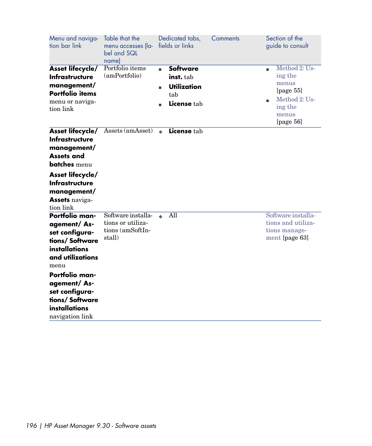| Menu and naviga-<br>tion bar link                                                                                                                                                                                       | Table that the<br>menu accesses (la-<br>bel and SQL<br>name)          | Dedicated tabs,<br>fields or links                                                 | Comments | Section of the<br>guide to consult                                                                          |
|-------------------------------------------------------------------------------------------------------------------------------------------------------------------------------------------------------------------------|-----------------------------------------------------------------------|------------------------------------------------------------------------------------|----------|-------------------------------------------------------------------------------------------------------------|
| Asset lifecycle/<br>Infrastructure<br>management/<br><b>Portfolio items</b><br>menu or naviga-<br>tion link                                                                                                             | Portfolio items<br>(amPortfolio)                                      | <b>Software</b><br>٠<br>inst. tab<br><b>Utilization</b><br>٠<br>tab<br>License tab |          | Method 2: Us-<br>٠<br>ing the<br>menus<br>[page $55$ ]<br>Method 2: Us-<br>ing the<br>menus<br>[page $56$ ] |
| Asset lifecycle/<br>Infrastructure<br>management/<br><b>Assets and</b><br><b>batches</b> menu<br>Asset lifecycle/<br><b>Infrastructure</b><br>management/<br><b>Assets</b> naviga-<br>tion link                         | Assets (amAsset)                                                      | License tab<br>$\ddot{\bullet}$                                                    |          |                                                                                                             |
| Portfolio man-<br>agement/As-<br>set configura-<br>tions/Software<br>installations<br>and utilizations<br>menu<br>Portfolio man-<br>agement/As-<br>set configura-<br>tions/Software<br>installations<br>navigation link | Software installa-<br>tions or utiliza-<br>tions (amSoftIn-<br>stall) | All<br>$\ddot{\bullet}$                                                            |          | Software installa-<br>tions and utiliza-<br>tions manage-<br>ment [page 63]                                 |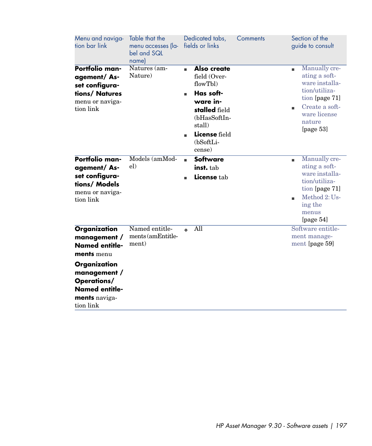| Menu and naviga-<br>tion bar link                                                                                                                                                | Table that the<br>menu accesses (la-<br>bel and SQL<br>name) | Dedicated tabs,<br>fields or links                                                                                                                       | Comments | Section of the<br>guide to consult                                                                                                                    |
|----------------------------------------------------------------------------------------------------------------------------------------------------------------------------------|--------------------------------------------------------------|----------------------------------------------------------------------------------------------------------------------------------------------------------|----------|-------------------------------------------------------------------------------------------------------------------------------------------------------|
| Portfolio man-<br>agement/As-<br>set configura-<br>tions/ Natures<br>menu or naviga-<br>tion link                                                                                | Natures (am-<br>Nature)                                      | Also create<br>٠<br>field (Over-<br>flowTbl)<br>Has soft-<br>ware in-<br>stalled field<br>(bHasSoftIn-<br>stall)<br>License field<br>(bSoftLi-<br>cense) |          | Manually cre-<br>٠<br>ating a soft-<br>ware installa-<br>tion/utiliza-<br>tion [page 71]<br>Create a soft-<br>ware license<br>nature<br>[ $page 53$ ] |
| Portfolio man-<br>agement/As-<br>set configura-<br>tions/ Models<br>menu or naviga-<br>tion link                                                                                 | Models (amMod-<br>el)                                        | <b>Software</b><br>ä.<br>inst. tab<br>License tab                                                                                                        |          | Manually cre-<br>٠<br>ating a soft-<br>ware installa-<br>tion/utiliza-<br>tion [page 71]<br>Method 2: Us-<br>ing the<br>menus<br>[page $54$ ]         |
| Organization<br>management /<br><b>Named entitle-</b><br>ments menu<br>Organization<br>management /<br><b>Operations/</b><br><b>Named entitle-</b><br>ments naviga-<br>tion link | Named entitle-<br>ments (amEntitle-<br>ment)                 | All<br>ò.                                                                                                                                                |          | Software entitle-<br>ment manage-<br>ment [page 59]                                                                                                   |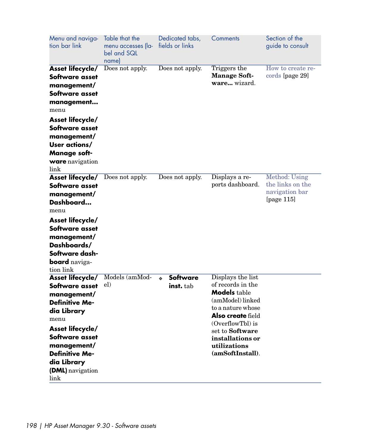| Menu and naviga-<br>tion bar link                                                                                                                                                                                                 | Table that the<br>menu accesses (la-<br>bel and SQL<br>name) | Dedicated tabs,<br>fields or links               | Comments                                                                                                                                                                                                                          | Section of the<br>guide to consult                                   |
|-----------------------------------------------------------------------------------------------------------------------------------------------------------------------------------------------------------------------------------|--------------------------------------------------------------|--------------------------------------------------|-----------------------------------------------------------------------------------------------------------------------------------------------------------------------------------------------------------------------------------|----------------------------------------------------------------------|
| Asset lifecycle/<br>Software asset<br>management/<br>Software asset<br>management<br>menu                                                                                                                                         | Does not apply.                                              | Does not apply.                                  | Triggers the<br><b>Manage Soft-</b><br>ware wizard.                                                                                                                                                                               | How to create re-<br>cords [page 29]                                 |
| Asset lifecycle/<br>Software asset<br>management/<br>User actions/<br><b>Manage soft-</b><br><b>ware</b> navigation<br>link                                                                                                       |                                                              |                                                  |                                                                                                                                                                                                                                   |                                                                      |
| Asset lifecycle/<br>Software asset<br>management/<br>Dashboard<br>menu<br>Asset lifecycle/<br>Software asset<br>management/<br>Dashboards/<br>Software dash-<br><b>board</b> naviga-<br>tion link                                 | Does not apply.                                              | Does not apply.                                  | Displays a re-<br>ports dashboard.                                                                                                                                                                                                | Method: Using<br>the links on the<br>navigation bar<br>[page $115$ ] |
| <b>Asset lifecycle/</b><br>Software asset<br>management/<br><b>Definitive Me-</b><br>dia Library<br>menu<br>Asset lifecycle/<br>Software asset<br>management/<br><b>Definitive Me-</b><br>dia Library<br>(DML) navigation<br>link | Models (amMod-<br>el)                                        | <b>Software</b><br>$\ddot{\bullet}$<br>inst. tab | Displays the list<br>of records in the<br><b>Models</b> table<br>(amModel) linked<br>to a nature whose<br><b>Also create</b> field<br>(OverflowTbl) is<br>set to Software<br>installations or<br>utilizations<br>(amSoftInstall). |                                                                      |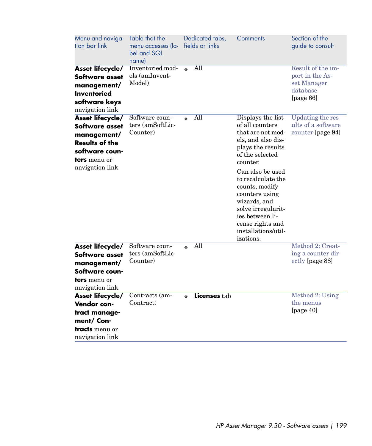| Menu and naviga-<br>tion bar link                                                                                                      | Table that the<br>menu accesses (la-<br>bel and SQL<br>namel |                  | Dedicated tabs,<br>fields or links | Comments                                                                                                                                                                                                                                                                                                                           | Section of the<br>guide to consult                                              |
|----------------------------------------------------------------------------------------------------------------------------------------|--------------------------------------------------------------|------------------|------------------------------------|------------------------------------------------------------------------------------------------------------------------------------------------------------------------------------------------------------------------------------------------------------------------------------------------------------------------------------|---------------------------------------------------------------------------------|
| Asset lifecycle/<br>Software asset<br>management/<br><b>Inventoried</b><br>software keys<br>navigation link                            | Inventoried mod-<br>els (amInvent-<br>Model)                 | ò.               | $\overline{All}$                   |                                                                                                                                                                                                                                                                                                                                    | Result of the im-<br>port in the As-<br>set Manager<br>database<br>[page $66$ ] |
| Asset lifecycle/<br>Software asset<br>management/<br><b>Results of the</b><br>software coun-<br><b>ters</b> menu or<br>navigation link | Software coun-<br>ters (amSoftLic-<br>Counter)               | $\ddot{\bullet}$ | All                                | Displays the list<br>of all counters<br>that are not mod-<br>els, and also dis-<br>plays the results<br>of the selected<br>counter.<br>Can also be used<br>to recalculate the<br>counts, modify<br>counters using<br>wizards, and<br>solve irregularit-<br>ies between li-<br>cense rights and<br>installations/util-<br>izations. | Updating the res-<br>ults of a software<br>counter [page 94]                    |
| Asset lifecycle/<br>Software asset<br>management/<br>Software coun-<br><b>ters</b> menu or<br>navigation link                          | Software coun-<br>ters (amSoftLic-<br>Counter)               | ò.               | All                                |                                                                                                                                                                                                                                                                                                                                    | Method 2: Creat-<br>ing a counter dir-<br>ectly [page 88]                       |
| Asset lifecycle/<br>Vendor con-<br>tract manage-<br>ment/ Con-<br><b>tracts</b> menu or<br>navigation link                             | Contracts (am-<br>Contract)                                  | ò                | Licenses tab                       |                                                                                                                                                                                                                                                                                                                                    | Method 2: Using<br>the menus<br>[page 40]                                       |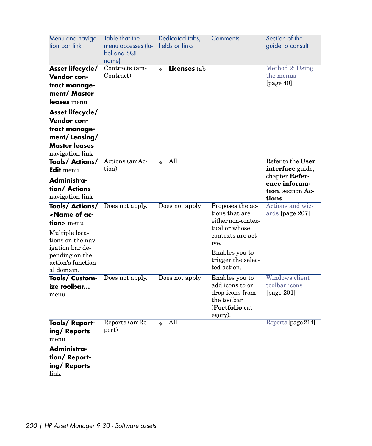| Menu and naviga-<br>tion bar link                                                                                                                                                  | Table that the<br>menu accesses (la-<br>bel and SQL<br>name) | Dedicated tabs,<br>fields or links | Comments                                                                                                                                                      | Section of the<br>guide to consult                      |
|------------------------------------------------------------------------------------------------------------------------------------------------------------------------------------|--------------------------------------------------------------|------------------------------------|---------------------------------------------------------------------------------------------------------------------------------------------------------------|---------------------------------------------------------|
| Asset lifecycle/<br>Vendor con-<br>tract manage-<br>ment/ Master<br>leases menu                                                                                                    | Contracts (am-<br>Contract)                                  | <b>Licenses tab</b>                |                                                                                                                                                               | Method 2: Using<br>the menus<br>[page 40]               |
| Asset lifecycle/<br>Vendor con-                                                                                                                                                    |                                                              |                                    |                                                                                                                                                               |                                                         |
| tract manage-<br>ment/Leasing/<br><b>Master leases</b><br>navigation link                                                                                                          |                                                              |                                    |                                                                                                                                                               |                                                         |
| Tools/ Actions/<br>Edit menu                                                                                                                                                       | Actions (amAc-<br>tion)                                      | All                                |                                                                                                                                                               | Refer to the User<br>interface guide,<br>chapter Refer- |
| Administra-<br>tion/ Actions<br>navigation link                                                                                                                                    |                                                              |                                    |                                                                                                                                                               | ence informa-<br>tion, section Ac-<br>tions.            |
| Tools/Actions/<br><name ac-<br="" of="">tion&gt; menu<br/>Multiple loca-<br/>tions on the nav-<br/>igation bar de-<br/>pending on the<br/>action's function-<br/>al domain.</name> | Does not apply.                                              | Does not apply.                    | Proposes the ac-<br>tions that are<br>either non-contex-<br>tual or whose<br>contexts are act-<br>ive.<br>Enables you to<br>trigger the selec-<br>ted action. | Actions and wiz-<br>ards [page 207]                     |
| Tools/ Custom-<br>ize toolbar<br>menu                                                                                                                                              | Does not apply.                                              | Does not apply.                    | Enables you to<br>add icons to or<br>drop icons from<br>the toolbar<br>(Portfolio cat-<br>egory).                                                             | Windows client<br>toolbar icons<br>[page $201$ ]        |
| Tools/Report-<br>ing/Reports<br>menu<br>Administra-<br>tion/Report-<br>ing/Reports<br>link                                                                                         | Reports (amRe-<br>port)                                      | All                                |                                                                                                                                                               | Reports [page 214]                                      |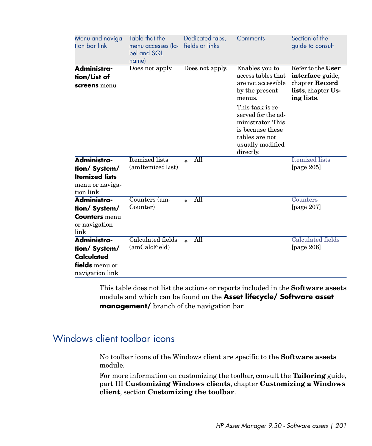| Menu and naviga-<br>tion bar link                                                      | Table that the<br>menu accesses (la-<br>bel and SQL<br>name) | Dedicated tabs,<br>fields or links | Comments                                                                                                                                                                                                        | Section of the<br>guide to consult                                                                 |
|----------------------------------------------------------------------------------------|--------------------------------------------------------------|------------------------------------|-----------------------------------------------------------------------------------------------------------------------------------------------------------------------------------------------------------------|----------------------------------------------------------------------------------------------------|
| Administra-<br>tion/List of<br>screens menu                                            | Does not apply.                                              | Does not apply.                    | Enables you to<br>access tables that<br>are not accessible<br>by the present<br>menus.<br>This task is re-<br>served for the ad-<br>ministrator. This<br>is because these<br>tables are not<br>usually modified | Refer to the User<br>interface guide,<br>chapter <b>Record</b><br>lists, chapter Us-<br>ing lists. |
| Administra-<br>tion/ System/<br><b>Itemized lists</b><br>menu or naviga-<br>tion link  | <b>Itemized</b> lists<br>(amItemizedList)                    | All<br>ò.                          | directly.                                                                                                                                                                                                       | <b>Itemized</b> lists<br>[page $205$ ]                                                             |
| Administra-<br>tion/ System/<br><b>Counters</b> menu<br>or navigation<br>link          | Counters (am-<br>Counter)                                    | All<br>ó                           |                                                                                                                                                                                                                 | Counters<br>[page $207$ ]                                                                          |
| Administra-<br>tion/ System/<br><b>Calculated</b><br>fields menu or<br>navigation link | Calculated fields<br>(amCalcField)                           | All<br>$\ddot{\bullet}$            |                                                                                                                                                                                                                 | Calculated fields<br>[page $206$ ]                                                                 |

<span id="page-200-0"></span>This table does not list the actions or reports included in the **Software assets** module and which can be found on the **Asset lifecycle/ Software asset management/** branch of the navigation bar.

# Windows client toolbar icons

No toolbar icons of the Windows client are specific to the **Software assets** module.

For more information on customizing the toolbar, consult the **Tailoring** guide, part III **Customizing Windows clients**, chapter **Customizing a Windows client**, section **Customizing the toolbar**.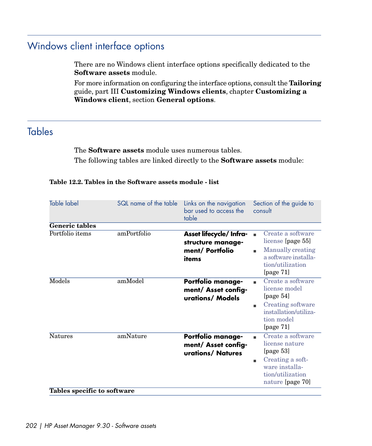# Windows client interface options

There are no Windows client interface options specifically dedicated to the **Software assets** module.

<span id="page-201-0"></span>For more information on configuring the interface options, consult the **Tailoring** guide, part III **Customizing Windows clients**, chapter **Customizing a Windows client**, section **General options**.

## **Tables**

The **Software assets** module uses numerous tables. The following tables are linked directly to the **Software assets** module:

#### **Table 12.2. Tables in the Software assets module - list**

| <b>Table label</b>          | SQL name of the table | Links on the navigation<br>bar used to access the<br>table               | Section of the guide to<br>consult                                                                                                     |
|-----------------------------|-----------------------|--------------------------------------------------------------------------|----------------------------------------------------------------------------------------------------------------------------------------|
| <b>Generic tables</b>       |                       |                                                                          |                                                                                                                                        |
| Portfolio items             | amPortfolio           | Asset lifecycle/ Infra-<br>structure manage-<br>ment/ Portfolio<br>items | Create a software<br>license [page 55]<br>Manually creating<br>a software installa-<br>tion/utilization<br>[page $71$ ]                |
| Models                      | amModel               | <b>Portfolio manage-</b><br>ment/ Asset config-<br>urations/ Models      | Create a software<br>license model<br>[page $54$ ]<br>Creating software<br>٠<br>installation/utiliza-<br>tion model<br>[page 71]       |
| <b>Natures</b>              | amNature              | Portfolio manage-<br>ment/ Asset config-<br>urations/ Natures            | Create a software<br>license nature<br>[page $53$ ]<br>Creating a soft-<br>٠<br>ware installa-<br>tion/utilization<br>nature [page 70] |
| Tables specific to software |                       |                                                                          |                                                                                                                                        |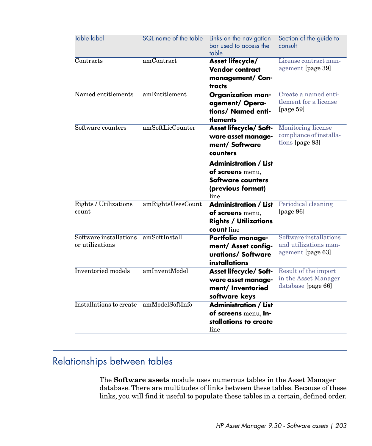| <b>Table label</b>                        | SQL name of the table | Links on the navigation<br>bar used to access the<br>table                                         | Section of the guide to<br>consult                                      |
|-------------------------------------------|-----------------------|----------------------------------------------------------------------------------------------------|-------------------------------------------------------------------------|
| Contracts                                 | amContract            | Asset lifecycle/<br><b>Vendor contract</b><br>management/ Con-<br>tracts                           | License contract man-<br>agement [page 39]                              |
| Named entitlements                        | amEntitlement         | <b>Organization man-</b><br>agement/Opera-<br>tions/ Named enti-<br>tlements                       | Create a named enti-<br>tlement for a license<br>[page $59$ ]           |
| Software counters                         | amSoftLicCounter      | <b>Asset lifecycle/ Soft-</b><br>ware asset manage-<br>ment/ Software<br>counters                  | <b>Monitoring license</b><br>compliance of installa-<br>tions [page 83] |
|                                           |                       | <b>Administration / List</b><br>of screens menu,<br>Software counters<br>(previous format)<br>line |                                                                         |
| Rights / Utilizations<br>count            | amRightsUsesCount     | <b>Administration / List</b><br>of screens menu,<br><b>Rights / Utilizations</b><br>count line     | Periodical cleaning<br>[page 96]                                        |
| Software installations<br>or utilizations | amSoftInstall         | Portfolio manage-<br>ment/ Asset config-<br>urations/Software<br>installations                     | Software installations<br>and utilizations man-<br>agement [page 63]    |
| <b>Inventoried</b> models                 | amInventModel         | <b>Asset lifecycle/ Soft-</b><br>ware asset manage-<br>ment/ Inventoried<br>software keys          | Result of the import<br>in the Asset Manager<br>database [page 66]      |
| Installations to create                   | amModelSoftInfo       | <b>Administration / List</b><br>of screens menu, In-<br>stallations to create<br>line              |                                                                         |

# Relationships between tables

The **Software assets** module uses numerous tables in the Asset Manager database. There are multitudes of links between these tables. Because of these links, you will find it useful to populate these tables in a certain, defined order.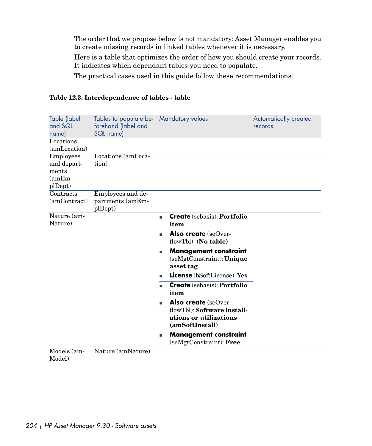The order that we propose below is not mandatory: Asset Manager enables you to create missing records in linked tables whenever it is necessary.

Here is a table that optimizes the order of how you should create your records. It indicates which dependant tables you need to populate.

The practical cases used in this guide follow these recommendations.

| Table (label<br>and SQL<br>name)                                | Tables to populate be- Mandatory values<br>forehand (label and<br>SQL name) |                                                                                                         | Automatically created<br>records |
|-----------------------------------------------------------------|-----------------------------------------------------------------------------|---------------------------------------------------------------------------------------------------------|----------------------------------|
| Locations<br>(amLocation)                                       |                                                                             |                                                                                                         |                                  |
| <b>Employees</b><br>and depart-<br>ments<br>$(amEm-$<br>plDept) | Locations (amLoca-<br>tion)                                                 |                                                                                                         |                                  |
| Contracts<br>(amContract)                                       | Employees and de-<br>partments (amEm-<br>plDept)                            |                                                                                                         |                                  |
| Nature (am-<br>Nature)                                          |                                                                             | <b>Create</b> (sebasis): <b>Portfolio</b><br>٠<br>item                                                  |                                  |
|                                                                 |                                                                             | <b>Also create</b> (seOver-<br>flowTbl): (No table)                                                     |                                  |
|                                                                 |                                                                             | <b>Management constraint</b><br>٠<br>$(s \in Mgt$ Constraint: Unique<br>asset tag                       |                                  |
|                                                                 |                                                                             | <b>License</b> (bSoftLicense): Yes                                                                      |                                  |
|                                                                 |                                                                             | <b>Create</b> (sebasis): <b>Portfolio</b><br>item                                                       |                                  |
|                                                                 |                                                                             | <b>Also create</b> (seOver-<br>flowTbl): Software install-<br>ations or utilizations<br>(amSoftInstall) |                                  |
|                                                                 |                                                                             | <b>Management constraint</b><br>ш<br>$(semfConstrain)$ : Free                                           |                                  |
| $\overline{\text{Models}}$ (am-<br>Model)                       | Nature (amNature)                                                           |                                                                                                         |                                  |

#### **Table 12.3. Interdependence of tables - table**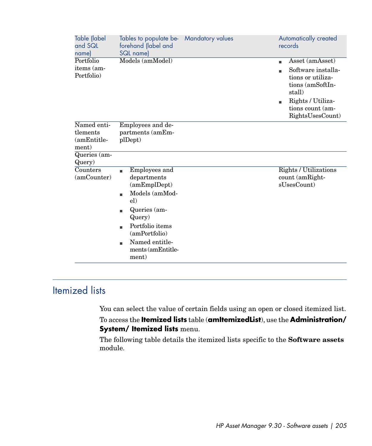| Table (label<br>and SQL<br>name)      | Tables to populate be-<br>forehand (label and<br>SQL name)                                                                                                                                         | <b>Mandatory values</b> | Automatically created<br>records                                                    |
|---------------------------------------|----------------------------------------------------------------------------------------------------------------------------------------------------------------------------------------------------|-------------------------|-------------------------------------------------------------------------------------|
| Portfolio<br>items (am-<br>Portfolio) | Models (amModel)                                                                                                                                                                                   |                         | Asset (amAsset)<br>٠<br>Software installa-<br>tions or utiliza-<br>tions (amSoftIn- |
|                                       |                                                                                                                                                                                                    |                         | stall)<br>Rights / Utiliza-<br>٠<br>tions count (am-<br>RightsUsesCount)            |
| Named enti-                           | Employees and de-                                                                                                                                                                                  |                         |                                                                                     |
| tlements                              | partments (amEm-                                                                                                                                                                                   |                         |                                                                                     |
| (amEntitle-<br>ment)                  | plDept)                                                                                                                                                                                            |                         |                                                                                     |
| Queries (am-                          |                                                                                                                                                                                                    |                         |                                                                                     |
| Query)                                |                                                                                                                                                                                                    |                         |                                                                                     |
| Counters<br>(amCounter)               | Employees and<br>٠<br>departments<br>(amEmpl<br>Models (amMod-<br>٠<br>el)<br>Queries (am-<br>٠<br>Query)<br>Portfolio items<br>(amPortfolio)<br>Named entitle-<br>٠<br>ments (amEntitle-<br>ment) |                         | Rights / Utilizations<br>count (amRight-<br>sUsesCount)                             |

# <span id="page-204-0"></span>Itemized lists

You can select the value of certain fields using an open or closed itemized list.

To access the **Itemized lists** table (**amItemizedList**), use the **Administration/ System/ Itemized lists** menu.

The following table details the itemized lists specific to the **Software assets** module.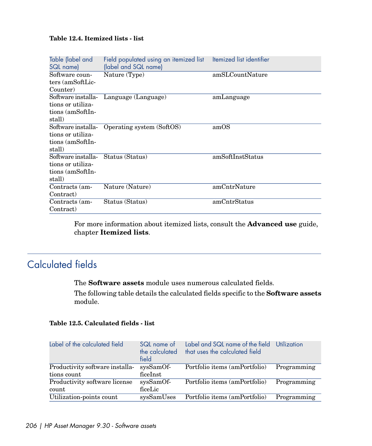#### **Table 12.4. Itemized lists - list**

| Table (label and<br>SQL name)      | Field populated using an itemized list Itemized list identifier<br>(label and SQL name) |                  |
|------------------------------------|-----------------------------------------------------------------------------------------|------------------|
| Software coun-                     | Nature (Type)                                                                           | amSLCountNature  |
| ters (amSoftLic-                   |                                                                                         |                  |
| Counter)                           |                                                                                         |                  |
| Software installa-                 | Language (Language)                                                                     | amLanguage       |
| tions or utiliza-                  |                                                                                         |                  |
| tions (amSoftIn-                   |                                                                                         |                  |
| stall)                             |                                                                                         |                  |
| Software installa-                 | Operating system (SoftOS)                                                               | amOS             |
| tions or utiliza-                  |                                                                                         |                  |
| tions (amSoftIn-                   |                                                                                         |                  |
| stall)                             |                                                                                         |                  |
| Software installa- Status (Status) |                                                                                         | amSoftInstStatus |
| tions or utiliza-                  |                                                                                         |                  |
| tions (amSoftIn-                   |                                                                                         |                  |
| stall)                             |                                                                                         |                  |
| Contracts (am-                     | Nature (Nature)                                                                         | amCntrNature     |
| Contract)                          |                                                                                         |                  |
| Contracts (am-                     | Status (Status)                                                                         | amCntrStatus     |
| Contract)                          |                                                                                         |                  |

<span id="page-205-0"></span>For more information about itemized lists, consult the **Advanced use** guide, chapter **Itemized lists**.

# Calculated fields

The **Software assets** module uses numerous calculated fields.

The following table details the calculated fields specific to the **Software assets** module.

#### **Table 12.5. Calculated fields - list**

| Label of the calculated field                  | SQL name of<br>the calculated<br>field | Label and SQL name of the field<br>that uses the calculated field | Utilization |
|------------------------------------------------|----------------------------------------|-------------------------------------------------------------------|-------------|
| Productivity software installa-<br>tions count | sysSamOf-<br>ficeInst                  | Portfolio items (amPortfolio)                                     | Programming |
| Productivity software license<br>count         | sysSamOf-<br>ficeLic                   | Portfolio items (amPortfolio)                                     | Programming |
| Utilization-points count                       | sysSamUses                             | Portfolio items (amPortfolio)                                     | Programming |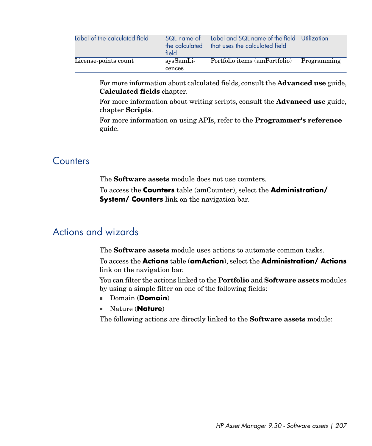| Label of the calculated field | SQL name of<br>the calculated<br>field | Label and SQL name of the field<br>that uses the calculated field | Utilization |
|-------------------------------|----------------------------------------|-------------------------------------------------------------------|-------------|
| License-points count          | sysSamLi-<br>cences                    | Portfolio items (amPortfolio)                                     | Programming |

For more information about calculated fields, consult the **Advanced use** guide, **Calculated fields** chapter.

For more information about writing scripts, consult the **Advanced use** guide, chapter **Scripts**.

<span id="page-206-1"></span>For more information on using APIs, refer to the **Programmer's reference** guide.

### Counters

The **Software assets** module does not use counters.

<span id="page-206-0"></span>To access the **Counters** table (amCounter), select the **Administration/ System/ Counters** link on the navigation bar.

## Actions and wizards

The **Software assets** module uses actions to automate common tasks.

To access the **Actions** table (**amAction**), select the **Administration/ Actions** link on the navigation bar.

You can filter the actions linked to the **Portfolio** and **Software assets** modules by using a simple filter on one of the following fields:

- <sup>n</sup> Domain (**Domain**)
- <sup>n</sup> Nature (**Nature**)

The following actions are directly linked to the **Software assets** module: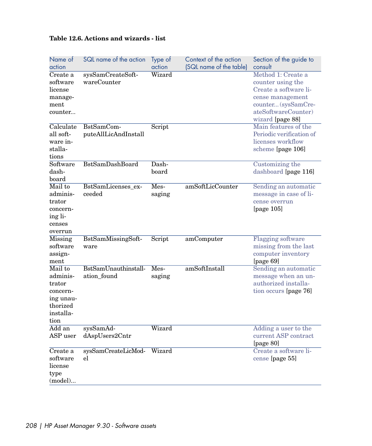### **Table 12.6. Actions and wizards - list**

| Name of<br>action                                                                       | SQL name of the action              | Type of<br>action | Context of the action<br>(SQL name of the table) | Section of the guide to<br>consult                                                                                                                     |
|-----------------------------------------------------------------------------------------|-------------------------------------|-------------------|--------------------------------------------------|--------------------------------------------------------------------------------------------------------------------------------------------------------|
| Create a<br>software<br>license<br>manage-<br>ment<br>counter                           | sysSamCreateSoft-<br>wareCounter    | Wizard            |                                                  | Method 1: Create a<br>counter using the<br>Create a software li-<br>cense management<br>counter (sysSamCre-<br>ateSoftwareCounter)<br>wizard [page 88] |
| Calculate<br>all soft-<br>ware in-<br>stalla-<br>tions                                  | BstSamCom-<br>puteAllLicAndInstall  | Script            |                                                  | Main features of the<br>Periodic verification of<br>licenses workflow<br>scheme [page 106]                                                             |
| Software<br>dash-<br>board                                                              | <b>BstSamDashBoard</b>              | Dash-<br>board    |                                                  | Customizing the<br>dashboard [page 116]                                                                                                                |
| Mail to<br>adminis-<br>trator<br>concern-<br>ing li-<br>censes<br>overrun               | BstSamLicenses_ex-<br>ceeded        | Mes-<br>saging    | amSoftLicCounter                                 | Sending an automatic<br>message in case of li-<br>cense overrun<br>[page $105$ ]                                                                       |
| Missing<br>software<br>assign-<br>ment                                                  | BstSamMissingSoft-<br>ware          | Script            | amComputer                                       | <b>Flagging software</b><br>missing from the last<br>computer inventory<br>[page $69$ ]                                                                |
| Mail to<br>adminis-<br>trator<br>concern-<br>ing unau-<br>thorized<br>installa-<br>tion | BstSamUnauthinstall-<br>ation_found | Mes-<br>saging    | amSoftInstall                                    | Sending an automatic<br>message when an un-<br>authorized installa-<br>tion occurs [page 76]                                                           |
| Add an<br>ASP user                                                                      | sysSamAd-<br>dAspUsers2Cntr         | Wizard            |                                                  | Adding a user to the<br>current ASP contract<br>[page 80]                                                                                              |
| Create a<br>software<br>license<br>type<br>(model)                                      | sysSamCreateLicMod-<br>el           | Wizard            |                                                  | Create a software li-<br>cense [page 55]                                                                                                               |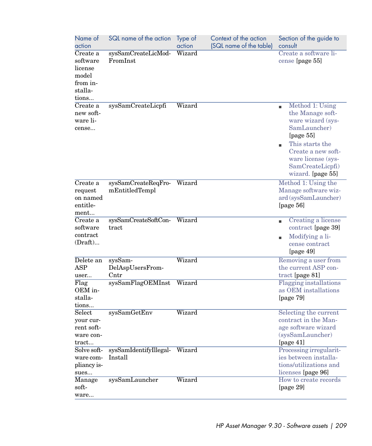| Name of<br>action                                                                 | SQL name of the action                   | Type of<br>action | Context of the action<br>(SQL name of the table) | Section of the guide to<br>consult                                                                                                                                                                    |
|-----------------------------------------------------------------------------------|------------------------------------------|-------------------|--------------------------------------------------|-------------------------------------------------------------------------------------------------------------------------------------------------------------------------------------------------------|
| Create a<br>software<br>license<br>$_{\rm model}$<br>from in-<br>stalla-<br>tions | sysSamCreateLicMod-<br>FromInst          | Wizard            |                                                  | Create a software li-<br>cense [page 55]                                                                                                                                                              |
| Create a<br>new soft-<br>ware li-<br>cense                                        | sysSamCreateLicpfi                       | Wizard            |                                                  | Method 1: Using<br>٠<br>the Manage soft-<br>ware wizard (sys-<br>SamLauncher)<br>[page $55$ ]<br>This starts the<br>Create a new soft-<br>ware license (sys-<br>SamCreateLicpfi)<br>wizard. [page 55] |
| Create a<br>request<br>on named<br>entitle-<br>ment                               | sysSamCreateReqFro-<br>mEntitledTempl    | Wizard            |                                                  | Method 1: Using the<br>Manage software wiz-<br>ard (sysSamLauncher)<br>[page $56$ ]                                                                                                                   |
| Create a<br>software<br>contract<br>(Draft)                                       | sysSamCreateSoftCon-<br>tract            | Wizard            |                                                  | Creating a license<br>contract [page 39]<br>Modifying a li-<br>cense contract<br>[page 49]                                                                                                            |
| Delete an<br>ASP<br>user                                                          | sysSam-<br>DelAspUsersFrom-<br>Cntr      | Wizard            |                                                  | Removing a user from<br>the current ASP con-<br>tract [page 81]                                                                                                                                       |
| Flag<br>OEM in-<br>stalla-<br>tions                                               | sysSamFlagOEMInst                        | Wizard            |                                                  | <b>Flagging</b> installations<br>as OEM installations<br>[page $79$ ]                                                                                                                                 |
| Select<br>your cur-<br>rent soft-<br>ware con-<br>tract                           | sysSamGetEnv                             | Wizard            |                                                  | Selecting the current<br>contract in the Man-<br>age software wizard<br>(sysSamLauncher)<br>[page 41]                                                                                                 |
| Solve soft-<br>ware com-<br>pliancy is-<br>sues                                   | sysSamIdentifyIllegal- Wizard<br>Install |                   |                                                  | Processing irregularit-<br>ies between installa-<br>tions/utilizations and<br>licenses [page 96]                                                                                                      |
| Manage<br>soft-<br>ware                                                           | sysSamLauncher                           | Wizard            |                                                  | How to create records<br>[page 29]                                                                                                                                                                    |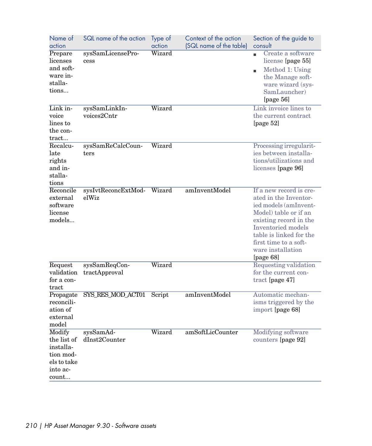| Name of<br>action                                                                   | SQL name of the action         | Type of<br>action | Context of the action<br>(SQL name of the table) | Section of the guide to<br>consult                                                                                                                                                                                                       |
|-------------------------------------------------------------------------------------|--------------------------------|-------------------|--------------------------------------------------|------------------------------------------------------------------------------------------------------------------------------------------------------------------------------------------------------------------------------------------|
| Prepare<br>licenses<br>and soft-<br>ware in-<br>stalla-<br>tions                    | sysSamLicensePro-<br>cess      | Wizard            |                                                  | Create a software<br>×.<br>license [page 55]<br>Method 1: Using<br>the Manage soft-<br>ware wizard (sys-<br>SamLauncher)<br>[page 56]                                                                                                    |
| Link in-<br>voice<br>lines to<br>the con-<br>tract                                  | sysSamLinkIn-<br>voices2Cntr   | Wizard            |                                                  | Link invoice lines to<br>the current contract<br>[page $52$ ]                                                                                                                                                                            |
| Recalcu-<br>late<br>rights<br>and in-<br>stalla-<br>tions                           | sysSamReCalcCoun-<br>ters      | Wizard            |                                                  | Processing irregularit-<br>ies between installa-<br>tions/utilizations and<br>licenses [page 96]                                                                                                                                         |
| Reconcile<br>external<br>software<br>license<br>models                              | sysIvtReconcExtMod-<br>elWiz   | Wizard            | amInventModel                                    | If a new record is cre-<br>ated in the Inventor-<br>ied models (amInvent-<br>Model) table or if an<br>existing record in the<br>Inventoried models<br>table is linked for the<br>first time to a soft-<br>ware installation<br>[page 68] |
| Request<br>validation<br>for a con-<br>tract                                        | sysSamReqCon-<br>tractApproval | Wizard            |                                                  | Requesting validation<br>for the current con-<br>tract [page 47]                                                                                                                                                                         |
| Propagate<br>reconcili-<br>ation of<br>external<br>model                            | SYS_RES_MOD_ACT01              | Script            | amInventModel                                    | Automatic mechan-<br>isms triggered by the<br>import [page 68]                                                                                                                                                                           |
| Modify<br>the list of<br>installa-<br>tion mod-<br>els to take<br>into ac-<br>count | sysSamAd-<br>dInst2Counter     | Wizard            | amSoftLicCounter                                 | <b>Modifying software</b><br>counters [page 92]                                                                                                                                                                                          |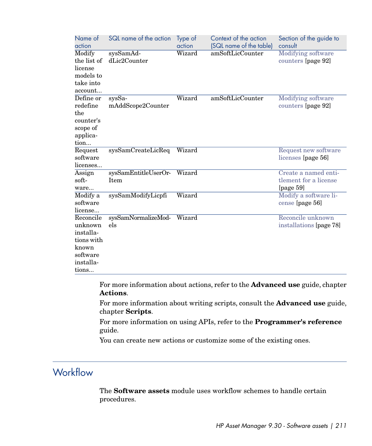| Name of<br>action                                                                          | SQL name of the action                    | Type of<br>action | Context of the action<br>(SQL name of the table) | Section of the guide to<br>consult                            |
|--------------------------------------------------------------------------------------------|-------------------------------------------|-------------------|--------------------------------------------------|---------------------------------------------------------------|
| Modify<br>the list of<br>license<br>models to<br>take into<br>account                      | sysSamAd-<br>dLic2Counter                 | Wizard            | amSoftLicCounter                                 | Modifying software<br>counters [page 92]                      |
| Define or<br>redefine<br>the<br>counter's<br>scope of<br>applica-<br>tion                  | $sys\overline{Sa}$ -<br>mAddScope2Counter | Wizard            | amSoftLicCounter                                 | <b>Modifying software</b><br>counters [page 92]               |
| Request<br>software<br>licenses                                                            | sysSamCreateLicReq                        | Wizard            |                                                  | Request new software<br>licenses [page 56]                    |
| Assign<br>soft-<br>ware                                                                    | sysSamEntitleUserOr-<br>Item              | Wizard            |                                                  | Create a named enti-<br>tlement for a license<br>[page $59$ ] |
| Modify a<br>software<br>license                                                            | sysSamModifyLicpfi                        | Wizard            |                                                  | Modify a software li-<br>cense [page 56]                      |
| Reconcile<br>unknown<br>installa-<br>tions with<br>known<br>software<br>installa-<br>tions | sysSamNormalizeMod-<br>els                | Wizard            |                                                  | Reconcile unknown<br>installations [page 78]                  |

For more information about actions, refer to the **Advanced use** guide, chapter **Actions**.

For more information about writing scripts, consult the **Advanced use** guide, chapter **Scripts**.

For more information on using APIs, refer to the **Programmer's reference** guide.

You can create new actions or customize some of the existing ones.

## **Workflow**

The **Software assets** module uses workflow schemes to handle certain procedures.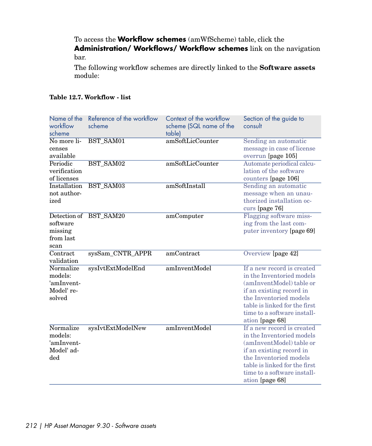To access the **Workflow schemes** (amWfScheme) table, click the **Administration/ Workflows/ Workflow schemes** link on the navigation bar.

The following workflow schemes are directly linked to the **Software assets** module:

|  |  | Table 12.7. Workflow - list |  |  |
|--|--|-----------------------------|--|--|
|--|--|-----------------------------|--|--|

| Name of the<br>workflow<br>scheme                          | Reference of the workflow<br>scheme | Context of the workflow<br>scheme (SQL name of the<br>table) | Section of the guide to<br>consult                                                                                                                                                                                           |
|------------------------------------------------------------|-------------------------------------|--------------------------------------------------------------|------------------------------------------------------------------------------------------------------------------------------------------------------------------------------------------------------------------------------|
| No more li-<br>censes<br>available                         | BST SAM01                           | amSoftLicCounter                                             | Sending an automatic<br>message in case of license<br>overrun [page 105]                                                                                                                                                     |
| Periodic<br>verification<br>of licenses                    | BST SAM02                           | amSoftLicCounter                                             | Automate periodical calcu-<br>lation of the software<br>counters [page 106]                                                                                                                                                  |
| <b>Installation</b><br>not author-<br>ized                 | BST_SAM03                           | amSoftInstall                                                | Sending an automatic<br>message when an unau-<br>thorized installation oc-<br>curs [page 76]                                                                                                                                 |
| software<br>missing<br>from last<br>scan                   | Detection of BST_SAM20              | amComputer                                                   | Flagging software miss-<br>ing from the last com-<br>puter inventory [page 69]                                                                                                                                               |
| Contract<br>validation                                     | sysSam_CNTR_APPR                    | amContract                                                   | Overview [page 42]                                                                                                                                                                                                           |
| Normalize<br>models:<br>'amInvent-<br>Model' re-<br>solved | sysIvtExtModelEnd                   | amInventModel                                                | If a new record is created<br>in the Inventoried models<br>(amInventModel) table or<br>if an existing record in<br>the Inventoried models<br>table is linked for the first<br>time to a software install-<br>ation [page 68] |
| Normalize<br>models:<br>'amInvent-<br>Model' ad-<br>ded    | sysIvtExtModelNew                   | amInventModel                                                | If a new record is created<br>in the Inventoried models<br>(amInventModel) table or<br>if an existing record in<br>the Inventoried models<br>table is linked for the first<br>time to a software install-<br>ation [page 68] |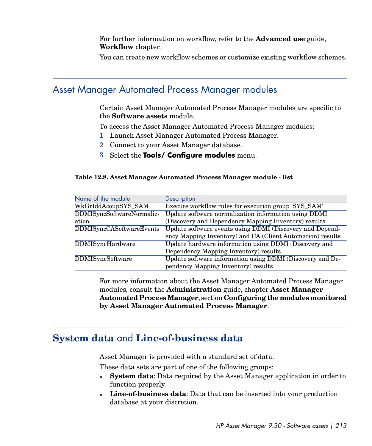For further information on workflow, refer to the **Advanced use** guide, **Workflow** chapter.

You can create new workflow schemes or customize existing workflow schemes.

### Asset Manager Automated Process Manager modules

Certain Asset Manager Automated Process Manager modules are specific to the **Software assets** module.

To access the Asset Manager Automated Process Manager modules:

- 1 Launch Asset Manager Automated Process Manager.
- 2 Connect to your Asset Manager database.
- 3 Select the **Tools/ Configure modules** menu.

#### **Table 12.8. Asset Manager Automated Process Manager module - list**

| Name of the module              | Description                                                |
|---------------------------------|------------------------------------------------------------|
| WkGrIddAcoupSYS SAM             | Execute workflow rules for execution group 'SYS_SAM'       |
| DDMISyncSoftwareNormaliz-       | Update software normalization information using DDMI       |
| ation                           | (Discovery and Dependency Mapping Inventory) results       |
| <b>DDMISyncCASoftwareEvents</b> | Update software events using DDMI (Discovery and Depend-   |
|                                 | ency Mapping Inventory) and CA (Client Automation) results |
| DDMISyncHardware                | Update hardware information using DDMI (Discovery and      |
|                                 | Dependency Mapping Inventory) results                      |
| <b>DDMISyncSoftware</b>         | Update software information using DDMI (Discovery and De-  |
|                                 | pendency Mapping Inventory) results                        |

For more information about the Asset Manager Automated Process Manager modules, consult the **Administration** guide, chapter **Asset Manager Automated Process Manager**, section **Configuring the modules monitored by Asset Manager Automated Process Manager**.

### **System data** and **Line-of-business data**

Asset Manager is provided with a standard set of data.

These data sets are part of one of the following groups:

- **System data:** Data required by the Asset Manager application in order to function properly.
- <sup>n</sup> **Line-of-business data**: Data that can be inserted into your production database at your discretion.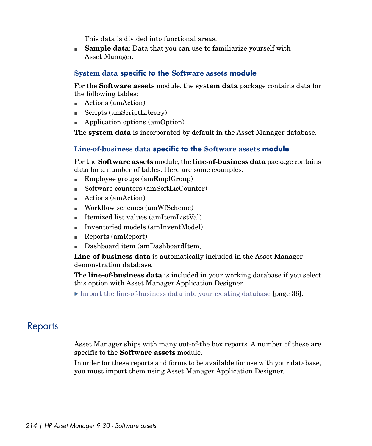This data is divided into functional areas.

**Sample data:** Data that you can use to familiarize yourself with Asset Manager.

#### **System data specific to the Software assets module**

For the **Software assets** module, the **system data** package contains data for the following tables:

- $\blacksquare$  Actions (amAction)
- Scripts (amScriptLibrary)
- Application options (amOption)

The **system data** is incorporated by default in the Asset Manager database.

#### **Line-of-business data specific to the Software assets module**

For the **Software assets** module, the **line-of-business data** package contains data for a number of tables. Here are some examples:

- $\blacksquare$  Employee groups (amEmplGroup)
- Software counters (amSoftLicCounter)
- $\blacksquare$  Actions (amAction)
- Workflow schemes (amWfScheme)
- <sup>n</sup> Itemized list values (amItemListVal)
- Inventoried models (amInventModel)
- n Reports (amReport)
- Dashboard item (amDashboardItem)

**Line-of-business data** is automatically included in the Asset Manager demonstration database.

<span id="page-213-0"></span>The **line-of-business data** is included in your working database if you select this option with Asset Manager Application Designer.

 $\triangleright$  [Import the line-of-business data into your existing database](#page-35-0) [page 36].

### **Reports**

Asset Manager ships with many out-of-the box reports. A number of these are specific to the **Software assets** module.

In order for these reports and forms to be available for use with your database, you must import them using Asset Manager Application Designer.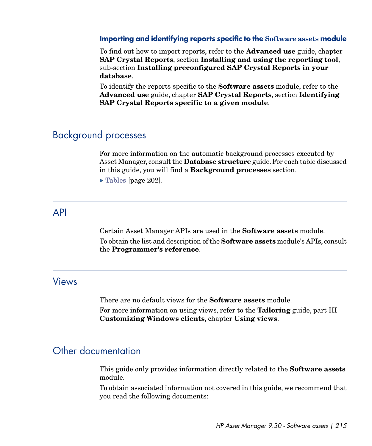#### **Importing and identifying reports specific to the Software assets module**

To find out how to import reports, refer to the **Advanced use** guide, chapter **SAP Crystal Reports**, section **Installing and using the reporting tool**, sub-section **Installing preconfigured SAP Crystal Reports in your database**.

To identify the reports specific to the **Software assets** module, refer to the **Advanced use** guide, chapter **SAP Crystal Reports**, section **Identifying SAP Crystal Reports specific to a given module**.

### Background processes

For more information on the automatic background processes executed by Asset Manager, consult the **Database structure** guide. For each table discussed in this guide, you will find a **Background processes** section.

[Tables](#page-201-0) [page 202].

### API

Certain Asset Manager APIs are used in the **Software assets** module. To obtain the list and description of the **Software assets** module's APIs, consult the **Programmer's reference**.

### Views

There are no default views for the **Software assets** module.

For more information on using views, refer to the **Tailoring** guide, part III **Customizing Windows clients**, chapter **Using views**.

### Other documentation

This guide only provides information directly related to the **Software assets** module.

To obtain associated information not covered in this guide, we recommend that you read the following documents: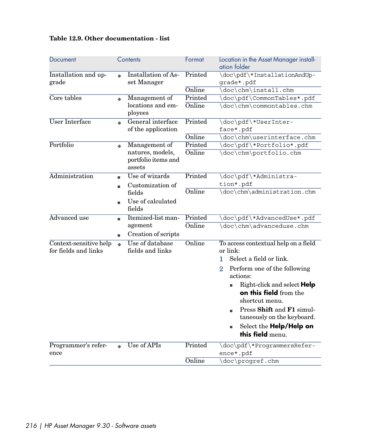### **Table 12.9. Other documentation - list**

| Document                                       |                  | Contents                                | Format  | Location in the Asset Manager install-<br>ation folder                               |
|------------------------------------------------|------------------|-----------------------------------------|---------|--------------------------------------------------------------------------------------|
| Installation and up-<br>grade                  |                  | Installation of As-<br>set Manager      | Printed | \doc\pdf\*InstallationAndUp-<br>grade*.pdf                                           |
|                                                |                  |                                         | Online  | \doc\chm\install.chm                                                                 |
| Core tables                                    | $\ddot{\bullet}$ | Management of                           | Printed | \doc\pdf\CommonTables*.pdf                                                           |
|                                                |                  | locations and em-<br>ployees            | Online  | \doc\chm\commontables.chm                                                            |
| <b>User Interface</b>                          | ò.               | General interface<br>of the application | Printed | \doc\pdf\*UserInter-<br>face*.pdf                                                    |
|                                                |                  |                                         | Online  | \doc\chm\userinterface.chm                                                           |
| Portfolio                                      |                  | Management of                           | Printed | \doc\pdf\*Portfolio*.pdf                                                             |
|                                                | ó                | natures, models,                        | Online  | \doc\chm\portfolio.chm                                                               |
|                                                |                  | portfolio items and<br>assets           |         |                                                                                      |
| Administration                                 | ٠                | Use of wizards                          | Printed | \doc\pdf\*Administra-                                                                |
|                                                | ٠                | Customization of                        |         | tion*.pdf                                                                            |
|                                                |                  | fields                                  | Online  | \doc\chm\administration.chm                                                          |
|                                                |                  | Use of calculated<br>fields             |         |                                                                                      |
| Advanced use                                   |                  | Itemized-list man-                      | Printed | \doc\pdf\*AdvancedUse*.pdf                                                           |
|                                                |                  | agement                                 | Online  | \doc\chm\advanceduse.chm                                                             |
|                                                | ٠                | Creation of scripts                     |         |                                                                                      |
| Context-sensitive help<br>for fields and links |                  | Use of database<br>fields and links     | Online  | To access contextual help on a field<br>or link:                                     |
|                                                |                  |                                         |         | Select a field or link.<br>1.                                                        |
|                                                |                  |                                         |         | $\overline{2}$<br>Perform one of the following<br>actions:                           |
|                                                |                  |                                         |         | Right-click and select <b>Help</b><br>n.<br>on this field from the<br>shortcut menu. |
|                                                |                  |                                         |         | Press Shift and F1 simul-<br>٠<br>taneously on the keyboard.                         |
|                                                |                  |                                         |         | Select the Help/Help on<br>Ű.<br>this field menu.                                    |
| Programmer's refer-                            |                  | Use of APIs                             | Printed | \doc\pdf\*ProgrammersRefer-                                                          |
| ence                                           |                  |                                         |         | ence*.pdf                                                                            |
|                                                |                  |                                         | Online  | \doc\progref.chm                                                                     |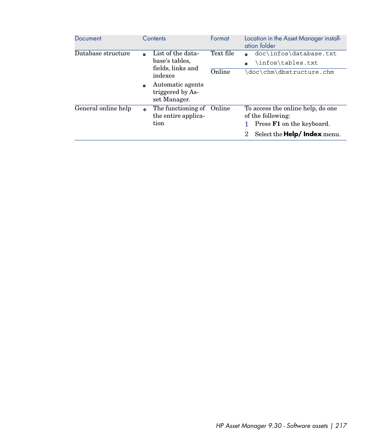| Document            | Contents                                                                 | Format    | Location in the Asset Manager install-<br>ation folder                                     |
|---------------------|--------------------------------------------------------------------------|-----------|--------------------------------------------------------------------------------------------|
| Database structure  | List of the data-<br>٠<br>base's tables.<br>fields, links and<br>indexes | Text file | doc\infos\database.txt<br>٠<br>infos\tables.txt\                                           |
|                     |                                                                          | Online    | doc\chm\dbstructure.chm\                                                                   |
|                     | Automatic agents<br>٠<br>triggered by As-<br>set Manager.                |           |                                                                                            |
| General online help | The functioning of<br>$\triangle$<br>the entire applica-<br>tion         | Online    | To access the online help, do one<br>of the following:<br>Press <b>F1</b> on the keyboard. |
|                     |                                                                          |           | Select the <b>Help/Index</b> menu.                                                         |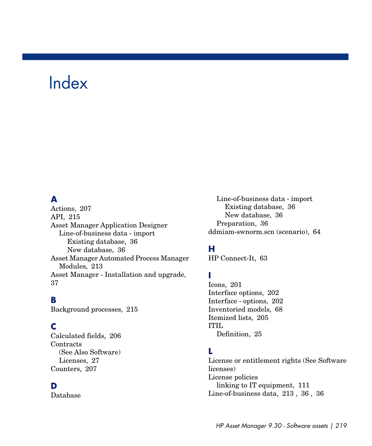# Index

## **A**

Actions, [207](#page-206-0) API, [215](#page-214-0) Asset Manager Application Designer Line-of-business data - import Existing database, [36](#page-35-0) New database, [36](#page-35-1) Asset Manager Automated Process Manager Modules, [213](#page-212-0) Asset Manager - Installation and upgrade, [37](#page-36-0)

#### **B**

Background processes, [215](#page-214-1)

## **C**

Calculated fields, [206](#page-205-0) **Contracts** (See Also Software) Licenses, [27](#page-26-0) Counters, [207](#page-206-1)

#### **D**

Database

Line-of-business data - import Existing database, [36](#page-35-0) New database, [36](#page-35-1) Preparation, [36](#page-35-2) ddmiam-swnorm.scn (scenario), [64](#page-63-0)

# **H**

HP Connect-It, [63](#page-62-0)

## **I**

Icons, [201](#page-200-0) Interface options, [202](#page-201-0) Interface - options, [202](#page-201-0) Inventoried models, [68](#page-67-0) Itemized lists, [205](#page-204-0) ITIL Definition, [25](#page-24-0)

## **L**

License or entitlement rights (See Software licenses) License policies linking to IT equipment, [111](#page-110-0) Line-of-business data, [213](#page-212-1) , [36](#page-35-0) , [36](#page-35-1)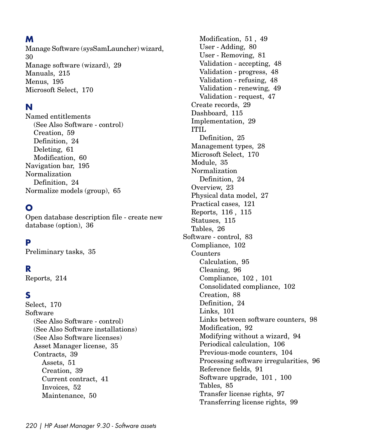# **M**

Manage Software (sysSamLauncher) wizard, [30](#page-29-0) Manage software (wizard), [29](#page-28-0) Manuals, [215](#page-214-2) Menus, [195](#page-194-0) Microsoft Select, [170](#page-169-0)

## **N**

Named entitlements (See Also Software - control) Creation, [59](#page-58-0) Definition, [24](#page-23-0) Deleting, [61](#page-60-0) Modification, [60](#page-59-0) Navigation bar, [195](#page-194-0) Normalization Definition, [24](#page-23-1) Normalize models (group), [65](#page-64-0)

# **O**

Open database description file - create new database (option), [36](#page-35-3)

## **P**

Preliminary tasks, [35](#page-34-0)

#### **R**

Reports, [214](#page-213-0)

#### **S**

Select, [170](#page-169-0) Software (See Also Software - control) (See Also Software installations) (See Also Software licenses) Asset Manager license, [35](#page-34-1) Contracts, [39](#page-38-0) Assets, [51](#page-50-0) Creation, [39](#page-38-1) Current contract, [41](#page-40-0) Invoices, [52](#page-51-0) Maintenance, [50](#page-49-0)

Modification, [51](#page-50-1) , [49](#page-48-0) User - Adding, [80](#page-79-0) User - Removing, [81](#page-80-0) Validation - accepting, [48](#page-47-0) Validation - progress, [48](#page-47-1) Validation - refusing, [48](#page-47-0) Validation - renewing, [49](#page-48-1) Validation - request, [47](#page-46-0) Create records, [29](#page-28-0) Dashboard, [115](#page-114-0) Implementation, [29](#page-28-1) ITIL Definition, [25](#page-24-0) Management types, [28](#page-27-0) Microsoft Select, [170](#page-169-0) Module, [35](#page-34-2) Normalization Definition, [24](#page-23-1) Overview, [23](#page-22-0) Physical data model, [27](#page-26-1) Practical cases, [121](#page-120-0) Reports, [116 ,](#page-115-0) [115](#page-114-1) Statuses, [115](#page-114-1) Tables, [26](#page-25-0) Software - control, [83](#page-82-0) Compliance, [102](#page-101-0) Counters Calculation, [95](#page-94-0) Cleaning, [96](#page-95-0) Compliance, [102](#page-101-0) , [101](#page-100-0) Consolidated compliance, [102](#page-101-0) Creation, [88](#page-87-0) Definition, [24](#page-23-2) Links, [101](#page-100-0) Links between software counters, [98](#page-97-0) Modification, [92](#page-91-0) Modifying without a wizard, [94](#page-93-0) Periodical calculation, [106](#page-105-0) Previous-mode counters, [104](#page-103-0) Processing software irregularities, [96](#page-95-1) Reference fields, [91](#page-90-0) Software upgrade, [101 ,](#page-100-1) [100](#page-99-0) Tables, [85](#page-84-0) Transfer license rights, [97](#page-96-0) Transferring license rights, [99](#page-98-0)